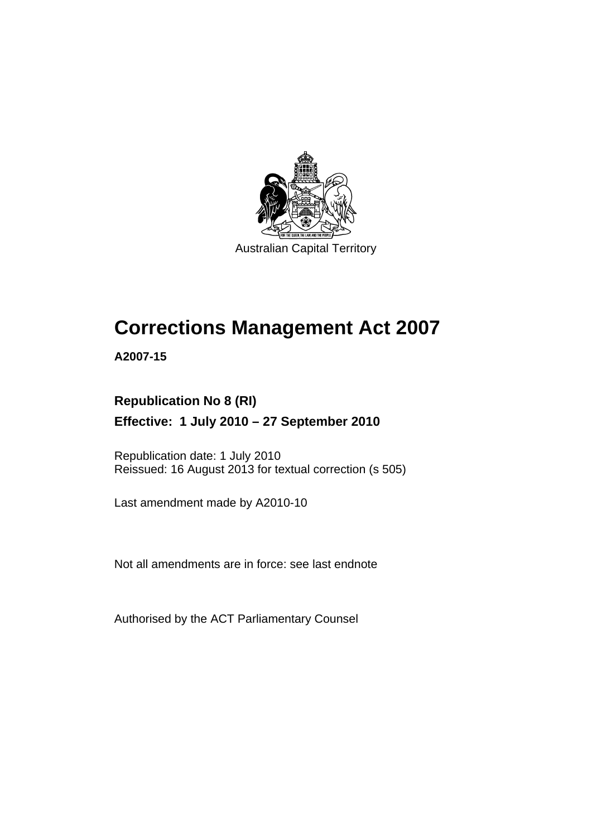

Australian Capital Territory

# **Corrections Management Act 2007**

**A2007-15** 

### **Republication No 8 (RI) Effective: 1 July 2010 – 27 September 2010**

Republication date: 1 July 2010 Reissued: 16 August 2013 for textual correction (s 505)

Last amendment made by A2010-10

Not all amendments are in force: see last endnote

Authorised by the ACT Parliamentary Counsel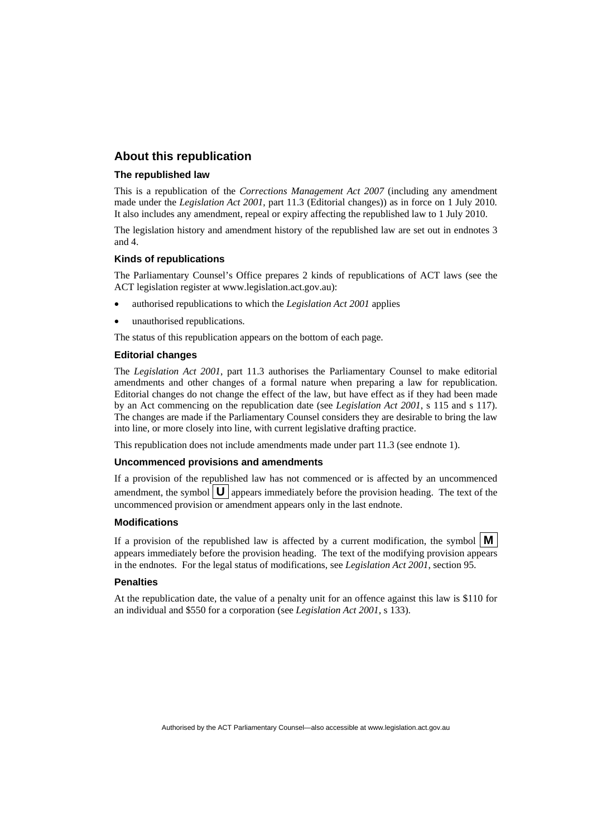#### **About this republication**

#### **The republished law**

This is a republication of the *Corrections Management Act 2007* (including any amendment made under the *Legislation Act 2001*, part 11.3 (Editorial changes)) as in force on 1 July 2010*.*  It also includes any amendment, repeal or expiry affecting the republished law to 1 July 2010.

The legislation history and amendment history of the republished law are set out in endnotes 3 and 4.

#### **Kinds of republications**

The Parliamentary Counsel's Office prepares 2 kinds of republications of ACT laws (see the ACT legislation register at www.legislation.act.gov.au):

- authorised republications to which the *Legislation Act 2001* applies
- unauthorised republications.

The status of this republication appears on the bottom of each page.

#### **Editorial changes**

The *Legislation Act 2001*, part 11.3 authorises the Parliamentary Counsel to make editorial amendments and other changes of a formal nature when preparing a law for republication. Editorial changes do not change the effect of the law, but have effect as if they had been made by an Act commencing on the republication date (see *Legislation Act 2001*, s 115 and s 117). The changes are made if the Parliamentary Counsel considers they are desirable to bring the law into line, or more closely into line, with current legislative drafting practice.

This republication does not include amendments made under part 11.3 (see endnote 1).

#### **Uncommenced provisions and amendments**

If a provision of the republished law has not commenced or is affected by an uncommenced amendment, the symbol  $\mathbf{U}$  appears immediately before the provision heading. The text of the uncommenced provision or amendment appears only in the last endnote.

#### **Modifications**

If a provision of the republished law is affected by a current modification, the symbol  $\mathbf{M}$ appears immediately before the provision heading. The text of the modifying provision appears in the endnotes. For the legal status of modifications, see *Legislation Act 2001*, section 95.

#### **Penalties**

At the republication date, the value of a penalty unit for an offence against this law is \$110 for an individual and \$550 for a corporation (see *Legislation Act 2001*, s 133).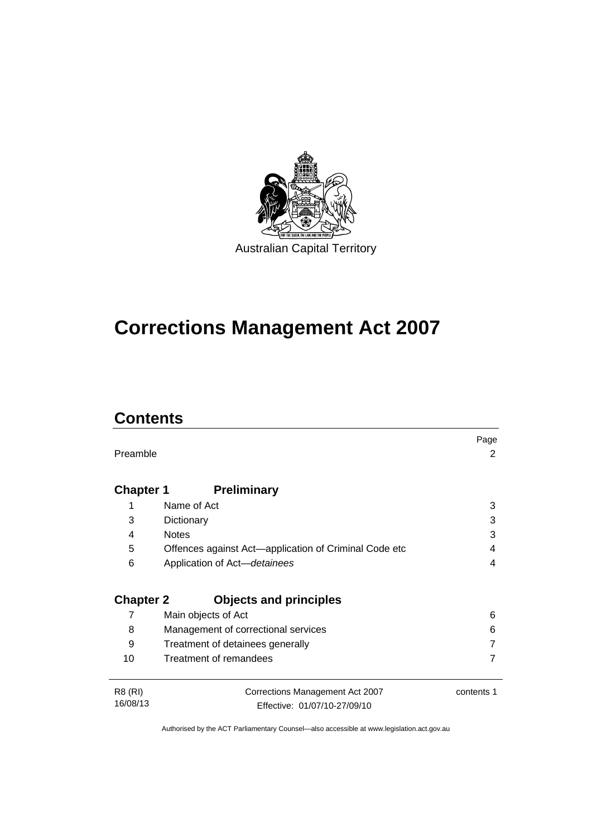

# **Corrections Management Act 2007**

# **Contents**

|                  |                                                       | Page       |
|------------------|-------------------------------------------------------|------------|
| Preamble         |                                                       | 2          |
|                  |                                                       |            |
| <b>Chapter 1</b> | <b>Preliminary</b>                                    |            |
| 1                | Name of Act                                           | 3          |
| 3                | Dictionary                                            | 3          |
| 4                | <b>Notes</b>                                          | 3          |
| 5                | Offences against Act—application of Criminal Code etc | 4          |
| 6                | Application of Act-detainees                          | 4          |
|                  |                                                       |            |
| <b>Chapter 2</b> | <b>Objects and principles</b>                         |            |
| 7                | Main objects of Act                                   | 6          |
| 8                | Management of correctional services                   | 6          |
| 9                | Treatment of detainees generally                      |            |
| 10               | Treatment of remandees                                |            |
|                  |                                                       |            |
| R8 (RI)          | Corrections Management Act 2007                       | contents 1 |
| 16/08/13         | Effective: 01/07/10-27/09/10                          |            |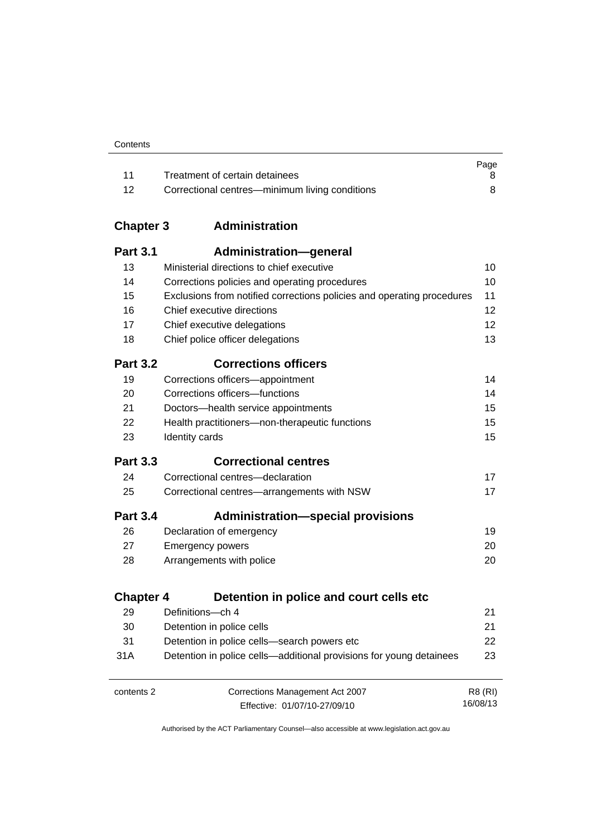|       |                                                | Page |
|-------|------------------------------------------------|------|
| $-11$ | Treatment of certain detainees                 |      |
| -12   | Correctional centres—minimum living conditions |      |

### **Chapter 3 [Administration](#page-23-0)**

| <b>Part 3.1</b>  | <b>Administration-general</b>                                          |                |
|------------------|------------------------------------------------------------------------|----------------|
| 13               | Ministerial directions to chief executive                              | 10             |
| 14               | Corrections policies and operating procedures                          | 10             |
| 15               | Exclusions from notified corrections policies and operating procedures | 11             |
| 16               | Chief executive directions                                             | 12             |
| 17               | Chief executive delegations                                            | 12             |
| 18               | Chief police officer delegations                                       | 13             |
| <b>Part 3.2</b>  | <b>Corrections officers</b>                                            |                |
| 19               | Corrections officers-appointment                                       | 14             |
| 20               | Corrections officers-functions                                         | 14             |
| 21               | Doctors-health service appointments                                    | 15             |
| 22               | Health practitioners-non-therapeutic functions                         | 15             |
| 23               | Identity cards                                                         | 15             |
| <b>Part 3.3</b>  | <b>Correctional centres</b>                                            |                |
| 24               | Correctional centres-declaration                                       | 17             |
| 25               | Correctional centres-arrangements with NSW                             | 17             |
| <b>Part 3.4</b>  | <b>Administration-special provisions</b>                               |                |
| 26               | Declaration of emergency                                               | 19             |
| 27               | <b>Emergency powers</b>                                                | 20             |
| 28               | Arrangements with police                                               | 20             |
| <b>Chapter 4</b> | Detention in police and court cells etc                                |                |
| 29               | Definitions-ch 4                                                       | 21             |
| 30               | Detention in police cells                                              | 21             |
| 31               | Detention in police cells-search powers etc                            | 22             |
| 31A              | Detention in police cells—additional provisions for young detainees    | 23             |
|                  |                                                                        |                |
| contents 2       | Corrections Management Act 2007                                        | <b>R8 (RI)</b> |
|                  | Effective: 01/07/10-27/09/10                                           | 16/08/13       |

Effective: 01/07/10-27/09/10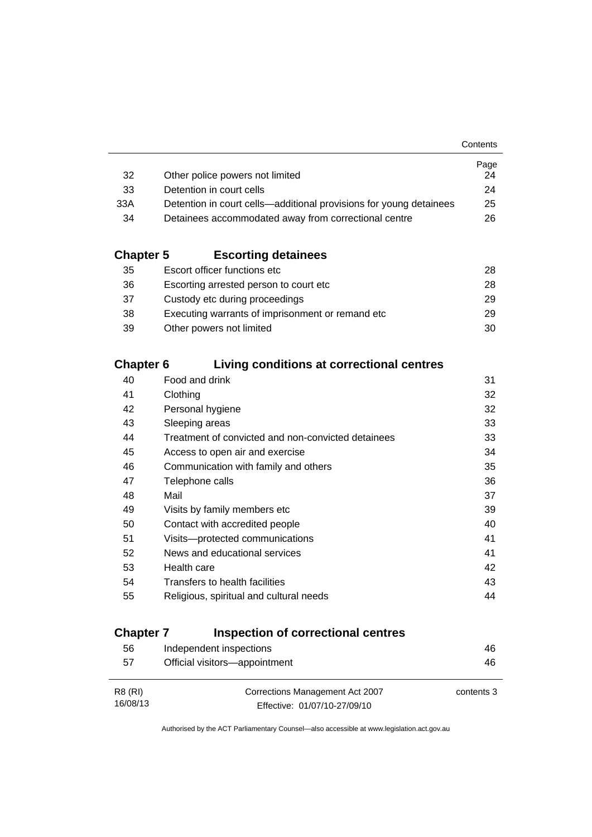|                                                                    | Page |
|--------------------------------------------------------------------|------|
| Other police powers not limited                                    | 24   |
| Detention in court cells                                           | 24   |
| Detention in court cells—additional provisions for young detainees | 25   |
| Detainees accommodated away from correctional centre               | 26.  |
|                                                                    |      |

### **Chapter 5 [Escorting detainees](#page-41-0)**

| Escort officer functions etc                      | 28. |
|---------------------------------------------------|-----|
| Escorting arrested person to court etc.           | 28. |
| Custody etc during proceedings                    | 29. |
| Executing warrants of imprisonment or remand etc. | 29  |
| Other powers not limited                          | 30  |
|                                                   |     |

### **Chapter 6 [Living conditions at correctional centres](#page-44-0)**

| 40 | Food and drink                                     | 31 |
|----|----------------------------------------------------|----|
| 41 | Clothing                                           | 32 |
| 42 | Personal hygiene                                   | 32 |
| 43 | Sleeping areas                                     | 33 |
| 44 | Treatment of convicted and non-convicted detainees | 33 |
| 45 | Access to open air and exercise                    | 34 |
| 46 | Communication with family and others               | 35 |
| 47 | Telephone calls                                    | 36 |
| 48 | Mail                                               | 37 |
| 49 | Visits by family members etc                       | 39 |
| 50 | Contact with accredited people                     | 40 |
| 51 | Visits---protected communications                  | 41 |
| 52 | News and educational services                      | 41 |
| 53 | Health care                                        | 42 |
| 54 | Transfers to health facilities                     | 43 |
| 55 | Religious, spiritual and cultural needs            | 44 |
|    |                                                    |    |

### **Chapter 7 [Inspection of correctional centres](#page-59-0)**

| 56       | Independent inspections         | 46         |
|----------|---------------------------------|------------|
| 57       | Official visitors-appointment   | 46         |
|          |                                 |            |
| R8 (RI)  | Corrections Management Act 2007 | contents 3 |
| 16/08/13 | Effective: 01/07/10-27/09/10    |            |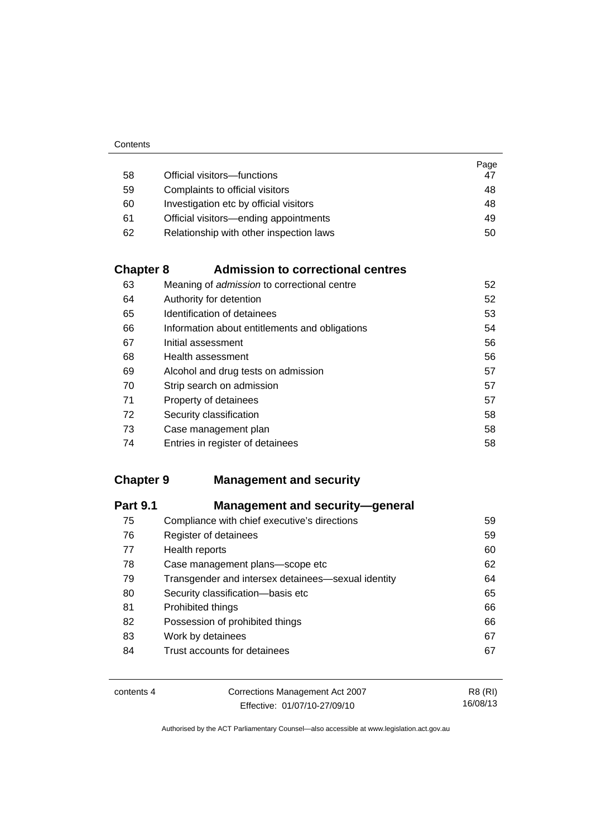|    |                                         | Page |
|----|-----------------------------------------|------|
| 58 | Official visitors-functions             | 47   |
| 59 | Complaints to official visitors         | 48   |
| 60 | Investigation etc by official visitors  | 48   |
| 61 | Official visitors—ending appointments   | 49   |
| 62 | Relationship with other inspection laws | 50   |

### **Chapter 8 [Admission to correctional centres](#page-65-0)**

| 63 | Meaning of admission to correctional centre    | 52 |
|----|------------------------------------------------|----|
| 64 | Authority for detention                        | 52 |
| 65 | Identification of detainees                    | 53 |
| 66 | Information about entitlements and obligations | 54 |
| 67 | Initial assessment                             | 56 |
| 68 | Health assessment                              | 56 |
| 69 | Alcohol and drug tests on admission            | 57 |
| 70 | Strip search on admission                      | 57 |
| 71 | Property of detainees                          | 57 |
| 72 | Security classification                        | 58 |
| 73 | Case management plan                           | 58 |
| 74 | Entries in register of detainees               | 58 |

### **Chapter 9 [Management and security](#page-72-0)**

| <b>Part 9.1</b> | <b>Management and security-general</b>             |    |
|-----------------|----------------------------------------------------|----|
| 75              | Compliance with chief executive's directions       | 59 |
| 76              | Register of detainees                              | 59 |
| 77              | Health reports                                     | 60 |
| 78              | Case management plans-scope etc                    | 62 |
| 79              | Transgender and intersex detainees—sexual identity | 64 |
| 80              | Security classification-basis etc                  | 65 |
| 81              | Prohibited things                                  | 66 |
| 82              | Possession of prohibited things                    | 66 |
| 83              | Work by detainees                                  | 67 |
| 84              | Trust accounts for detainees                       | 67 |

| contents 4 | Corrections Management Act 2007 | R8 (RI)  |
|------------|---------------------------------|----------|
|            | Effective: 01/07/10-27/09/10    | 16/08/13 |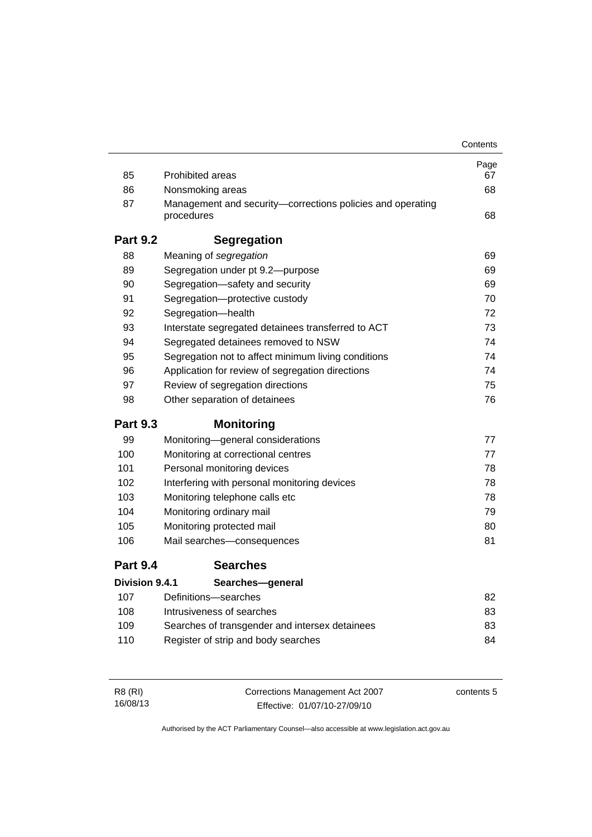|                       |                                                                          | Contents |
|-----------------------|--------------------------------------------------------------------------|----------|
|                       |                                                                          | Page     |
| 85                    | <b>Prohibited areas</b>                                                  | 67       |
| 86                    | Nonsmoking areas                                                         | 68       |
| 87                    | Management and security-corrections policies and operating<br>procedures | 68       |
| <b>Part 9.2</b>       | <b>Segregation</b>                                                       |          |
| 88                    | Meaning of segregation                                                   | 69       |
| 89                    | Segregation under pt 9.2-purpose                                         | 69       |
| 90                    | Segregation-safety and security                                          | 69       |
| 91                    | Segregation-protective custody                                           | 70       |
| 92                    | Segregation-health                                                       | 72       |
| 93                    | Interstate segregated detainees transferred to ACT                       | 73       |
| 94                    | Segregated detainees removed to NSW                                      | 74       |
| 95                    | Segregation not to affect minimum living conditions                      | 74       |
| 96                    | Application for review of segregation directions                         | 74       |
| 97                    | Review of segregation directions                                         | 75       |
| 98                    | Other separation of detainees                                            | 76       |
| <b>Part 9.3</b>       | <b>Monitoring</b>                                                        |          |
| 99                    | Monitoring-general considerations                                        | 77       |
| 100                   | Monitoring at correctional centres                                       | 77       |
| 101                   | Personal monitoring devices                                              | 78       |
| 102                   | Interfering with personal monitoring devices                             | 78       |
| 103                   | Monitoring telephone calls etc                                           | 78       |
| 104                   | Monitoring ordinary mail                                                 | 79       |
| 105                   | Monitoring protected mail                                                | 80       |
| 106                   | Mail searches-consequences                                               | 81       |
| <b>Part 9.4</b>       | <b>Searches</b>                                                          |          |
| <b>Division 9.4.1</b> | Searches-general                                                         |          |
| 107                   | Definitions-searches                                                     | 82       |
| 108                   | Intrusiveness of searches                                                | 83       |
| 109                   | Searches of transgender and intersex detainees                           | 83       |
| 110                   | Register of strip and body searches                                      | 84       |
|                       |                                                                          |          |

| R8 (RI)  | Corrections Management Act 2007 | contents 5 |
|----------|---------------------------------|------------|
| 16/08/13 | Effective: 01/07/10-27/09/10    |            |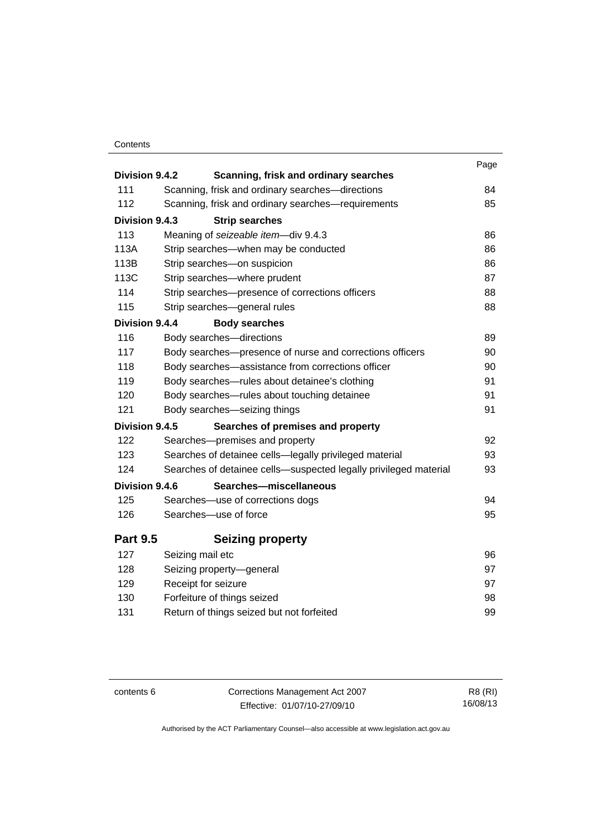#### **Contents**

| Division 9.4.2  | Scanning, frisk and ordinary searches                            | Page |
|-----------------|------------------------------------------------------------------|------|
| 111             | Scanning, frisk and ordinary searches-directions                 | 84   |
| 112             | Scanning, frisk and ordinary searches-requirements               | 85   |
| Division 9.4.3  | <b>Strip searches</b>                                            |      |
| 113             | Meaning of seizeable item-div 9.4.3                              | 86   |
| 113A            | Strip searches-when may be conducted                             | 86   |
| 113B            | Strip searches-on suspicion                                      | 86   |
| 113C            | Strip searches-where prudent                                     | 87   |
| 114             | Strip searches-presence of corrections officers                  | 88   |
| 115             | Strip searches-general rules                                     | 88   |
| Division 9.4.4  | <b>Body searches</b>                                             |      |
| 116             | Body searches-directions                                         | 89   |
| 117             | Body searches-presence of nurse and corrections officers         | 90   |
| 118             | Body searches—assistance from corrections officer                | 90   |
| 119             | Body searches—rules about detainee's clothing                    | 91   |
| 120             | Body searches—rules about touching detainee                      | 91   |
| 121             | Body searches-seizing things                                     | 91   |
| Division 9.4.5  | Searches of premises and property                                |      |
| 122             | Searches-premises and property                                   | 92   |
| 123             | Searches of detainee cells-legally privileged material           | 93   |
| 124             | Searches of detainee cells-suspected legally privileged material | 93   |
| Division 9.4.6  | Searches-miscellaneous                                           |      |
| 125             | Searches-use of corrections dogs                                 | 94   |
| 126             | Searches-use of force                                            | 95   |
| <b>Part 9.5</b> | <b>Seizing property</b>                                          |      |
| 127             | Seizing mail etc                                                 | 96   |
| 128             | Seizing property-general                                         | 97   |
| 129             | Receipt for seizure                                              | 97   |
| 130             | Forfeiture of things seized                                      | 98   |
| 131             | Return of things seized but not forfeited                        | 99   |
|                 |                                                                  |      |

contents 6 Corrections Management Act 2007 Effective: 01/07/10-27/09/10

R8 (RI) 16/08/13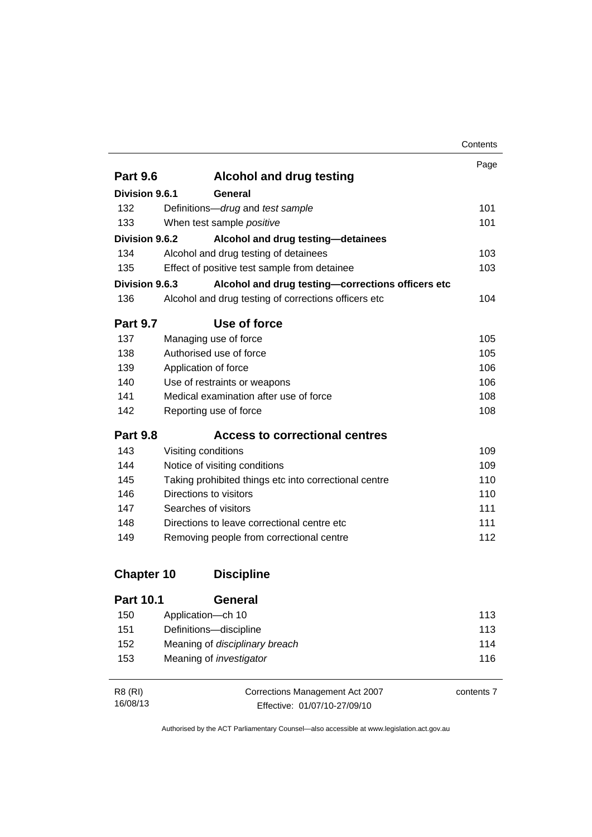|                       |                                                       | Contents |
|-----------------------|-------------------------------------------------------|----------|
|                       |                                                       | Page     |
| <b>Part 9.6</b>       | <b>Alcohol and drug testing</b>                       |          |
| Division 9.6.1        | General                                               |          |
| 132                   | Definitions-drug and test sample                      | 101      |
| 133                   | When test sample positive                             | 101      |
| Division 9.6.2        | Alcohol and drug testing-detainees                    |          |
| 134                   | Alcohol and drug testing of detainees                 | 103      |
| 135                   | Effect of positive test sample from detainee          | 103      |
| <b>Division 9.6.3</b> | Alcohol and drug testing-corrections officers etc     |          |
| 136                   | Alcohol and drug testing of corrections officers etc  | 104      |
| <b>Part 9.7</b>       | Use of force                                          |          |
| 137                   | Managing use of force                                 | 105      |
| 138                   | Authorised use of force                               | 105      |
| 139                   | Application of force                                  | 106      |
| 140                   | Use of restraints or weapons                          | 106      |
| 141                   | Medical examination after use of force                | 108      |
| 142                   | Reporting use of force                                | 108      |
| <b>Part 9.8</b>       | <b>Access to correctional centres</b>                 |          |
| 143                   | Visiting conditions                                   | 109      |
| 144                   | Notice of visiting conditions                         | 109      |
| 145                   | Taking prohibited things etc into correctional centre | 110      |
| 146                   | Directions to visitors                                | 110      |
| 147                   | Searches of visitors                                  | 111      |
| 148                   | Directions to leave correctional centre etc.          | 111      |
| 149                   | Removing people from correctional centre              | 112      |
| <b>Chapter 10</b>     | <b>Discipline</b>                                     |          |
| <b>Part 10.1</b>      | General                                               |          |
| 150                   | Application-ch 10                                     | 113      |
| 151                   | Definitions-discipline                                | 113      |

| R8 (RI)  | Corrections Management Act 2007 | contents 7 |
|----------|---------------------------------|------------|
| 16/08/13 | Effective: 01/07/10-27/09/10    |            |

Authorised by the ACT Parliamentary Counsel—also accessible at www.legislation.act.gov.au

152 Meaning of *disciplinary breach* [114](#page-127-0) 153 Meaning of *investigator* [116](#page-129-0)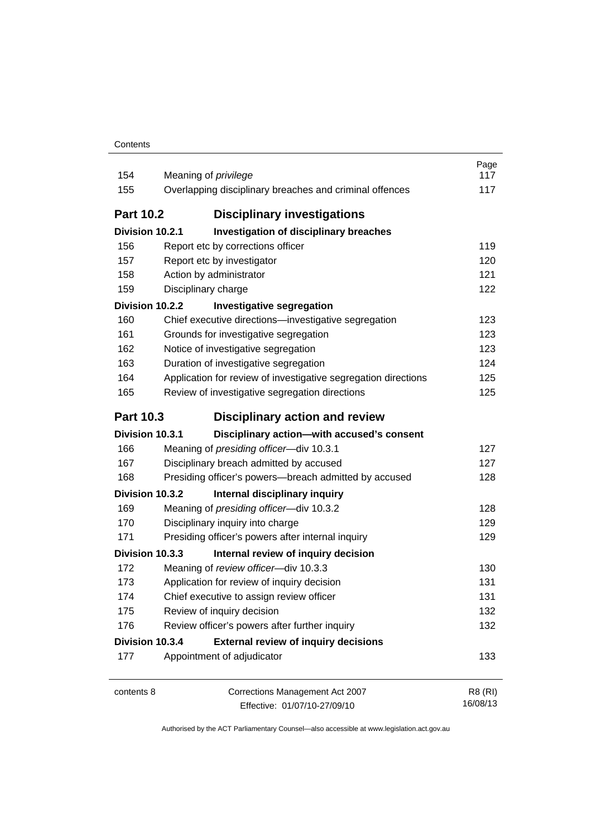| Contents |
|----------|
|----------|

| 154              | Meaning of <i>privilege</i>                                    | Page<br>117 |
|------------------|----------------------------------------------------------------|-------------|
| 155              | Overlapping disciplinary breaches and criminal offences        | 117         |
| <b>Part 10.2</b> | <b>Disciplinary investigations</b>                             |             |
| Division 10.2.1  | Investigation of disciplinary breaches                         |             |
| 156              | Report etc by corrections officer                              | 119         |
| 157              | Report etc by investigator                                     | 120         |
| 158              | Action by administrator                                        | 121         |
| 159              | Disciplinary charge                                            | 122         |
| Division 10.2.2  | <b>Investigative segregation</b>                               |             |
| 160              | Chief executive directions-investigative segregation           | 123         |
| 161              | Grounds for investigative segregation                          | 123         |
| 162              | Notice of investigative segregation                            | 123         |
| 163              | Duration of investigative segregation                          | 124         |
| 164              | Application for review of investigative segregation directions | 125         |
| 165              | Review of investigative segregation directions                 | 125         |
| <b>Part 10.3</b> | Disciplinary action and review                                 |             |
| Division 10.3.1  | Disciplinary action-with accused's consent                     |             |
| 166              | Meaning of presiding officer-div 10.3.1                        | 127         |
| 167              | Disciplinary breach admitted by accused                        | 127         |
| 168              | Presiding officer's powers-breach admitted by accused          | 128         |
| Division 10.3.2  | Internal disciplinary inquiry                                  |             |
| 169              | Meaning of presiding officer-div 10.3.2                        | 128         |
| 170              | Disciplinary inquiry into charge                               | 129         |
| 171              | Presiding officer's powers after internal inquiry              | 129         |
| Division 10.3.3  | Internal review of inquiry decision                            |             |
| 172              | Meaning of review officer-div 10.3.3                           | 130         |
| 173              | Application for review of inquiry decision                     | 131         |
| 174              | Chief executive to assign review officer                       | 131         |
| 175              | Review of inquiry decision                                     | 132         |
| 176              | Review officer's powers after further inquiry                  | 132         |
| Division 10.3.4  | <b>External review of inquiry decisions</b>                    |             |
| 177              | Appointment of adjudicator                                     | 133         |
| contents 8       | Corrections Management Act 2007                                | R8 (RI)     |

Effective: 01/07/10-27/09/10

16/08/13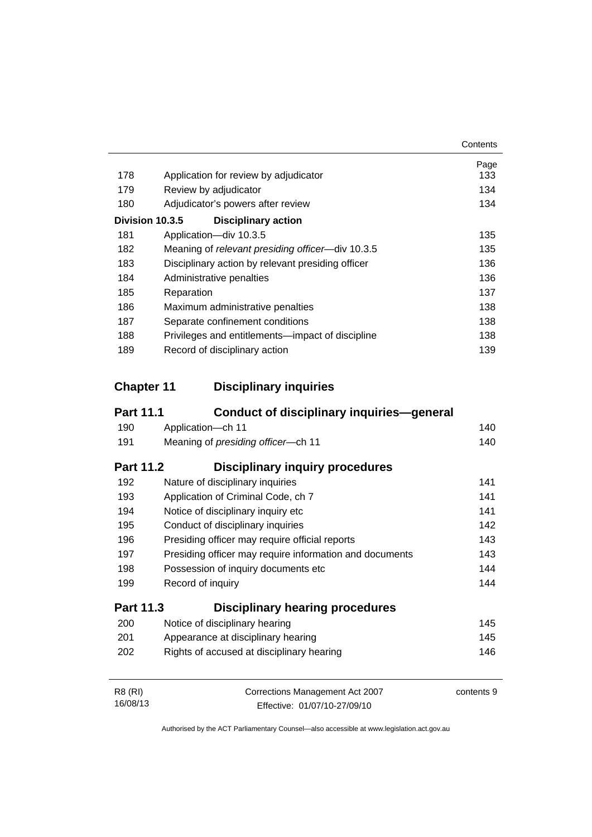|     |                                                   | Contents |
|-----|---------------------------------------------------|----------|
|     |                                                   | Page     |
| 178 | Application for review by adjudicator             | 133      |
| 179 | Review by adjudicator                             | 134      |
| 180 | Adjudicator's powers after review                 | 134      |
|     | Division 10.3.5<br><b>Disciplinary action</b>     |          |
| 181 | Application-div 10.3.5                            | 135      |
| 182 | Meaning of relevant presiding officer-div 10.3.5  | 135      |
| 183 | Disciplinary action by relevant presiding officer | 136      |
| 184 | Administrative penalties                          | 136      |
| 185 | Reparation                                        | 137      |
| 186 | Maximum administrative penalties                  | 138      |
| 187 | Separate confinement conditions                   | 138      |
| 188 | Privileges and entitlements—impact of discipline  | 138      |
| 189 | Record of disciplinary action                     | 139      |

### **Chapter 11 [Disciplinary inquiries](#page-153-0)**

| <b>Part 11.1</b> | Conduct of disciplinary inquiries—general               |            |
|------------------|---------------------------------------------------------|------------|
| 190              | Application-ch 11                                       | 140        |
| 191              | Meaning of presiding officer-ch 11                      | 140        |
| <b>Part 11.2</b> | <b>Disciplinary inquiry procedures</b>                  |            |
| 192              | Nature of disciplinary inquiries                        | 141        |
| 193              | Application of Criminal Code, ch 7                      | 141        |
| 194              | Notice of disciplinary inquiry etc                      | 141        |
| 195              | Conduct of disciplinary inquiries                       | 142        |
| 196              | Presiding officer may require official reports          | 143        |
| 197              | Presiding officer may require information and documents | 143        |
| 198              | Possession of inquiry documents etc                     | 144        |
| 199              | Record of inquiry                                       | 144        |
| <b>Part 11.3</b> | <b>Disciplinary hearing procedures</b>                  |            |
| 200              | Notice of disciplinary hearing                          | 145        |
| 201              | Appearance at disciplinary hearing                      | 145        |
| 202              | Rights of accused at disciplinary hearing               | 146        |
| <b>R8 (RI)</b>   | Corrections Management Act 2007                         | contents 9 |
| 16/08/13         | Effective: 01/07/10-27/09/10                            |            |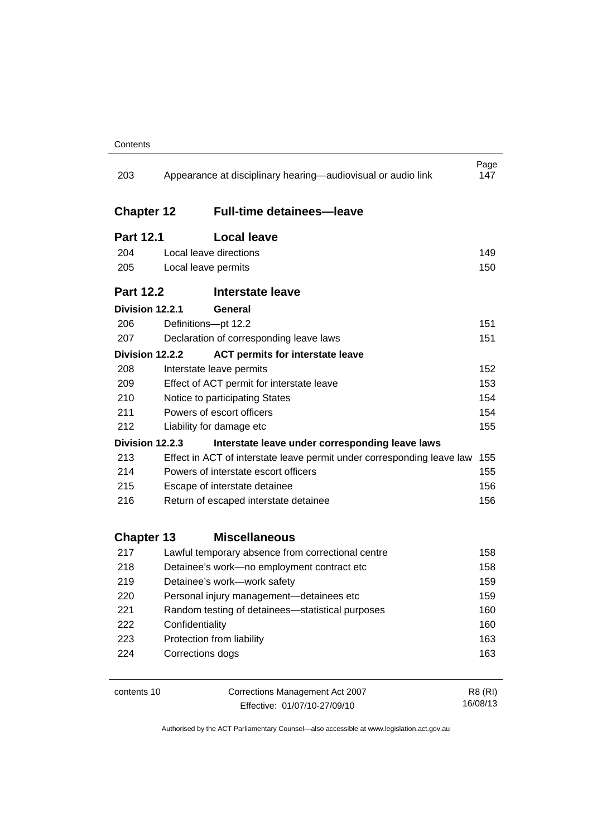| 203               |                                           | Appearance at disciplinary hearing—audiovisual or audio link           | Page<br>147 |
|-------------------|-------------------------------------------|------------------------------------------------------------------------|-------------|
| <b>Chapter 12</b> |                                           | <b>Full-time detainees-leave</b>                                       |             |
| <b>Part 12.1</b>  | <b>Local leave</b>                        |                                                                        |             |
| 204               | Local leave directions                    |                                                                        | 149         |
| 205               | Local leave permits                       |                                                                        | 150         |
| <b>Part 12.2</b>  |                                           | <b>Interstate leave</b>                                                |             |
| Division 12.2.1   | General                                   |                                                                        |             |
| 206               | Definitions-pt 12.2                       |                                                                        | 151         |
| 207               |                                           | Declaration of corresponding leave laws                                | 151         |
| Division 12.2.2   |                                           | <b>ACT permits for interstate leave</b>                                |             |
| 208               | Interstate leave permits                  |                                                                        | 152         |
| 209               | Effect of ACT permit for interstate leave |                                                                        | 153         |
| 210               | Notice to participating States            |                                                                        | 154         |
| 211               | Powers of escort officers                 |                                                                        | 154         |
| 212               | Liability for damage etc                  |                                                                        | 155         |
| Division 12.2.3   |                                           | Interstate leave under corresponding leave laws                        |             |
| 213               |                                           | Effect in ACT of interstate leave permit under corresponding leave law | 155         |
| 214               | Powers of interstate escort officers      |                                                                        | 155         |
| 215               | Escape of interstate detainee             |                                                                        | 156         |
| 216               | Return of escaped interstate detainee     |                                                                        | 156         |
| <b>Chapter 13</b> |                                           | <b>Miscellaneous</b>                                                   |             |
| 217               |                                           | Lawful temporary absence from correctional centre                      | 158         |
| 218               |                                           | Detainee's work-no employment contract etc                             | 158         |
| 219               | Detainee's work-work safety               |                                                                        | 159         |
| 220               |                                           | Personal injury management-detainees etc                               | 159         |
| 221               |                                           | Random testing of detainees—statistical purposes                       | 160         |
| 222               | Confidentiality                           |                                                                        | 160         |
| 223               | Protection from liability                 |                                                                        | 163         |
| 224               | Corrections dogs                          |                                                                        | 163         |
| contents 10       |                                           | Corrections Management Act 2007                                        | R8 (RI)     |

Effective: 01/07/10-27/09/10

16/08/13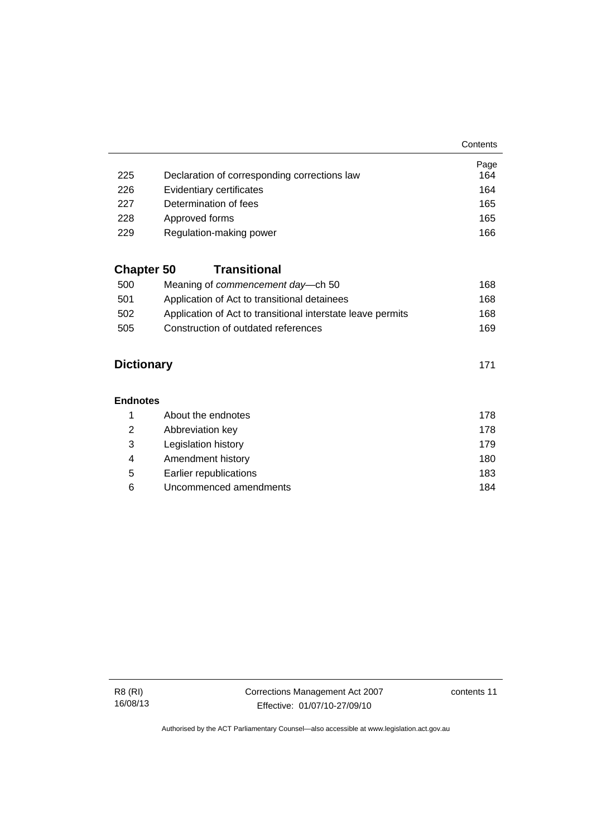**Contents** 

|     |                                              | Page |
|-----|----------------------------------------------|------|
| 225 | Declaration of corresponding corrections law | 164  |
| 226 | Evidentiary certificates                     | 164  |
| 227 | Determination of fees                        | 165  |
| 228 | Approved forms                               | 165  |
| 229 | Regulation-making power                      | 166  |

### **Chapter 50 [Transitional](#page-181-0)**

| 500 | Meaning of <i>commencement</i> day—ch 50                    | 168 |
|-----|-------------------------------------------------------------|-----|
| 501 | Application of Act to transitional detainees                | 168 |
| 502 | Application of Act to transitional interstate leave permits | 168 |
| 505 | Construction of outdated references                         | 169 |

### **[Dictionary](#page-184-0)** [171](#page-184-0)

#### **[Endnotes](#page-191-0)**

|   | About the endnotes     | 178 |
|---|------------------------|-----|
| 2 | Abbreviation key       | 178 |
| 3 | Legislation history    | 179 |
| 4 | Amendment history      | 180 |
| 5 | Earlier republications | 183 |
| 6 | Uncommenced amendments | 184 |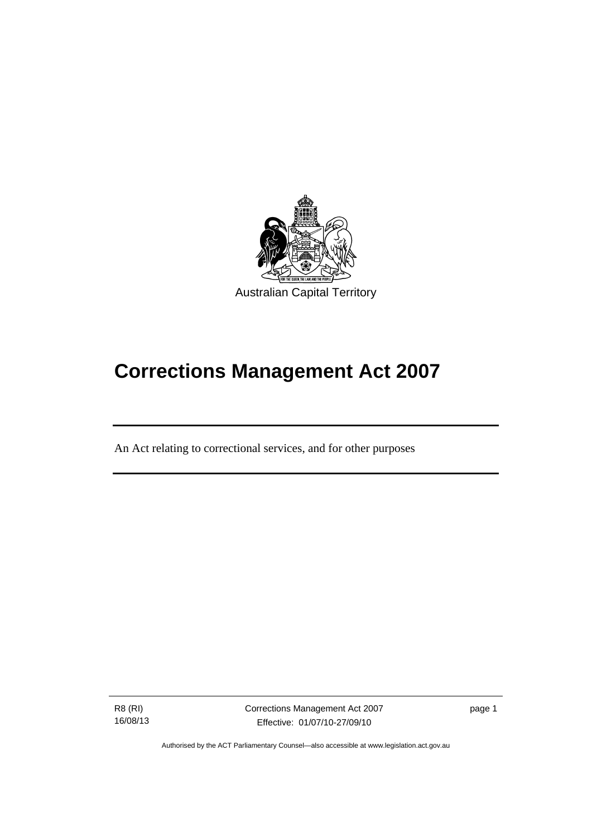

# **Corrections Management Act 2007**

An Act relating to correctional services, and for other purposes

R8 (RI) 16/08/13

l

page 1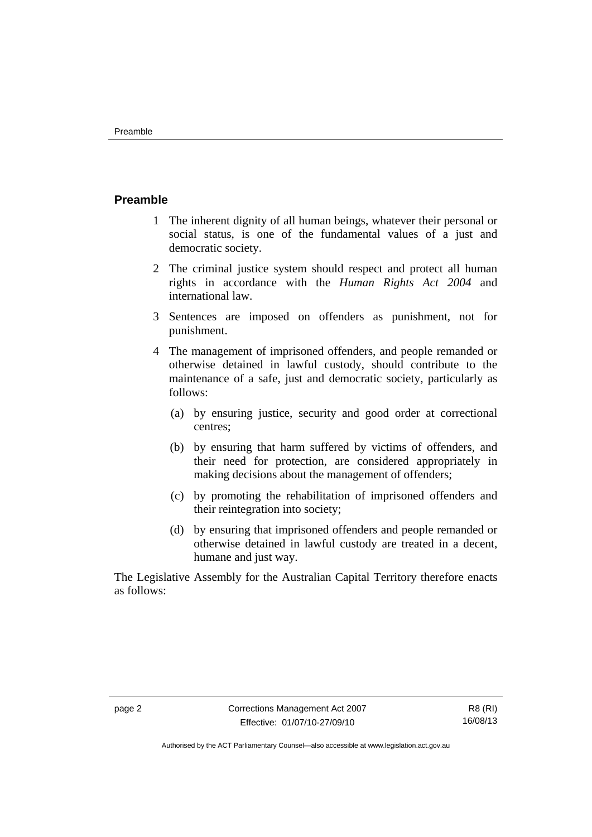#### <span id="page-15-0"></span>**Preamble**

- 1 The inherent dignity of all human beings, whatever their personal or social status, is one of the fundamental values of a just and democratic society.
- 2 The criminal justice system should respect and protect all human rights in accordance with the *Human Rights Act 2004* and international law.
- 3 Sentences are imposed on offenders as punishment, not for punishment.
- 4 The management of imprisoned offenders, and people remanded or otherwise detained in lawful custody, should contribute to the maintenance of a safe, just and democratic society, particularly as follows:
	- (a) by ensuring justice, security and good order at correctional centres;
	- (b) by ensuring that harm suffered by victims of offenders, and their need for protection, are considered appropriately in making decisions about the management of offenders;
	- (c) by promoting the rehabilitation of imprisoned offenders and their reintegration into society;
	- (d) by ensuring that imprisoned offenders and people remanded or otherwise detained in lawful custody are treated in a decent, humane and just way.

The Legislative Assembly for the Australian Capital Territory therefore enacts as follows: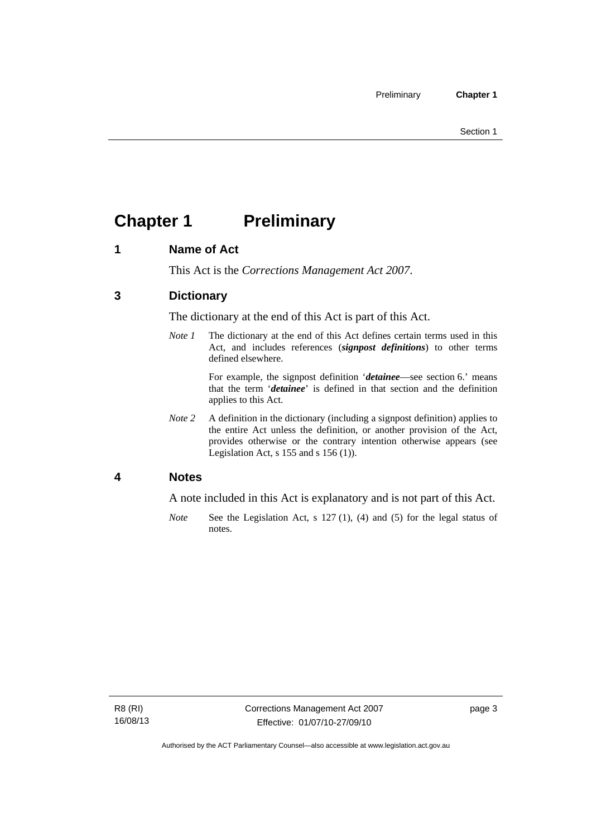# <span id="page-16-0"></span>**Chapter 1** Preliminary

### <span id="page-16-1"></span>**1 Name of Act**

This Act is the *Corrections Management Act 2007*.

### <span id="page-16-2"></span>**3 Dictionary**

The dictionary at the end of this Act is part of this Act.

*Note 1* The dictionary at the end of this Act defines certain terms used in this Act, and includes references (*signpost definitions*) to other terms defined elsewhere.

> For example, the signpost definition '*detainee*—see section 6.' means that the term '*detainee*' is defined in that section and the definition applies to this Act.

*Note 2* A definition in the dictionary (including a signpost definition) applies to the entire Act unless the definition, or another provision of the Act, provides otherwise or the contrary intention otherwise appears (see Legislation Act,  $s$  155 and  $s$  156 (1)).

### <span id="page-16-3"></span>**4 Notes**

A note included in this Act is explanatory and is not part of this Act.

*Note* See the Legislation Act, s 127 (1), (4) and (5) for the legal status of notes.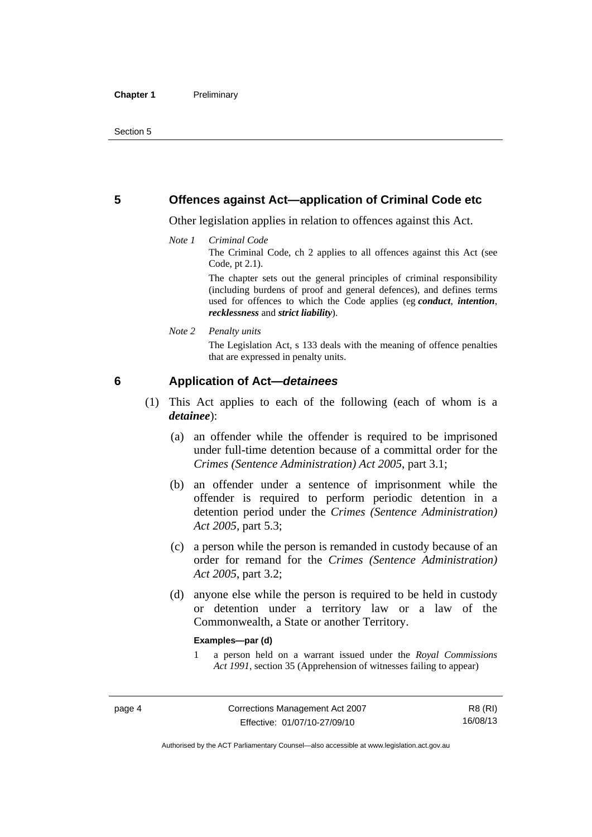#### <span id="page-17-0"></span>**5 Offences against Act—application of Criminal Code etc**

Other legislation applies in relation to offences against this Act.

#### *Note 1 Criminal Code*

The Criminal Code, ch 2 applies to all offences against this Act (see Code, pt 2.1).

The chapter sets out the general principles of criminal responsibility (including burdens of proof and general defences), and defines terms used for offences to which the Code applies (eg *conduct*, *intention*, *recklessness* and *strict liability*).

#### *Note 2 Penalty units*

The Legislation Act, s 133 deals with the meaning of offence penalties that are expressed in penalty units.

#### <span id="page-17-1"></span>**6 Application of Act—***detainees*

- (1) This Act applies to each of the following (each of whom is a *detainee*):
	- (a) an offender while the offender is required to be imprisoned under full-time detention because of a committal order for the *Crimes (Sentence Administration) Act 2005*, part 3.1;
	- (b) an offender under a sentence of imprisonment while the offender is required to perform periodic detention in a detention period under the *Crimes (Sentence Administration) Act 2005,* part 5.3;
	- (c) a person while the person is remanded in custody because of an order for remand for the *Crimes (Sentence Administration) Act 2005*, part 3.2;
	- (d) anyone else while the person is required to be held in custody or detention under a territory law or a law of the Commonwealth, a State or another Territory.

#### **Examples—par (d)**

1 a person held on a warrant issued under the *Royal Commissions Act 1991*, section 35 (Apprehension of witnesses failing to appear)

R8 (RI) 16/08/13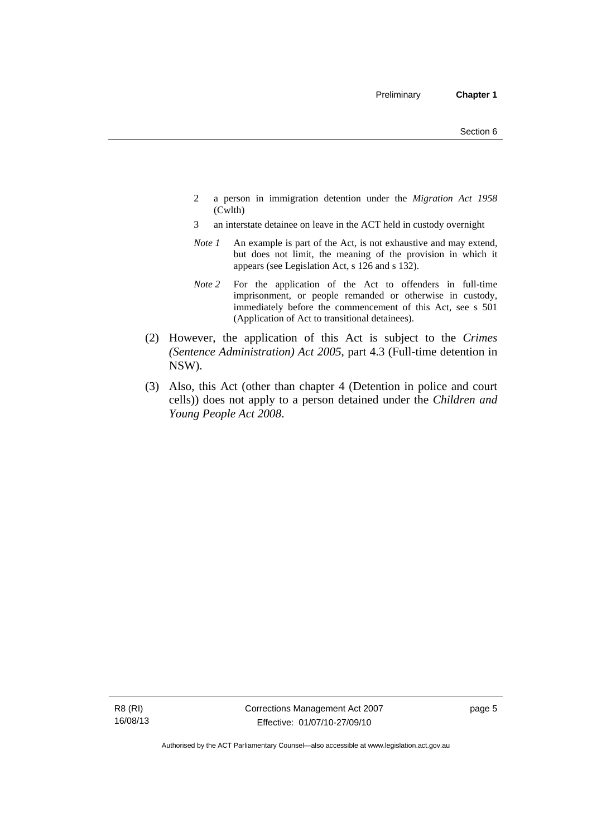- 2 a person in immigration detention under the *Migration Act 1958*  (Cwlth)
- 3 an interstate detainee on leave in the ACT held in custody overnight
- *Note 1* An example is part of the Act, is not exhaustive and may extend, but does not limit, the meaning of the provision in which it appears (see Legislation Act, s 126 and s 132).
- *Note 2* For the application of the Act to offenders in full-time imprisonment, or people remanded or otherwise in custody, immediately before the commencement of this Act, see s 501 (Application of Act to transitional detainees).
- (2) However, the application of this Act is subject to the *Crimes (Sentence Administration) Act 2005*, part 4.3 (Full-time detention in NSW).
- (3) Also, this Act (other than chapter 4 (Detention in police and court cells)) does not apply to a person detained under the *Children and Young People Act 2008*.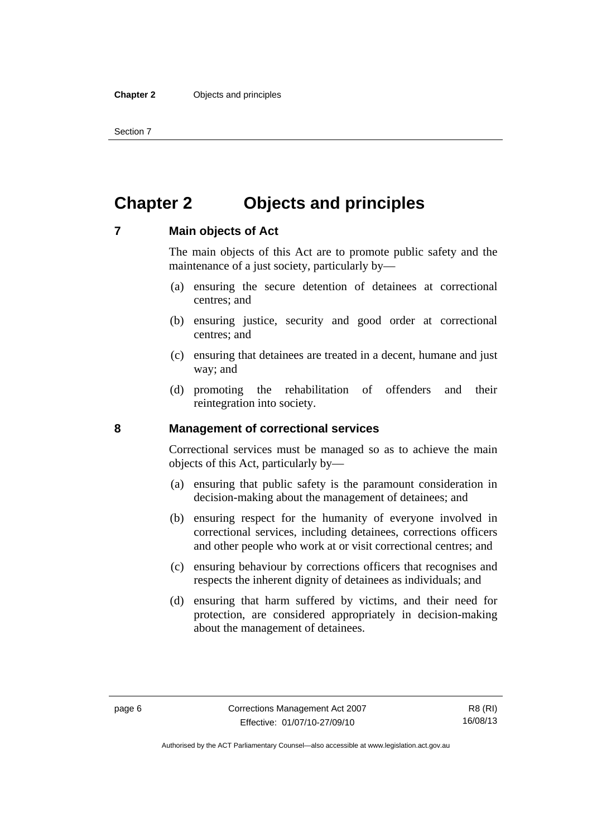Section 7

# <span id="page-19-0"></span>**Chapter 2 Objects and principles**

#### <span id="page-19-1"></span>**7 Main objects of Act**

The main objects of this Act are to promote public safety and the maintenance of a just society, particularly by—

- (a) ensuring the secure detention of detainees at correctional centres; and
- (b) ensuring justice, security and good order at correctional centres; and
- (c) ensuring that detainees are treated in a decent, humane and just way; and
- (d) promoting the rehabilitation of offenders and their reintegration into society.

#### <span id="page-19-2"></span>**8 Management of correctional services**

Correctional services must be managed so as to achieve the main objects of this Act, particularly by—

- (a) ensuring that public safety is the paramount consideration in decision-making about the management of detainees; and
- (b) ensuring respect for the humanity of everyone involved in correctional services, including detainees, corrections officers and other people who work at or visit correctional centres; and
- (c) ensuring behaviour by corrections officers that recognises and respects the inherent dignity of detainees as individuals; and
- (d) ensuring that harm suffered by victims, and their need for protection, are considered appropriately in decision-making about the management of detainees.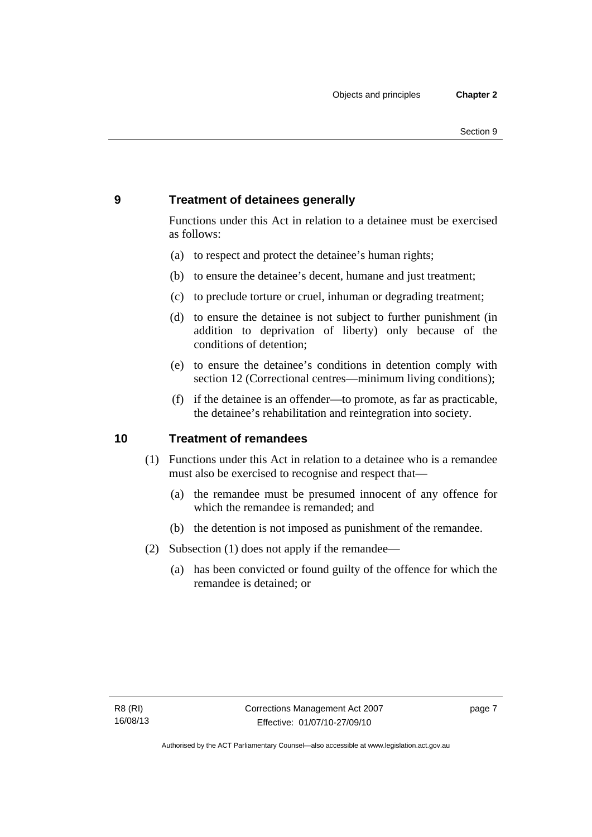### <span id="page-20-0"></span>**9 Treatment of detainees generally**

Functions under this Act in relation to a detainee must be exercised as follows:

- (a) to respect and protect the detainee's human rights;
- (b) to ensure the detainee's decent, humane and just treatment;
- (c) to preclude torture or cruel, inhuman or degrading treatment;
- (d) to ensure the detainee is not subject to further punishment (in addition to deprivation of liberty) only because of the conditions of detention;
- (e) to ensure the detainee's conditions in detention comply with section 12 (Correctional centres—minimum living conditions);
- (f) if the detainee is an offender—to promote, as far as practicable, the detainee's rehabilitation and reintegration into society.

### <span id="page-20-1"></span>**10 Treatment of remandees**

- (1) Functions under this Act in relation to a detainee who is a remandee must also be exercised to recognise and respect that—
	- (a) the remandee must be presumed innocent of any offence for which the remandee is remanded; and
	- (b) the detention is not imposed as punishment of the remandee.
- (2) Subsection (1) does not apply if the remandee—
	- (a) has been convicted or found guilty of the offence for which the remandee is detained; or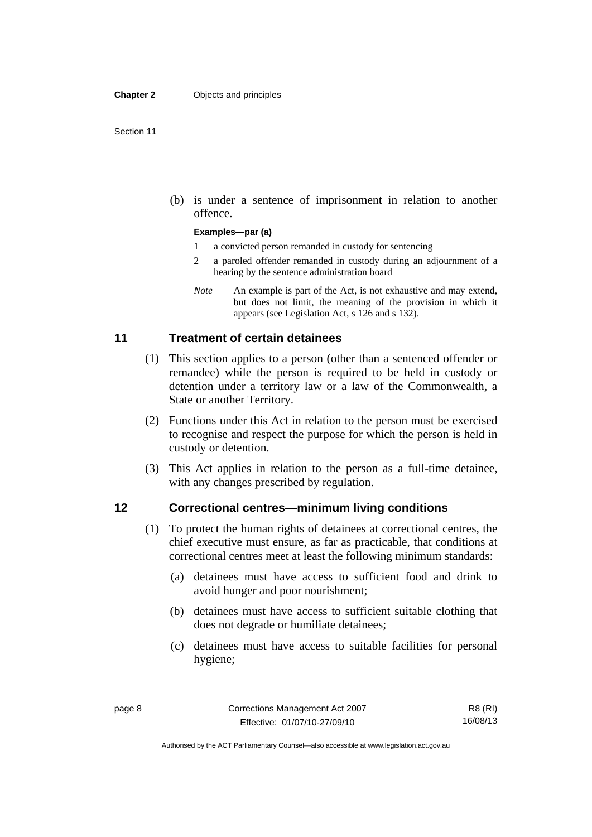(b) is under a sentence of imprisonment in relation to another offence.

#### **Examples—par (a)**

- 1 a convicted person remanded in custody for sentencing
- 2 a paroled offender remanded in custody during an adjournment of a hearing by the sentence administration board
- *Note* An example is part of the Act, is not exhaustive and may extend, but does not limit, the meaning of the provision in which it appears (see Legislation Act, s 126 and s 132).

#### <span id="page-21-0"></span>**11 Treatment of certain detainees**

- (1) This section applies to a person (other than a sentenced offender or remandee) while the person is required to be held in custody or detention under a territory law or a law of the Commonwealth, a State or another Territory.
- (2) Functions under this Act in relation to the person must be exercised to recognise and respect the purpose for which the person is held in custody or detention.
- (3) This Act applies in relation to the person as a full-time detainee, with any changes prescribed by regulation.

#### <span id="page-21-1"></span>**12 Correctional centres—minimum living conditions**

- (1) To protect the human rights of detainees at correctional centres, the chief executive must ensure, as far as practicable, that conditions at correctional centres meet at least the following minimum standards:
	- (a) detainees must have access to sufficient food and drink to avoid hunger and poor nourishment;
	- (b) detainees must have access to sufficient suitable clothing that does not degrade or humiliate detainees;
	- (c) detainees must have access to suitable facilities for personal hygiene;

Authorised by the ACT Parliamentary Counsel—also accessible at www.legislation.act.gov.au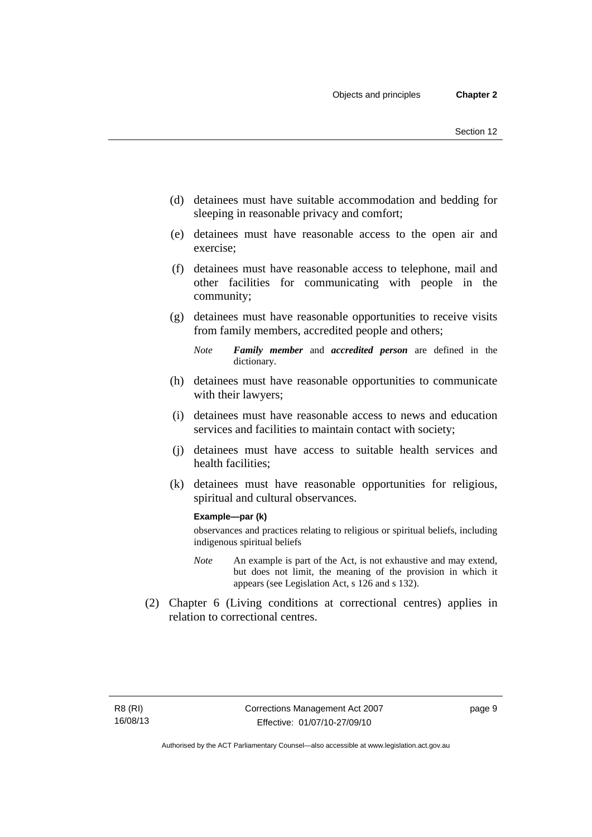- (d) detainees must have suitable accommodation and bedding for sleeping in reasonable privacy and comfort;
- (e) detainees must have reasonable access to the open air and exercise;
- (f) detainees must have reasonable access to telephone, mail and other facilities for communicating with people in the community;
- (g) detainees must have reasonable opportunities to receive visits from family members, accredited people and others;
	- *Note Family member* and *accredited person* are defined in the dictionary.
- (h) detainees must have reasonable opportunities to communicate with their lawyers;
- (i) detainees must have reasonable access to news and education services and facilities to maintain contact with society;
- (j) detainees must have access to suitable health services and health facilities;
- (k) detainees must have reasonable opportunities for religious, spiritual and cultural observances.

#### **Example—par (k)**

observances and practices relating to religious or spiritual beliefs, including indigenous spiritual beliefs

- *Note* An example is part of the Act, is not exhaustive and may extend, but does not limit, the meaning of the provision in which it appears (see Legislation Act, s 126 and s 132).
- (2) Chapter 6 (Living conditions at correctional centres) applies in relation to correctional centres.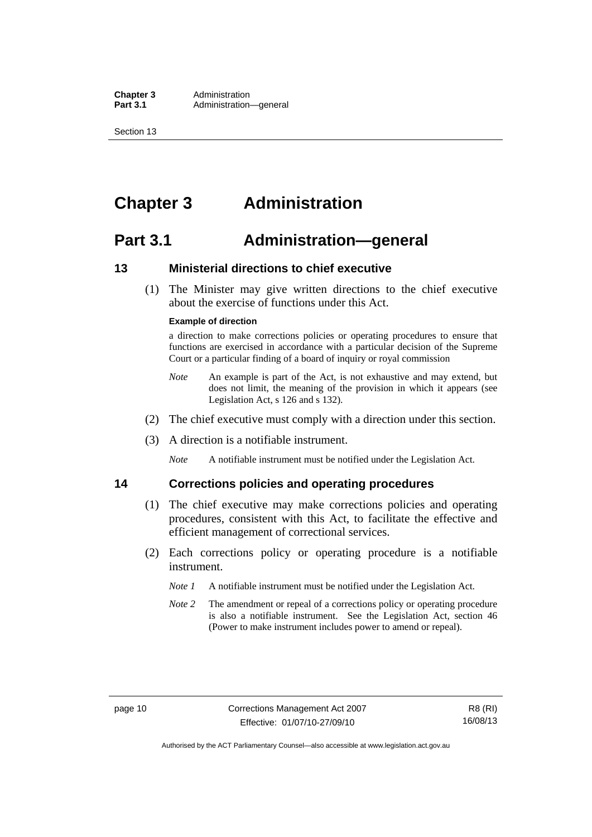**Chapter 3** Administration<br>**Part 3.1** Administration-Administration—general

Section 13

### <span id="page-23-0"></span>**Chapter 3 Administration**

### <span id="page-23-1"></span>**Part 3.1 Administration—general**

#### <span id="page-23-2"></span>**13 Ministerial directions to chief executive**

 (1) The Minister may give written directions to the chief executive about the exercise of functions under this Act.

#### **Example of direction**

a direction to make corrections policies or operating procedures to ensure that functions are exercised in accordance with a particular decision of the Supreme Court or a particular finding of a board of inquiry or royal commission

- *Note* An example is part of the Act, is not exhaustive and may extend, but does not limit, the meaning of the provision in which it appears (see Legislation Act, s 126 and s 132).
- (2) The chief executive must comply with a direction under this section.
- (3) A direction is a notifiable instrument.

*Note* A notifiable instrument must be notified under the Legislation Act.

#### <span id="page-23-3"></span>**14 Corrections policies and operating procedures**

- (1) The chief executive may make corrections policies and operating procedures, consistent with this Act, to facilitate the effective and efficient management of correctional services.
- (2) Each corrections policy or operating procedure is a notifiable instrument.
	- *Note 1* A notifiable instrument must be notified under the Legislation Act.
	- *Note* 2 The amendment or repeal of a corrections policy or operating procedure is also a notifiable instrument. See the Legislation Act, section 46 (Power to make instrument includes power to amend or repeal).

Authorised by the ACT Parliamentary Counsel—also accessible at www.legislation.act.gov.au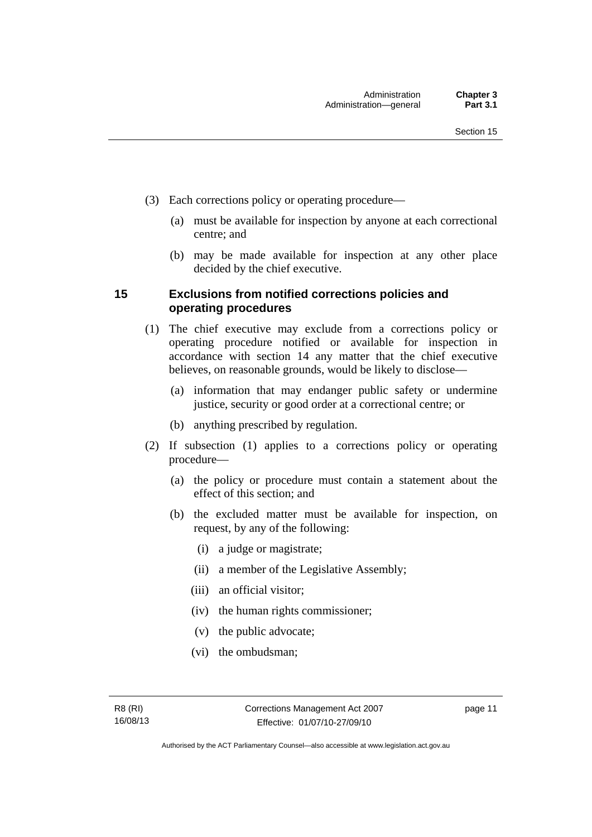- (3) Each corrections policy or operating procedure—
	- (a) must be available for inspection by anyone at each correctional centre; and
	- (b) may be made available for inspection at any other place decided by the chief executive.

#### <span id="page-24-0"></span>**15 Exclusions from notified corrections policies and operating procedures**

- (1) The chief executive may exclude from a corrections policy or operating procedure notified or available for inspection in accordance with section 14 any matter that the chief executive believes, on reasonable grounds, would be likely to disclose—
	- (a) information that may endanger public safety or undermine justice, security or good order at a correctional centre; or
	- (b) anything prescribed by regulation.
- (2) If subsection (1) applies to a corrections policy or operating procedure—
	- (a) the policy or procedure must contain a statement about the effect of this section; and
	- (b) the excluded matter must be available for inspection, on request, by any of the following:
		- (i) a judge or magistrate;
		- (ii) a member of the Legislative Assembly;
		- (iii) an official visitor;
		- (iv) the human rights commissioner;
		- (v) the public advocate;
		- (vi) the ombudsman;

page 11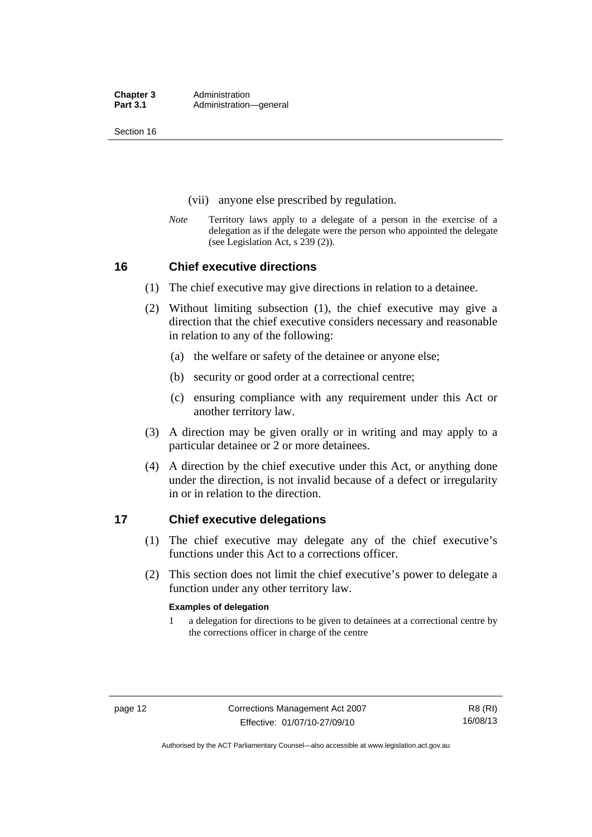Section 16

- (vii) anyone else prescribed by regulation.
- *Note* Territory laws apply to a delegate of a person in the exercise of a delegation as if the delegate were the person who appointed the delegate (see Legislation Act, s 239 (2)).

#### <span id="page-25-0"></span>**16 Chief executive directions**

- (1) The chief executive may give directions in relation to a detainee.
- (2) Without limiting subsection (1), the chief executive may give a direction that the chief executive considers necessary and reasonable in relation to any of the following:
	- (a) the welfare or safety of the detainee or anyone else;
	- (b) security or good order at a correctional centre;
	- (c) ensuring compliance with any requirement under this Act or another territory law.
- (3) A direction may be given orally or in writing and may apply to a particular detainee or 2 or more detainees.
- (4) A direction by the chief executive under this Act, or anything done under the direction, is not invalid because of a defect or irregularity in or in relation to the direction.

#### <span id="page-25-1"></span>**17 Chief executive delegations**

- (1) The chief executive may delegate any of the chief executive's functions under this Act to a corrections officer.
- (2) This section does not limit the chief executive's power to delegate a function under any other territory law.

#### **Examples of delegation**

1 a delegation for directions to be given to detainees at a correctional centre by the corrections officer in charge of the centre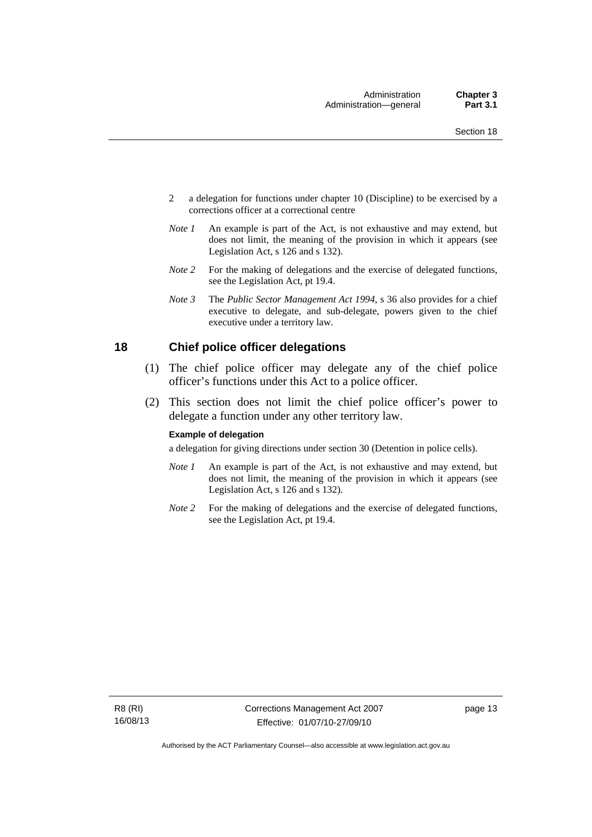- 2 a delegation for functions under chapter 10 (Discipline) to be exercised by a corrections officer at a correctional centre
- *Note 1* An example is part of the Act, is not exhaustive and may extend, but does not limit, the meaning of the provision in which it appears (see Legislation Act, s 126 and s 132).
- *Note 2* For the making of delegations and the exercise of delegated functions, see the Legislation Act, pt 19.4.
- *Note 3* The *Public Sector Management Act 1994*, s 36 also provides for a chief executive to delegate, and sub-delegate, powers given to the chief executive under a territory law.

#### <span id="page-26-0"></span>**18 Chief police officer delegations**

- (1) The chief police officer may delegate any of the chief police officer's functions under this Act to a police officer.
- (2) This section does not limit the chief police officer's power to delegate a function under any other territory law.

#### **Example of delegation**

a delegation for giving directions under section 30 (Detention in police cells).

- *Note 1* An example is part of the Act, is not exhaustive and may extend, but does not limit, the meaning of the provision in which it appears (see Legislation Act, s 126 and s 132).
- *Note* 2 For the making of delegations and the exercise of delegated functions, see the Legislation Act, pt 19.4.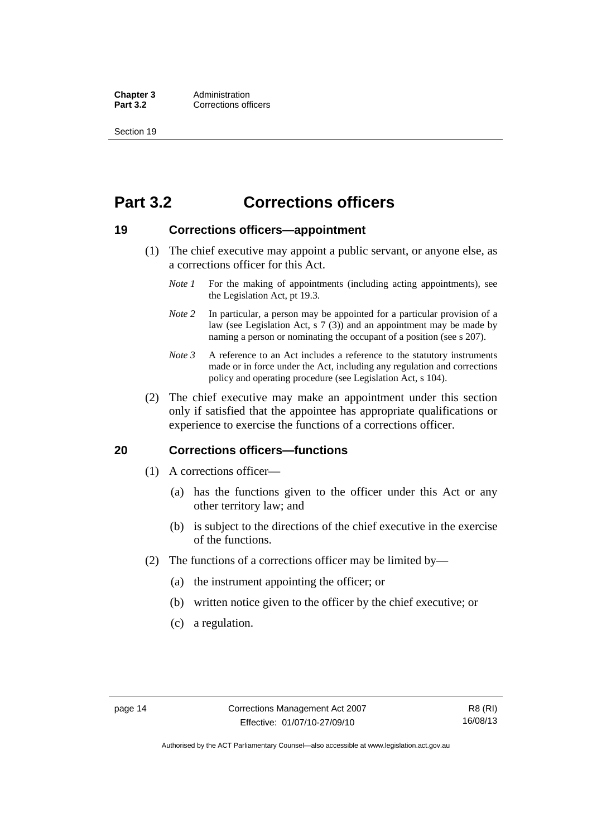**Chapter 3** Administration<br> **Part 3.2** Corrections off **Corrections officers** 

Section 19

### <span id="page-27-0"></span>**Part 3.2 Corrections officers**

#### <span id="page-27-1"></span>**19 Corrections officers—appointment**

- (1) The chief executive may appoint a public servant, or anyone else, as a corrections officer for this Act.
	- *Note 1* For the making of appointments (including acting appointments), see the Legislation Act, pt 19.3.
	- *Note 2* In particular, a person may be appointed for a particular provision of a law (see Legislation Act, s 7 (3)) and an appointment may be made by naming a person or nominating the occupant of a position (see s 207).
	- *Note 3* A reference to an Act includes a reference to the statutory instruments made or in force under the Act, including any regulation and corrections policy and operating procedure (see Legislation Act, s 104).
- (2) The chief executive may make an appointment under this section only if satisfied that the appointee has appropriate qualifications or experience to exercise the functions of a corrections officer.

#### <span id="page-27-2"></span>**20 Corrections officers—functions**

- (1) A corrections officer—
	- (a) has the functions given to the officer under this Act or any other territory law; and
	- (b) is subject to the directions of the chief executive in the exercise of the functions.
- (2) The functions of a corrections officer may be limited by—
	- (a) the instrument appointing the officer; or
	- (b) written notice given to the officer by the chief executive; or
	- (c) a regulation.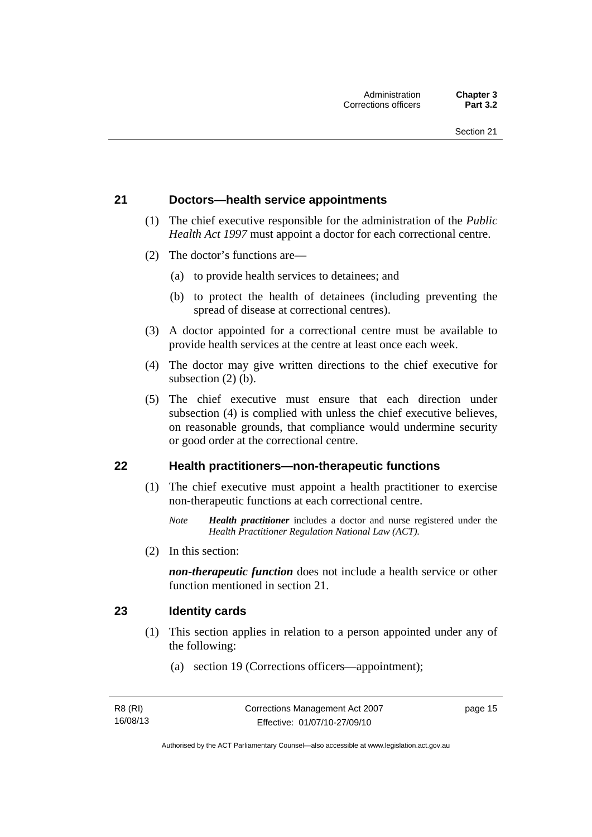#### <span id="page-28-0"></span>**21 Doctors—health service appointments**

- (1) The chief executive responsible for the administration of the *Public Health Act 1997* must appoint a doctor for each correctional centre.
- (2) The doctor's functions are—
	- (a) to provide health services to detainees; and
	- (b) to protect the health of detainees (including preventing the spread of disease at correctional centres).
- (3) A doctor appointed for a correctional centre must be available to provide health services at the centre at least once each week.
- (4) The doctor may give written directions to the chief executive for subsection (2) (b).
- (5) The chief executive must ensure that each direction under subsection (4) is complied with unless the chief executive believes, on reasonable grounds, that compliance would undermine security or good order at the correctional centre.

#### <span id="page-28-1"></span>**22 Health practitioners—non-therapeutic functions**

- (1) The chief executive must appoint a health practitioner to exercise non-therapeutic functions at each correctional centre.
	- *Note Health practitioner* includes a doctor and nurse registered under the *Health Practitioner Regulation National Law (ACT)*.
- (2) In this section:

*non-therapeutic function* does not include a health service or other function mentioned in section 21.

#### <span id="page-28-2"></span>**23 Identity cards**

- (1) This section applies in relation to a person appointed under any of the following:
	- (a) section 19 (Corrections officers—appointment);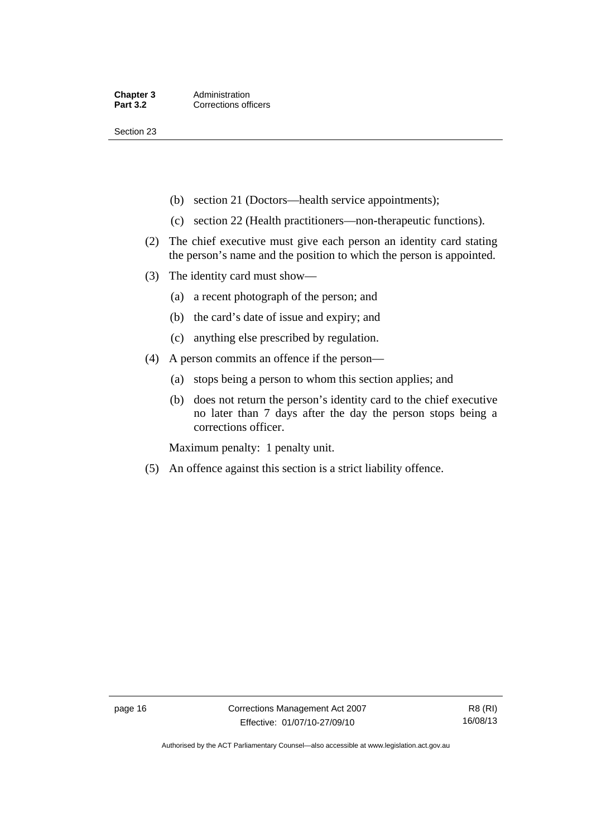Section 23

- (b) section 21 (Doctors—health service appointments);
- (c) section 22 (Health practitioners—non-therapeutic functions).
- (2) The chief executive must give each person an identity card stating the person's name and the position to which the person is appointed.
- (3) The identity card must show—
	- (a) a recent photograph of the person; and
	- (b) the card's date of issue and expiry; and
	- (c) anything else prescribed by regulation.
- (4) A person commits an offence if the person—
	- (a) stops being a person to whom this section applies; and
	- (b) does not return the person's identity card to the chief executive no later than 7 days after the day the person stops being a corrections officer.

Maximum penalty: 1 penalty unit.

(5) An offence against this section is a strict liability offence.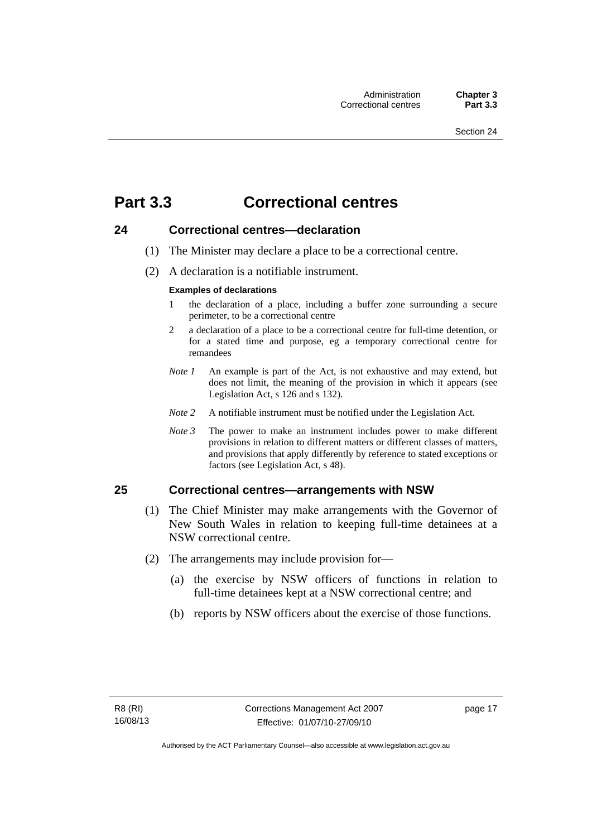### <span id="page-30-0"></span>**Part 3.3 Correctional centres**

#### <span id="page-30-1"></span>**24 Correctional centres—declaration**

- (1) The Minister may declare a place to be a correctional centre.
- (2) A declaration is a notifiable instrument.

#### **Examples of declarations**

- 1 the declaration of a place, including a buffer zone surrounding a secure perimeter, to be a correctional centre
- 2 a declaration of a place to be a correctional centre for full-time detention, or for a stated time and purpose, eg a temporary correctional centre for remandees
- *Note 1* An example is part of the Act, is not exhaustive and may extend, but does not limit, the meaning of the provision in which it appears (see Legislation Act, s 126 and s 132).
- *Note 2* A notifiable instrument must be notified under the Legislation Act.
- *Note 3* The power to make an instrument includes power to make different provisions in relation to different matters or different classes of matters, and provisions that apply differently by reference to stated exceptions or factors (see Legislation Act, s 48).

#### <span id="page-30-2"></span>**25 Correctional centres—arrangements with NSW**

- (1) The Chief Minister may make arrangements with the Governor of New South Wales in relation to keeping full-time detainees at a NSW correctional centre.
- (2) The arrangements may include provision for—
	- (a) the exercise by NSW officers of functions in relation to full-time detainees kept at a NSW correctional centre; and
	- (b) reports by NSW officers about the exercise of those functions.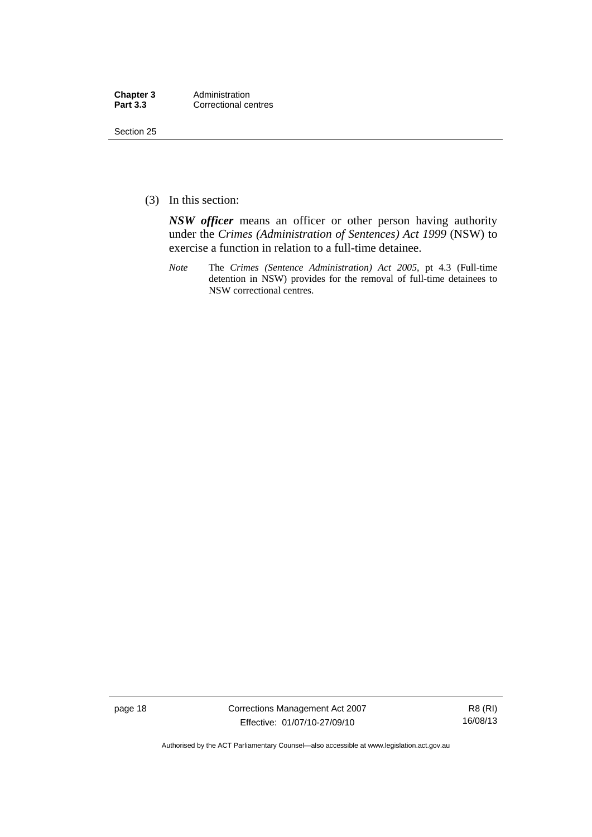| Chapter 3       | Administration       |
|-----------------|----------------------|
| <b>Part 3.3</b> | Correctional centres |

Section 25

(3) In this section:

*NSW officer* means an officer or other person having authority under the *Crimes (Administration of Sentences) Act 1999* (NSW) to exercise a function in relation to a full-time detainee.

*Note* The *Crimes (Sentence Administration) Act 2005*, pt 4.3 (Full-time detention in NSW) provides for the removal of full-time detainees to NSW correctional centres.

page 18 Corrections Management Act 2007 Effective: 01/07/10-27/09/10

R8 (RI) 16/08/13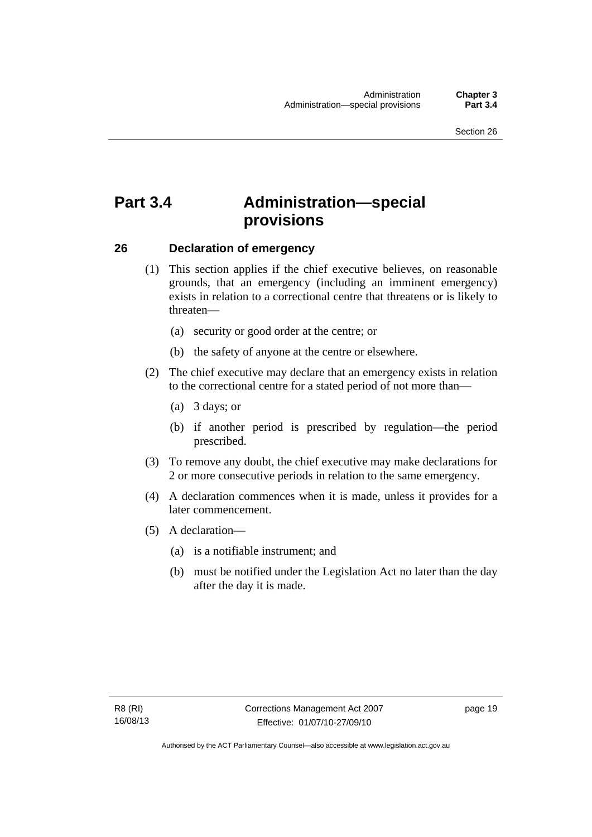## <span id="page-32-0"></span>**Part 3.4 Administration—special provisions**

#### <span id="page-32-1"></span>**26 Declaration of emergency**

- (1) This section applies if the chief executive believes, on reasonable grounds, that an emergency (including an imminent emergency) exists in relation to a correctional centre that threatens or is likely to threaten—
	- (a) security or good order at the centre; or
	- (b) the safety of anyone at the centre or elsewhere.
- (2) The chief executive may declare that an emergency exists in relation to the correctional centre for a stated period of not more than—
	- (a) 3 days; or
	- (b) if another period is prescribed by regulation—the period prescribed.
- (3) To remove any doubt, the chief executive may make declarations for 2 or more consecutive periods in relation to the same emergency.
- (4) A declaration commences when it is made, unless it provides for a later commencement.
- (5) A declaration—
	- (a) is a notifiable instrument; and
	- (b) must be notified under the Legislation Act no later than the day after the day it is made.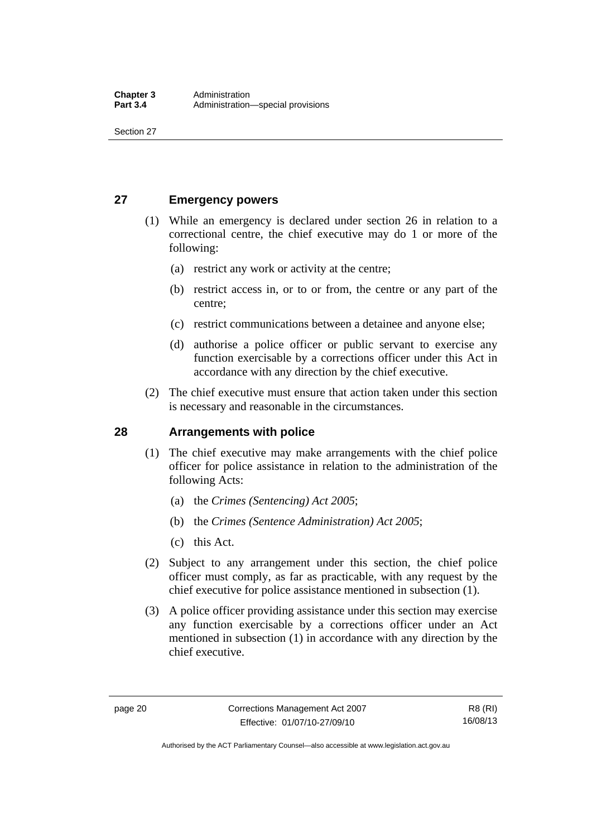Section 27

#### <span id="page-33-0"></span>**27 Emergency powers**

- (1) While an emergency is declared under section 26 in relation to a correctional centre, the chief executive may do 1 or more of the following:
	- (a) restrict any work or activity at the centre;
	- (b) restrict access in, or to or from, the centre or any part of the centre;
	- (c) restrict communications between a detainee and anyone else;
	- (d) authorise a police officer or public servant to exercise any function exercisable by a corrections officer under this Act in accordance with any direction by the chief executive.
- (2) The chief executive must ensure that action taken under this section is necessary and reasonable in the circumstances.

### <span id="page-33-1"></span>**28 Arrangements with police**

- (1) The chief executive may make arrangements with the chief police officer for police assistance in relation to the administration of the following Acts:
	- (a) the *Crimes (Sentencing) Act 2005*;
	- (b) the *Crimes (Sentence Administration) Act 2005*;
	- (c) this Act.
- (2) Subject to any arrangement under this section, the chief police officer must comply, as far as practicable, with any request by the chief executive for police assistance mentioned in subsection (1).
- (3) A police officer providing assistance under this section may exercise any function exercisable by a corrections officer under an Act mentioned in subsection (1) in accordance with any direction by the chief executive.

Authorised by the ACT Parliamentary Counsel—also accessible at www.legislation.act.gov.au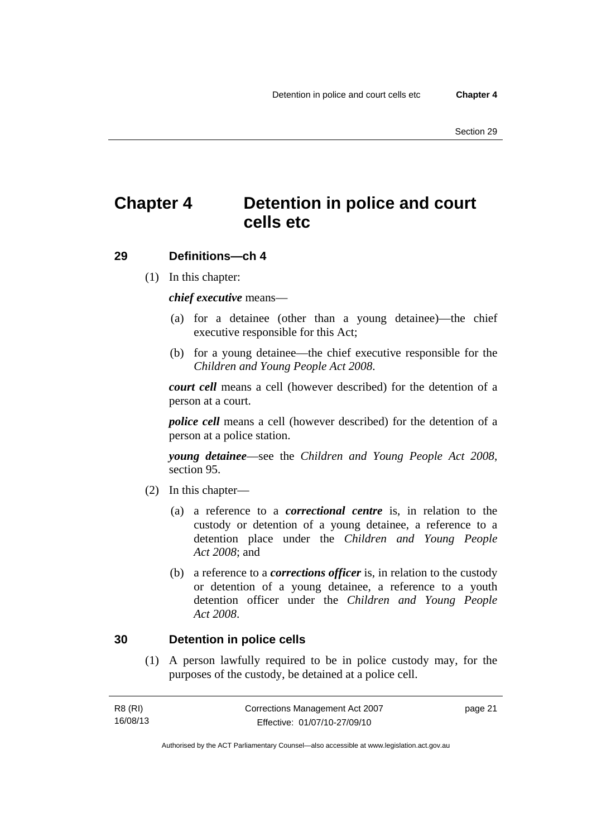# <span id="page-34-0"></span>**Chapter 4 Detention in police and court cells etc**

#### <span id="page-34-1"></span>**29 Definitions—ch 4**

(1) In this chapter:

*chief executive* means—

- (a) for a detainee (other than a young detainee)—the chief executive responsible for this Act;
- (b) for a young detainee—the chief executive responsible for the *Children and Young People Act 2008*.

*court cell* means a cell (however described) for the detention of a person at a court.

*police cell* means a cell (however described) for the detention of a person at a police station.

*young detainee*—see the *Children and Young People Act 2008*, section 95.

- (2) In this chapter—
	- (a) a reference to a *correctional centre* is, in relation to the custody or detention of a young detainee, a reference to a detention place under the *Children and Young People Act 2008*; and
	- (b) a reference to a *corrections officer* is, in relation to the custody or detention of a young detainee, a reference to a youth detention officer under the *Children and Young People Act 2008*.

#### <span id="page-34-2"></span>**30 Detention in police cells**

 (1) A person lawfully required to be in police custody may, for the purposes of the custody, be detained at a police cell.

| R8 (RI)  | Corrections Management Act 2007 | page 21 |
|----------|---------------------------------|---------|
| 16/08/13 | Effective: 01/07/10-27/09/10    |         |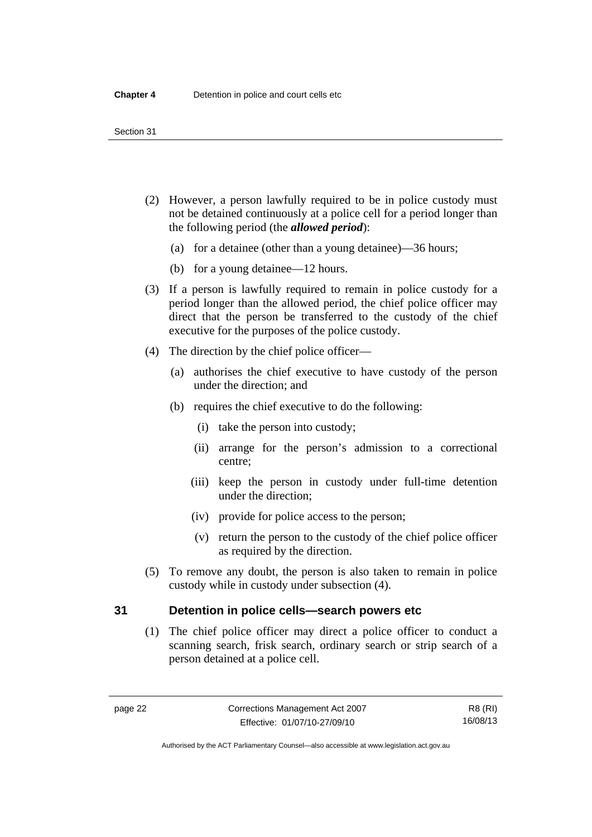#### Section 31

- (2) However, a person lawfully required to be in police custody must not be detained continuously at a police cell for a period longer than the following period (the *allowed period*):
	- (a) for a detainee (other than a young detainee)—36 hours;
	- (b) for a young detainee—12 hours.
- (3) If a person is lawfully required to remain in police custody for a period longer than the allowed period, the chief police officer may direct that the person be transferred to the custody of the chief executive for the purposes of the police custody.
- (4) The direction by the chief police officer—
	- (a) authorises the chief executive to have custody of the person under the direction; and
	- (b) requires the chief executive to do the following:
		- (i) take the person into custody;
		- (ii) arrange for the person's admission to a correctional centre;
		- (iii) keep the person in custody under full-time detention under the direction;
		- (iv) provide for police access to the person;
		- (v) return the person to the custody of the chief police officer as required by the direction.
- (5) To remove any doubt, the person is also taken to remain in police custody while in custody under subsection (4).

#### <span id="page-35-0"></span>**31 Detention in police cells—search powers etc**

 (1) The chief police officer may direct a police officer to conduct a scanning search, frisk search, ordinary search or strip search of a person detained at a police cell.

R8 (RI) 16/08/13

Authorised by the ACT Parliamentary Counsel—also accessible at www.legislation.act.gov.au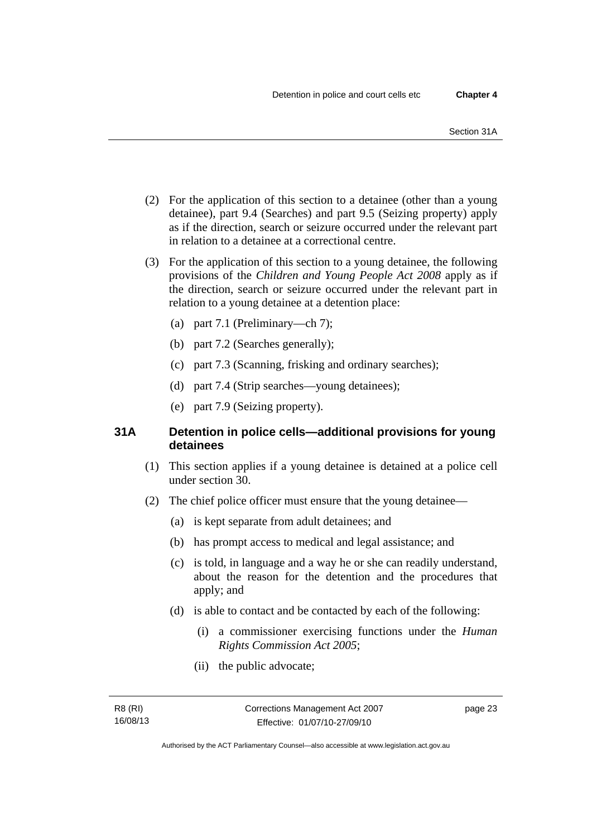- (2) For the application of this section to a detainee (other than a young detainee), part 9.4 (Searches) and part 9.5 (Seizing property) apply as if the direction, search or seizure occurred under the relevant part in relation to a detainee at a correctional centre.
- (3) For the application of this section to a young detainee, the following provisions of the *Children and Young People Act 2008* apply as if the direction, search or seizure occurred under the relevant part in relation to a young detainee at a detention place:
	- (a) part 7.1 (Preliminary—ch 7);
	- (b) part 7.2 (Searches generally);
	- (c) part 7.3 (Scanning, frisking and ordinary searches);
	- (d) part 7.4 (Strip searches—young detainees);
	- (e) part 7.9 (Seizing property).

# **31A Detention in police cells—additional provisions for young detainees**

- (1) This section applies if a young detainee is detained at a police cell under section 30.
- (2) The chief police officer must ensure that the young detainee—
	- (a) is kept separate from adult detainees; and
	- (b) has prompt access to medical and legal assistance; and
	- (c) is told, in language and a way he or she can readily understand, about the reason for the detention and the procedures that apply; and
	- (d) is able to contact and be contacted by each of the following:
		- (i) a commissioner exercising functions under the *Human Rights Commission Act 2005*;
		- (ii) the public advocate;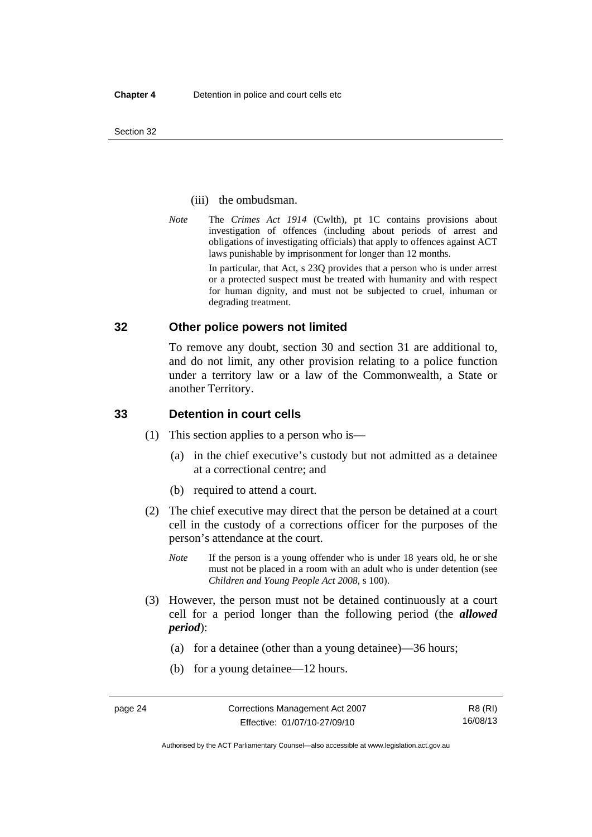#### (iii) the ombudsman.

*Note* The *Crimes Act 1914* (Cwlth), pt 1C contains provisions about investigation of offences (including about periods of arrest and obligations of investigating officials) that apply to offences against ACT laws punishable by imprisonment for longer than 12 months.

In particular, that Act, s 23Q provides that a person who is under arrest or a protected suspect must be treated with humanity and with respect for human dignity, and must not be subjected to cruel, inhuman or degrading treatment.

## **32 Other police powers not limited**

To remove any doubt, section 30 and section 31 are additional to, and do not limit, any other provision relating to a police function under a territory law or a law of the Commonwealth, a State or another Territory.

## **33 Detention in court cells**

- (1) This section applies to a person who is—
	- (a) in the chief executive's custody but not admitted as a detainee at a correctional centre; and
	- (b) required to attend a court.
- (2) The chief executive may direct that the person be detained at a court cell in the custody of a corrections officer for the purposes of the person's attendance at the court.
	- *Note* If the person is a young offender who is under 18 years old, he or she must not be placed in a room with an adult who is under detention (see *Children and Young People Act 2008*, s 100).
- (3) However, the person must not be detained continuously at a court cell for a period longer than the following period (the *allowed period*):
	- (a) for a detainee (other than a young detainee)—36 hours;
	- (b) for a young detainee—12 hours.

Authorised by the ACT Parliamentary Counsel—also accessible at www.legislation.act.gov.au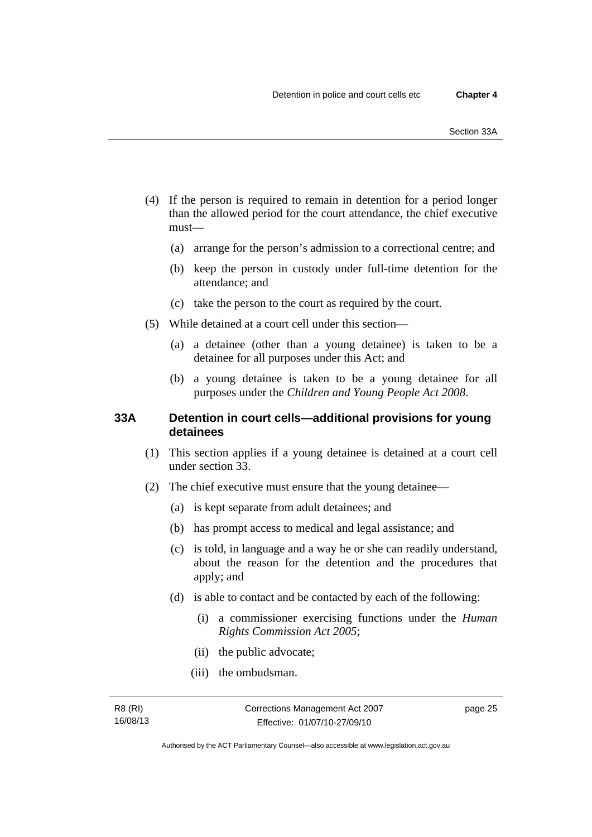- (4) If the person is required to remain in detention for a period longer than the allowed period for the court attendance, the chief executive must—
	- (a) arrange for the person's admission to a correctional centre; and
	- (b) keep the person in custody under full-time detention for the attendance; and
	- (c) take the person to the court as required by the court.
- (5) While detained at a court cell under this section—
	- (a) a detainee (other than a young detainee) is taken to be a detainee for all purposes under this Act; and
	- (b) a young detainee is taken to be a young detainee for all purposes under the *Children and Young People Act 2008*.

## **33A Detention in court cells—additional provisions for young detainees**

- (1) This section applies if a young detainee is detained at a court cell under section 33.
- (2) The chief executive must ensure that the young detainee—
	- (a) is kept separate from adult detainees; and
	- (b) has prompt access to medical and legal assistance; and
	- (c) is told, in language and a way he or she can readily understand, about the reason for the detention and the procedures that apply; and
	- (d) is able to contact and be contacted by each of the following:
		- (i) a commissioner exercising functions under the *Human Rights Commission Act 2005*;
		- (ii) the public advocate;
		- (iii) the ombudsman.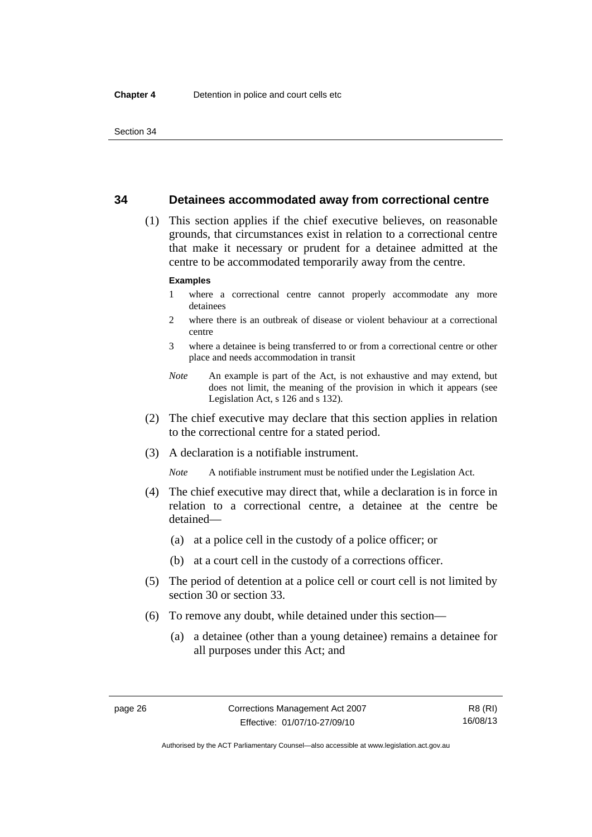### **34 Detainees accommodated away from correctional centre**

 (1) This section applies if the chief executive believes, on reasonable grounds, that circumstances exist in relation to a correctional centre that make it necessary or prudent for a detainee admitted at the centre to be accommodated temporarily away from the centre.

#### **Examples**

- 1 where a correctional centre cannot properly accommodate any more detainees
- 2 where there is an outbreak of disease or violent behaviour at a correctional centre
- 3 where a detainee is being transferred to or from a correctional centre or other place and needs accommodation in transit
- *Note* An example is part of the Act, is not exhaustive and may extend, but does not limit, the meaning of the provision in which it appears (see Legislation Act, s 126 and s 132).
- (2) The chief executive may declare that this section applies in relation to the correctional centre for a stated period.
- (3) A declaration is a notifiable instrument.

*Note* A notifiable instrument must be notified under the Legislation Act.

- (4) The chief executive may direct that, while a declaration is in force in relation to a correctional centre, a detainee at the centre be detained—
	- (a) at a police cell in the custody of a police officer; or
	- (b) at a court cell in the custody of a corrections officer.
- (5) The period of detention at a police cell or court cell is not limited by section 30 or section 33.
- (6) To remove any doubt, while detained under this section—
	- (a) a detainee (other than a young detainee) remains a detainee for all purposes under this Act; and

Authorised by the ACT Parliamentary Counsel—also accessible at www.legislation.act.gov.au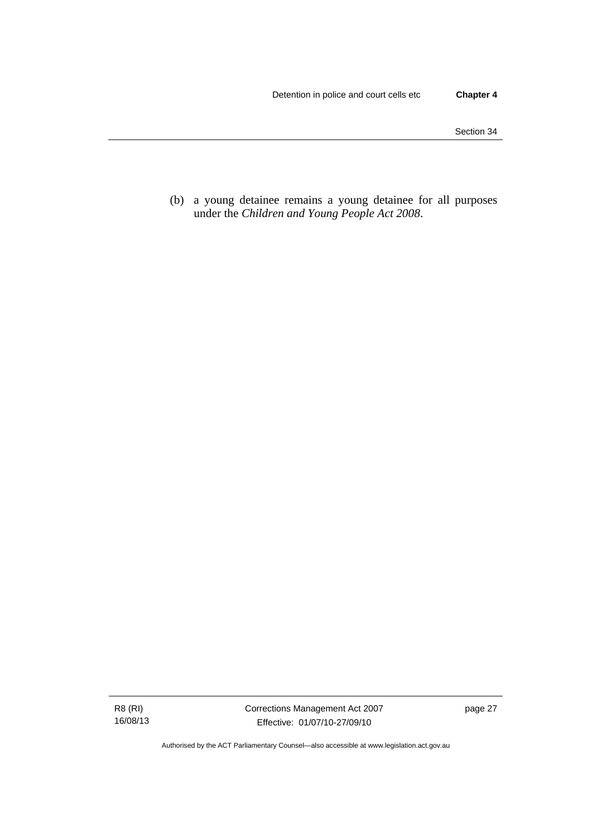(b) a young detainee remains a young detainee for all purposes under the *Children and Young People Act 2008*.

R8 (RI) 16/08/13 Corrections Management Act 2007 Effective: 01/07/10-27/09/10

page 27

Authorised by the ACT Parliamentary Counsel—also accessible at www.legislation.act.gov.au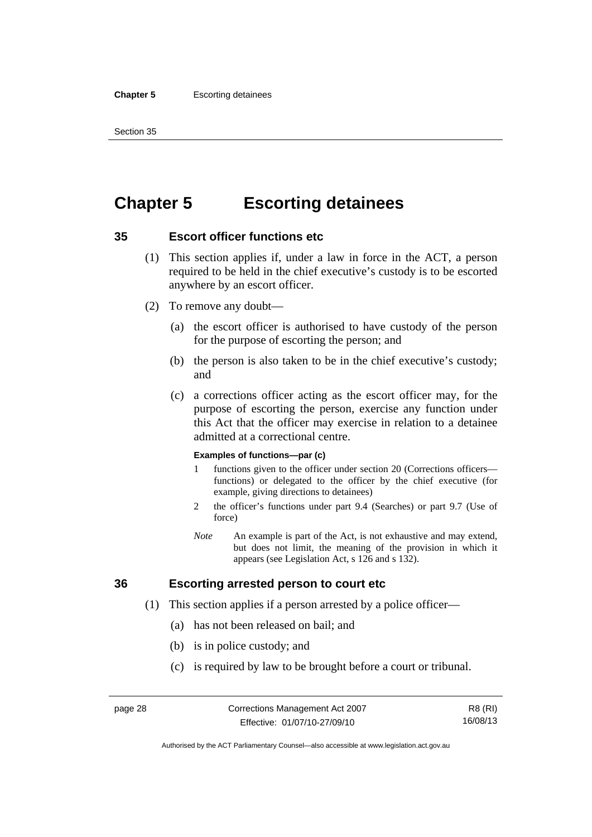#### **Chapter 5** Escorting detainees

Section 35

# **Chapter 5 Escorting detainees**

# **35 Escort officer functions etc**

- (1) This section applies if, under a law in force in the ACT, a person required to be held in the chief executive's custody is to be escorted anywhere by an escort officer.
- (2) To remove any doubt—
	- (a) the escort officer is authorised to have custody of the person for the purpose of escorting the person; and
	- (b) the person is also taken to be in the chief executive's custody; and
	- (c) a corrections officer acting as the escort officer may, for the purpose of escorting the person, exercise any function under this Act that the officer may exercise in relation to a detainee admitted at a correctional centre.

#### **Examples of functions—par (c)**

- 1 functions given to the officer under section 20 (Corrections officers functions) or delegated to the officer by the chief executive (for example, giving directions to detainees)
- 2 the officer's functions under part 9.4 (Searches) or part 9.7 (Use of force)
- *Note* An example is part of the Act, is not exhaustive and may extend, but does not limit, the meaning of the provision in which it appears (see Legislation Act, s 126 and s 132).

# **36 Escorting arrested person to court etc**

- (1) This section applies if a person arrested by a police officer—
	- (a) has not been released on bail; and
	- (b) is in police custody; and
	- (c) is required by law to be brought before a court or tribunal.

R8 (RI) 16/08/13

Authorised by the ACT Parliamentary Counsel—also accessible at www.legislation.act.gov.au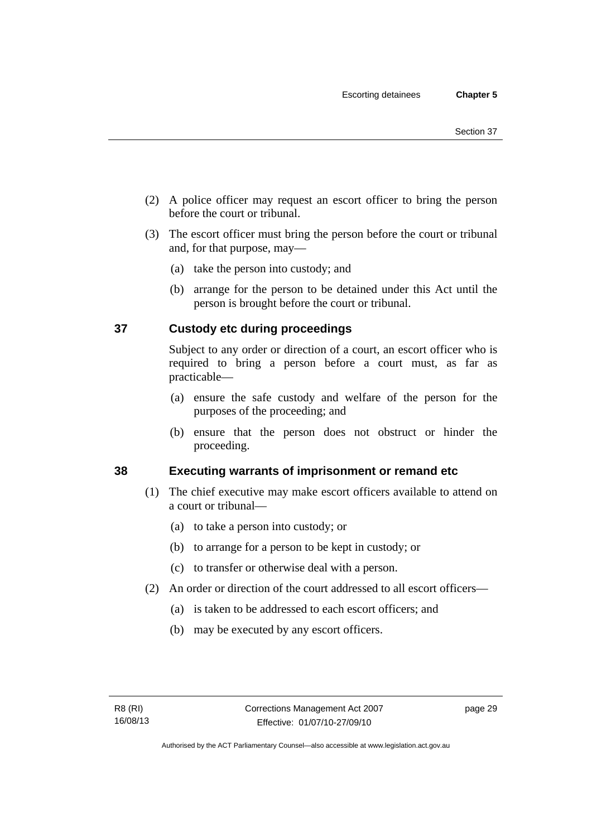- (2) A police officer may request an escort officer to bring the person before the court or tribunal.
- (3) The escort officer must bring the person before the court or tribunal and, for that purpose, may—
	- (a) take the person into custody; and
	- (b) arrange for the person to be detained under this Act until the person is brought before the court or tribunal.

# **37 Custody etc during proceedings**

Subject to any order or direction of a court, an escort officer who is required to bring a person before a court must, as far as practicable—

- (a) ensure the safe custody and welfare of the person for the purposes of the proceeding; and
- (b) ensure that the person does not obstruct or hinder the proceeding.

# **38 Executing warrants of imprisonment or remand etc**

- (1) The chief executive may make escort officers available to attend on a court or tribunal—
	- (a) to take a person into custody; or
	- (b) to arrange for a person to be kept in custody; or
	- (c) to transfer or otherwise deal with a person.
- (2) An order or direction of the court addressed to all escort officers—
	- (a) is taken to be addressed to each escort officers; and
	- (b) may be executed by any escort officers.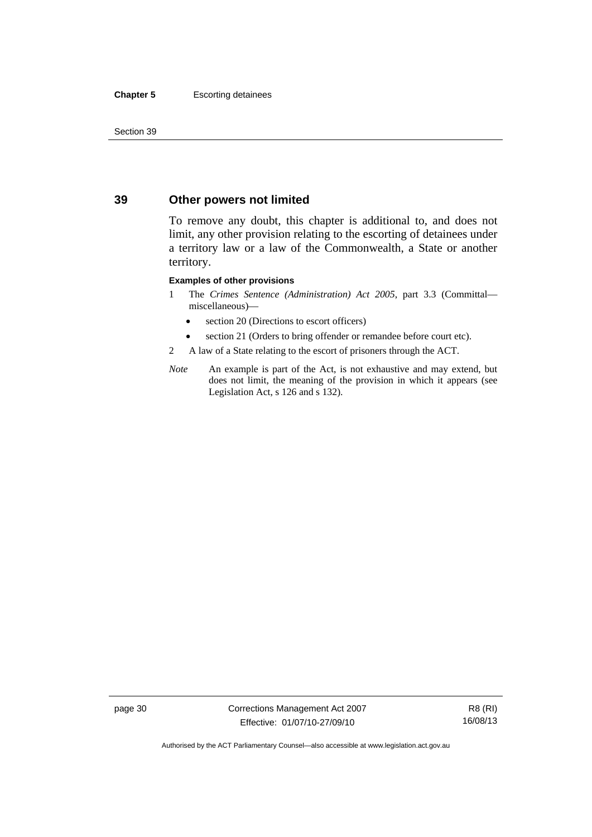#### **Chapter 5** Escorting detainees

Section 39

# **39 Other powers not limited**

To remove any doubt, this chapter is additional to, and does not limit, any other provision relating to the escorting of detainees under a territory law or a law of the Commonwealth, a State or another territory.

#### **Examples of other provisions**

- 1 The *Crimes Sentence (Administration) Act 2005*, part 3.3 (Committal miscellaneous)—
	- section 20 (Directions to escort officers)
	- section 21 (Orders to bring offender or remandee before court etc).
- 2 A law of a State relating to the escort of prisoners through the ACT.
- *Note* An example is part of the Act, is not exhaustive and may extend, but does not limit, the meaning of the provision in which it appears (see Legislation Act, s 126 and s 132).

page 30 Corrections Management Act 2007 Effective: 01/07/10-27/09/10

R8 (RI) 16/08/13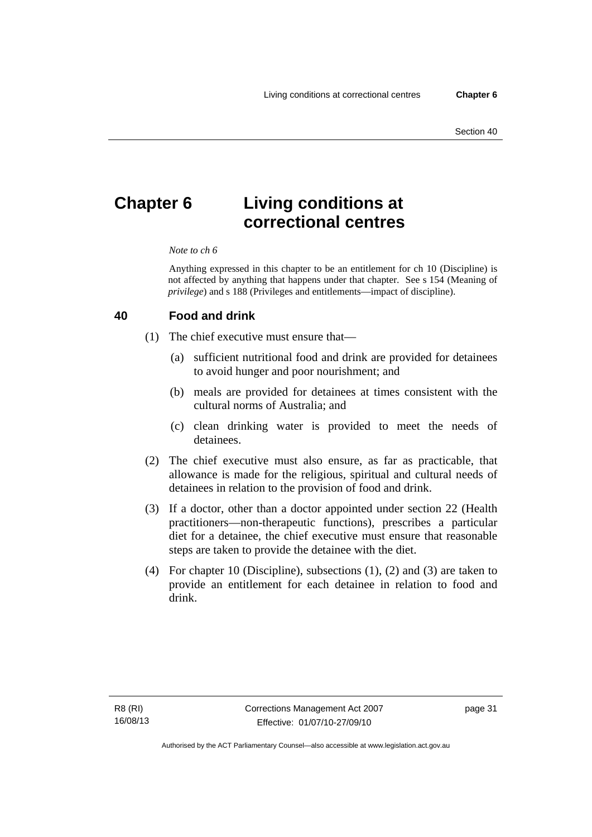# **Chapter 6 Living conditions at correctional centres**

#### *Note to ch 6*

Anything expressed in this chapter to be an entitlement for ch 10 (Discipline) is not affected by anything that happens under that chapter. See s 154 (Meaning of *privilege*) and s 188 (Privileges and entitlements—impact of discipline).

#### **40 Food and drink**

- (1) The chief executive must ensure that—
	- (a) sufficient nutritional food and drink are provided for detainees to avoid hunger and poor nourishment; and
	- (b) meals are provided for detainees at times consistent with the cultural norms of Australia; and
	- (c) clean drinking water is provided to meet the needs of detainees.
- (2) The chief executive must also ensure, as far as practicable, that allowance is made for the religious, spiritual and cultural needs of detainees in relation to the provision of food and drink.
- (3) If a doctor, other than a doctor appointed under section 22 (Health practitioners—non-therapeutic functions), prescribes a particular diet for a detainee, the chief executive must ensure that reasonable steps are taken to provide the detainee with the diet.
- (4) For chapter 10 (Discipline), subsections (1), (2) and (3) are taken to provide an entitlement for each detainee in relation to food and drink.

page 31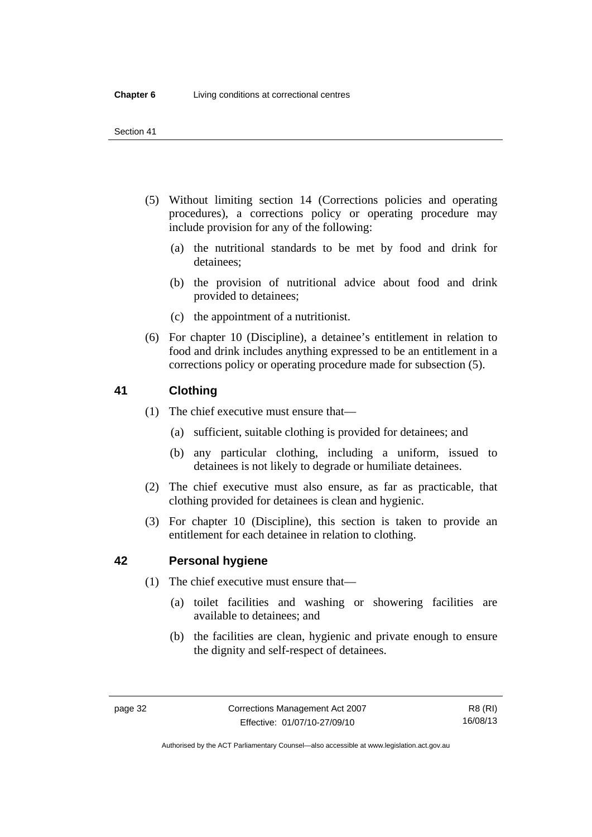- (5) Without limiting section 14 (Corrections policies and operating procedures), a corrections policy or operating procedure may include provision for any of the following:
	- (a) the nutritional standards to be met by food and drink for detainees;
	- (b) the provision of nutritional advice about food and drink provided to detainees;
	- (c) the appointment of a nutritionist.
- (6) For chapter 10 (Discipline), a detainee's entitlement in relation to food and drink includes anything expressed to be an entitlement in a corrections policy or operating procedure made for subsection (5).

# **41 Clothing**

- (1) The chief executive must ensure that—
	- (a) sufficient, suitable clothing is provided for detainees; and
	- (b) any particular clothing, including a uniform, issued to detainees is not likely to degrade or humiliate detainees.
- (2) The chief executive must also ensure, as far as practicable, that clothing provided for detainees is clean and hygienic.
- (3) For chapter 10 (Discipline), this section is taken to provide an entitlement for each detainee in relation to clothing.

# **42 Personal hygiene**

- (1) The chief executive must ensure that—
	- (a) toilet facilities and washing or showering facilities are available to detainees; and
	- (b) the facilities are clean, hygienic and private enough to ensure the dignity and self-respect of detainees.

Authorised by the ACT Parliamentary Counsel—also accessible at www.legislation.act.gov.au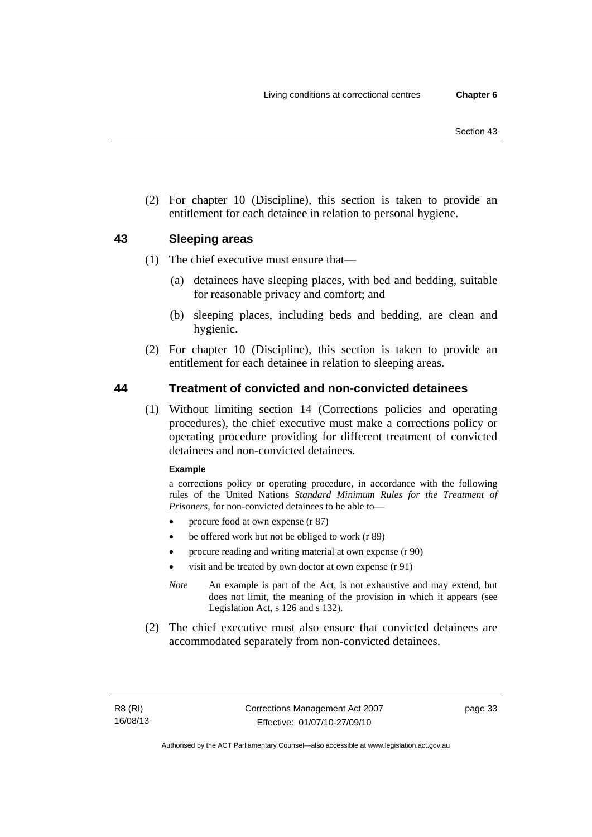(2) For chapter 10 (Discipline), this section is taken to provide an entitlement for each detainee in relation to personal hygiene.

# **43 Sleeping areas**

- (1) The chief executive must ensure that—
	- (a) detainees have sleeping places, with bed and bedding, suitable for reasonable privacy and comfort; and
	- (b) sleeping places, including beds and bedding, are clean and hygienic.
- (2) For chapter 10 (Discipline), this section is taken to provide an entitlement for each detainee in relation to sleeping areas.

# **44 Treatment of convicted and non-convicted detainees**

 (1) Without limiting section 14 (Corrections policies and operating procedures), the chief executive must make a corrections policy or operating procedure providing for different treatment of convicted detainees and non-convicted detainees.

#### **Example**

a corrections policy or operating procedure, in accordance with the following rules of the United Nations *Standard Minimum Rules for the Treatment of Prisoners*, for non-convicted detainees to be able to—

- procure food at own expense (r 87)
- be offered work but not be obliged to work (r 89)
- procure reading and writing material at own expense (r 90)
- visit and be treated by own doctor at own expense (r 91)
- *Note* An example is part of the Act, is not exhaustive and may extend, but does not limit, the meaning of the provision in which it appears (see Legislation Act, s 126 and s 132).
- (2) The chief executive must also ensure that convicted detainees are accommodated separately from non-convicted detainees.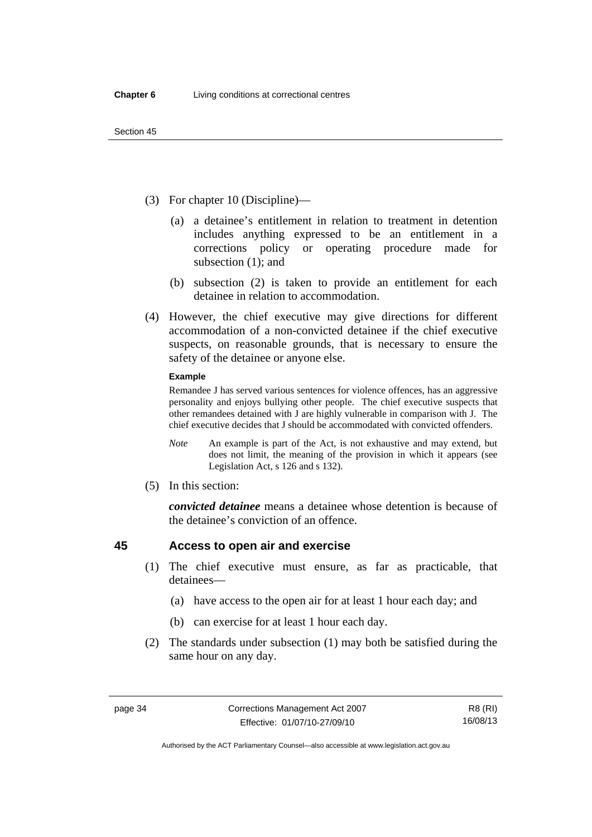- (3) For chapter 10 (Discipline)—
	- (a) a detainee's entitlement in relation to treatment in detention includes anything expressed to be an entitlement in a corrections policy or operating procedure made for subsection (1); and
	- (b) subsection (2) is taken to provide an entitlement for each detainee in relation to accommodation.
- (4) However, the chief executive may give directions for different accommodation of a non-convicted detainee if the chief executive suspects, on reasonable grounds, that is necessary to ensure the safety of the detainee or anyone else.

#### **Example**

Remandee J has served various sentences for violence offences, has an aggressive personality and enjoys bullying other people. The chief executive suspects that other remandees detained with J are highly vulnerable in comparison with J. The chief executive decides that J should be accommodated with convicted offenders.

- *Note* An example is part of the Act, is not exhaustive and may extend, but does not limit, the meaning of the provision in which it appears (see Legislation Act, s 126 and s 132).
- (5) In this section:

*convicted detainee* means a detainee whose detention is because of the detainee's conviction of an offence.

# **45 Access to open air and exercise**

- (1) The chief executive must ensure, as far as practicable, that detainees—
	- (a) have access to the open air for at least 1 hour each day; and
	- (b) can exercise for at least 1 hour each day.
- (2) The standards under subsection (1) may both be satisfied during the same hour on any day.

Authorised by the ACT Parliamentary Counsel—also accessible at www.legislation.act.gov.au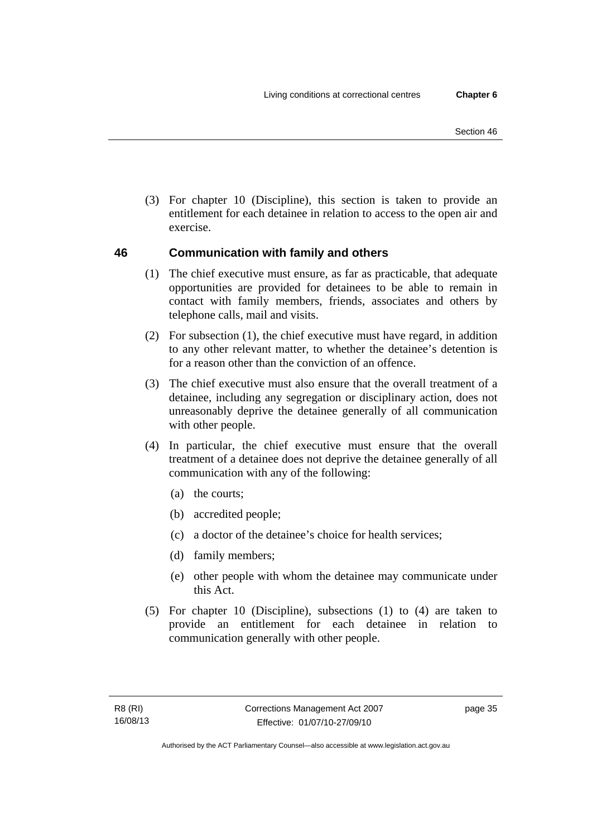(3) For chapter 10 (Discipline), this section is taken to provide an entitlement for each detainee in relation to access to the open air and exercise.

# **46 Communication with family and others**

- (1) The chief executive must ensure, as far as practicable, that adequate opportunities are provided for detainees to be able to remain in contact with family members, friends, associates and others by telephone calls, mail and visits.
- (2) For subsection (1), the chief executive must have regard, in addition to any other relevant matter, to whether the detainee's detention is for a reason other than the conviction of an offence.
- (3) The chief executive must also ensure that the overall treatment of a detainee, including any segregation or disciplinary action, does not unreasonably deprive the detainee generally of all communication with other people.
- (4) In particular, the chief executive must ensure that the overall treatment of a detainee does not deprive the detainee generally of all communication with any of the following:
	- (a) the courts;
	- (b) accredited people;
	- (c) a doctor of the detainee's choice for health services;
	- (d) family members;
	- (e) other people with whom the detainee may communicate under this Act.
- (5) For chapter 10 (Discipline), subsections (1) to (4) are taken to provide an entitlement for each detainee in relation to communication generally with other people.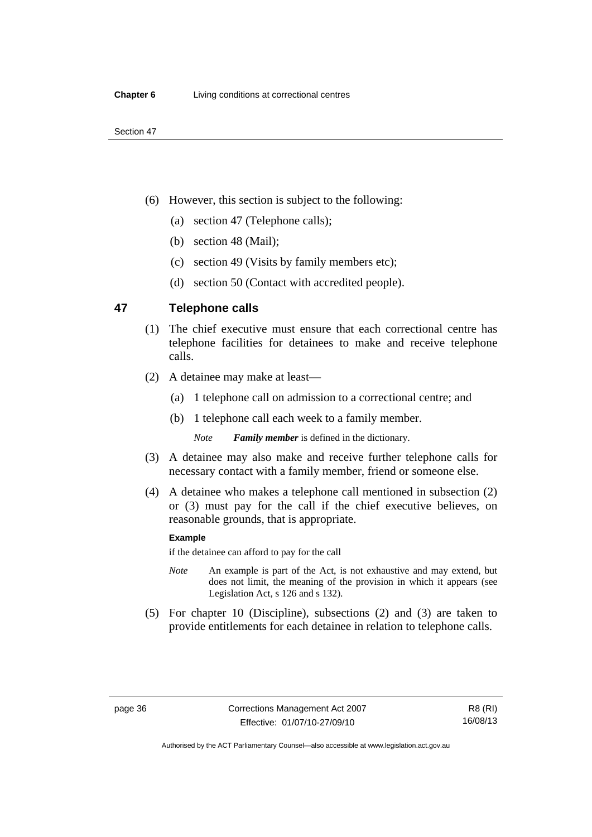- (6) However, this section is subject to the following:
	- (a) section 47 (Telephone calls);
	- (b) section 48 (Mail);
	- (c) section 49 (Visits by family members etc);
	- (d) section 50 (Contact with accredited people).

## **47 Telephone calls**

- (1) The chief executive must ensure that each correctional centre has telephone facilities for detainees to make and receive telephone calls.
- (2) A detainee may make at least—
	- (a) 1 telephone call on admission to a correctional centre; and
	- (b) 1 telephone call each week to a family member.

*Note Family member* is defined in the dictionary.

- (3) A detainee may also make and receive further telephone calls for necessary contact with a family member, friend or someone else.
- (4) A detainee who makes a telephone call mentioned in subsection (2) or (3) must pay for the call if the chief executive believes, on reasonable grounds, that is appropriate.

#### **Example**

if the detainee can afford to pay for the call

- *Note* An example is part of the Act, is not exhaustive and may extend, but does not limit, the meaning of the provision in which it appears (see Legislation Act, s 126 and s 132).
- (5) For chapter 10 (Discipline), subsections (2) and (3) are taken to provide entitlements for each detainee in relation to telephone calls.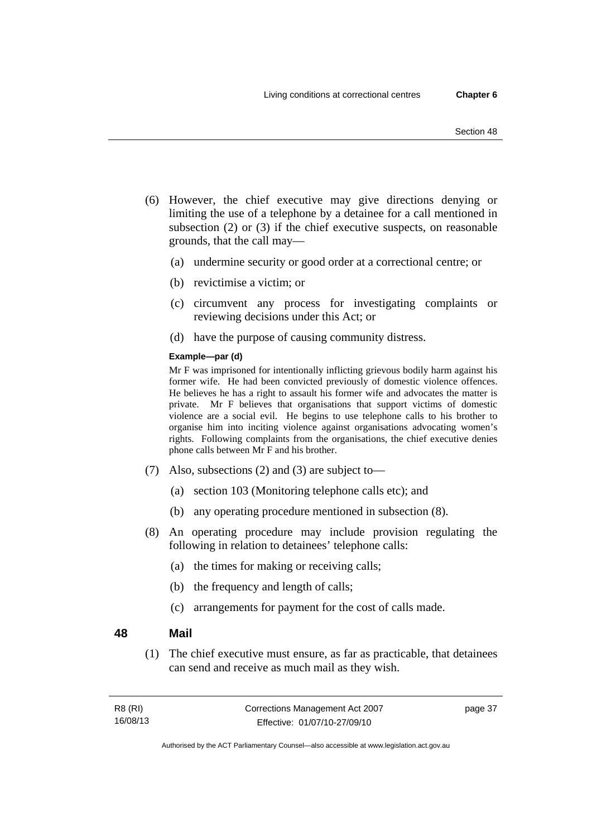- (6) However, the chief executive may give directions denying or limiting the use of a telephone by a detainee for a call mentioned in subsection (2) or (3) if the chief executive suspects, on reasonable grounds, that the call may—
	- (a) undermine security or good order at a correctional centre; or
	- (b) revictimise a victim; or
	- (c) circumvent any process for investigating complaints or reviewing decisions under this Act; or
	- (d) have the purpose of causing community distress.

#### **Example—par (d)**

Mr F was imprisoned for intentionally inflicting grievous bodily harm against his former wife. He had been convicted previously of domestic violence offences. He believes he has a right to assault his former wife and advocates the matter is private. Mr F believes that organisations that support victims of domestic violence are a social evil. He begins to use telephone calls to his brother to organise him into inciting violence against organisations advocating women's rights. Following complaints from the organisations, the chief executive denies phone calls between Mr F and his brother.

- (7) Also, subsections (2) and (3) are subject to—
	- (a) section 103 (Monitoring telephone calls etc); and
	- (b) any operating procedure mentioned in subsection (8).
- (8) An operating procedure may include provision regulating the following in relation to detainees' telephone calls:
	- (a) the times for making or receiving calls;
	- (b) the frequency and length of calls;
	- (c) arrangements for payment for the cost of calls made.

### **48 Mail**

 (1) The chief executive must ensure, as far as practicable, that detainees can send and receive as much mail as they wish.

| R8 (RI)  | Corrections Management Act 2007 | page 37 |
|----------|---------------------------------|---------|
| 16/08/13 | Effective: 01/07/10-27/09/10    |         |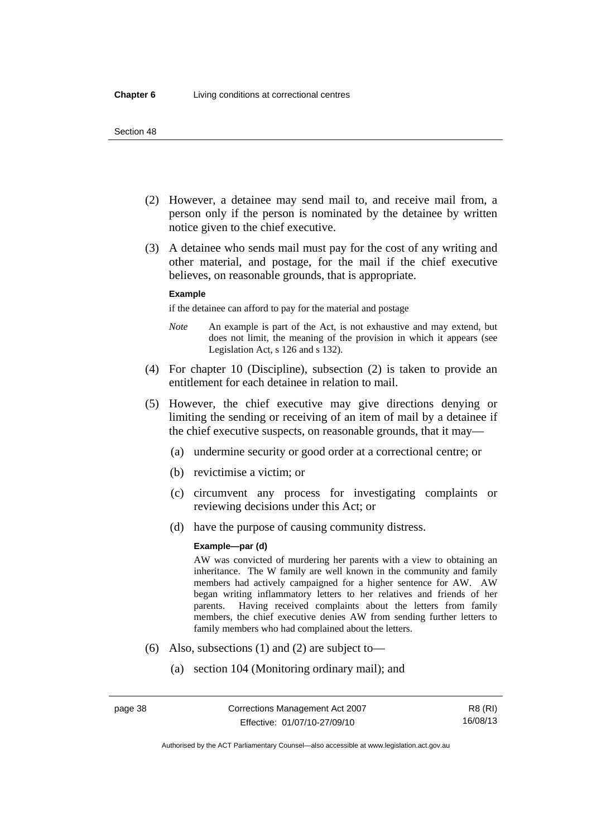- (2) However, a detainee may send mail to, and receive mail from, a person only if the person is nominated by the detainee by written notice given to the chief executive.
- (3) A detainee who sends mail must pay for the cost of any writing and other material, and postage, for the mail if the chief executive believes, on reasonable grounds, that is appropriate.

#### **Example**

if the detainee can afford to pay for the material and postage

- *Note* An example is part of the Act, is not exhaustive and may extend, but does not limit, the meaning of the provision in which it appears (see Legislation Act, s 126 and s 132).
- (4) For chapter 10 (Discipline), subsection (2) is taken to provide an entitlement for each detainee in relation to mail.
- (5) However, the chief executive may give directions denying or limiting the sending or receiving of an item of mail by a detainee if the chief executive suspects, on reasonable grounds, that it may—
	- (a) undermine security or good order at a correctional centre; or
	- (b) revictimise a victim; or
	- (c) circumvent any process for investigating complaints or reviewing decisions under this Act; or
	- (d) have the purpose of causing community distress.

#### **Example—par (d)**

AW was convicted of murdering her parents with a view to obtaining an inheritance. The W family are well known in the community and family members had actively campaigned for a higher sentence for AW. AW began writing inflammatory letters to her relatives and friends of her parents. Having received complaints about the letters from family members, the chief executive denies AW from sending further letters to family members who had complained about the letters.

- (6) Also, subsections (1) and (2) are subject to—
	- (a) section 104 (Monitoring ordinary mail); and

Authorised by the ACT Parliamentary Counsel—also accessible at www.legislation.act.gov.au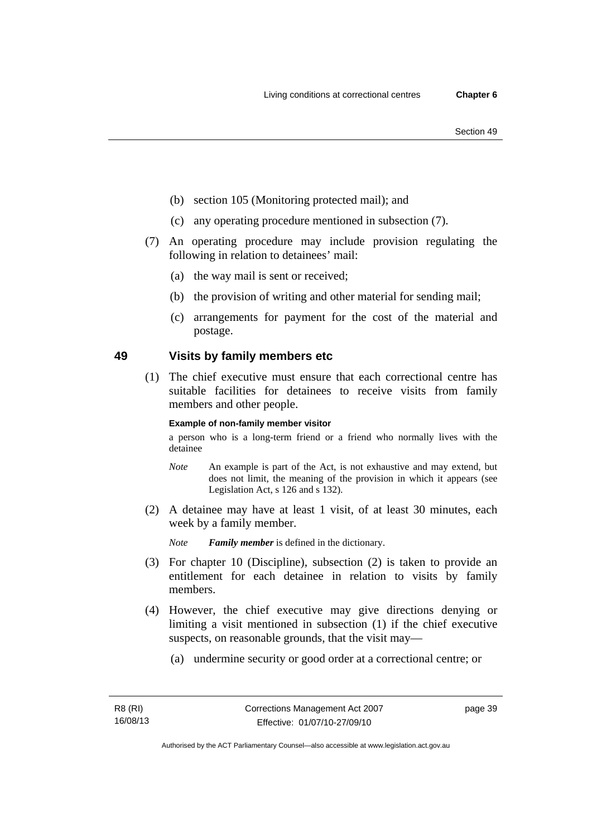- (b) section 105 (Monitoring protected mail); and
- (c) any operating procedure mentioned in subsection (7).
- (7) An operating procedure may include provision regulating the following in relation to detainees' mail:
	- (a) the way mail is sent or received;
	- (b) the provision of writing and other material for sending mail;
	- (c) arrangements for payment for the cost of the material and postage.

# **49 Visits by family members etc**

 (1) The chief executive must ensure that each correctional centre has suitable facilities for detainees to receive visits from family members and other people.

#### **Example of non-family member visitor**

a person who is a long-term friend or a friend who normally lives with the detainee

- *Note* An example is part of the Act, is not exhaustive and may extend, but does not limit, the meaning of the provision in which it appears (see Legislation Act, s 126 and s 132).
- (2) A detainee may have at least 1 visit, of at least 30 minutes, each week by a family member.

*Note Family member* is defined in the dictionary.

- (3) For chapter 10 (Discipline), subsection (2) is taken to provide an entitlement for each detainee in relation to visits by family members.
- (4) However, the chief executive may give directions denying or limiting a visit mentioned in subsection (1) if the chief executive suspects, on reasonable grounds, that the visit may—
	- (a) undermine security or good order at a correctional centre; or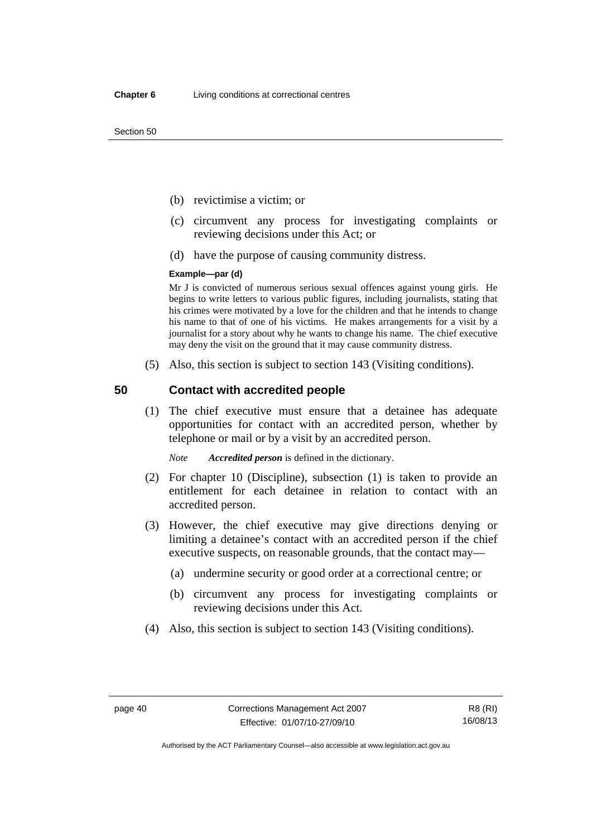- (b) revictimise a victim; or
- (c) circumvent any process for investigating complaints or reviewing decisions under this Act; or
- (d) have the purpose of causing community distress.

#### **Example—par (d)**

Mr J is convicted of numerous serious sexual offences against young girls. He begins to write letters to various public figures, including journalists, stating that his crimes were motivated by a love for the children and that he intends to change his name to that of one of his victims. He makes arrangements for a visit by a journalist for a story about why he wants to change his name. The chief executive may deny the visit on the ground that it may cause community distress.

(5) Also, this section is subject to section 143 (Visiting conditions).

## **50 Contact with accredited people**

 (1) The chief executive must ensure that a detainee has adequate opportunities for contact with an accredited person, whether by telephone or mail or by a visit by an accredited person.

*Note Accredited person* is defined in the dictionary.

- (2) For chapter 10 (Discipline), subsection (1) is taken to provide an entitlement for each detainee in relation to contact with an accredited person.
- (3) However, the chief executive may give directions denying or limiting a detainee's contact with an accredited person if the chief executive suspects, on reasonable grounds, that the contact may—
	- (a) undermine security or good order at a correctional centre; or
	- (b) circumvent any process for investigating complaints or reviewing decisions under this Act.
- (4) Also, this section is subject to section 143 (Visiting conditions).

Authorised by the ACT Parliamentary Counsel—also accessible at www.legislation.act.gov.au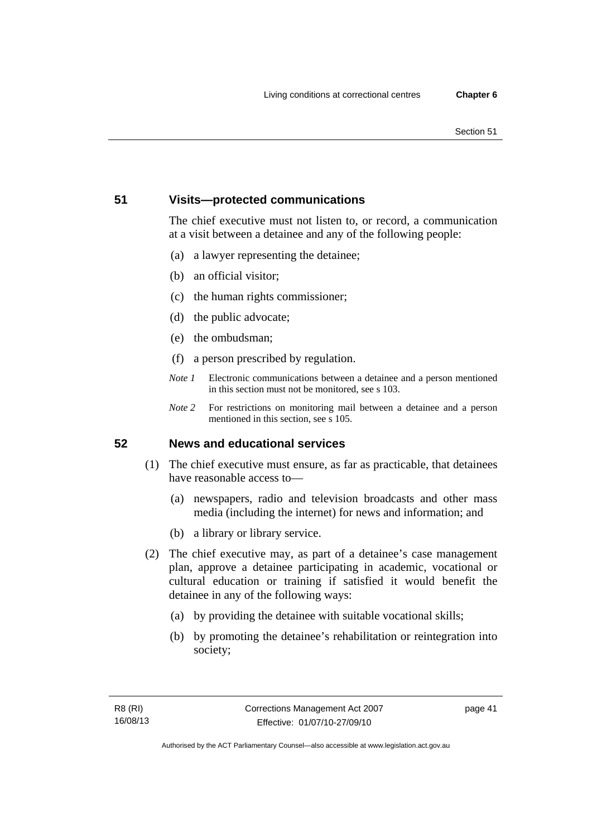# **51 Visits—protected communications**

The chief executive must not listen to, or record, a communication at a visit between a detainee and any of the following people:

- (a) a lawyer representing the detainee;
- (b) an official visitor;
- (c) the human rights commissioner;
- (d) the public advocate;
- (e) the ombudsman;
- (f) a person prescribed by regulation.
- *Note 1* Electronic communications between a detainee and a person mentioned in this section must not be monitored, see s 103.
- *Note 2* For restrictions on monitoring mail between a detainee and a person mentioned in this section, see s 105.

# **52 News and educational services**

- (1) The chief executive must ensure, as far as practicable, that detainees have reasonable access to—
	- (a) newspapers, radio and television broadcasts and other mass media (including the internet) for news and information; and
	- (b) a library or library service.
- (2) The chief executive may, as part of a detainee's case management plan, approve a detainee participating in academic, vocational or cultural education or training if satisfied it would benefit the detainee in any of the following ways:
	- (a) by providing the detainee with suitable vocational skills;
	- (b) by promoting the detainee's rehabilitation or reintegration into society;

page 41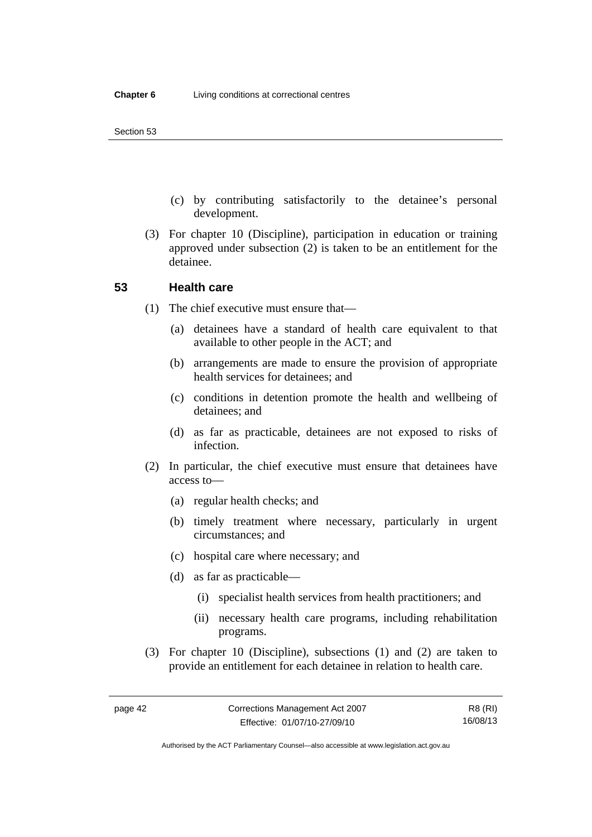- (c) by contributing satisfactorily to the detainee's personal development.
- (3) For chapter 10 (Discipline), participation in education or training approved under subsection (2) is taken to be an entitlement for the detainee.

## **53 Health care**

- (1) The chief executive must ensure that—
	- (a) detainees have a standard of health care equivalent to that available to other people in the ACT; and
	- (b) arrangements are made to ensure the provision of appropriate health services for detainees; and
	- (c) conditions in detention promote the health and wellbeing of detainees; and
	- (d) as far as practicable, detainees are not exposed to risks of infection.
- (2) In particular, the chief executive must ensure that detainees have access to—
	- (a) regular health checks; and
	- (b) timely treatment where necessary, particularly in urgent circumstances; and
	- (c) hospital care where necessary; and
	- (d) as far as practicable—
		- (i) specialist health services from health practitioners; and
		- (ii) necessary health care programs, including rehabilitation programs.
- (3) For chapter 10 (Discipline), subsections (1) and (2) are taken to provide an entitlement for each detainee in relation to health care.

Authorised by the ACT Parliamentary Counsel—also accessible at www.legislation.act.gov.au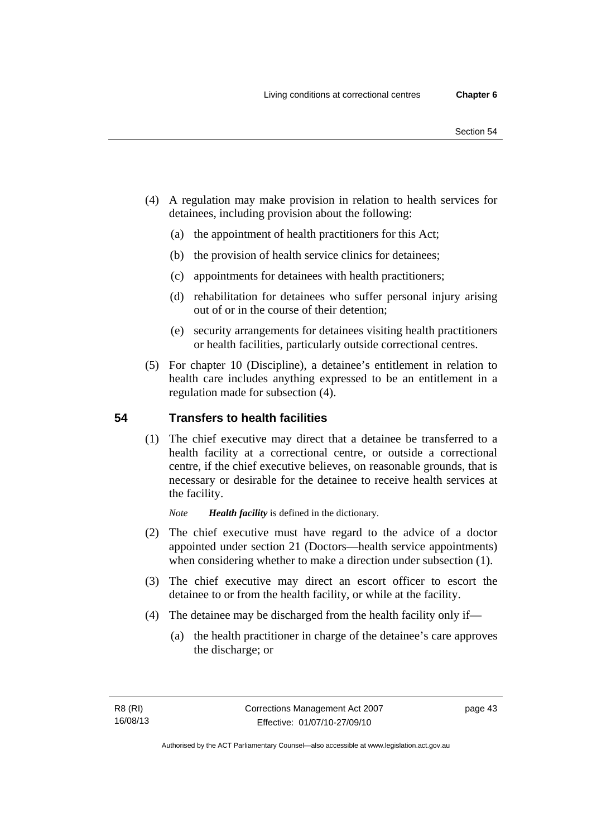- (4) A regulation may make provision in relation to health services for detainees, including provision about the following:
	- (a) the appointment of health practitioners for this Act;
	- (b) the provision of health service clinics for detainees;
	- (c) appointments for detainees with health practitioners;
	- (d) rehabilitation for detainees who suffer personal injury arising out of or in the course of their detention;
	- (e) security arrangements for detainees visiting health practitioners or health facilities, particularly outside correctional centres.
- (5) For chapter 10 (Discipline), a detainee's entitlement in relation to health care includes anything expressed to be an entitlement in a regulation made for subsection (4).

# **54 Transfers to health facilities**

 (1) The chief executive may direct that a detainee be transferred to a health facility at a correctional centre, or outside a correctional centre, if the chief executive believes, on reasonable grounds, that is necessary or desirable for the detainee to receive health services at the facility.

*Note Health facility* is defined in the dictionary.

- (2) The chief executive must have regard to the advice of a doctor appointed under section 21 (Doctors—health service appointments) when considering whether to make a direction under subsection  $(1)$ .
- (3) The chief executive may direct an escort officer to escort the detainee to or from the health facility, or while at the facility.
- (4) The detainee may be discharged from the health facility only if—
	- (a) the health practitioner in charge of the detainee's care approves the discharge; or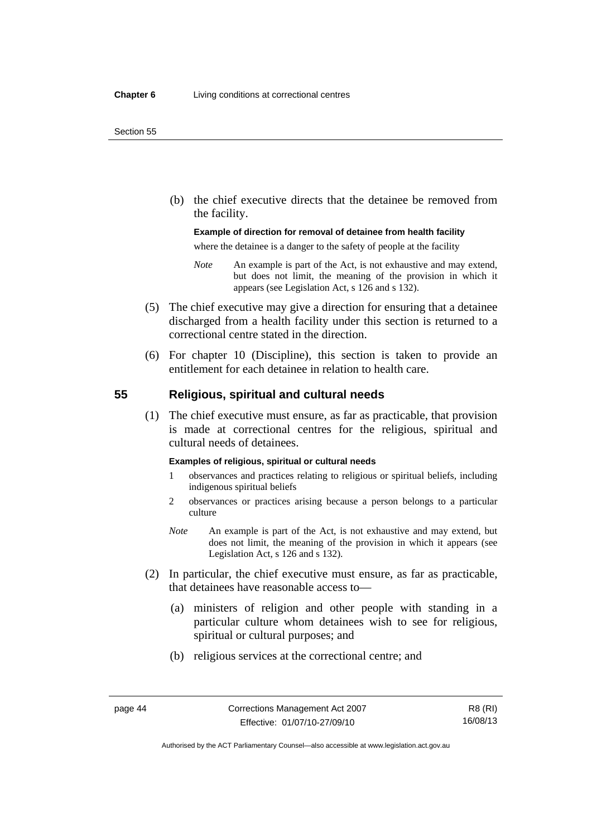(b) the chief executive directs that the detainee be removed from the facility.

#### **Example of direction for removal of detainee from health facility**

where the detainee is a danger to the safety of people at the facility

- *Note* An example is part of the Act, is not exhaustive and may extend, but does not limit, the meaning of the provision in which it appears (see Legislation Act, s 126 and s 132).
- (5) The chief executive may give a direction for ensuring that a detainee discharged from a health facility under this section is returned to a correctional centre stated in the direction.
- (6) For chapter 10 (Discipline), this section is taken to provide an entitlement for each detainee in relation to health care.

## **55 Religious, spiritual and cultural needs**

 (1) The chief executive must ensure, as far as practicable, that provision is made at correctional centres for the religious, spiritual and cultural needs of detainees.

#### **Examples of religious, spiritual or cultural needs**

- 1 observances and practices relating to religious or spiritual beliefs, including indigenous spiritual beliefs
- 2 observances or practices arising because a person belongs to a particular culture
- *Note* An example is part of the Act, is not exhaustive and may extend, but does not limit, the meaning of the provision in which it appears (see Legislation Act, s 126 and s 132).
- (2) In particular, the chief executive must ensure, as far as practicable, that detainees have reasonable access to—
	- (a) ministers of religion and other people with standing in a particular culture whom detainees wish to see for religious, spiritual or cultural purposes; and
	- (b) religious services at the correctional centre; and

Authorised by the ACT Parliamentary Counsel—also accessible at www.legislation.act.gov.au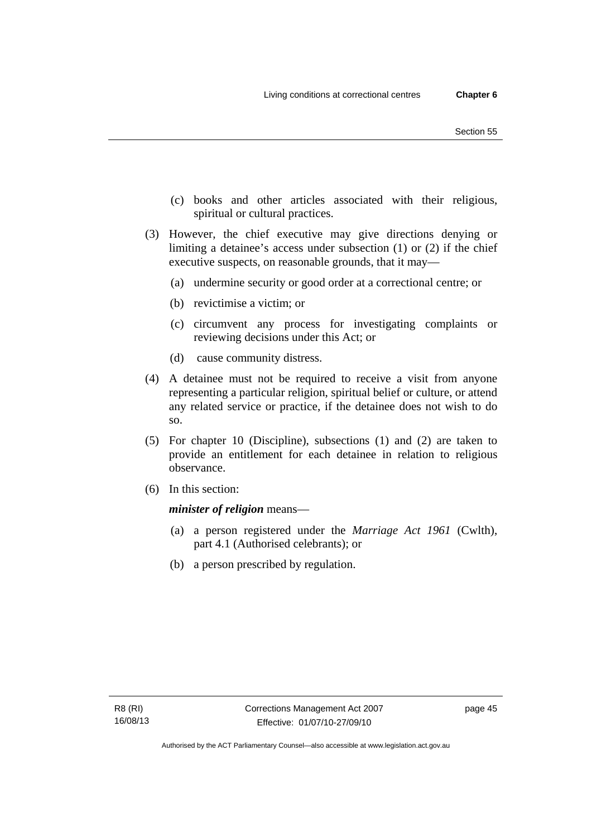- (c) books and other articles associated with their religious, spiritual or cultural practices.
- (3) However, the chief executive may give directions denying or limiting a detainee's access under subsection (1) or (2) if the chief executive suspects, on reasonable grounds, that it may—
	- (a) undermine security or good order at a correctional centre; or
	- (b) revictimise a victim; or
	- (c) circumvent any process for investigating complaints or reviewing decisions under this Act; or
	- (d) cause community distress.
- (4) A detainee must not be required to receive a visit from anyone representing a particular religion, spiritual belief or culture, or attend any related service or practice, if the detainee does not wish to do so.
- (5) For chapter 10 (Discipline), subsections (1) and (2) are taken to provide an entitlement for each detainee in relation to religious observance.
- (6) In this section:

*minister of religion* means—

- (a) a person registered under the *Marriage Act 1961* (Cwlth), part 4.1 (Authorised celebrants); or
- (b) a person prescribed by regulation.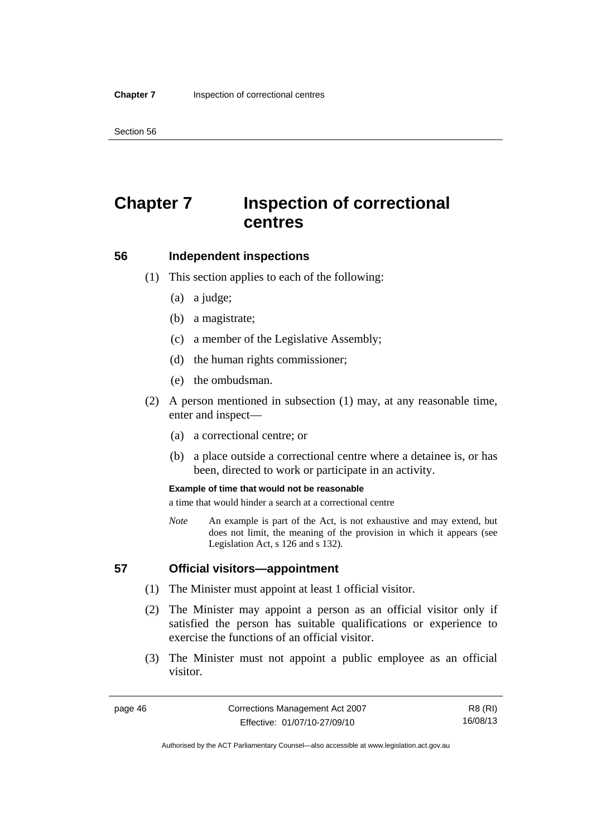# **Chapter 7 Inspection of correctional centres**

### **56 Independent inspections**

- (1) This section applies to each of the following:
	- (a) a judge;
	- (b) a magistrate;
	- (c) a member of the Legislative Assembly;
	- (d) the human rights commissioner;
	- (e) the ombudsman.
- (2) A person mentioned in subsection (1) may, at any reasonable time, enter and inspect—
	- (a) a correctional centre; or
	- (b) a place outside a correctional centre where a detainee is, or has been, directed to work or participate in an activity.

#### **Example of time that would not be reasonable**

a time that would hinder a search at a correctional centre

*Note* An example is part of the Act, is not exhaustive and may extend, but does not limit, the meaning of the provision in which it appears (see Legislation Act, s 126 and s 132).

## **57 Official visitors—appointment**

- (1) The Minister must appoint at least 1 official visitor.
- (2) The Minister may appoint a person as an official visitor only if satisfied the person has suitable qualifications or experience to exercise the functions of an official visitor.
- (3) The Minister must not appoint a public employee as an official visitor.

R8 (RI) 16/08/13

Authorised by the ACT Parliamentary Counsel—also accessible at www.legislation.act.gov.au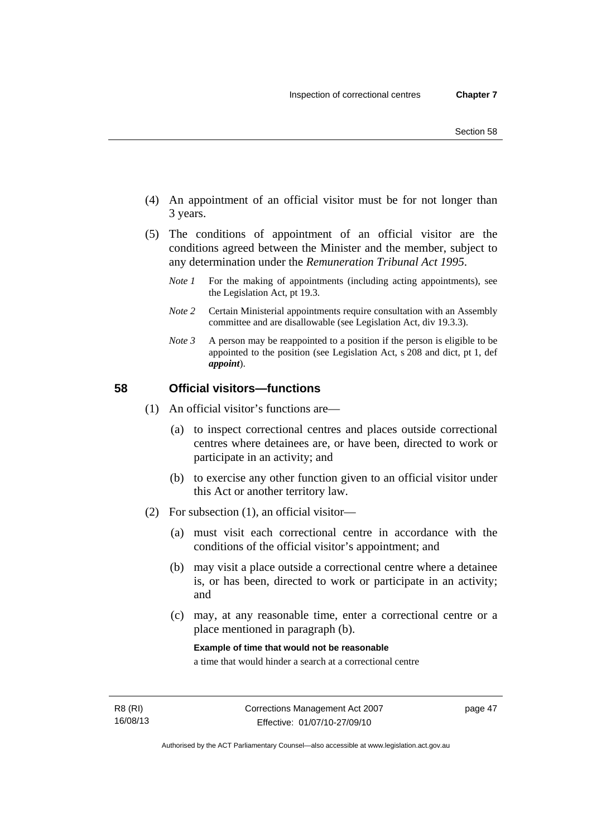- (4) An appointment of an official visitor must be for not longer than 3 years.
- (5) The conditions of appointment of an official visitor are the conditions agreed between the Minister and the member, subject to any determination under the *Remuneration Tribunal Act 1995*.
	- *Note 1* For the making of appointments (including acting appointments), see the Legislation Act, pt 19.3.
	- *Note 2* Certain Ministerial appointments require consultation with an Assembly committee and are disallowable (see Legislation Act, div 19.3.3).
	- *Note 3* A person may be reappointed to a position if the person is eligible to be appointed to the position (see Legislation Act, s 208 and dict, pt 1, def *appoint*).

# **58 Official visitors—functions**

- (1) An official visitor's functions are—
	- (a) to inspect correctional centres and places outside correctional centres where detainees are, or have been, directed to work or participate in an activity; and
	- (b) to exercise any other function given to an official visitor under this Act or another territory law.
- (2) For subsection (1), an official visitor—
	- (a) must visit each correctional centre in accordance with the conditions of the official visitor's appointment; and
	- (b) may visit a place outside a correctional centre where a detainee is, or has been, directed to work or participate in an activity; and
	- (c) may, at any reasonable time, enter a correctional centre or a place mentioned in paragraph (b).

**Example of time that would not be reasonable** 

a time that would hinder a search at a correctional centre

page 47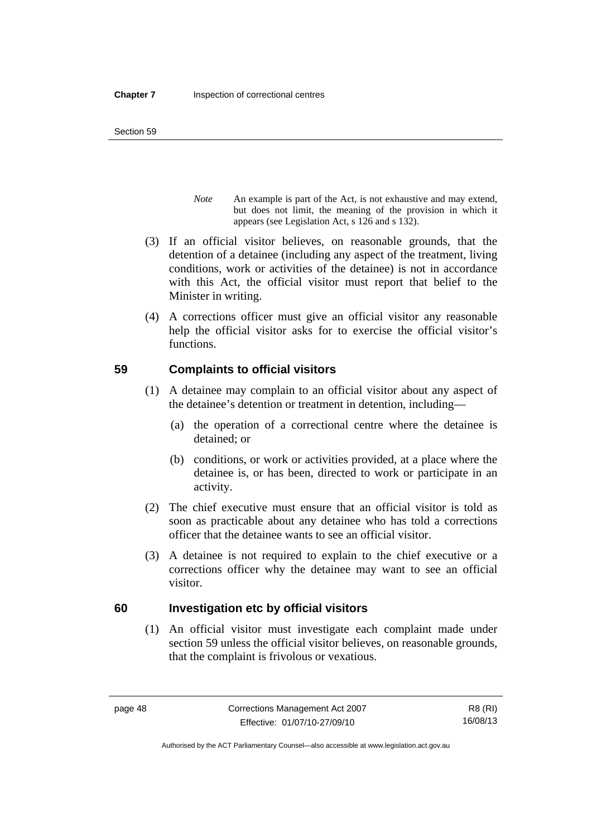- *Note* An example is part of the Act, is not exhaustive and may extend, but does not limit, the meaning of the provision in which it appears (see Legislation Act, s 126 and s 132).
- (3) If an official visitor believes, on reasonable grounds, that the detention of a detainee (including any aspect of the treatment, living conditions, work or activities of the detainee) is not in accordance with this Act, the official visitor must report that belief to the Minister in writing.
- (4) A corrections officer must give an official visitor any reasonable help the official visitor asks for to exercise the official visitor's functions.

# **59 Complaints to official visitors**

- (1) A detainee may complain to an official visitor about any aspect of the detainee's detention or treatment in detention, including—
	- (a) the operation of a correctional centre where the detainee is detained; or
	- (b) conditions, or work or activities provided, at a place where the detainee is, or has been, directed to work or participate in an activity.
- (2) The chief executive must ensure that an official visitor is told as soon as practicable about any detainee who has told a corrections officer that the detainee wants to see an official visitor.
- (3) A detainee is not required to explain to the chief executive or a corrections officer why the detainee may want to see an official visitor.

# **60 Investigation etc by official visitors**

 (1) An official visitor must investigate each complaint made under section 59 unless the official visitor believes, on reasonable grounds, that the complaint is frivolous or vexatious.

R8 (RI) 16/08/13

Authorised by the ACT Parliamentary Counsel—also accessible at www.legislation.act.gov.au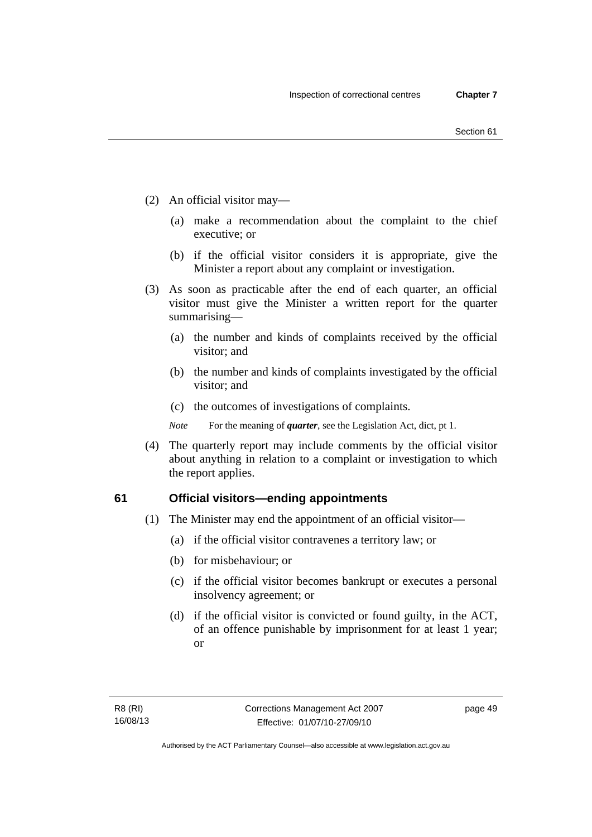- (2) An official visitor may—
	- (a) make a recommendation about the complaint to the chief executive; or
	- (b) if the official visitor considers it is appropriate, give the Minister a report about any complaint or investigation.
- (3) As soon as practicable after the end of each quarter, an official visitor must give the Minister a written report for the quarter summarising—
	- (a) the number and kinds of complaints received by the official visitor; and
	- (b) the number and kinds of complaints investigated by the official visitor; and
	- (c) the outcomes of investigations of complaints.
	- *Note* For the meaning of *quarter*, see the Legislation Act, dict, pt 1.
- (4) The quarterly report may include comments by the official visitor about anything in relation to a complaint or investigation to which the report applies.

#### **61 Official visitors—ending appointments**

- (1) The Minister may end the appointment of an official visitor—
	- (a) if the official visitor contravenes a territory law; or
	- (b) for misbehaviour; or
	- (c) if the official visitor becomes bankrupt or executes a personal insolvency agreement; or
	- (d) if the official visitor is convicted or found guilty, in the ACT, of an offence punishable by imprisonment for at least 1 year; or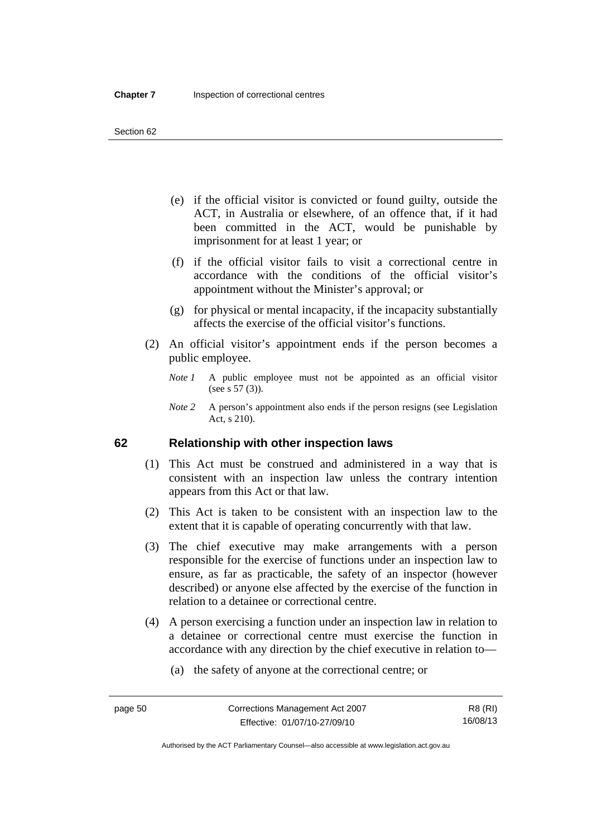- (e) if the official visitor is convicted or found guilty, outside the ACT, in Australia or elsewhere, of an offence that, if it had been committed in the ACT, would be punishable by imprisonment for at least 1 year; or
- (f) if the official visitor fails to visit a correctional centre in accordance with the conditions of the official visitor's appointment without the Minister's approval; or
- (g) for physical or mental incapacity, if the incapacity substantially affects the exercise of the official visitor's functions.
- (2) An official visitor's appointment ends if the person becomes a public employee.
	- *Note 1* A public employee must not be appointed as an official visitor (see s 57 (3)).
	- *Note 2* A person's appointment also ends if the person resigns (see Legislation Act, s 210).

## **62 Relationship with other inspection laws**

- (1) This Act must be construed and administered in a way that is consistent with an inspection law unless the contrary intention appears from this Act or that law.
- (2) This Act is taken to be consistent with an inspection law to the extent that it is capable of operating concurrently with that law.
- (3) The chief executive may make arrangements with a person responsible for the exercise of functions under an inspection law to ensure, as far as practicable, the safety of an inspector (however described) or anyone else affected by the exercise of the function in relation to a detainee or correctional centre.
- (4) A person exercising a function under an inspection law in relation to a detainee or correctional centre must exercise the function in accordance with any direction by the chief executive in relation to—
	- (a) the safety of anyone at the correctional centre; or

Authorised by the ACT Parliamentary Counsel—also accessible at www.legislation.act.gov.au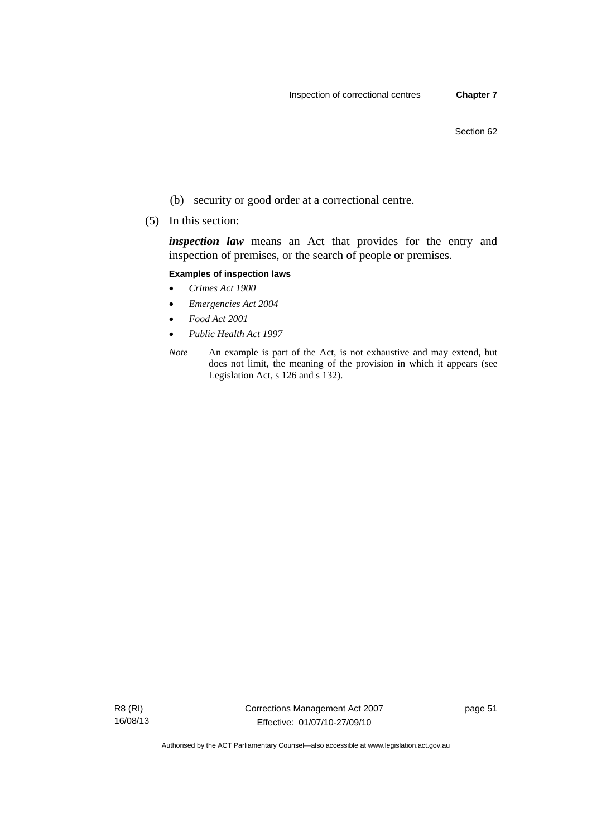- (b) security or good order at a correctional centre.
- (5) In this section:

*inspection law* means an Act that provides for the entry and inspection of premises, or the search of people or premises.

#### **Examples of inspection laws**

- *Crimes Act 1900*
- *Emergencies Act 2004*
- *Food Act 2001*
- *Public Health Act 1997*
- *Note* An example is part of the Act, is not exhaustive and may extend, but does not limit, the meaning of the provision in which it appears (see Legislation Act, s 126 and s 132).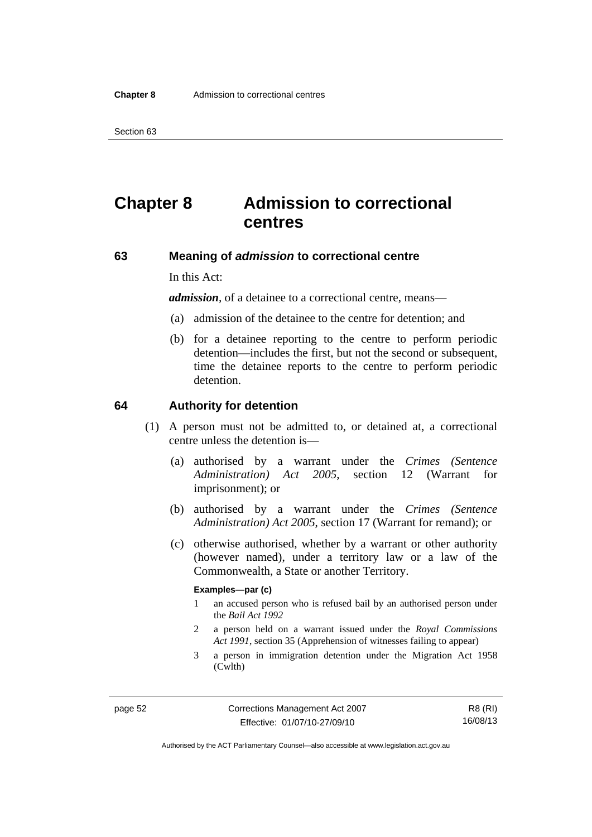# **Chapter 8 Admission to correctional centres**

### **63 Meaning of** *admission* **to correctional centre**

In this Act:

*admission,* of a detainee to a correctional centre, means—

- (a) admission of the detainee to the centre for detention; and
- (b) for a detainee reporting to the centre to perform periodic detention—includes the first, but not the second or subsequent, time the detainee reports to the centre to perform periodic detention.

#### **64 Authority for detention**

- (1) A person must not be admitted to, or detained at, a correctional centre unless the detention is—
	- (a) authorised by a warrant under the *Crimes (Sentence Administration) Act 2005*, section 12 (Warrant for imprisonment); or
	- (b) authorised by a warrant under the *Crimes (Sentence Administration) Act 2005*, section 17 (Warrant for remand); or
	- (c) otherwise authorised, whether by a warrant or other authority (however named), under a territory law or a law of the Commonwealth, a State or another Territory.

#### **Examples—par (c)**

- 1 an accused person who is refused bail by an authorised person under the *Bail Act 1992*
- 2 a person held on a warrant issued under the *Royal Commissions Act 1991*, section 35 (Apprehension of witnesses failing to appear)
- 3 a person in immigration detention under the Migration Act 1958 (Cwlth)

R8 (RI) 16/08/13

Authorised by the ACT Parliamentary Counsel—also accessible at www.legislation.act.gov.au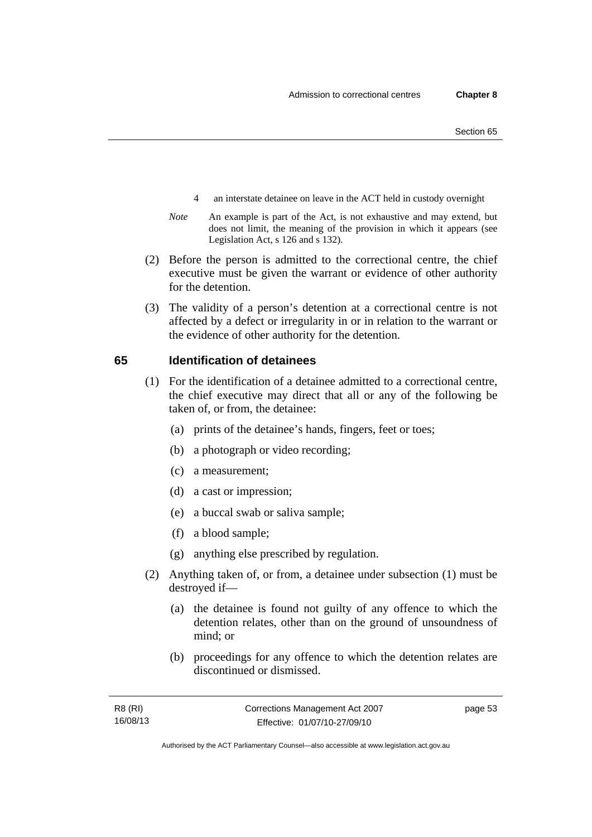- 4 an interstate detainee on leave in the ACT held in custody overnight
- *Note* An example is part of the Act, is not exhaustive and may extend, but does not limit, the meaning of the provision in which it appears (see Legislation Act, s 126 and s 132).
- (2) Before the person is admitted to the correctional centre, the chief executive must be given the warrant or evidence of other authority for the detention.
- (3) The validity of a person's detention at a correctional centre is not affected by a defect or irregularity in or in relation to the warrant or the evidence of other authority for the detention.

#### **65 Identification of detainees**

- (1) For the identification of a detainee admitted to a correctional centre, the chief executive may direct that all or any of the following be taken of, or from, the detainee:
	- (a) prints of the detainee's hands, fingers, feet or toes;
	- (b) a photograph or video recording;
	- (c) a measurement;
	- (d) a cast or impression;
	- (e) a buccal swab or saliva sample;
	- (f) a blood sample;
	- (g) anything else prescribed by regulation.
- (2) Anything taken of, or from, a detainee under subsection (1) must be destroyed if—
	- (a) the detainee is found not guilty of any offence to which the detention relates, other than on the ground of unsoundness of mind; or
	- (b) proceedings for any offence to which the detention relates are discontinued or dismissed.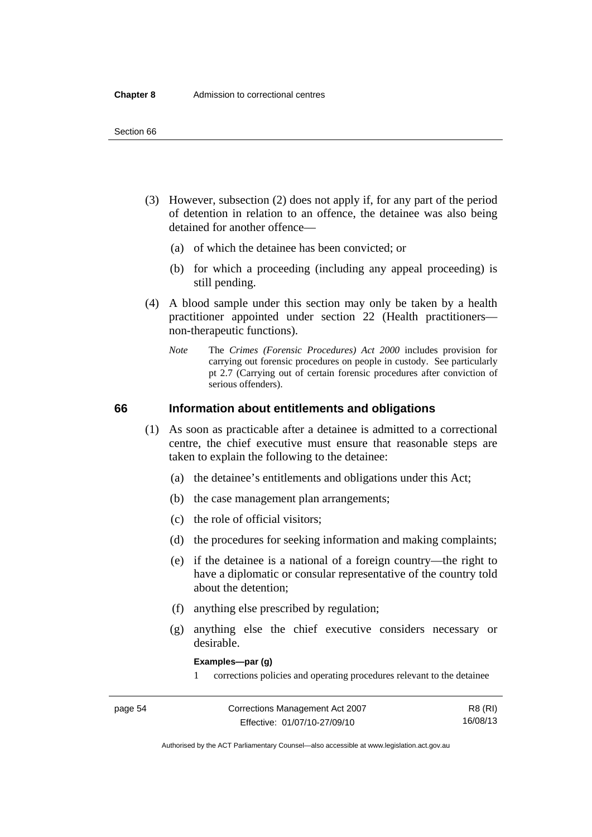- (3) However, subsection (2) does not apply if, for any part of the period of detention in relation to an offence, the detainee was also being detained for another offence—
	- (a) of which the detainee has been convicted; or
	- (b) for which a proceeding (including any appeal proceeding) is still pending.
- (4) A blood sample under this section may only be taken by a health practitioner appointed under section 22 (Health practitioners non-therapeutic functions).
	- *Note* The *Crimes (Forensic Procedures) Act 2000* includes provision for carrying out forensic procedures on people in custody. See particularly pt 2.7 (Carrying out of certain forensic procedures after conviction of serious offenders).

#### **66 Information about entitlements and obligations**

- (1) As soon as practicable after a detainee is admitted to a correctional centre, the chief executive must ensure that reasonable steps are taken to explain the following to the detainee:
	- (a) the detainee's entitlements and obligations under this Act;
	- (b) the case management plan arrangements;
	- (c) the role of official visitors;
	- (d) the procedures for seeking information and making complaints;
	- (e) if the detainee is a national of a foreign country—the right to have a diplomatic or consular representative of the country told about the detention;
	- (f) anything else prescribed by regulation;
	- (g) anything else the chief executive considers necessary or desirable.

**Examples—par (g)** 

1 corrections policies and operating procedures relevant to the detainee

| page 54 | Corrections Management Act 2007 | R8 (RI)  |
|---------|---------------------------------|----------|
|         | Effective: 01/07/10-27/09/10    | 16/08/13 |

Authorised by the ACT Parliamentary Counsel—also accessible at www.legislation.act.gov.au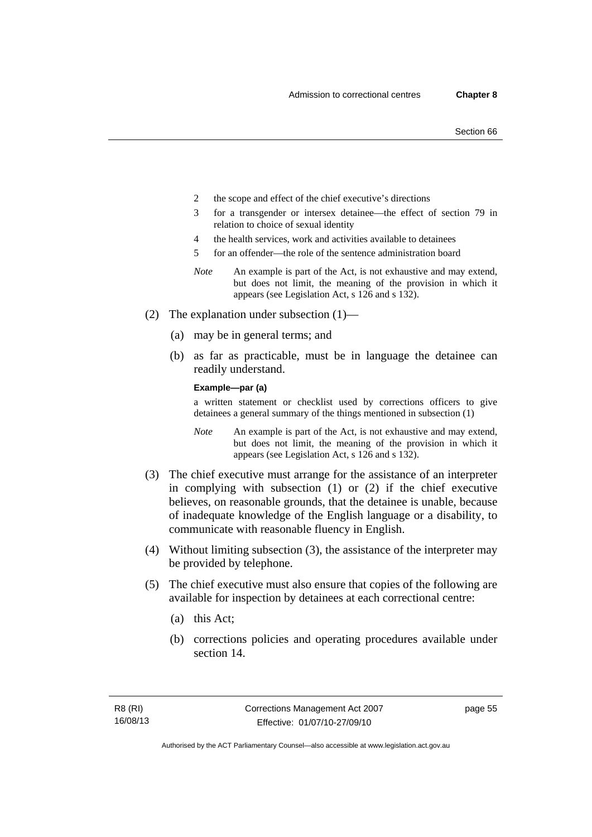- 2 the scope and effect of the chief executive's directions
- 3 for a transgender or intersex detainee—the effect of section 79 in relation to choice of sexual identity
- 4 the health services, work and activities available to detainees
- 5 for an offender—the role of the sentence administration board
- *Note* An example is part of the Act, is not exhaustive and may extend, but does not limit, the meaning of the provision in which it appears (see Legislation Act, s 126 and s 132).
- (2) The explanation under subsection (1)—
	- (a) may be in general terms; and
	- (b) as far as practicable, must be in language the detainee can readily understand.

**Example—par (a)** 

a written statement or checklist used by corrections officers to give detainees a general summary of the things mentioned in subsection (1)

- *Note* An example is part of the Act, is not exhaustive and may extend, but does not limit, the meaning of the provision in which it appears (see Legislation Act, s 126 and s 132).
- (3) The chief executive must arrange for the assistance of an interpreter in complying with subsection (1) or (2) if the chief executive believes, on reasonable grounds, that the detainee is unable, because of inadequate knowledge of the English language or a disability, to communicate with reasonable fluency in English.
- (4) Without limiting subsection (3), the assistance of the interpreter may be provided by telephone.
- (5) The chief executive must also ensure that copies of the following are available for inspection by detainees at each correctional centre:
	- (a) this Act;
	- (b) corrections policies and operating procedures available under section 14.

page 55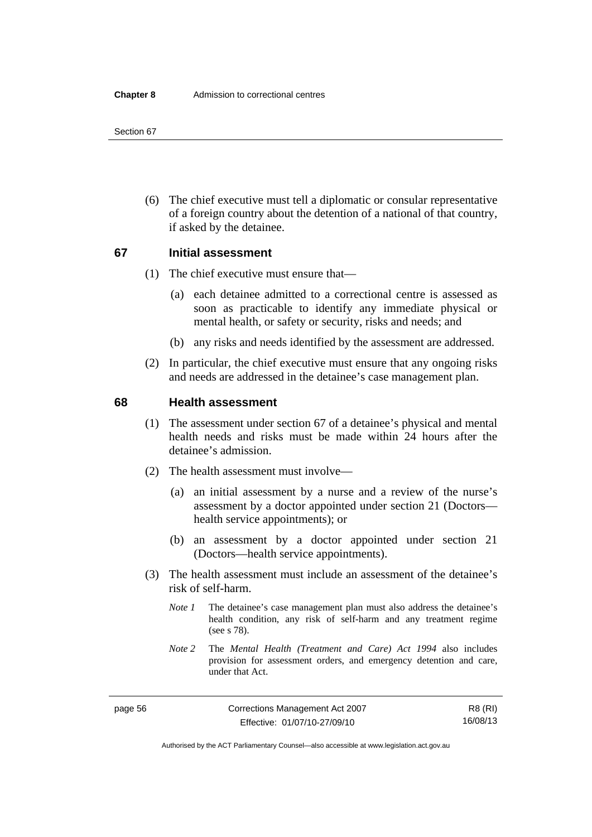(6) The chief executive must tell a diplomatic or consular representative of a foreign country about the detention of a national of that country, if asked by the detainee.

# **67 Initial assessment**

- (1) The chief executive must ensure that—
	- (a) each detainee admitted to a correctional centre is assessed as soon as practicable to identify any immediate physical or mental health, or safety or security, risks and needs; and
	- (b) any risks and needs identified by the assessment are addressed.
- (2) In particular, the chief executive must ensure that any ongoing risks and needs are addressed in the detainee's case management plan.

#### **68 Health assessment**

- (1) The assessment under section 67 of a detainee's physical and mental health needs and risks must be made within 24 hours after the detainee's admission.
- (2) The health assessment must involve—
	- (a) an initial assessment by a nurse and a review of the nurse's assessment by a doctor appointed under section 21 (Doctors health service appointments); or
	- (b) an assessment by a doctor appointed under section 21 (Doctors—health service appointments).
- (3) The health assessment must include an assessment of the detainee's risk of self-harm.
	- *Note 1* The detainee's case management plan must also address the detainee's health condition, any risk of self-harm and any treatment regime (see s 78).
	- *Note 2* The *Mental Health (Treatment and Care) Act 1994* also includes provision for assessment orders, and emergency detention and care, under that Act.

R8 (RI) 16/08/13

Authorised by the ACT Parliamentary Counsel—also accessible at www.legislation.act.gov.au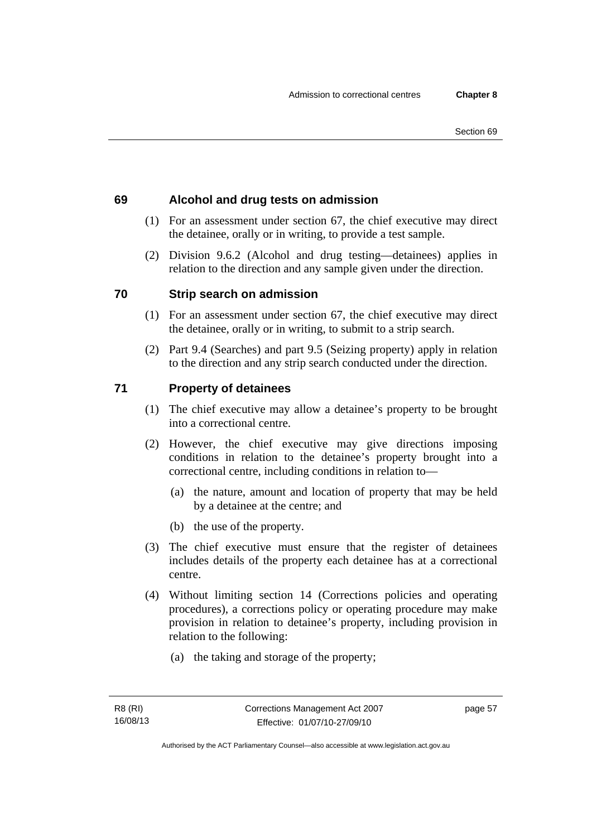# **69 Alcohol and drug tests on admission**

- (1) For an assessment under section 67, the chief executive may direct the detainee, orally or in writing, to provide a test sample.
- (2) Division 9.6.2 (Alcohol and drug testing—detainees) applies in relation to the direction and any sample given under the direction.

# **70 Strip search on admission**

- (1) For an assessment under section 67, the chief executive may direct the detainee, orally or in writing, to submit to a strip search.
- (2) Part 9.4 (Searches) and part 9.5 (Seizing property) apply in relation to the direction and any strip search conducted under the direction.

# **71 Property of detainees**

- (1) The chief executive may allow a detainee's property to be brought into a correctional centre.
- (2) However, the chief executive may give directions imposing conditions in relation to the detainee's property brought into a correctional centre, including conditions in relation to—
	- (a) the nature, amount and location of property that may be held by a detainee at the centre; and
	- (b) the use of the property.
- (3) The chief executive must ensure that the register of detainees includes details of the property each detainee has at a correctional centre.
- (4) Without limiting section 14 (Corrections policies and operating procedures), a corrections policy or operating procedure may make provision in relation to detainee's property, including provision in relation to the following:
	- (a) the taking and storage of the property;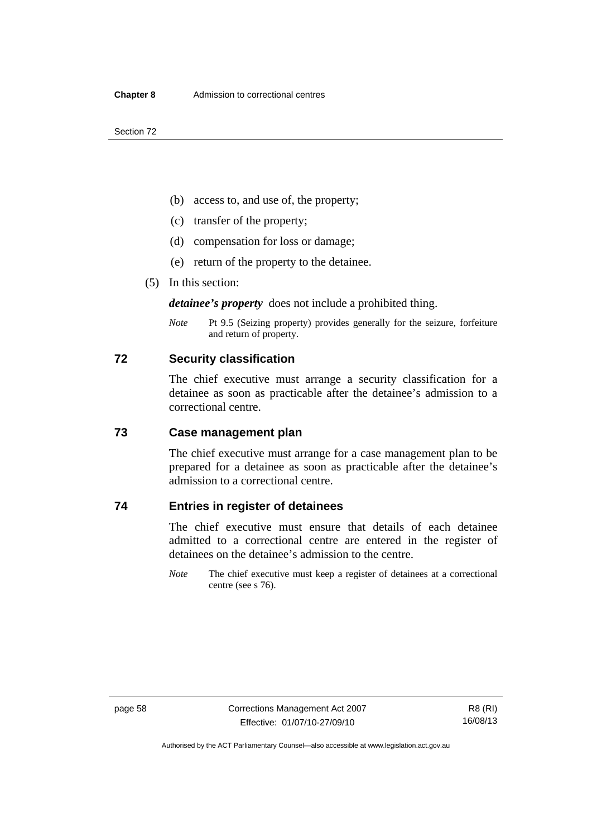- (b) access to, and use of, the property;
- (c) transfer of the property;
- (d) compensation for loss or damage;
- (e) return of the property to the detainee.
- (5) In this section:

*detainee's property* does not include a prohibited thing.

*Note* Pt 9.5 (Seizing property) provides generally for the seizure, forfeiture and return of property.

### **72 Security classification**

The chief executive must arrange a security classification for a detainee as soon as practicable after the detainee's admission to a correctional centre.

#### **73 Case management plan**

The chief executive must arrange for a case management plan to be prepared for a detainee as soon as practicable after the detainee's admission to a correctional centre.

# **74 Entries in register of detainees**

The chief executive must ensure that details of each detainee admitted to a correctional centre are entered in the register of detainees on the detainee's admission to the centre.

*Note* The chief executive must keep a register of detainees at a correctional centre (see s 76).

Authorised by the ACT Parliamentary Counsel—also accessible at www.legislation.act.gov.au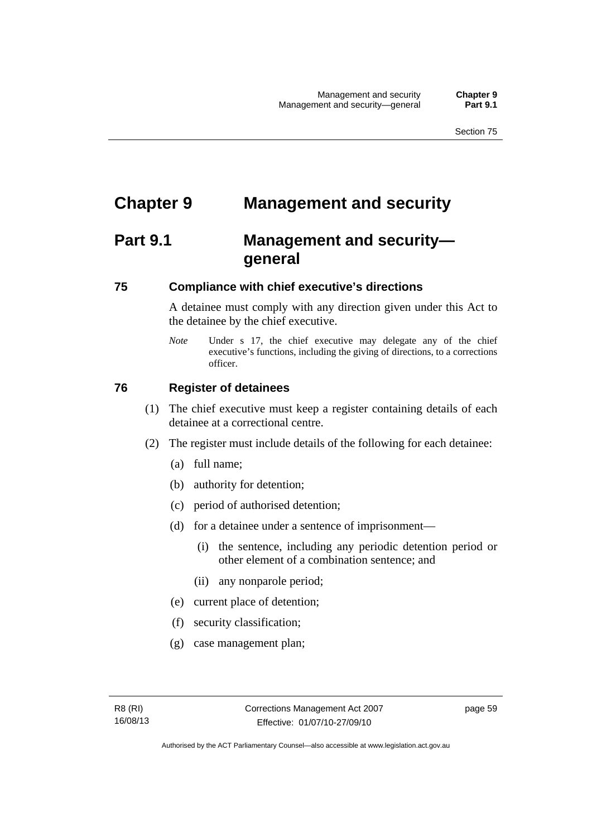# **Chapter 9 Management and security**

# **Part 9.1 Management and security general**

#### **75 Compliance with chief executive's directions**

A detainee must comply with any direction given under this Act to the detainee by the chief executive.

*Note* Under s 17, the chief executive may delegate any of the chief executive's functions, including the giving of directions, to a corrections officer.

#### **76 Register of detainees**

- (1) The chief executive must keep a register containing details of each detainee at a correctional centre.
- (2) The register must include details of the following for each detainee:
	- (a) full name;
	- (b) authority for detention;
	- (c) period of authorised detention;
	- (d) for a detainee under a sentence of imprisonment—
		- (i) the sentence, including any periodic detention period or other element of a combination sentence; and
		- (ii) any nonparole period;
	- (e) current place of detention;
	- (f) security classification;
	- (g) case management plan;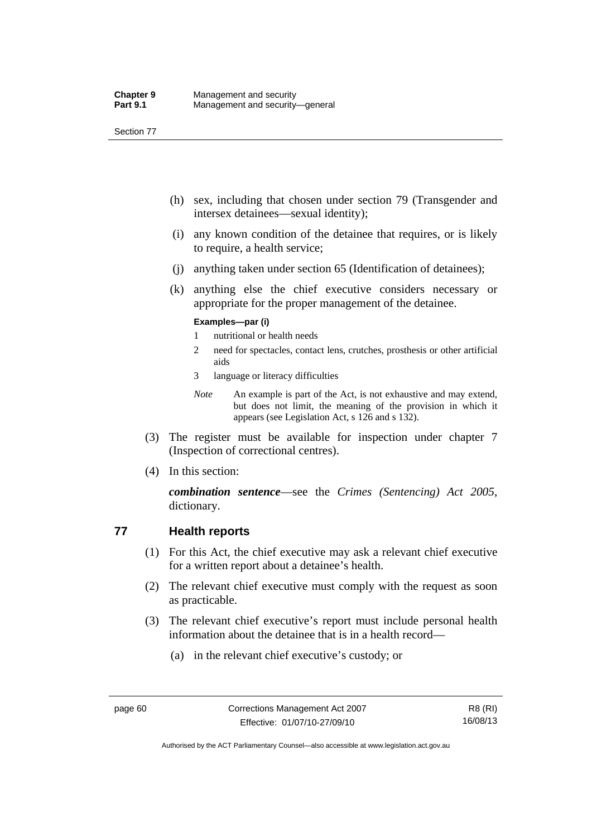- (h) sex, including that chosen under section 79 (Transgender and intersex detainees—sexual identity);
- (i) any known condition of the detainee that requires, or is likely to require, a health service;
- (j) anything taken under section 65 (Identification of detainees);
- (k) anything else the chief executive considers necessary or appropriate for the proper management of the detainee.

#### **Examples—par (i)**

- 1 nutritional or health needs
- 2 need for spectacles, contact lens, crutches, prosthesis or other artificial aids
- 3 language or literacy difficulties
- *Note* An example is part of the Act, is not exhaustive and may extend, but does not limit, the meaning of the provision in which it appears (see Legislation Act, s 126 and s 132).
- (3) The register must be available for inspection under chapter 7 (Inspection of correctional centres).
- (4) In this section:

*combination sentence*—see the *Crimes (Sentencing) Act 2005*, dictionary.

## **77 Health reports**

- (1) For this Act, the chief executive may ask a relevant chief executive for a written report about a detainee's health.
- (2) The relevant chief executive must comply with the request as soon as practicable.
- (3) The relevant chief executive's report must include personal health information about the detainee that is in a health record—
	- (a) in the relevant chief executive's custody; or

Authorised by the ACT Parliamentary Counsel—also accessible at www.legislation.act.gov.au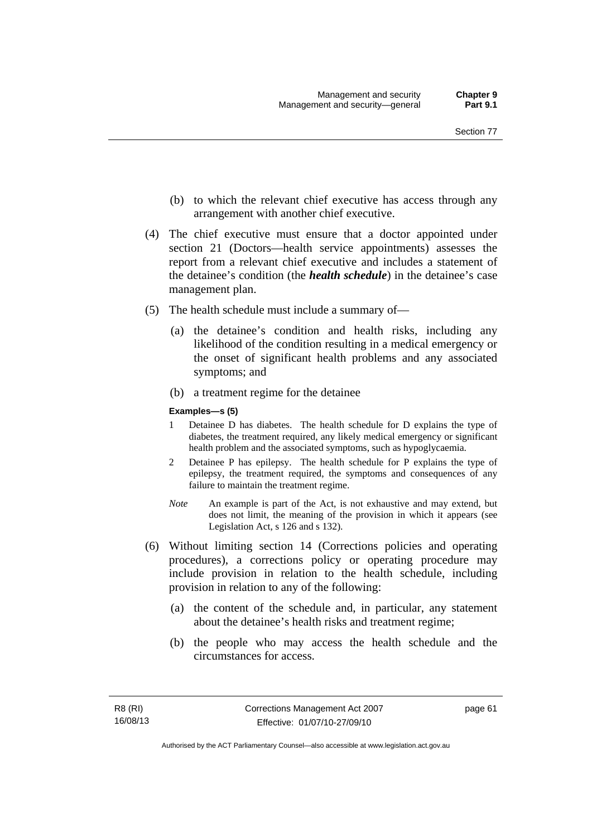- (b) to which the relevant chief executive has access through any arrangement with another chief executive.
- (4) The chief executive must ensure that a doctor appointed under section 21 (Doctors—health service appointments) assesses the report from a relevant chief executive and includes a statement of the detainee's condition (the *health schedule*) in the detainee's case management plan.
- (5) The health schedule must include a summary of—
	- (a) the detainee's condition and health risks, including any likelihood of the condition resulting in a medical emergency or the onset of significant health problems and any associated symptoms; and
	- (b) a treatment regime for the detainee

#### **Examples—s (5)**

- 1 Detainee D has diabetes. The health schedule for D explains the type of diabetes, the treatment required, any likely medical emergency or significant health problem and the associated symptoms, such as hypoglycaemia.
- 2 Detainee P has epilepsy. The health schedule for P explains the type of epilepsy, the treatment required, the symptoms and consequences of any failure to maintain the treatment regime.
- *Note* An example is part of the Act, is not exhaustive and may extend, but does not limit, the meaning of the provision in which it appears (see Legislation Act, s 126 and s 132).
- (6) Without limiting section 14 (Corrections policies and operating procedures), a corrections policy or operating procedure may include provision in relation to the health schedule, including provision in relation to any of the following:
	- (a) the content of the schedule and, in particular, any statement about the detainee's health risks and treatment regime;
	- (b) the people who may access the health schedule and the circumstances for access.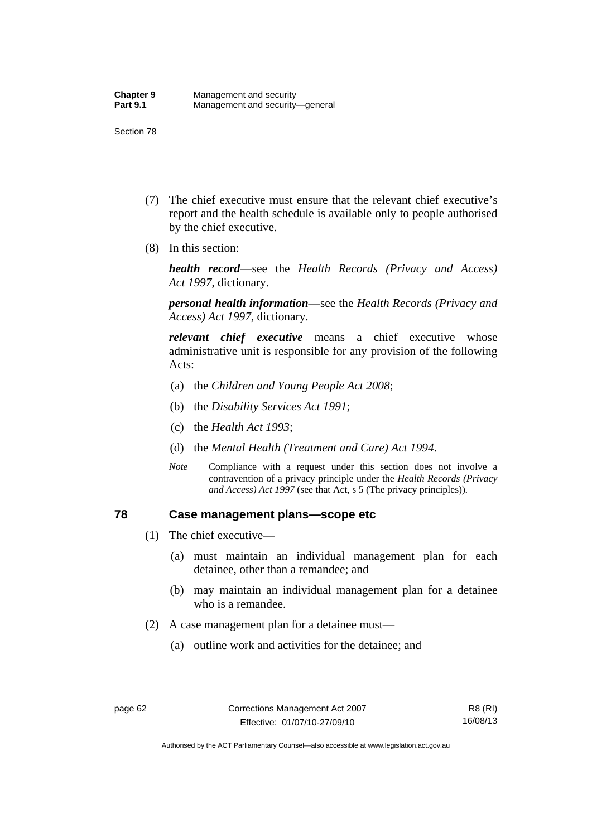- (7) The chief executive must ensure that the relevant chief executive's report and the health schedule is available only to people authorised by the chief executive.
- (8) In this section:

*health record*—see the *Health Records (Privacy and Access) Act 1997*, dictionary.

*personal health information*—see the *Health Records (Privacy and Access) Act 1997*, dictionary.

*relevant chief executive* means a chief executive whose administrative unit is responsible for any provision of the following Acts:

- (a) the *Children and Young People Act 2008*;
- (b) the *Disability Services Act 1991*;
- (c) the *Health Act 1993*;
- (d) the *Mental Health (Treatment and Care) Act 1994*.
- *Note* Compliance with a request under this section does not involve a contravention of a privacy principle under the *Health Records (Privacy and Access) Act 1997* (see that Act, s 5 (The privacy principles))*.*

#### **78 Case management plans—scope etc**

- (1) The chief executive—
	- (a) must maintain an individual management plan for each detainee, other than a remandee; and
	- (b) may maintain an individual management plan for a detainee who is a remandee.
- (2) A case management plan for a detainee must—
	- (a) outline work and activities for the detainee; and

Authorised by the ACT Parliamentary Counsel—also accessible at www.legislation.act.gov.au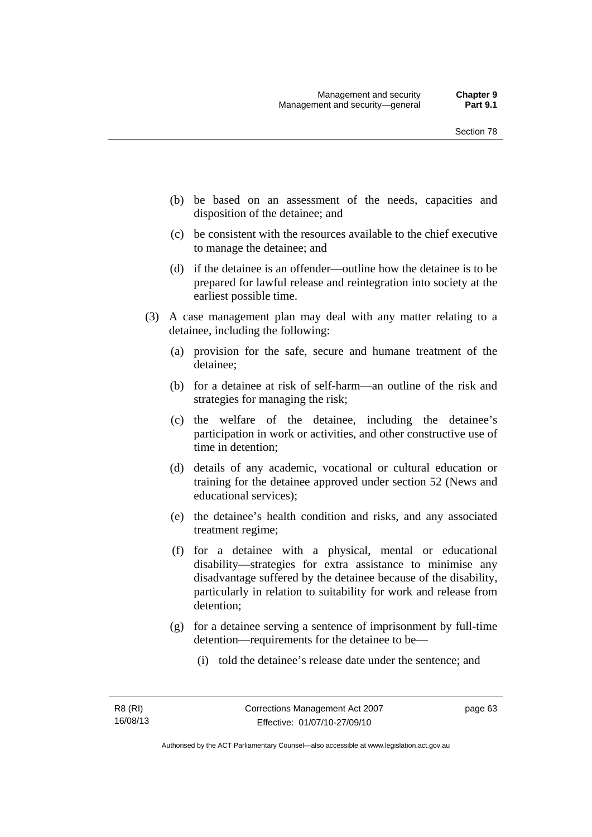- (b) be based on an assessment of the needs, capacities and disposition of the detainee; and
- (c) be consistent with the resources available to the chief executive to manage the detainee; and
- (d) if the detainee is an offender—outline how the detainee is to be prepared for lawful release and reintegration into society at the earliest possible time.
- (3) A case management plan may deal with any matter relating to a detainee, including the following:
	- (a) provision for the safe, secure and humane treatment of the detainee;
	- (b) for a detainee at risk of self-harm—an outline of the risk and strategies for managing the risk;
	- (c) the welfare of the detainee, including the detainee's participation in work or activities, and other constructive use of time in detention;
	- (d) details of any academic, vocational or cultural education or training for the detainee approved under section 52 (News and educational services);
	- (e) the detainee's health condition and risks, and any associated treatment regime;
	- (f) for a detainee with a physical, mental or educational disability—strategies for extra assistance to minimise any disadvantage suffered by the detainee because of the disability, particularly in relation to suitability for work and release from detention;
	- (g) for a detainee serving a sentence of imprisonment by full-time detention—requirements for the detainee to be—
		- (i) told the detainee's release date under the sentence; and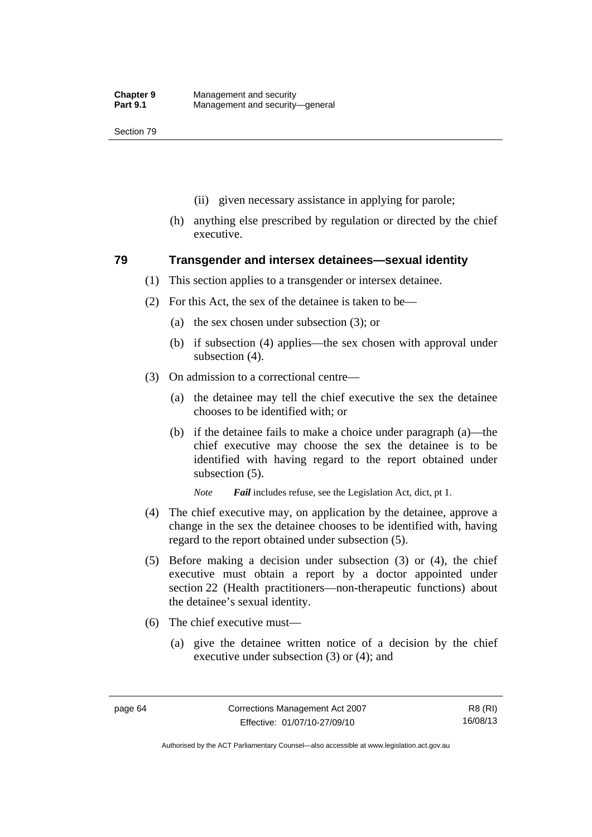- (ii) given necessary assistance in applying for parole;
- (h) anything else prescribed by regulation or directed by the chief executive.

#### **79 Transgender and intersex detainees—sexual identity**

- (1) This section applies to a transgender or intersex detainee.
- (2) For this Act, the sex of the detainee is taken to be—
	- (a) the sex chosen under subsection (3); or
	- (b) if subsection (4) applies—the sex chosen with approval under subsection (4).
- (3) On admission to a correctional centre—
	- (a) the detainee may tell the chief executive the sex the detainee chooses to be identified with; or
	- (b) if the detainee fails to make a choice under paragraph (a)—the chief executive may choose the sex the detainee is to be identified with having regard to the report obtained under subsection (5).

*Note Fail* includes refuse, see the Legislation Act, dict, pt 1.

- (4) The chief executive may, on application by the detainee, approve a change in the sex the detainee chooses to be identified with, having regard to the report obtained under subsection (5).
- (5) Before making a decision under subsection (3) or (4), the chief executive must obtain a report by a doctor appointed under section 22 (Health practitioners—non-therapeutic functions) about the detainee's sexual identity.
- (6) The chief executive must—
	- (a) give the detainee written notice of a decision by the chief executive under subsection (3) or (4); and

Authorised by the ACT Parliamentary Counsel—also accessible at www.legislation.act.gov.au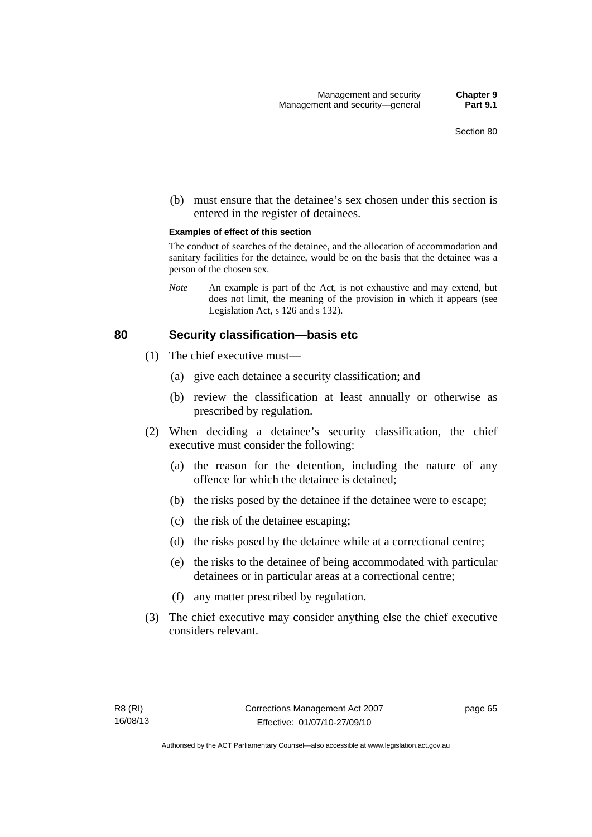(b) must ensure that the detainee's sex chosen under this section is entered in the register of detainees.

#### **Examples of effect of this section**

The conduct of searches of the detainee, and the allocation of accommodation and sanitary facilities for the detainee, would be on the basis that the detainee was a person of the chosen sex.

*Note* An example is part of the Act, is not exhaustive and may extend, but does not limit, the meaning of the provision in which it appears (see Legislation Act, s 126 and s 132).

#### **80 Security classification—basis etc**

- (1) The chief executive must—
	- (a) give each detainee a security classification; and
	- (b) review the classification at least annually or otherwise as prescribed by regulation.
- (2) When deciding a detainee's security classification, the chief executive must consider the following:
	- (a) the reason for the detention, including the nature of any offence for which the detainee is detained;
	- (b) the risks posed by the detainee if the detainee were to escape;
	- (c) the risk of the detainee escaping;
	- (d) the risks posed by the detainee while at a correctional centre;
	- (e) the risks to the detainee of being accommodated with particular detainees or in particular areas at a correctional centre;
	- (f) any matter prescribed by regulation.
- (3) The chief executive may consider anything else the chief executive considers relevant.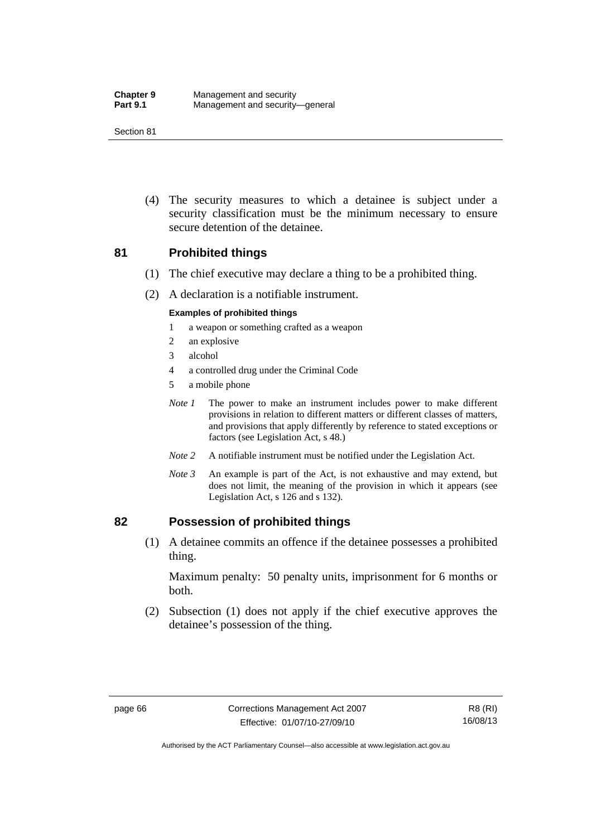(4) The security measures to which a detainee is subject under a security classification must be the minimum necessary to ensure secure detention of the detainee.

#### **81 Prohibited things**

- (1) The chief executive may declare a thing to be a prohibited thing.
- (2) A declaration is a notifiable instrument.

#### **Examples of prohibited things**

- 1 a weapon or something crafted as a weapon
- 2 an explosive
- 3 alcohol
- 4 a controlled drug under the Criminal Code
- 5 a mobile phone
- *Note 1* The power to make an instrument includes power to make different provisions in relation to different matters or different classes of matters, and provisions that apply differently by reference to stated exceptions or factors (see Legislation Act, s 48.)
- *Note 2* A notifiable instrument must be notified under the Legislation Act.
- *Note 3* An example is part of the Act, is not exhaustive and may extend, but does not limit, the meaning of the provision in which it appears (see Legislation Act, s 126 and s 132).

#### **82 Possession of prohibited things**

 (1) A detainee commits an offence if the detainee possesses a prohibited thing.

Maximum penalty: 50 penalty units, imprisonment for 6 months or both.

 (2) Subsection (1) does not apply if the chief executive approves the detainee's possession of the thing.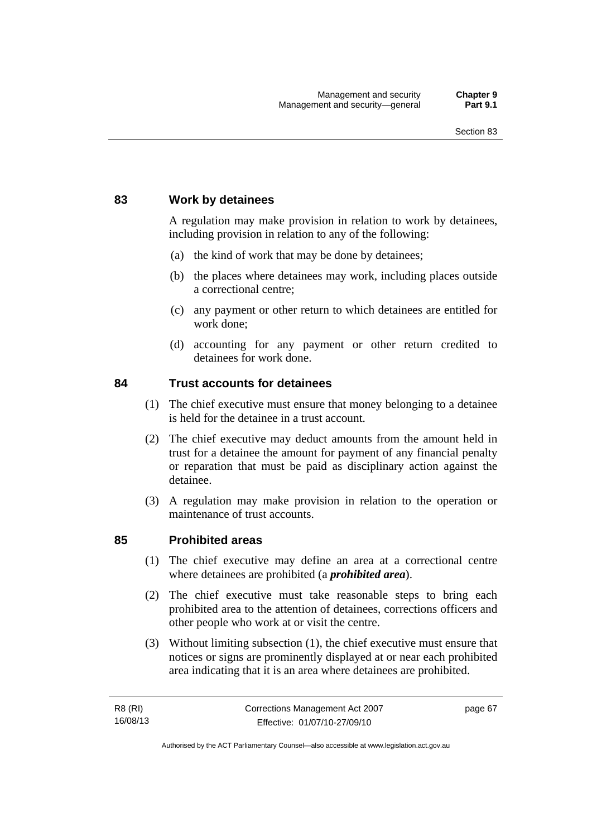## **83 Work by detainees**

A regulation may make provision in relation to work by detainees, including provision in relation to any of the following:

- (a) the kind of work that may be done by detainees;
- (b) the places where detainees may work, including places outside a correctional centre;
- (c) any payment or other return to which detainees are entitled for work done;
- (d) accounting for any payment or other return credited to detainees for work done.

#### **84 Trust accounts for detainees**

- (1) The chief executive must ensure that money belonging to a detainee is held for the detainee in a trust account.
- (2) The chief executive may deduct amounts from the amount held in trust for a detainee the amount for payment of any financial penalty or reparation that must be paid as disciplinary action against the detainee.
- (3) A regulation may make provision in relation to the operation or maintenance of trust accounts.

#### **85 Prohibited areas**

- (1) The chief executive may define an area at a correctional centre where detainees are prohibited (a *prohibited area*).
- (2) The chief executive must take reasonable steps to bring each prohibited area to the attention of detainees, corrections officers and other people who work at or visit the centre.
- (3) Without limiting subsection (1), the chief executive must ensure that notices or signs are prominently displayed at or near each prohibited area indicating that it is an area where detainees are prohibited.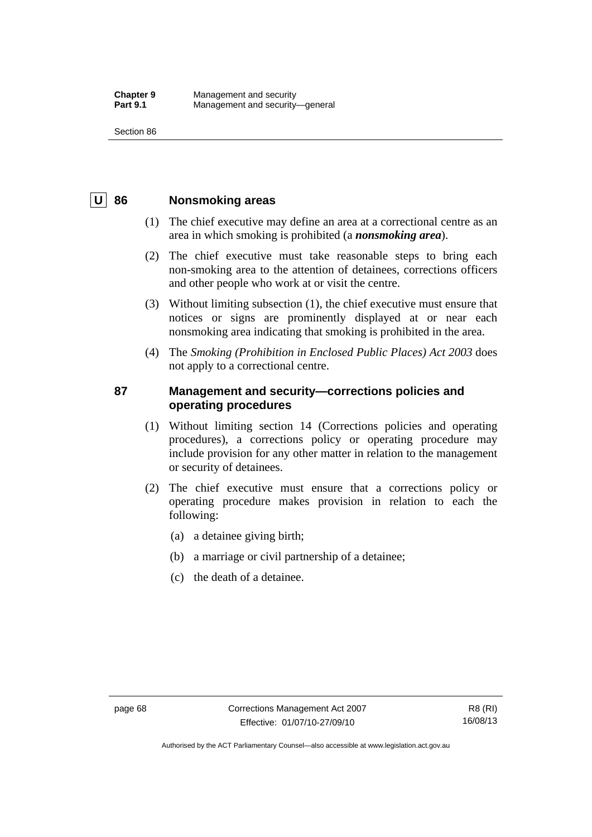## **U 86 Nonsmoking areas**

- (1) The chief executive may define an area at a correctional centre as an area in which smoking is prohibited (a *nonsmoking area*).
- (2) The chief executive must take reasonable steps to bring each non-smoking area to the attention of detainees, corrections officers and other people who work at or visit the centre.
- (3) Without limiting subsection (1), the chief executive must ensure that notices or signs are prominently displayed at or near each nonsmoking area indicating that smoking is prohibited in the area.
- (4) The *Smoking (Prohibition in Enclosed Public Places) Act 2003* does not apply to a correctional centre.

## **87 Management and security—corrections policies and operating procedures**

- (1) Without limiting section 14 (Corrections policies and operating procedures), a corrections policy or operating procedure may include provision for any other matter in relation to the management or security of detainees.
- (2) The chief executive must ensure that a corrections policy or operating procedure makes provision in relation to each the following:
	- (a) a detainee giving birth;
	- (b) a marriage or civil partnership of a detainee;
	- (c) the death of a detainee.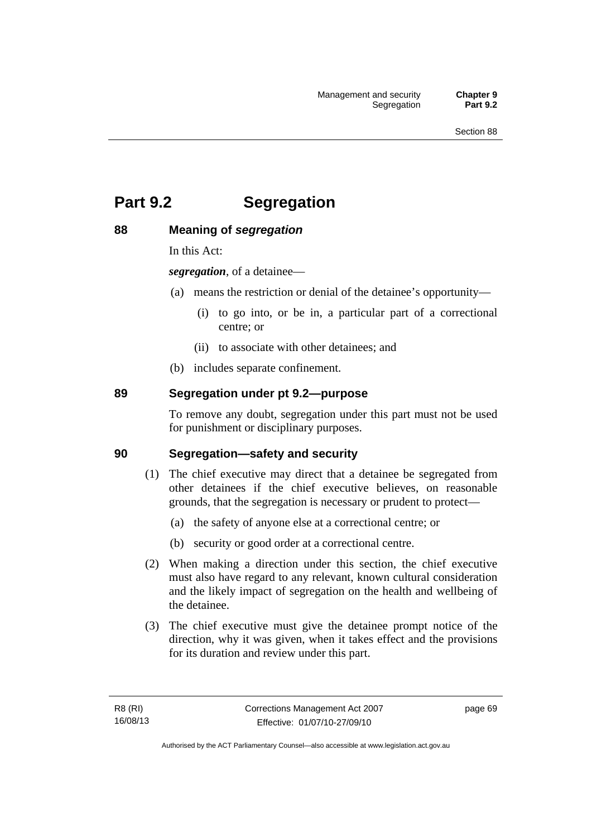# **Part 9.2 Segregation**

## **88 Meaning of** *segregation*

In this Act:

*segregation*, of a detainee—

- (a) means the restriction or denial of the detainee's opportunity—
	- (i) to go into, or be in, a particular part of a correctional centre; or
	- (ii) to associate with other detainees; and
- (b) includes separate confinement.

## **89 Segregation under pt 9.2—purpose**

To remove any doubt, segregation under this part must not be used for punishment or disciplinary purposes.

#### **90 Segregation—safety and security**

- (1) The chief executive may direct that a detainee be segregated from other detainees if the chief executive believes, on reasonable grounds, that the segregation is necessary or prudent to protect—
	- (a) the safety of anyone else at a correctional centre; or
	- (b) security or good order at a correctional centre.
- (2) When making a direction under this section, the chief executive must also have regard to any relevant, known cultural consideration and the likely impact of segregation on the health and wellbeing of the detainee.
- (3) The chief executive must give the detainee prompt notice of the direction, why it was given, when it takes effect and the provisions for its duration and review under this part.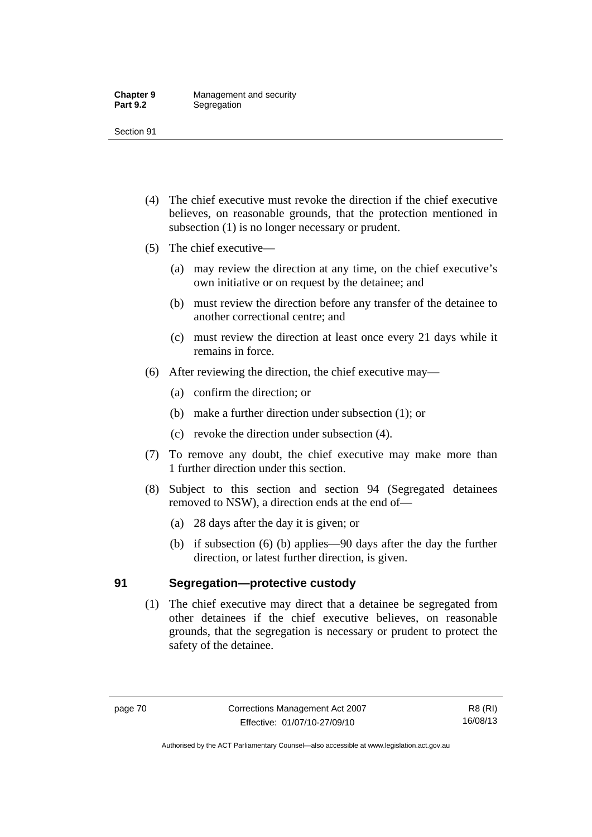- (4) The chief executive must revoke the direction if the chief executive believes, on reasonable grounds, that the protection mentioned in subsection (1) is no longer necessary or prudent.
- (5) The chief executive—
	- (a) may review the direction at any time, on the chief executive's own initiative or on request by the detainee; and
	- (b) must review the direction before any transfer of the detainee to another correctional centre; and
	- (c) must review the direction at least once every 21 days while it remains in force.
- (6) After reviewing the direction, the chief executive may—
	- (a) confirm the direction; or
	- (b) make a further direction under subsection (1); or
	- (c) revoke the direction under subsection (4).
- (7) To remove any doubt, the chief executive may make more than 1 further direction under this section.
- (8) Subject to this section and section 94 (Segregated detainees removed to NSW), a direction ends at the end of—
	- (a) 28 days after the day it is given; or
	- (b) if subsection (6) (b) applies—90 days after the day the further direction, or latest further direction, is given.

## **91 Segregation—protective custody**

 (1) The chief executive may direct that a detainee be segregated from other detainees if the chief executive believes, on reasonable grounds, that the segregation is necessary or prudent to protect the safety of the detainee.

Authorised by the ACT Parliamentary Counsel—also accessible at www.legislation.act.gov.au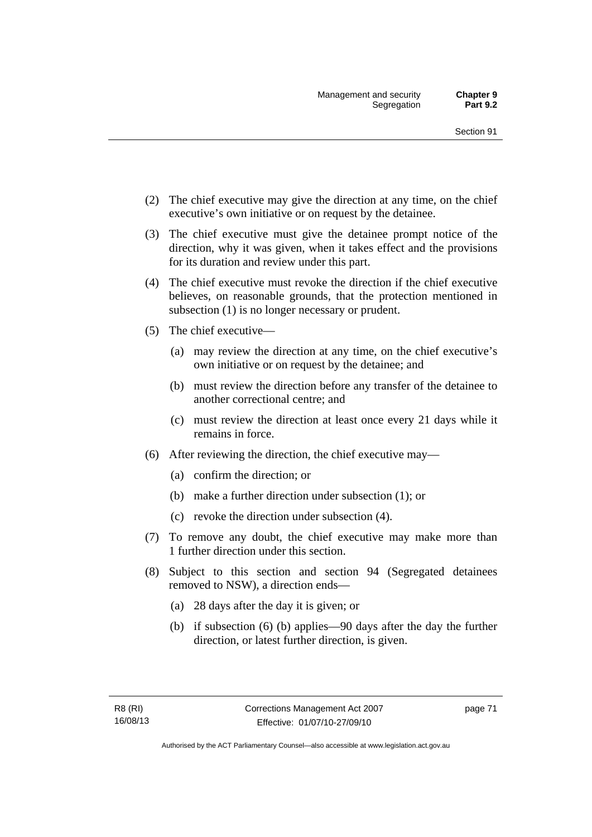- (2) The chief executive may give the direction at any time, on the chief executive's own initiative or on request by the detainee.
- (3) The chief executive must give the detainee prompt notice of the direction, why it was given, when it takes effect and the provisions for its duration and review under this part.
- (4) The chief executive must revoke the direction if the chief executive believes, on reasonable grounds, that the protection mentioned in subsection (1) is no longer necessary or prudent.
- (5) The chief executive—
	- (a) may review the direction at any time, on the chief executive's own initiative or on request by the detainee; and
	- (b) must review the direction before any transfer of the detainee to another correctional centre; and
	- (c) must review the direction at least once every 21 days while it remains in force.
- (6) After reviewing the direction, the chief executive may—
	- (a) confirm the direction; or
	- (b) make a further direction under subsection (1); or
	- (c) revoke the direction under subsection (4).
- (7) To remove any doubt, the chief executive may make more than 1 further direction under this section.
- (8) Subject to this section and section 94 (Segregated detainees removed to NSW), a direction ends—
	- (a) 28 days after the day it is given; or
	- (b) if subsection (6) (b) applies—90 days after the day the further direction, or latest further direction, is given.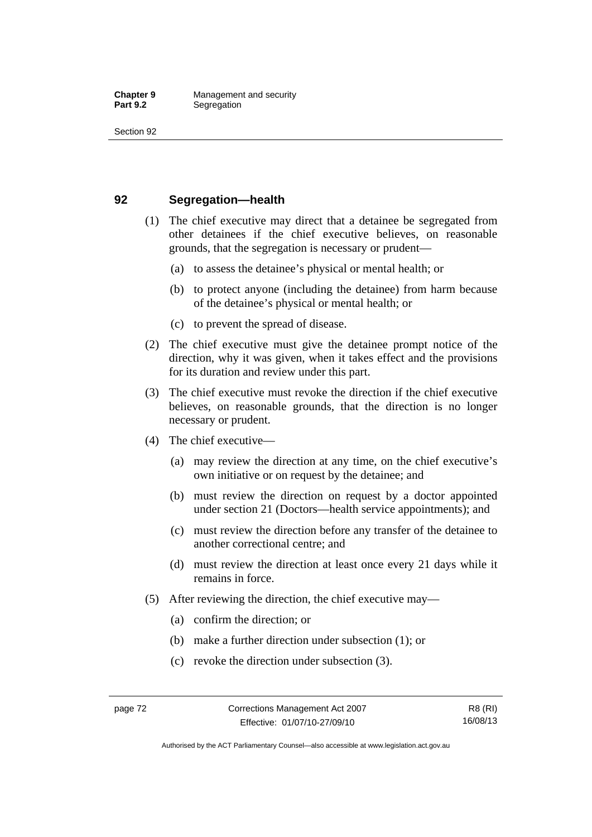## **92 Segregation—health**

- (1) The chief executive may direct that a detainee be segregated from other detainees if the chief executive believes, on reasonable grounds, that the segregation is necessary or prudent—
	- (a) to assess the detainee's physical or mental health; or
	- (b) to protect anyone (including the detainee) from harm because of the detainee's physical or mental health; or
	- (c) to prevent the spread of disease.
- (2) The chief executive must give the detainee prompt notice of the direction, why it was given, when it takes effect and the provisions for its duration and review under this part.
- (3) The chief executive must revoke the direction if the chief executive believes, on reasonable grounds, that the direction is no longer necessary or prudent.
- (4) The chief executive—
	- (a) may review the direction at any time, on the chief executive's own initiative or on request by the detainee; and
	- (b) must review the direction on request by a doctor appointed under section 21 (Doctors—health service appointments); and
	- (c) must review the direction before any transfer of the detainee to another correctional centre; and
	- (d) must review the direction at least once every 21 days while it remains in force.
- (5) After reviewing the direction, the chief executive may—
	- (a) confirm the direction; or
	- (b) make a further direction under subsection (1); or
	- (c) revoke the direction under subsection (3).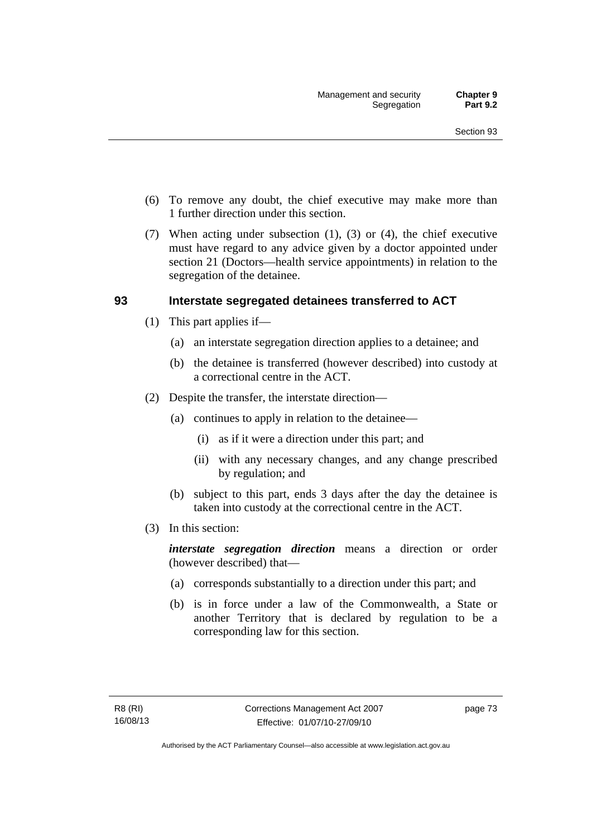- (6) To remove any doubt, the chief executive may make more than 1 further direction under this section.
- (7) When acting under subsection (1), (3) or (4), the chief executive must have regard to any advice given by a doctor appointed under section 21 (Doctors—health service appointments) in relation to the segregation of the detainee.

## **93 Interstate segregated detainees transferred to ACT**

- (1) This part applies if—
	- (a) an interstate segregation direction applies to a detainee; and
	- (b) the detainee is transferred (however described) into custody at a correctional centre in the ACT.
- (2) Despite the transfer, the interstate direction—
	- (a) continues to apply in relation to the detainee—
		- (i) as if it were a direction under this part; and
		- (ii) with any necessary changes, and any change prescribed by regulation; and
	- (b) subject to this part, ends 3 days after the day the detainee is taken into custody at the correctional centre in the ACT.
- (3) In this section:

*interstate segregation direction* means a direction or order (however described) that—

- (a) corresponds substantially to a direction under this part; and
- (b) is in force under a law of the Commonwealth, a State or another Territory that is declared by regulation to be a corresponding law for this section.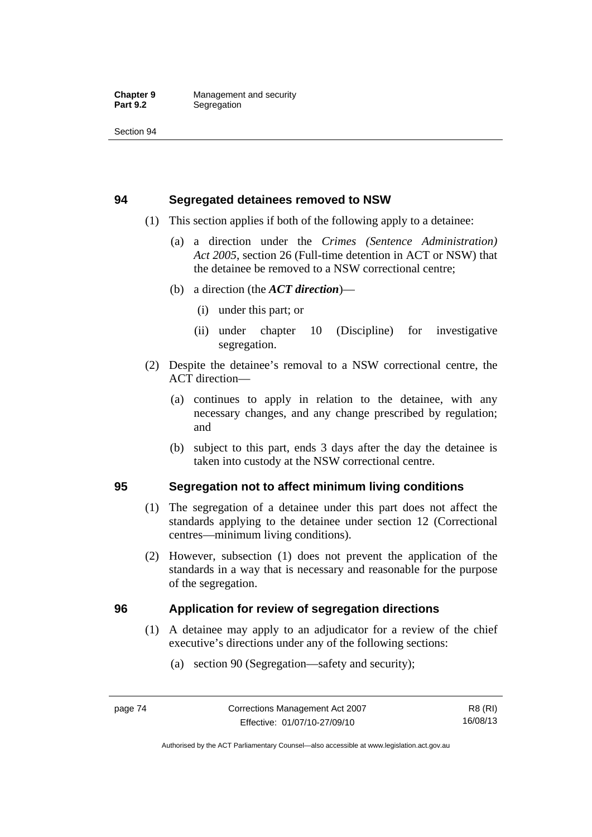## **94 Segregated detainees removed to NSW**

- (1) This section applies if both of the following apply to a detainee:
	- (a) a direction under the *Crimes (Sentence Administration) Act 2005*, section 26 (Full-time detention in ACT or NSW) that the detainee be removed to a NSW correctional centre;
	- (b) a direction (the *ACT direction*)—
		- (i) under this part; or
		- (ii) under chapter 10 (Discipline) for investigative segregation.
- (2) Despite the detainee's removal to a NSW correctional centre, the ACT direction—
	- (a) continues to apply in relation to the detainee, with any necessary changes, and any change prescribed by regulation; and
	- (b) subject to this part, ends 3 days after the day the detainee is taken into custody at the NSW correctional centre.

## **95 Segregation not to affect minimum living conditions**

- (1) The segregation of a detainee under this part does not affect the standards applying to the detainee under section 12 (Correctional centres—minimum living conditions).
- (2) However, subsection (1) does not prevent the application of the standards in a way that is necessary and reasonable for the purpose of the segregation.

## **96 Application for review of segregation directions**

- (1) A detainee may apply to an adjudicator for a review of the chief executive's directions under any of the following sections:
	- (a) section 90 (Segregation—safety and security);

Authorised by the ACT Parliamentary Counsel—also accessible at www.legislation.act.gov.au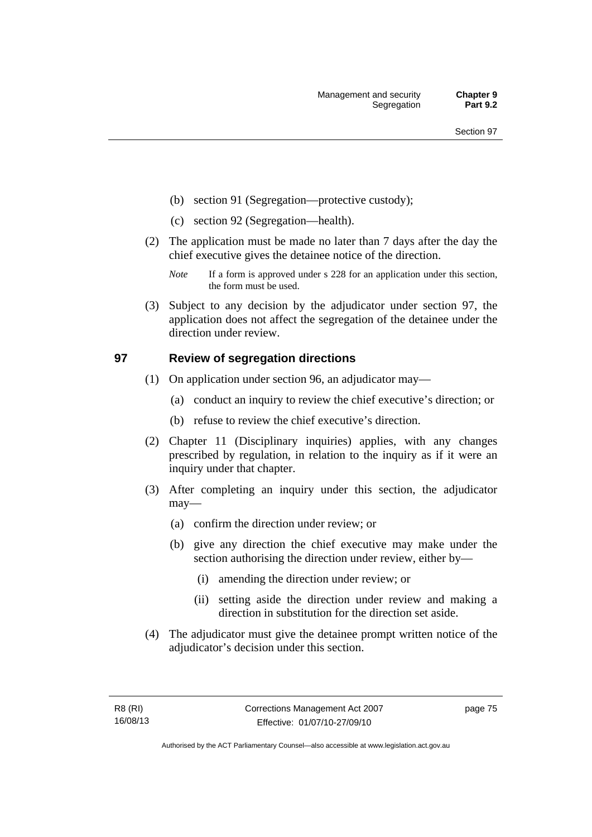- (b) section 91 (Segregation—protective custody);
- (c) section 92 (Segregation—health).
- (2) The application must be made no later than 7 days after the day the chief executive gives the detainee notice of the direction.
	- *Note* If a form is approved under s 228 for an application under this section, the form must be used.
- (3) Subject to any decision by the adjudicator under section 97, the application does not affect the segregation of the detainee under the direction under review.

## **97 Review of segregation directions**

- (1) On application under section 96, an adjudicator may—
	- (a) conduct an inquiry to review the chief executive's direction; or
	- (b) refuse to review the chief executive's direction.
- (2) Chapter 11 (Disciplinary inquiries) applies, with any changes prescribed by regulation, in relation to the inquiry as if it were an inquiry under that chapter.
- (3) After completing an inquiry under this section, the adjudicator may—
	- (a) confirm the direction under review; or
	- (b) give any direction the chief executive may make under the section authorising the direction under review, either by—
		- (i) amending the direction under review; or
		- (ii) setting aside the direction under review and making a direction in substitution for the direction set aside.
- (4) The adjudicator must give the detainee prompt written notice of the adjudicator's decision under this section.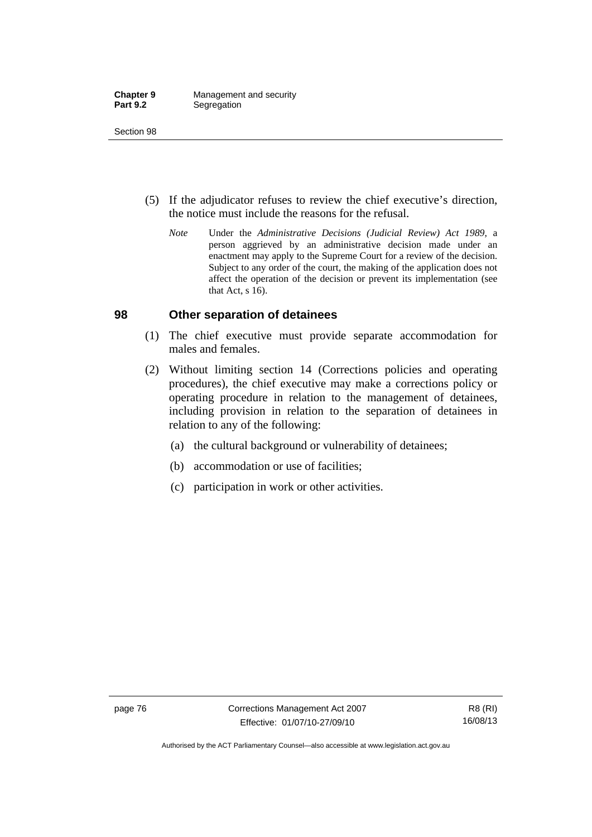- (5) If the adjudicator refuses to review the chief executive's direction, the notice must include the reasons for the refusal.
	- *Note* Under the *Administrative Decisions (Judicial Review) Act 1989*, a person aggrieved by an administrative decision made under an enactment may apply to the Supreme Court for a review of the decision. Subject to any order of the court, the making of the application does not affect the operation of the decision or prevent its implementation (see that Act, s 16).

#### **98 Other separation of detainees**

- (1) The chief executive must provide separate accommodation for males and females.
- (2) Without limiting section 14 (Corrections policies and operating procedures), the chief executive may make a corrections policy or operating procedure in relation to the management of detainees, including provision in relation to the separation of detainees in relation to any of the following:
	- (a) the cultural background or vulnerability of detainees;
	- (b) accommodation or use of facilities;
	- (c) participation in work or other activities.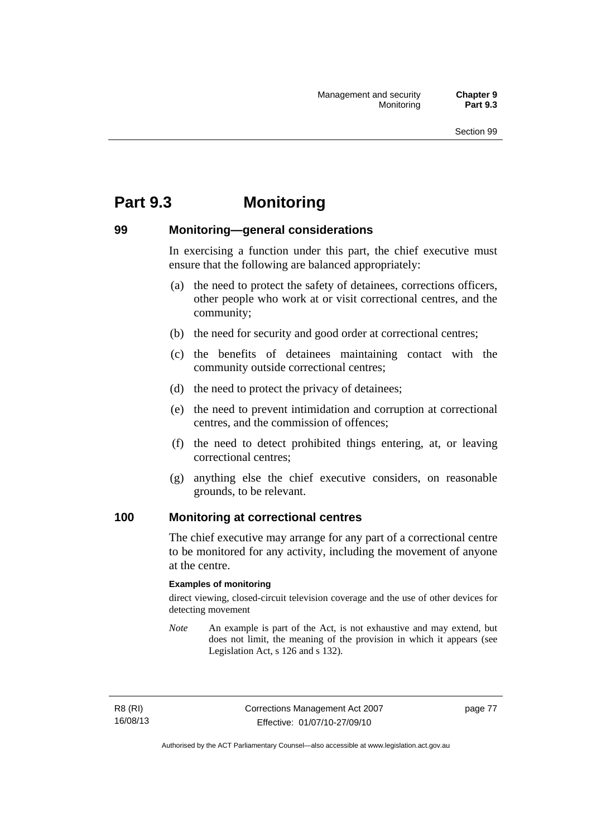# **Part 9.3 Monitoring**

## **99 Monitoring—general considerations**

In exercising a function under this part, the chief executive must ensure that the following are balanced appropriately:

- (a) the need to protect the safety of detainees, corrections officers, other people who work at or visit correctional centres, and the community;
- (b) the need for security and good order at correctional centres;
- (c) the benefits of detainees maintaining contact with the community outside correctional centres;
- (d) the need to protect the privacy of detainees;
- (e) the need to prevent intimidation and corruption at correctional centres, and the commission of offences;
- (f) the need to detect prohibited things entering, at, or leaving correctional centres;
- (g) anything else the chief executive considers, on reasonable grounds, to be relevant.

#### **100 Monitoring at correctional centres**

The chief executive may arrange for any part of a correctional centre to be monitored for any activity, including the movement of anyone at the centre.

#### **Examples of monitoring**

direct viewing, closed-circuit television coverage and the use of other devices for detecting movement

*Note* An example is part of the Act, is not exhaustive and may extend, but does not limit, the meaning of the provision in which it appears (see Legislation Act, s 126 and s 132).

R8 (RI) 16/08/13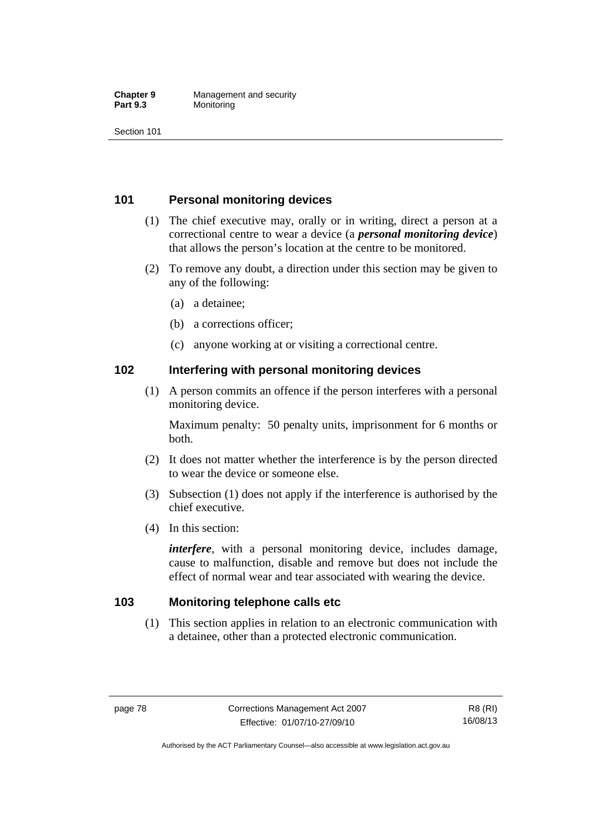#### **Chapter 9 Management and security**<br>**Part 9.3 Monitoring Monitoring**

Section 101

## **101 Personal monitoring devices**

- (1) The chief executive may, orally or in writing, direct a person at a correctional centre to wear a device (a *personal monitoring device*) that allows the person's location at the centre to be monitored.
- (2) To remove any doubt, a direction under this section may be given to any of the following:
	- (a) a detainee;
	- (b) a corrections officer;
	- (c) anyone working at or visiting a correctional centre.

#### **102 Interfering with personal monitoring devices**

 (1) A person commits an offence if the person interferes with a personal monitoring device.

Maximum penalty: 50 penalty units, imprisonment for 6 months or both.

- (2) It does not matter whether the interference is by the person directed to wear the device or someone else.
- (3) Subsection (1) does not apply if the interference is authorised by the chief executive.
- (4) In this section:

*interfere*, with a personal monitoring device, includes damage, cause to malfunction, disable and remove but does not include the effect of normal wear and tear associated with wearing the device.

#### **103 Monitoring telephone calls etc**

 (1) This section applies in relation to an electronic communication with a detainee, other than a protected electronic communication.

Authorised by the ACT Parliamentary Counsel—also accessible at www.legislation.act.gov.au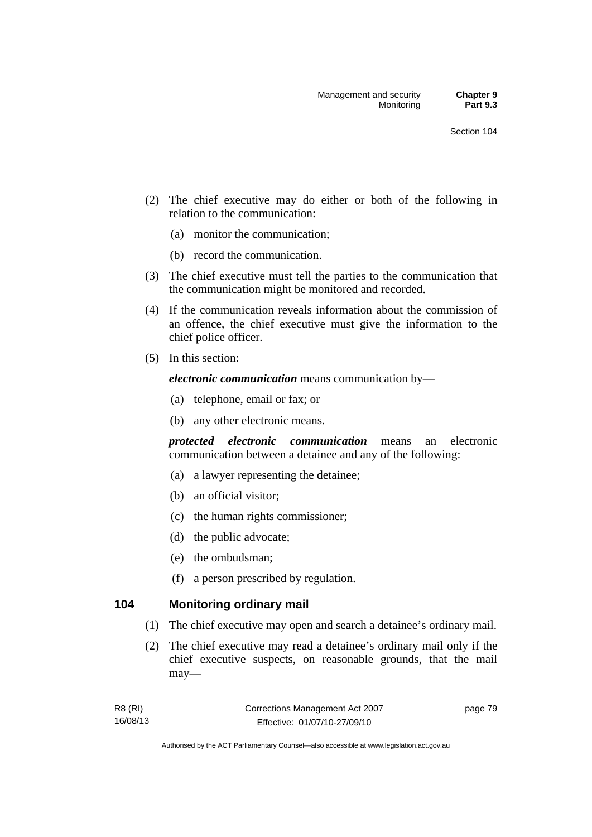- (2) The chief executive may do either or both of the following in relation to the communication:
	- (a) monitor the communication;
	- (b) record the communication.
- (3) The chief executive must tell the parties to the communication that the communication might be monitored and recorded.
- (4) If the communication reveals information about the commission of an offence, the chief executive must give the information to the chief police officer.
- (5) In this section:

*electronic communication* means communication by—

- (a) telephone, email or fax; or
- (b) any other electronic means.

*protected electronic communication* means an electronic communication between a detainee and any of the following:

- (a) a lawyer representing the detainee;
- (b) an official visitor;
- (c) the human rights commissioner;
- (d) the public advocate;
- (e) the ombudsman;
- (f) a person prescribed by regulation.

## **104 Monitoring ordinary mail**

- (1) The chief executive may open and search a detainee's ordinary mail.
- (2) The chief executive may read a detainee's ordinary mail only if the chief executive suspects, on reasonable grounds, that the mail may—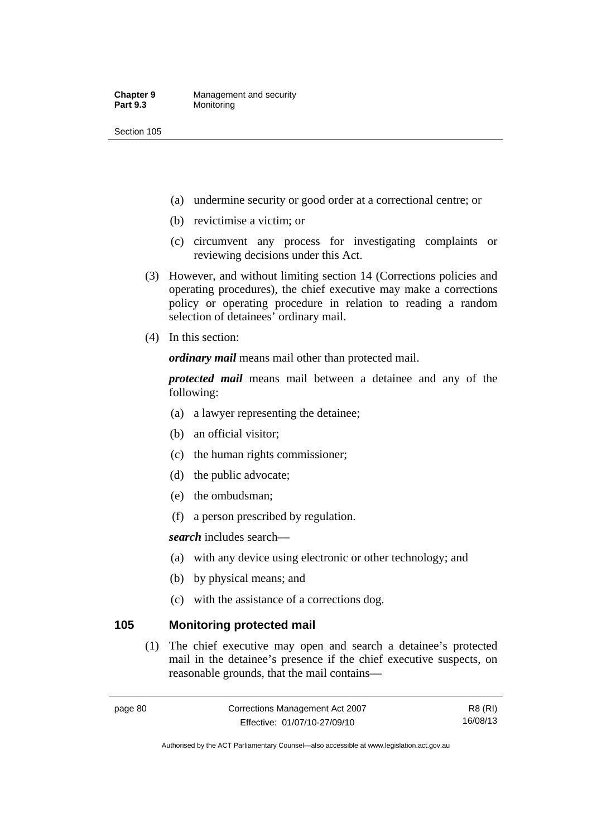- (a) undermine security or good order at a correctional centre; or
- (b) revictimise a victim; or
- (c) circumvent any process for investigating complaints or reviewing decisions under this Act.
- (3) However, and without limiting section 14 (Corrections policies and operating procedures), the chief executive may make a corrections policy or operating procedure in relation to reading a random selection of detainees' ordinary mail.
- (4) In this section:

*ordinary mail* means mail other than protected mail.

*protected mail* means mail between a detainee and any of the following:

- (a) a lawyer representing the detainee;
- (b) an official visitor;
- (c) the human rights commissioner;
- (d) the public advocate;
- (e) the ombudsman;
- (f) a person prescribed by regulation.

*search* includes search—

- (a) with any device using electronic or other technology; and
- (b) by physical means; and
- (c) with the assistance of a corrections dog.

#### **105 Monitoring protected mail**

 (1) The chief executive may open and search a detainee's protected mail in the detainee's presence if the chief executive suspects, on reasonable grounds, that the mail contains—

Authorised by the ACT Parliamentary Counsel—also accessible at www.legislation.act.gov.au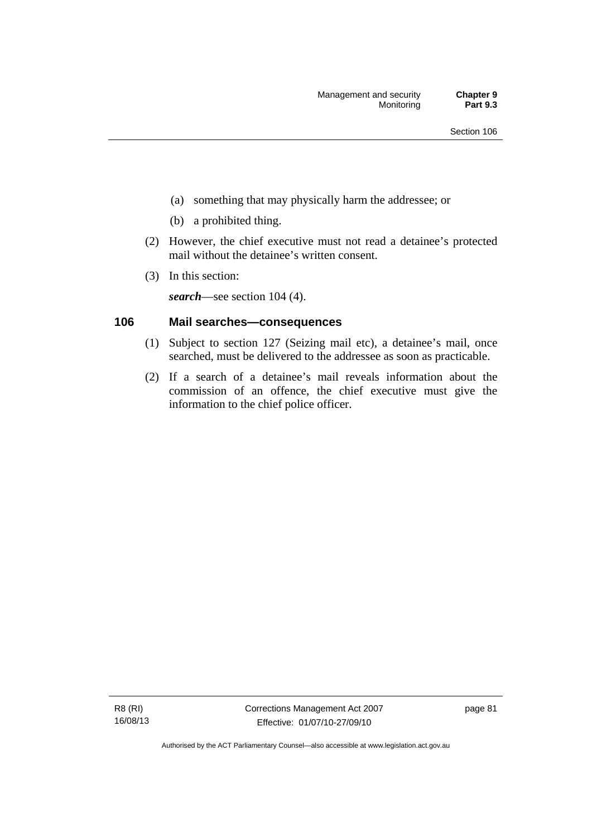- (a) something that may physically harm the addressee; or
- (b) a prohibited thing.
- (2) However, the chief executive must not read a detainee's protected mail without the detainee's written consent.
- (3) In this section:

*search*—see section 104 (4).

## **106 Mail searches—consequences**

- (1) Subject to section 127 (Seizing mail etc), a detainee's mail, once searched, must be delivered to the addressee as soon as practicable.
- (2) If a search of a detainee's mail reveals information about the commission of an offence, the chief executive must give the information to the chief police officer.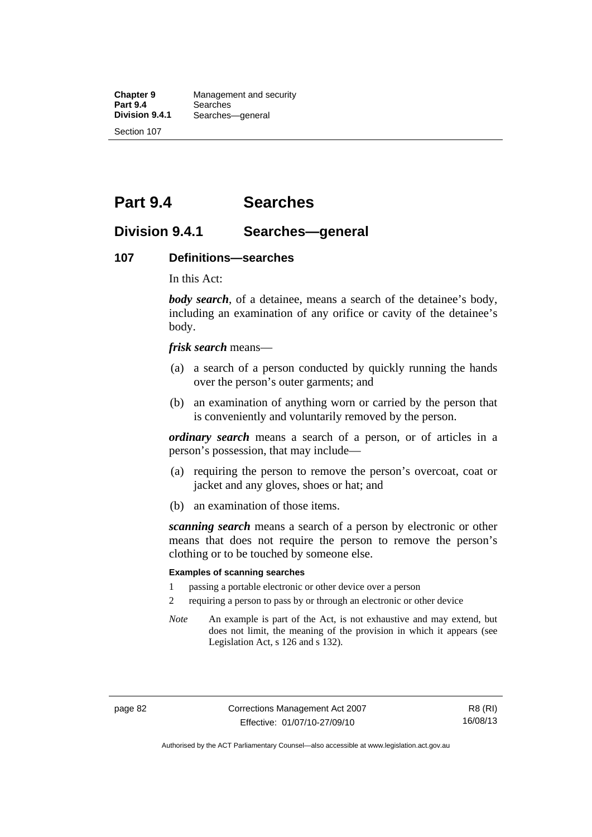**Chapter 9 Management and security**<br>**Part 9.4 Searches Part 9.4 Searches**<br>**Division 9.4.1 Searches Division 9.4.1** Searches—general Section 107

**Part 9.4 Searches** 

## **Division 9.4.1 Searches—general**

#### **107 Definitions—searches**

In this Act:

*body search*, of a detainee, means a search of the detainee's body, including an examination of any orifice or cavity of the detainee's body.

*frisk search* means—

- (a) a search of a person conducted by quickly running the hands over the person's outer garments; and
- (b) an examination of anything worn or carried by the person that is conveniently and voluntarily removed by the person.

*ordinary search* means a search of a person, or of articles in a person's possession, that may include—

- (a) requiring the person to remove the person's overcoat, coat or jacket and any gloves, shoes or hat; and
- (b) an examination of those items.

*scanning search* means a search of a person by electronic or other means that does not require the person to remove the person's clothing or to be touched by someone else.

#### **Examples of scanning searches**

- 1 passing a portable electronic or other device over a person
- 2 requiring a person to pass by or through an electronic or other device
- *Note* An example is part of the Act, is not exhaustive and may extend, but does not limit, the meaning of the provision in which it appears (see Legislation Act, s 126 and s 132).

page 82 Corrections Management Act 2007 Effective: 01/07/10-27/09/10

R8 (RI) 16/08/13

Authorised by the ACT Parliamentary Counsel—also accessible at www.legislation.act.gov.au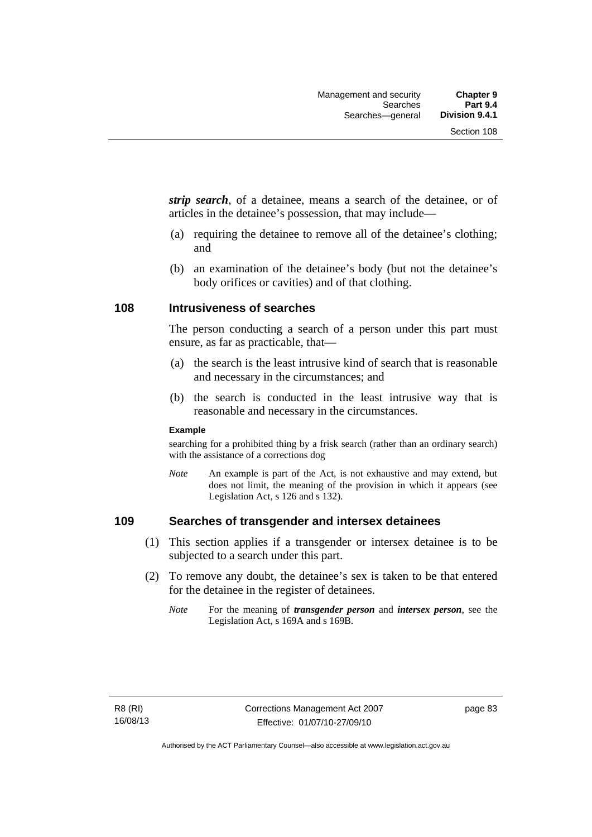*strip search*, of a detainee, means a search of the detainee, or of articles in the detainee's possession, that may include—

- (a) requiring the detainee to remove all of the detainee's clothing; and
- (b) an examination of the detainee's body (but not the detainee's body orifices or cavities) and of that clothing.

#### **108 Intrusiveness of searches**

The person conducting a search of a person under this part must ensure, as far as practicable, that—

- (a) the search is the least intrusive kind of search that is reasonable and necessary in the circumstances; and
- (b) the search is conducted in the least intrusive way that is reasonable and necessary in the circumstances.

#### **Example**

searching for a prohibited thing by a frisk search (rather than an ordinary search) with the assistance of a corrections dog

*Note* An example is part of the Act, is not exhaustive and may extend, but does not limit, the meaning of the provision in which it appears (see Legislation Act, s 126 and s 132).

## **109 Searches of transgender and intersex detainees**

- (1) This section applies if a transgender or intersex detainee is to be subjected to a search under this part.
- (2) To remove any doubt, the detainee's sex is taken to be that entered for the detainee in the register of detainees.
	- *Note* For the meaning of *transgender person* and *intersex person*, see the Legislation Act, s 169A and s 169B.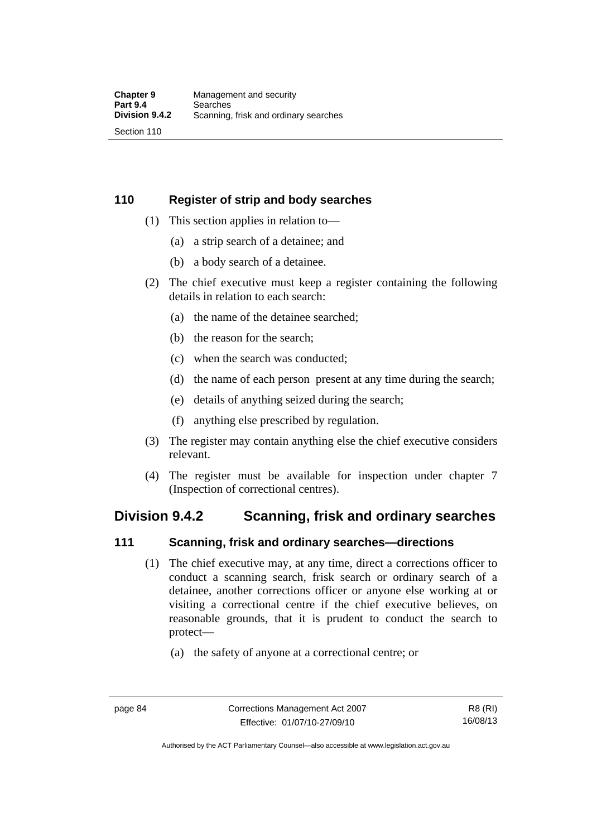## **110 Register of strip and body searches**

- (1) This section applies in relation to—
	- (a) a strip search of a detainee; and
	- (b) a body search of a detainee.
- (2) The chief executive must keep a register containing the following details in relation to each search:
	- (a) the name of the detainee searched;
	- (b) the reason for the search;
	- (c) when the search was conducted;
	- (d) the name of each person present at any time during the search;
	- (e) details of anything seized during the search;
	- (f) anything else prescribed by regulation.
- (3) The register may contain anything else the chief executive considers relevant.
- (4) The register must be available for inspection under chapter 7 (Inspection of correctional centres).

## **Division 9.4.2 Scanning, frisk and ordinary searches**

#### **111 Scanning, frisk and ordinary searches—directions**

- (1) The chief executive may, at any time, direct a corrections officer to conduct a scanning search, frisk search or ordinary search of a detainee, another corrections officer or anyone else working at or visiting a correctional centre if the chief executive believes, on reasonable grounds, that it is prudent to conduct the search to protect—
	- (a) the safety of anyone at a correctional centre; or

Authorised by the ACT Parliamentary Counsel—also accessible at www.legislation.act.gov.au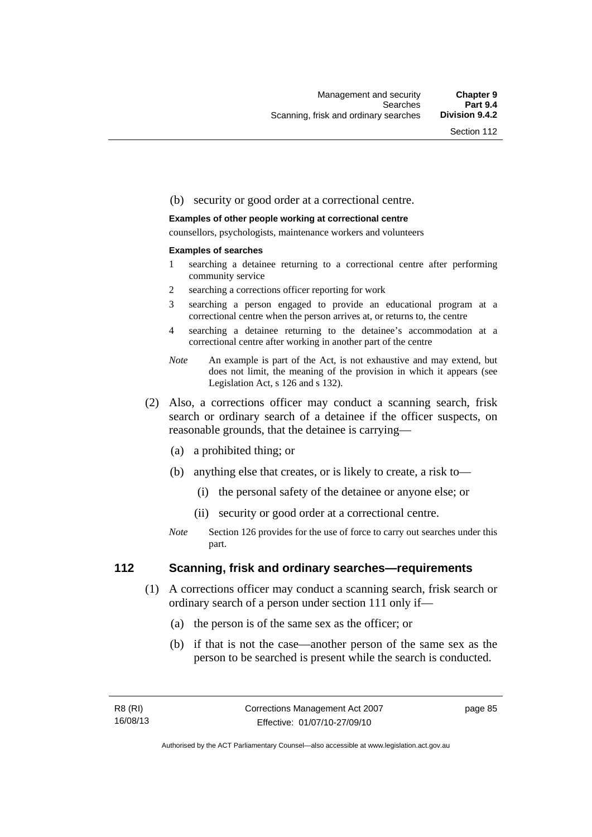#### (b) security or good order at a correctional centre.

#### **Examples of other people working at correctional centre**

counsellors, psychologists, maintenance workers and volunteers

#### **Examples of searches**

- 1 searching a detainee returning to a correctional centre after performing community service
- 2 searching a corrections officer reporting for work
- 3 searching a person engaged to provide an educational program at a correctional centre when the person arrives at, or returns to, the centre
- 4 searching a detainee returning to the detainee's accommodation at a correctional centre after working in another part of the centre
- *Note* An example is part of the Act, is not exhaustive and may extend, but does not limit, the meaning of the provision in which it appears (see Legislation Act, s 126 and s 132).
- (2) Also, a corrections officer may conduct a scanning search, frisk search or ordinary search of a detainee if the officer suspects, on reasonable grounds, that the detainee is carrying—
	- (a) a prohibited thing; or
	- (b) anything else that creates, or is likely to create, a risk to—
		- (i) the personal safety of the detainee or anyone else; or
		- (ii) security or good order at a correctional centre.
	- *Note* Section 126 provides for the use of force to carry out searches under this part.

#### **112 Scanning, frisk and ordinary searches—requirements**

- (1) A corrections officer may conduct a scanning search, frisk search or ordinary search of a person under section 111 only if—
	- (a) the person is of the same sex as the officer; or
	- (b) if that is not the case—another person of the same sex as the person to be searched is present while the search is conducted.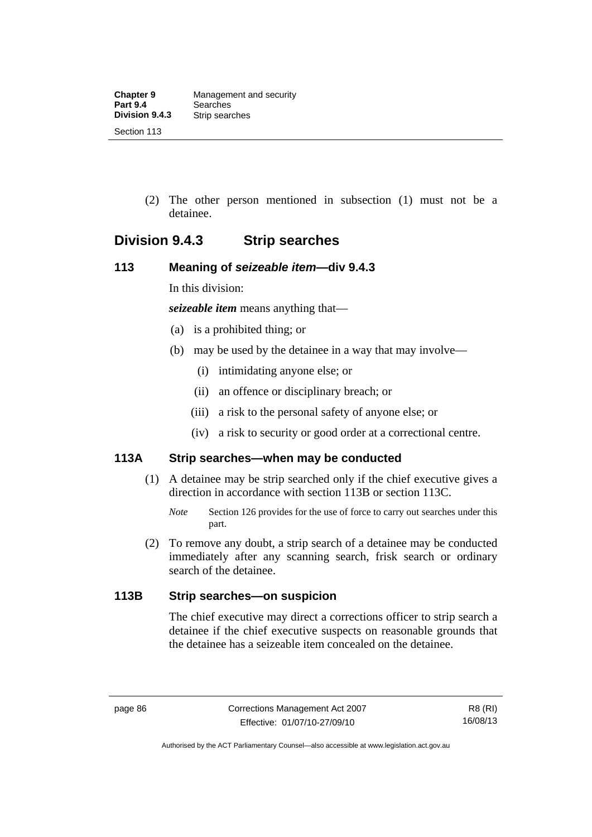(2) The other person mentioned in subsection (1) must not be a detainee.

## **Division 9.4.3 Strip searches**

## **113 Meaning of** *seizeable item***—div 9.4.3**

In this division:

*seizeable item* means anything that—

- (a) is a prohibited thing; or
- (b) may be used by the detainee in a way that may involve—
	- (i) intimidating anyone else; or
	- (ii) an offence or disciplinary breach; or
	- (iii) a risk to the personal safety of anyone else; or
	- (iv) a risk to security or good order at a correctional centre.

## **113A Strip searches—when may be conducted**

- (1) A detainee may be strip searched only if the chief executive gives a direction in accordance with section 113B or section 113C.
	- *Note* Section 126 provides for the use of force to carry out searches under this part.
- (2) To remove any doubt, a strip search of a detainee may be conducted immediately after any scanning search, frisk search or ordinary search of the detainee.

## **113B Strip searches—on suspicion**

The chief executive may direct a corrections officer to strip search a detainee if the chief executive suspects on reasonable grounds that the detainee has a seizeable item concealed on the detainee.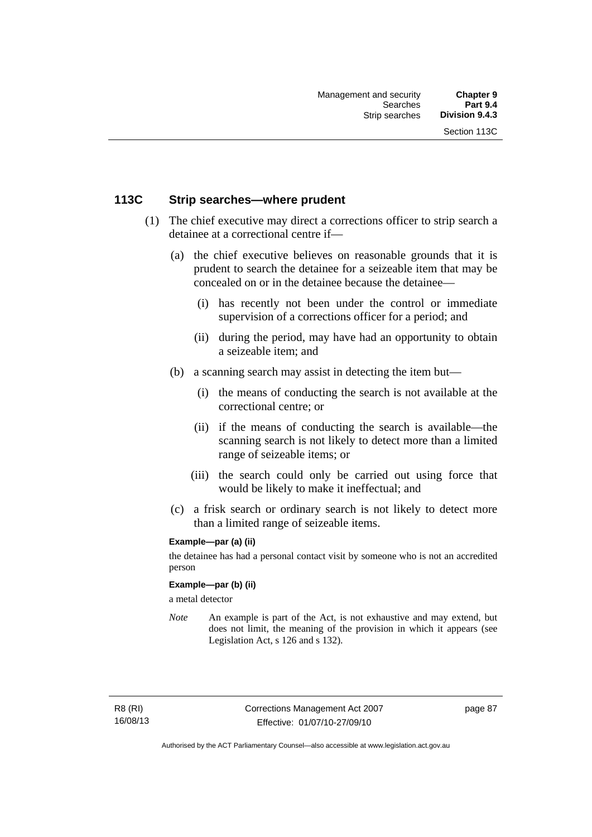## **113C Strip searches—where prudent**

- (1) The chief executive may direct a corrections officer to strip search a detainee at a correctional centre if—
	- (a) the chief executive believes on reasonable grounds that it is prudent to search the detainee for a seizeable item that may be concealed on or in the detainee because the detainee—
		- (i) has recently not been under the control or immediate supervision of a corrections officer for a period; and
		- (ii) during the period, may have had an opportunity to obtain a seizeable item; and
	- (b) a scanning search may assist in detecting the item but—
		- (i) the means of conducting the search is not available at the correctional centre; or
		- (ii) if the means of conducting the search is available—the scanning search is not likely to detect more than a limited range of seizeable items; or
		- (iii) the search could only be carried out using force that would be likely to make it ineffectual; and
	- (c) a frisk search or ordinary search is not likely to detect more than a limited range of seizeable items.

#### **Example—par (a) (ii)**

the detainee has had a personal contact visit by someone who is not an accredited person

#### **Example—par (b) (ii)**

a metal detector

*Note* An example is part of the Act, is not exhaustive and may extend, but does not limit, the meaning of the provision in which it appears (see Legislation Act, s 126 and s 132).

R8 (RI) 16/08/13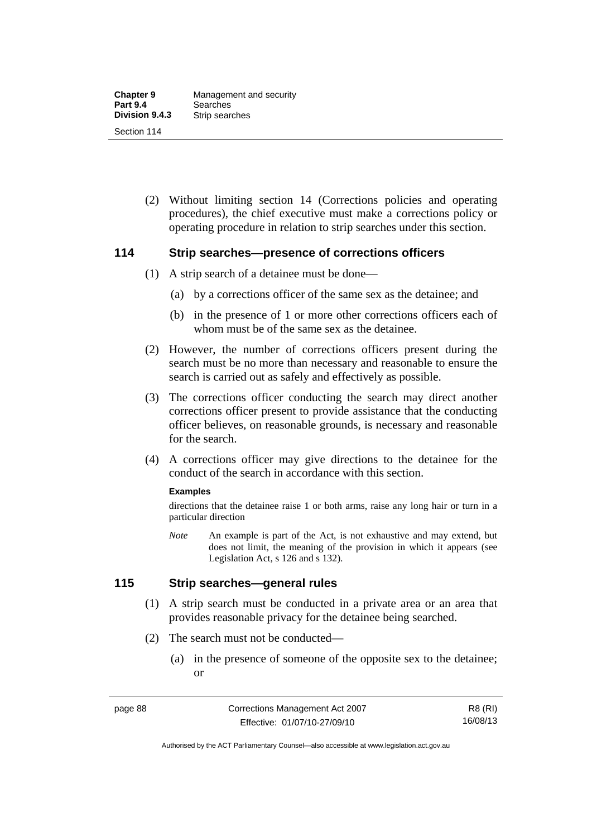(2) Without limiting section 14 (Corrections policies and operating procedures), the chief executive must make a corrections policy or operating procedure in relation to strip searches under this section.

#### **114 Strip searches—presence of corrections officers**

- (1) A strip search of a detainee must be done—
	- (a) by a corrections officer of the same sex as the detainee; and
	- (b) in the presence of 1 or more other corrections officers each of whom must be of the same sex as the detainee.
- (2) However, the number of corrections officers present during the search must be no more than necessary and reasonable to ensure the search is carried out as safely and effectively as possible.
- (3) The corrections officer conducting the search may direct another corrections officer present to provide assistance that the conducting officer believes, on reasonable grounds, is necessary and reasonable for the search.
- (4) A corrections officer may give directions to the detainee for the conduct of the search in accordance with this section.

#### **Examples**

directions that the detainee raise 1 or both arms, raise any long hair or turn in a particular direction

*Note* An example is part of the Act, is not exhaustive and may extend, but does not limit, the meaning of the provision in which it appears (see Legislation Act, s 126 and s 132).

## **115 Strip searches—general rules**

- (1) A strip search must be conducted in a private area or an area that provides reasonable privacy for the detainee being searched.
- (2) The search must not be conducted—
	- (a) in the presence of someone of the opposite sex to the detainee; or

R8 (RI) 16/08/13

Authorised by the ACT Parliamentary Counsel—also accessible at www.legislation.act.gov.au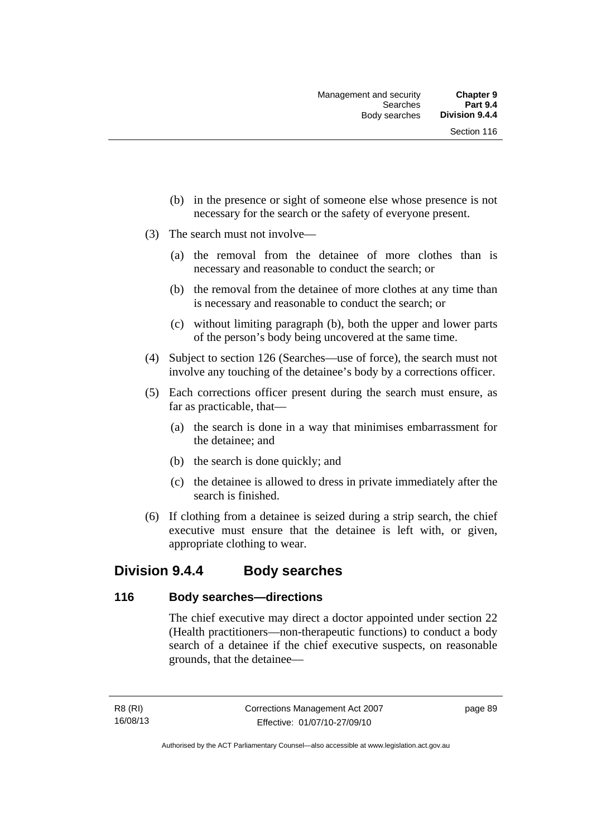- (b) in the presence or sight of someone else whose presence is not necessary for the search or the safety of everyone present.
- (3) The search must not involve—
	- (a) the removal from the detainee of more clothes than is necessary and reasonable to conduct the search; or
	- (b) the removal from the detainee of more clothes at any time than is necessary and reasonable to conduct the search; or
	- (c) without limiting paragraph (b), both the upper and lower parts of the person's body being uncovered at the same time.
- (4) Subject to section 126 (Searches—use of force), the search must not involve any touching of the detainee's body by a corrections officer.
- (5) Each corrections officer present during the search must ensure, as far as practicable, that—
	- (a) the search is done in a way that minimises embarrassment for the detainee; and
	- (b) the search is done quickly; and
	- (c) the detainee is allowed to dress in private immediately after the search is finished.
- (6) If clothing from a detainee is seized during a strip search, the chief executive must ensure that the detainee is left with, or given, appropriate clothing to wear.

## **Division 9.4.4 Body searches**

#### **116 Body searches—directions**

The chief executive may direct a doctor appointed under section 22 (Health practitioners—non-therapeutic functions) to conduct a body search of a detainee if the chief executive suspects, on reasonable grounds, that the detainee—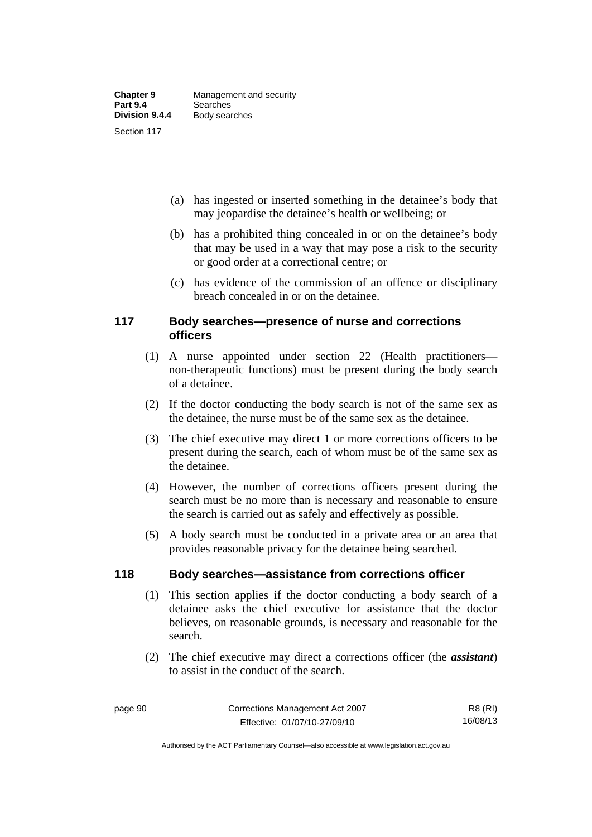- (a) has ingested or inserted something in the detainee's body that may jeopardise the detainee's health or wellbeing; or
- (b) has a prohibited thing concealed in or on the detainee's body that may be used in a way that may pose a risk to the security or good order at a correctional centre; or
- (c) has evidence of the commission of an offence or disciplinary breach concealed in or on the detainee.

## **117 Body searches—presence of nurse and corrections officers**

- (1) A nurse appointed under section 22 (Health practitioners non-therapeutic functions) must be present during the body search of a detainee.
- (2) If the doctor conducting the body search is not of the same sex as the detainee, the nurse must be of the same sex as the detainee.
- (3) The chief executive may direct 1 or more corrections officers to be present during the search, each of whom must be of the same sex as the detainee.
- (4) However, the number of corrections officers present during the search must be no more than is necessary and reasonable to ensure the search is carried out as safely and effectively as possible.
- (5) A body search must be conducted in a private area or an area that provides reasonable privacy for the detainee being searched.

## **118 Body searches—assistance from corrections officer**

- (1) This section applies if the doctor conducting a body search of a detainee asks the chief executive for assistance that the doctor believes, on reasonable grounds, is necessary and reasonable for the search.
- (2) The chief executive may direct a corrections officer (the *assistant*) to assist in the conduct of the search.

Authorised by the ACT Parliamentary Counsel—also accessible at www.legislation.act.gov.au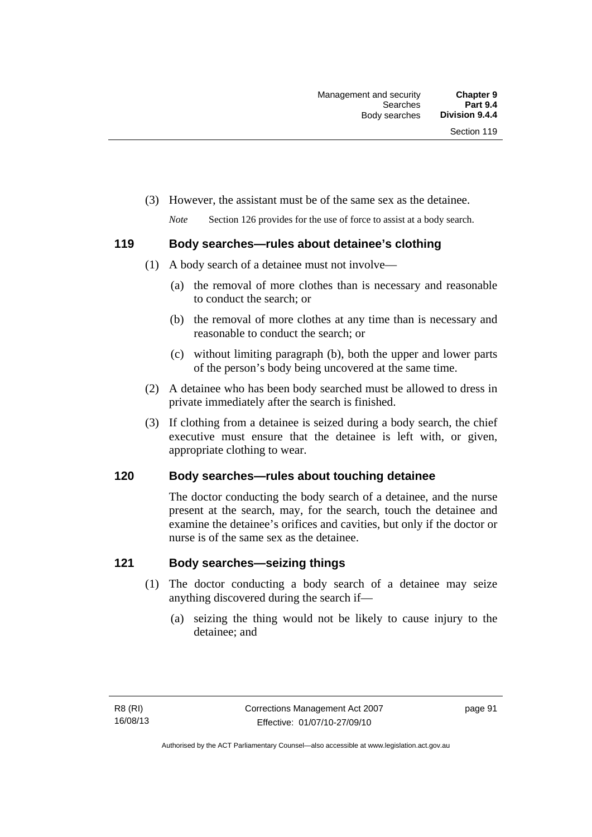(3) However, the assistant must be of the same sex as the detainee.

*Note* Section 126 provides for the use of force to assist at a body search.

## **119 Body searches—rules about detainee's clothing**

- (1) A body search of a detainee must not involve—
	- (a) the removal of more clothes than is necessary and reasonable to conduct the search; or
	- (b) the removal of more clothes at any time than is necessary and reasonable to conduct the search; or
	- (c) without limiting paragraph (b), both the upper and lower parts of the person's body being uncovered at the same time.
- (2) A detainee who has been body searched must be allowed to dress in private immediately after the search is finished.
- (3) If clothing from a detainee is seized during a body search, the chief executive must ensure that the detainee is left with, or given, appropriate clothing to wear.

## **120 Body searches—rules about touching detainee**

The doctor conducting the body search of a detainee, and the nurse present at the search, may, for the search, touch the detainee and examine the detainee's orifices and cavities, but only if the doctor or nurse is of the same sex as the detainee.

## **121 Body searches—seizing things**

- (1) The doctor conducting a body search of a detainee may seize anything discovered during the search if—
	- (a) seizing the thing would not be likely to cause injury to the detainee; and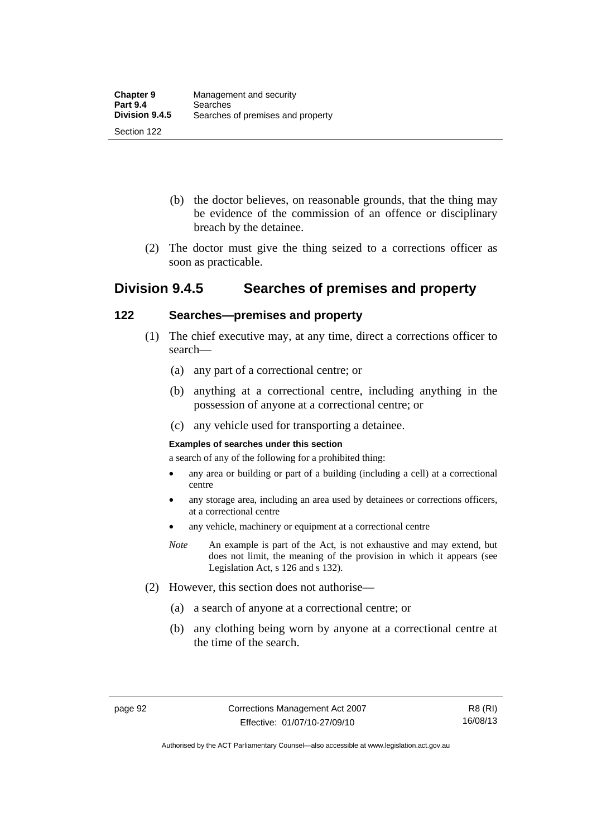- (b) the doctor believes, on reasonable grounds, that the thing may be evidence of the commission of an offence or disciplinary breach by the detainee.
- (2) The doctor must give the thing seized to a corrections officer as soon as practicable.

## **Division 9.4.5 Searches of premises and property**

## **122 Searches—premises and property**

- (1) The chief executive may, at any time, direct a corrections officer to search—
	- (a) any part of a correctional centre; or
	- (b) anything at a correctional centre, including anything in the possession of anyone at a correctional centre; or
	- (c) any vehicle used for transporting a detainee.

#### **Examples of searches under this section**

a search of any of the following for a prohibited thing:

- any area or building or part of a building (including a cell) at a correctional centre
- any storage area, including an area used by detainees or corrections officers, at a correctional centre
- any vehicle, machinery or equipment at a correctional centre
- *Note* An example is part of the Act, is not exhaustive and may extend, but does not limit, the meaning of the provision in which it appears (see Legislation Act, s 126 and s 132).
- (2) However, this section does not authorise—
	- (a) a search of anyone at a correctional centre; or
	- (b) any clothing being worn by anyone at a correctional centre at the time of the search.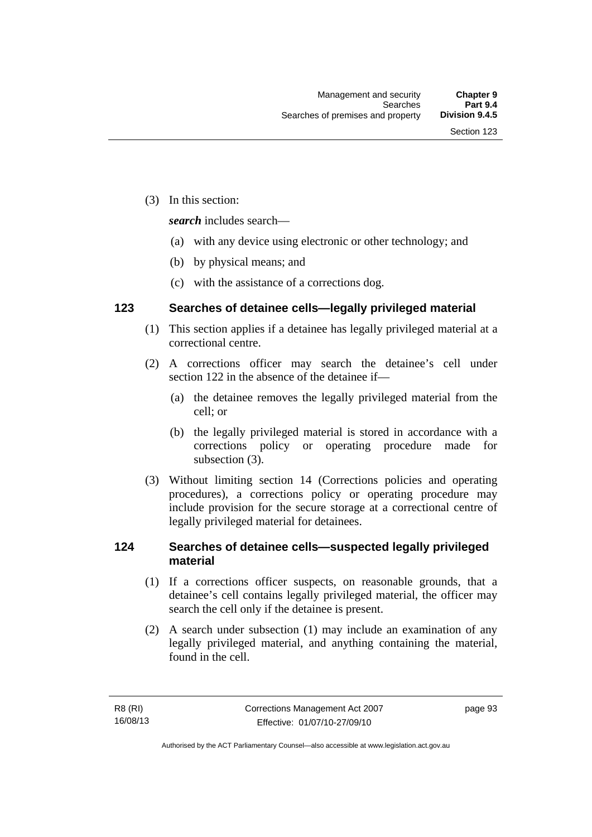(3) In this section:

*search* includes search—

- (a) with any device using electronic or other technology; and
- (b) by physical means; and
- (c) with the assistance of a corrections dog.

## **123 Searches of detainee cells—legally privileged material**

- (1) This section applies if a detainee has legally privileged material at a correctional centre.
- (2) A corrections officer may search the detainee's cell under section 122 in the absence of the detainee if—
	- (a) the detainee removes the legally privileged material from the cell; or
	- (b) the legally privileged material is stored in accordance with a corrections policy or operating procedure made for subsection (3).
- (3) Without limiting section 14 (Corrections policies and operating procedures), a corrections policy or operating procedure may include provision for the secure storage at a correctional centre of legally privileged material for detainees.

## **124 Searches of detainee cells—suspected legally privileged material**

- (1) If a corrections officer suspects, on reasonable grounds, that a detainee's cell contains legally privileged material, the officer may search the cell only if the detainee is present.
- (2) A search under subsection (1) may include an examination of any legally privileged material, and anything containing the material, found in the cell.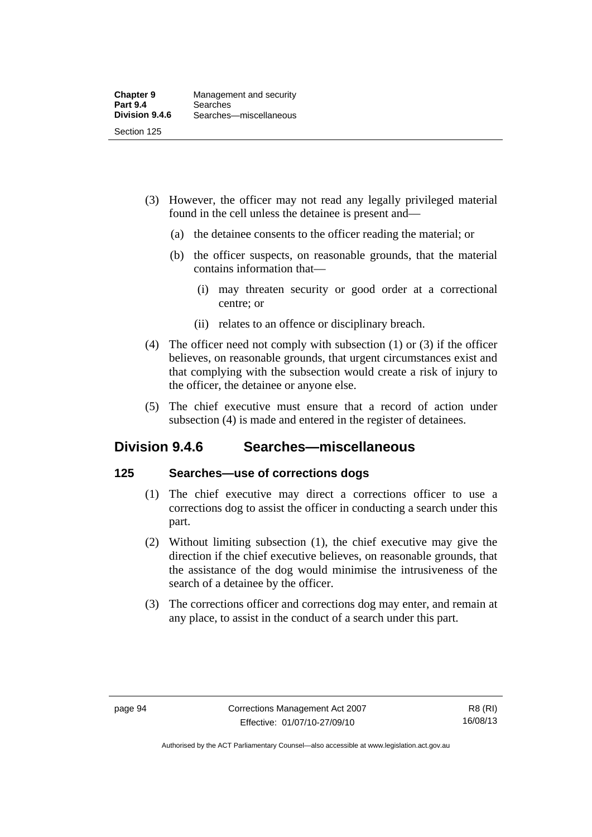- (3) However, the officer may not read any legally privileged material found in the cell unless the detainee is present and—
	- (a) the detainee consents to the officer reading the material; or
	- (b) the officer suspects, on reasonable grounds, that the material contains information that—
		- (i) may threaten security or good order at a correctional centre; or
		- (ii) relates to an offence or disciplinary breach.
- (4) The officer need not comply with subsection (1) or (3) if the officer believes, on reasonable grounds, that urgent circumstances exist and that complying with the subsection would create a risk of injury to the officer, the detainee or anyone else.
- (5) The chief executive must ensure that a record of action under subsection (4) is made and entered in the register of detainees.

## **Division 9.4.6 Searches—miscellaneous**

## **125 Searches—use of corrections dogs**

- (1) The chief executive may direct a corrections officer to use a corrections dog to assist the officer in conducting a search under this part.
- (2) Without limiting subsection (1), the chief executive may give the direction if the chief executive believes, on reasonable grounds, that the assistance of the dog would minimise the intrusiveness of the search of a detainee by the officer.
- (3) The corrections officer and corrections dog may enter, and remain at any place, to assist in the conduct of a search under this part.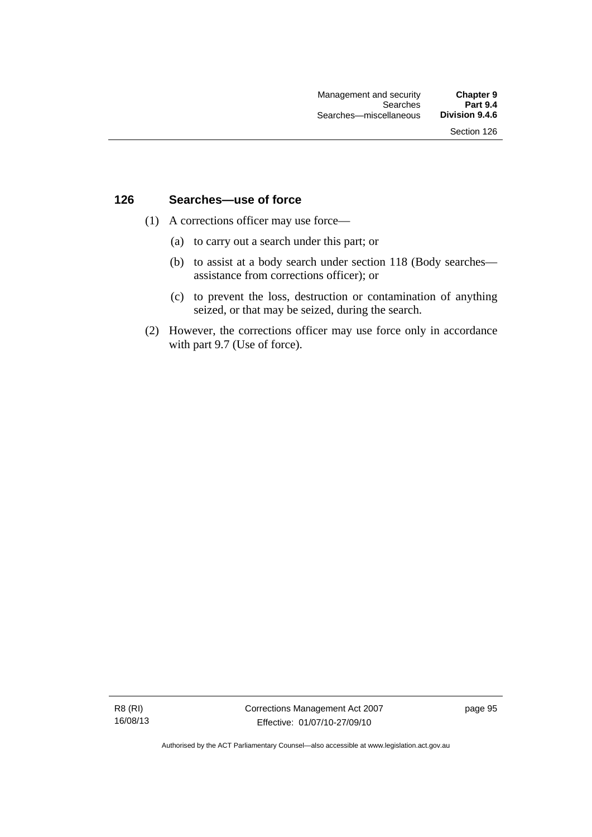### **126 Searches—use of force**

- (1) A corrections officer may use force—
	- (a) to carry out a search under this part; or
	- (b) to assist at a body search under section 118 (Body searches assistance from corrections officer); or
	- (c) to prevent the loss, destruction or contamination of anything seized, or that may be seized, during the search.
- (2) However, the corrections officer may use force only in accordance with part 9.7 (Use of force).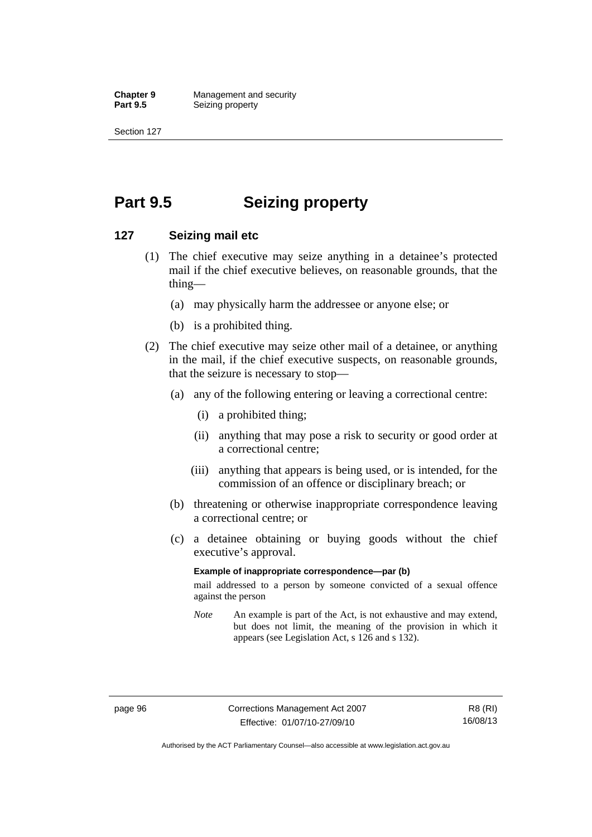**Chapter 9 Management and security**<br>**Part 9.5 Seizing property Seizing property** 

Section 127

## **Part 9.5 Seizing property**

### **127 Seizing mail etc**

- (1) The chief executive may seize anything in a detainee's protected mail if the chief executive believes, on reasonable grounds, that the thing—
	- (a) may physically harm the addressee or anyone else; or
	- (b) is a prohibited thing.
- (2) The chief executive may seize other mail of a detainee, or anything in the mail, if the chief executive suspects, on reasonable grounds, that the seizure is necessary to stop—
	- (a) any of the following entering or leaving a correctional centre:
		- (i) a prohibited thing;
		- (ii) anything that may pose a risk to security or good order at a correctional centre;
		- (iii) anything that appears is being used, or is intended, for the commission of an offence or disciplinary breach; or
	- (b) threatening or otherwise inappropriate correspondence leaving a correctional centre; or
	- (c) a detainee obtaining or buying goods without the chief executive's approval.

#### **Example of inappropriate correspondence—par (b)**

mail addressed to a person by someone convicted of a sexual offence against the person

*Note* An example is part of the Act, is not exhaustive and may extend, but does not limit, the meaning of the provision in which it appears (see Legislation Act, s 126 and s 132).

Authorised by the ACT Parliamentary Counsel—also accessible at www.legislation.act.gov.au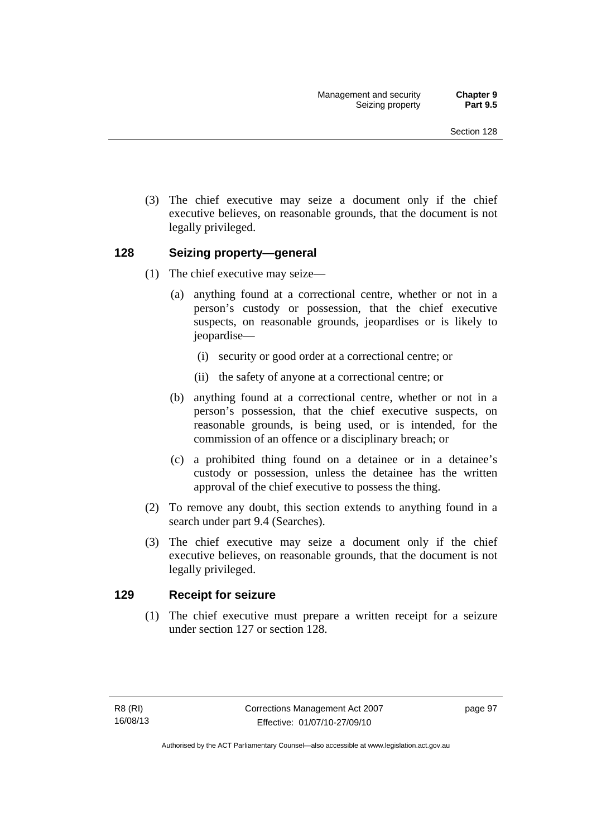(3) The chief executive may seize a document only if the chief executive believes, on reasonable grounds, that the document is not legally privileged.

## **128 Seizing property—general**

- (1) The chief executive may seize—
	- (a) anything found at a correctional centre, whether or not in a person's custody or possession, that the chief executive suspects, on reasonable grounds, jeopardises or is likely to jeopardise—
		- (i) security or good order at a correctional centre; or
		- (ii) the safety of anyone at a correctional centre; or
	- (b) anything found at a correctional centre, whether or not in a person's possession, that the chief executive suspects, on reasonable grounds, is being used, or is intended, for the commission of an offence or a disciplinary breach; or
	- (c) a prohibited thing found on a detainee or in a detainee's custody or possession, unless the detainee has the written approval of the chief executive to possess the thing.
- (2) To remove any doubt, this section extends to anything found in a search under part 9.4 (Searches).
- (3) The chief executive may seize a document only if the chief executive believes, on reasonable grounds, that the document is not legally privileged.

## **129 Receipt for seizure**

 (1) The chief executive must prepare a written receipt for a seizure under section 127 or section 128.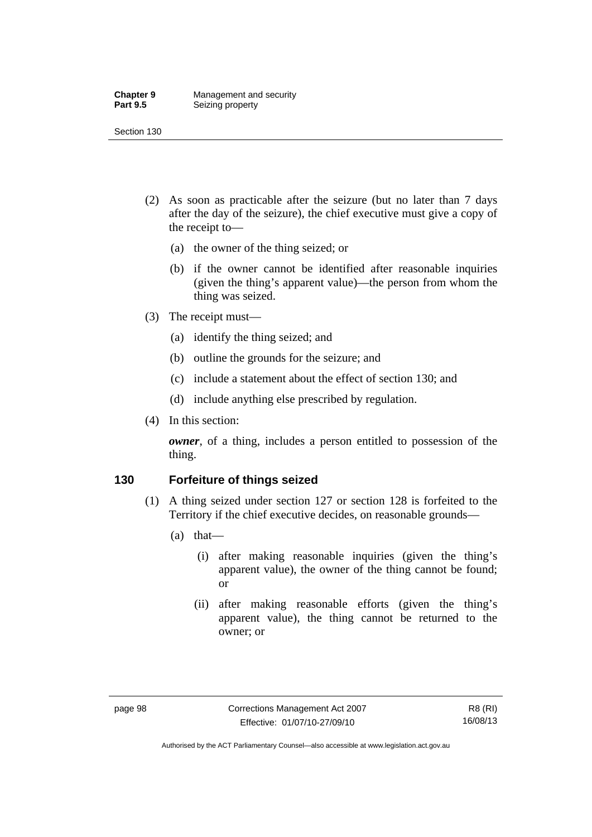#### **Chapter 9 Management and security**<br>**Part 9.5 Seizing property Seizing property**

Section 130

- (2) As soon as practicable after the seizure (but no later than 7 days after the day of the seizure), the chief executive must give a copy of the receipt to—
	- (a) the owner of the thing seized; or
	- (b) if the owner cannot be identified after reasonable inquiries (given the thing's apparent value)—the person from whom the thing was seized.
- (3) The receipt must—
	- (a) identify the thing seized; and
	- (b) outline the grounds for the seizure; and
	- (c) include a statement about the effect of section 130; and
	- (d) include anything else prescribed by regulation.
- (4) In this section:

*owner*, of a thing, includes a person entitled to possession of the thing.

## **130 Forfeiture of things seized**

- (1) A thing seized under section 127 or section 128 is forfeited to the Territory if the chief executive decides, on reasonable grounds—
	- (a) that—
		- (i) after making reasonable inquiries (given the thing's apparent value), the owner of the thing cannot be found; or
		- (ii) after making reasonable efforts (given the thing's apparent value), the thing cannot be returned to the owner; or

Authorised by the ACT Parliamentary Counsel—also accessible at www.legislation.act.gov.au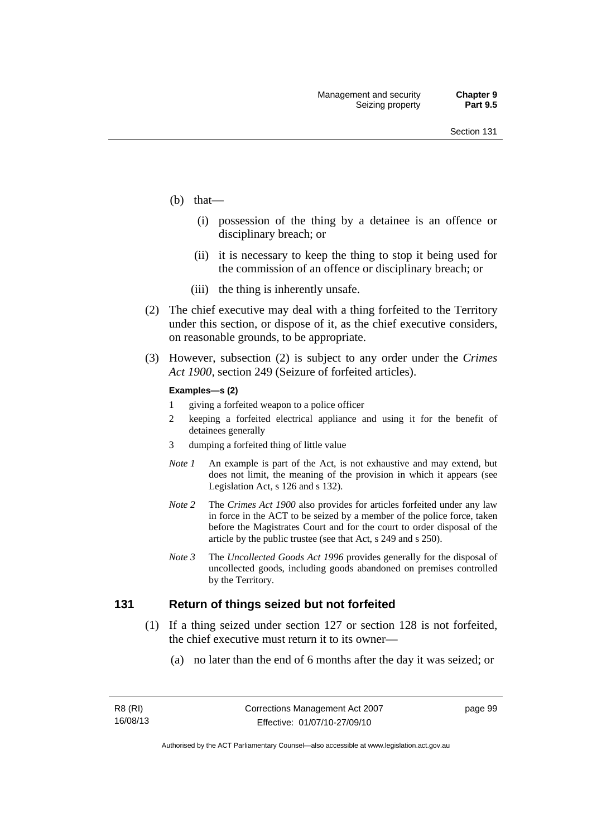- (b) that—
	- (i) possession of the thing by a detainee is an offence or disciplinary breach; or
	- (ii) it is necessary to keep the thing to stop it being used for the commission of an offence or disciplinary breach; or
	- (iii) the thing is inherently unsafe.
- (2) The chief executive may deal with a thing forfeited to the Territory under this section, or dispose of it, as the chief executive considers, on reasonable grounds, to be appropriate.
- (3) However, subsection (2) is subject to any order under the *Crimes Act 1900,* section 249 (Seizure of forfeited articles).

#### **Examples—s (2)**

- 1 giving a forfeited weapon to a police officer
- 2 keeping a forfeited electrical appliance and using it for the benefit of detainees generally
- 3 dumping a forfeited thing of little value
- *Note 1* An example is part of the Act, is not exhaustive and may extend, but does not limit, the meaning of the provision in which it appears (see Legislation Act, s 126 and s 132).
- *Note 2* The *Crimes Act 1900* also provides for articles forfeited under any law in force in the ACT to be seized by a member of the police force, taken before the Magistrates Court and for the court to order disposal of the article by the public trustee (see that Act, s 249 and s 250).
- *Note 3* The *Uncollected Goods Act 1996* provides generally for the disposal of uncollected goods, including goods abandoned on premises controlled by the Territory.

### **131 Return of things seized but not forfeited**

- (1) If a thing seized under section 127 or section 128 is not forfeited, the chief executive must return it to its owner—
	- (a) no later than the end of 6 months after the day it was seized; or

page 99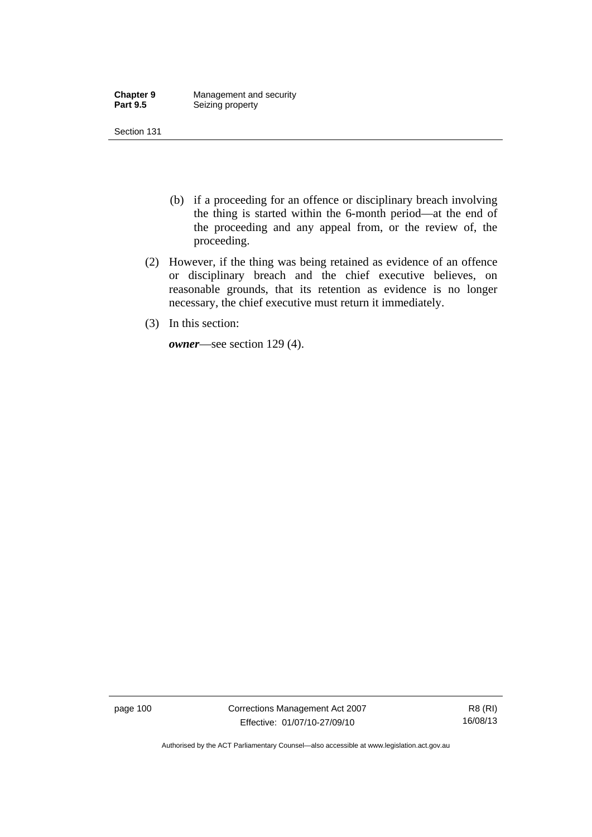| <b>Chapter 9</b> | Management and security |
|------------------|-------------------------|
| <b>Part 9.5</b>  | Seizing property        |

- (b) if a proceeding for an offence or disciplinary breach involving the thing is started within the 6-month period—at the end of the proceeding and any appeal from, or the review of, the proceeding.
- (2) However, if the thing was being retained as evidence of an offence or disciplinary breach and the chief executive believes, on reasonable grounds, that its retention as evidence is no longer necessary, the chief executive must return it immediately.
- (3) In this section:

*owner*—see section 129 (4).

page 100 Corrections Management Act 2007 Effective: 01/07/10-27/09/10

R8 (RI) 16/08/13

Authorised by the ACT Parliamentary Counsel—also accessible at www.legislation.act.gov.au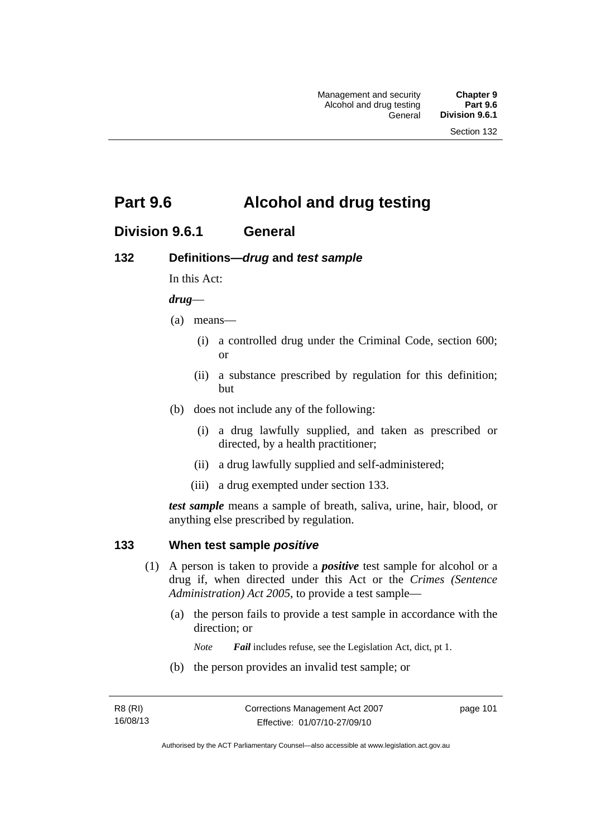## **Part 9.6 Alcohol and drug testing**

## **Division 9.6.1 General**

## **132 Definitions—***drug* **and** *test sample*

In this Act:

### *drug*—

- (a) means—
	- (i) a controlled drug under the Criminal Code, section 600; or
	- (ii) a substance prescribed by regulation for this definition; but
- (b) does not include any of the following:
	- (i) a drug lawfully supplied, and taken as prescribed or directed, by a health practitioner;
	- (ii) a drug lawfully supplied and self-administered;
	- (iii) a drug exempted under section 133.

*test sample* means a sample of breath, saliva, urine, hair, blood, or anything else prescribed by regulation.

## **133 When test sample** *positive*

- (1) A person is taken to provide a *positive* test sample for alcohol or a drug if, when directed under this Act or the *Crimes (Sentence Administration) Act 2005*, to provide a test sample—
	- (a) the person fails to provide a test sample in accordance with the direction; or
		- *Note Fail* includes refuse, see the Legislation Act, dict, pt 1.
	- (b) the person provides an invalid test sample; or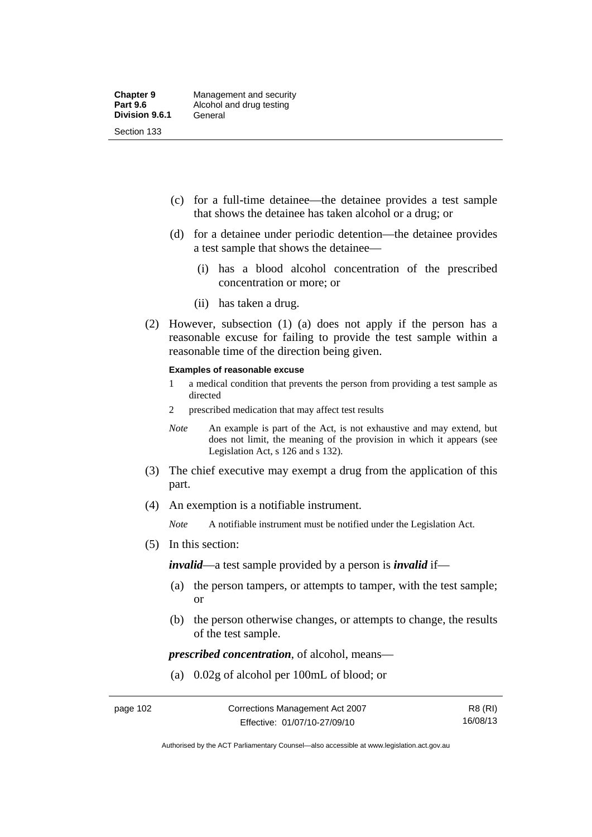- (c) for a full-time detainee—the detainee provides a test sample that shows the detainee has taken alcohol or a drug; or
- (d) for a detainee under periodic detention—the detainee provides a test sample that shows the detainee—
	- (i) has a blood alcohol concentration of the prescribed concentration or more; or
	- (ii) has taken a drug.
- (2) However, subsection (1) (a) does not apply if the person has a reasonable excuse for failing to provide the test sample within a reasonable time of the direction being given.

#### **Examples of reasonable excuse**

- 1 a medical condition that prevents the person from providing a test sample as directed
- 2 prescribed medication that may affect test results
- *Note* An example is part of the Act, is not exhaustive and may extend, but does not limit, the meaning of the provision in which it appears (see Legislation Act, s 126 and s 132).
- (3) The chief executive may exempt a drug from the application of this part.
- (4) An exemption is a notifiable instrument.

*Note* A notifiable instrument must be notified under the Legislation Act.

(5) In this section:

*invalid*—a test sample provided by a person is *invalid* if—

- (a) the person tampers, or attempts to tamper, with the test sample; or
- (b) the person otherwise changes, or attempts to change, the results of the test sample.

*prescribed concentration*, of alcohol, means—

(a) 0.02g of alcohol per 100mL of blood; or

Authorised by the ACT Parliamentary Counsel—also accessible at www.legislation.act.gov.au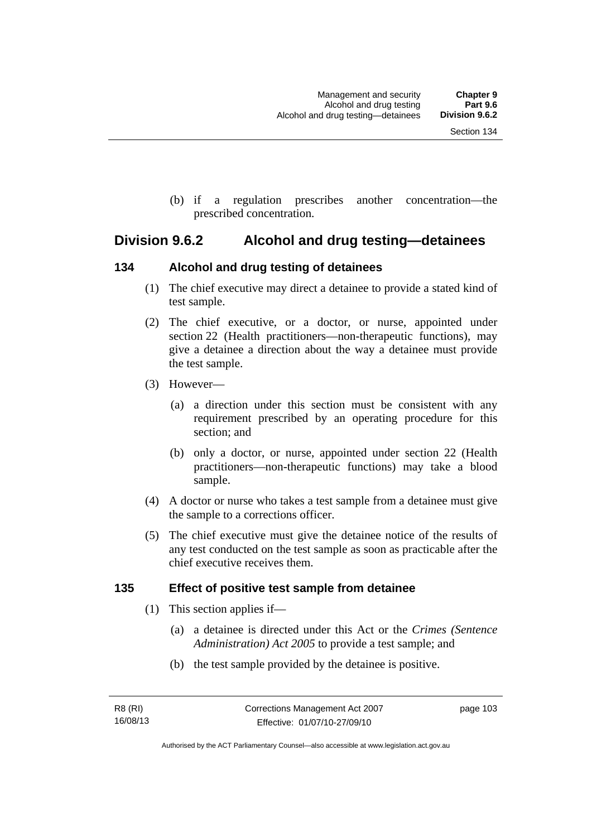(b) if a regulation prescribes another concentration—the prescribed concentration.

## **Division 9.6.2 Alcohol and drug testing—detainees**

## **134 Alcohol and drug testing of detainees**

- (1) The chief executive may direct a detainee to provide a stated kind of test sample.
- (2) The chief executive, or a doctor, or nurse, appointed under section 22 (Health practitioners—non-therapeutic functions), may give a detainee a direction about the way a detainee must provide the test sample.
- (3) However—
	- (a) a direction under this section must be consistent with any requirement prescribed by an operating procedure for this section; and
	- (b) only a doctor, or nurse, appointed under section 22 (Health practitioners—non-therapeutic functions) may take a blood sample.
- (4) A doctor or nurse who takes a test sample from a detainee must give the sample to a corrections officer.
- (5) The chief executive must give the detainee notice of the results of any test conducted on the test sample as soon as practicable after the chief executive receives them.

## **135 Effect of positive test sample from detainee**

- (1) This section applies if—
	- (a) a detainee is directed under this Act or the *Crimes (Sentence Administration) Act 2005* to provide a test sample; and
	- (b) the test sample provided by the detainee is positive.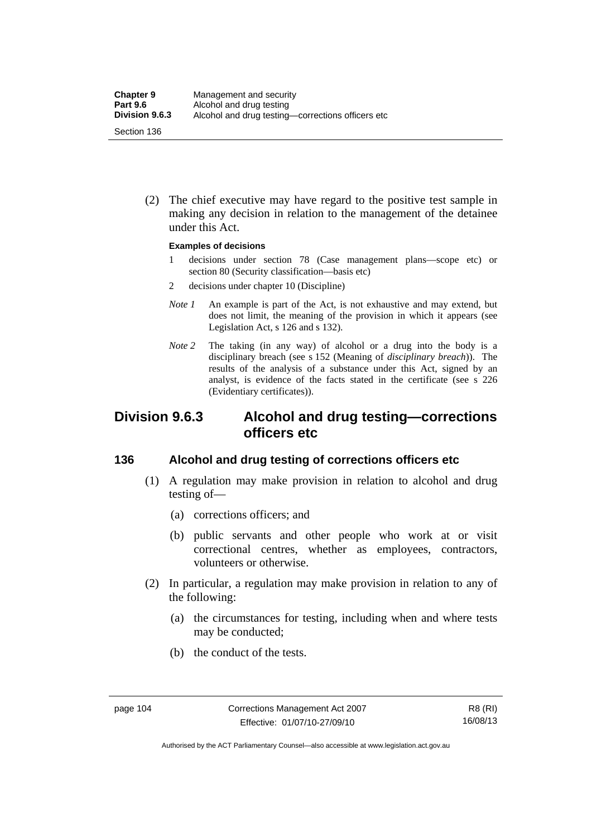(2) The chief executive may have regard to the positive test sample in making any decision in relation to the management of the detainee under this Act.

#### **Examples of decisions**

- 1 decisions under section 78 (Case management plans—scope etc) or section 80 (Security classification—basis etc)
- 2 decisions under chapter 10 (Discipline)
- *Note 1* An example is part of the Act, is not exhaustive and may extend, but does not limit, the meaning of the provision in which it appears (see Legislation Act, s 126 and s 132).
- *Note* 2 The taking (in any way) of alcohol or a drug into the body is a disciplinary breach (see s 152 (Meaning of *disciplinary breach*)). The results of the analysis of a substance under this Act, signed by an analyst, is evidence of the facts stated in the certificate (see s 226 (Evidentiary certificates)).

## **Division 9.6.3 Alcohol and drug testing—corrections officers etc**

## **136 Alcohol and drug testing of corrections officers etc**

- (1) A regulation may make provision in relation to alcohol and drug testing of—
	- (a) corrections officers; and
	- (b) public servants and other people who work at or visit correctional centres, whether as employees, contractors, volunteers or otherwise.
- (2) In particular, a regulation may make provision in relation to any of the following:
	- (a) the circumstances for testing, including when and where tests may be conducted;
	- (b) the conduct of the tests.

Authorised by the ACT Parliamentary Counsel—also accessible at www.legislation.act.gov.au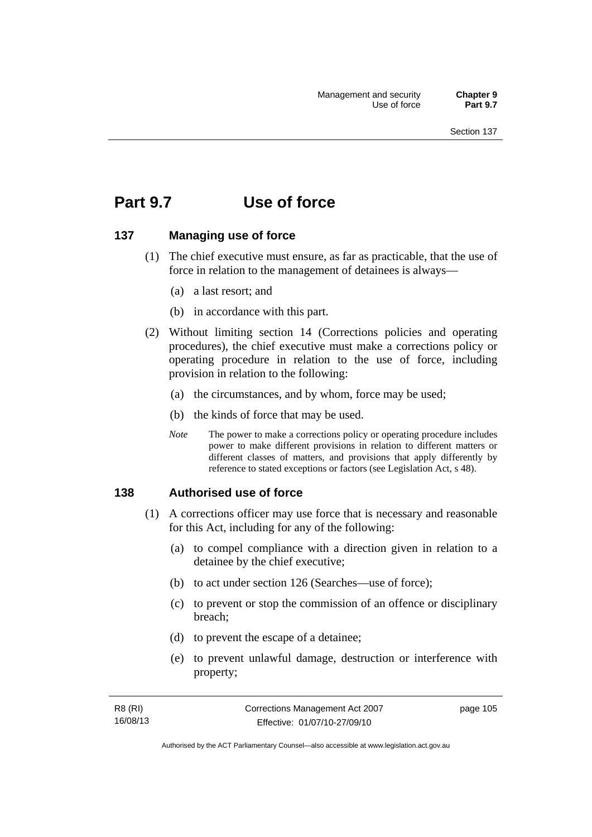## **Part 9.7 Use of force**

## **137 Managing use of force**

- (1) The chief executive must ensure, as far as practicable, that the use of force in relation to the management of detainees is always—
	- (a) a last resort; and
	- (b) in accordance with this part.
- (2) Without limiting section 14 (Corrections policies and operating procedures), the chief executive must make a corrections policy or operating procedure in relation to the use of force, including provision in relation to the following:
	- (a) the circumstances, and by whom, force may be used;
	- (b) the kinds of force that may be used.
	- *Note* The power to make a corrections policy or operating procedure includes power to make different provisions in relation to different matters or different classes of matters, and provisions that apply differently by reference to stated exceptions or factors (see Legislation Act, s 48).

## **138 Authorised use of force**

- (1) A corrections officer may use force that is necessary and reasonable for this Act, including for any of the following:
	- (a) to compel compliance with a direction given in relation to a detainee by the chief executive;
	- (b) to act under section 126 (Searches—use of force);
	- (c) to prevent or stop the commission of an offence or disciplinary breach;
	- (d) to prevent the escape of a detainee;
	- (e) to prevent unlawful damage, destruction or interference with property;

| R8 (RI)  | Corrections Management Act 2007 | page 105 |
|----------|---------------------------------|----------|
| 16/08/13 | Effective: 01/07/10-27/09/10    |          |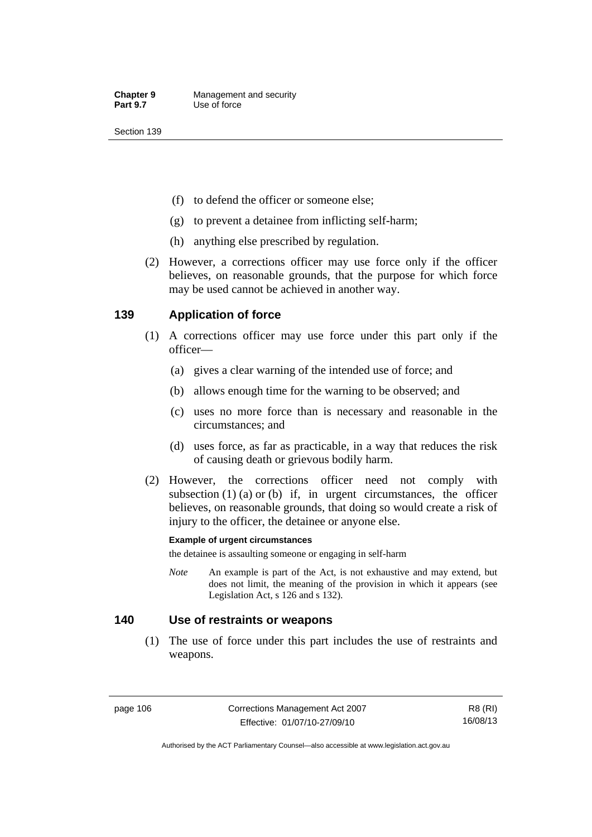- (f) to defend the officer or someone else;
- (g) to prevent a detainee from inflicting self-harm;
- (h) anything else prescribed by regulation.
- (2) However, a corrections officer may use force only if the officer believes, on reasonable grounds, that the purpose for which force may be used cannot be achieved in another way.

## **139 Application of force**

- (1) A corrections officer may use force under this part only if the officer—
	- (a) gives a clear warning of the intended use of force; and
	- (b) allows enough time for the warning to be observed; and
	- (c) uses no more force than is necessary and reasonable in the circumstances; and
	- (d) uses force, as far as practicable, in a way that reduces the risk of causing death or grievous bodily harm.
- (2) However, the corrections officer need not comply with subsection  $(1)$   $(a)$  or  $(b)$  if, in urgent circumstances, the officer believes, on reasonable grounds, that doing so would create a risk of injury to the officer, the detainee or anyone else.

### **Example of urgent circumstances**

the detainee is assaulting someone or engaging in self-harm

*Note* An example is part of the Act, is not exhaustive and may extend, but does not limit, the meaning of the provision in which it appears (see Legislation Act, s 126 and s 132).

## **140 Use of restraints or weapons**

 (1) The use of force under this part includes the use of restraints and weapons.

page 106 Corrections Management Act 2007 Effective: 01/07/10-27/09/10

R8 (RI) 16/08/13

Authorised by the ACT Parliamentary Counsel—also accessible at www.legislation.act.gov.au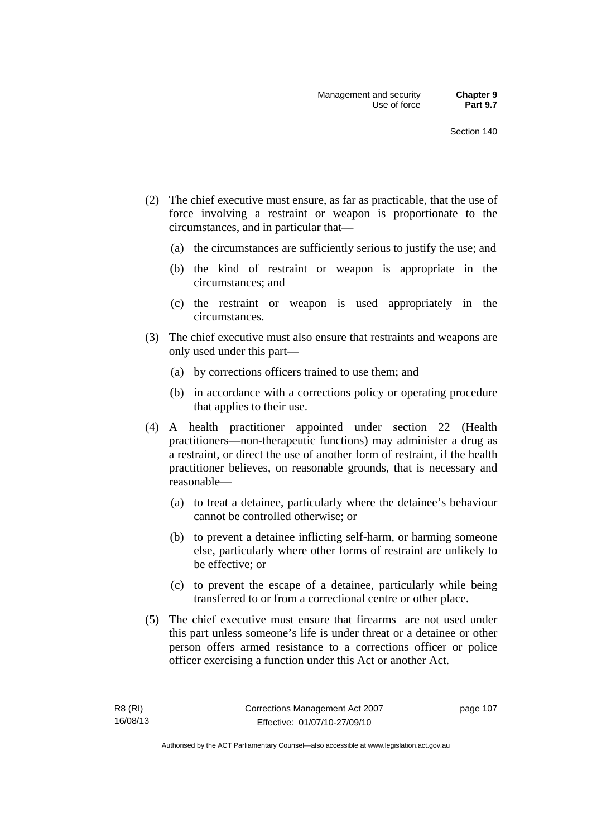- (2) The chief executive must ensure, as far as practicable, that the use of force involving a restraint or weapon is proportionate to the circumstances, and in particular that—
	- (a) the circumstances are sufficiently serious to justify the use; and
	- (b) the kind of restraint or weapon is appropriate in the circumstances; and
	- (c) the restraint or weapon is used appropriately in the circumstances.
- (3) The chief executive must also ensure that restraints and weapons are only used under this part—
	- (a) by corrections officers trained to use them; and
	- (b) in accordance with a corrections policy or operating procedure that applies to their use.
- (4) A health practitioner appointed under section 22 (Health practitioners—non-therapeutic functions) may administer a drug as a restraint, or direct the use of another form of restraint, if the health practitioner believes, on reasonable grounds, that is necessary and reasonable—
	- (a) to treat a detainee, particularly where the detainee's behaviour cannot be controlled otherwise; or
	- (b) to prevent a detainee inflicting self-harm, or harming someone else, particularly where other forms of restraint are unlikely to be effective; or
	- (c) to prevent the escape of a detainee, particularly while being transferred to or from a correctional centre or other place.
- (5) The chief executive must ensure that firearms are not used under this part unless someone's life is under threat or a detainee or other person offers armed resistance to a corrections officer or police officer exercising a function under this Act or another Act.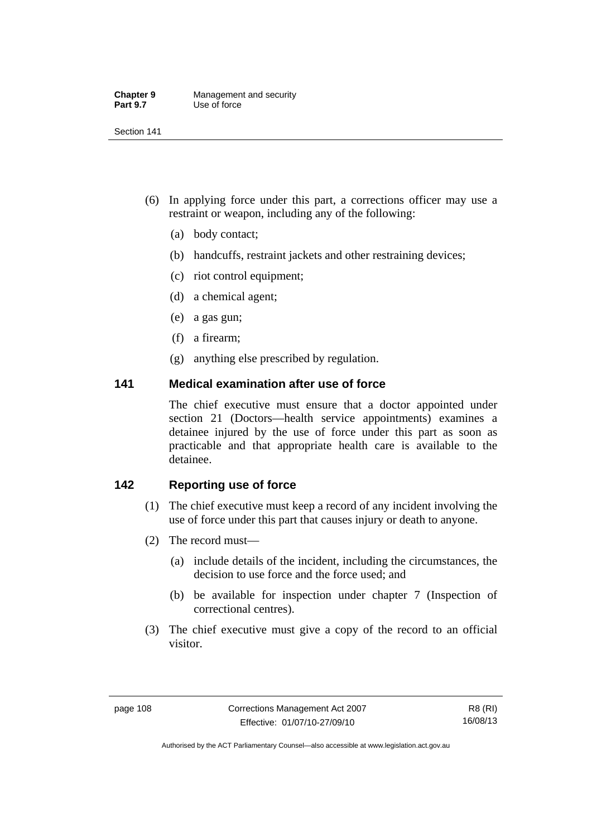| <b>Chapter 9</b> | Management and security |
|------------------|-------------------------|
| <b>Part 9.7</b>  | Use of force            |

- (6) In applying force under this part, a corrections officer may use a restraint or weapon, including any of the following:
	- (a) body contact;
	- (b) handcuffs, restraint jackets and other restraining devices;
	- (c) riot control equipment;
	- (d) a chemical agent;
	- (e) a gas gun;
	- (f) a firearm;
	- (g) anything else prescribed by regulation.

## **141 Medical examination after use of force**

The chief executive must ensure that a doctor appointed under section 21 (Doctors—health service appointments) examines a detainee injured by the use of force under this part as soon as practicable and that appropriate health care is available to the detainee.

## **142 Reporting use of force**

- (1) The chief executive must keep a record of any incident involving the use of force under this part that causes injury or death to anyone.
- (2) The record must—
	- (a) include details of the incident, including the circumstances, the decision to use force and the force used; and
	- (b) be available for inspection under chapter 7 (Inspection of correctional centres).
- (3) The chief executive must give a copy of the record to an official visitor.

Authorised by the ACT Parliamentary Counsel—also accessible at www.legislation.act.gov.au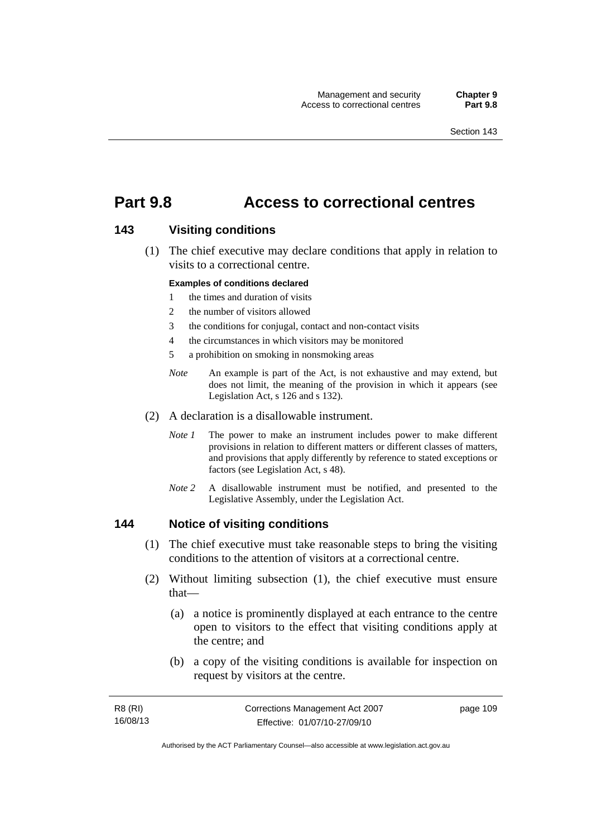## **Part 9.8 Access to correctional centres**

### **143 Visiting conditions**

 (1) The chief executive may declare conditions that apply in relation to visits to a correctional centre.

#### **Examples of conditions declared**

- 1 the times and duration of visits
- 2 the number of visitors allowed
- 3 the conditions for conjugal, contact and non-contact visits
- 4 the circumstances in which visitors may be monitored
- 5 a prohibition on smoking in nonsmoking areas
- *Note* An example is part of the Act, is not exhaustive and may extend, but does not limit, the meaning of the provision in which it appears (see Legislation Act, s 126 and s 132).
- (2) A declaration is a disallowable instrument.
	- *Note I* The power to make an instrument includes power to make different provisions in relation to different matters or different classes of matters, and provisions that apply differently by reference to stated exceptions or factors (see Legislation Act, s 48).
	- *Note 2* A disallowable instrument must be notified, and presented to the Legislative Assembly, under the Legislation Act.

### **144 Notice of visiting conditions**

- (1) The chief executive must take reasonable steps to bring the visiting conditions to the attention of visitors at a correctional centre.
- (2) Without limiting subsection (1), the chief executive must ensure that—
	- (a) a notice is prominently displayed at each entrance to the centre open to visitors to the effect that visiting conditions apply at the centre; and
	- (b) a copy of the visiting conditions is available for inspection on request by visitors at the centre.

| R8 (RI)  | Corrections Management Act 2007 | page 109 |
|----------|---------------------------------|----------|
| 16/08/13 | Effective: 01/07/10-27/09/10    |          |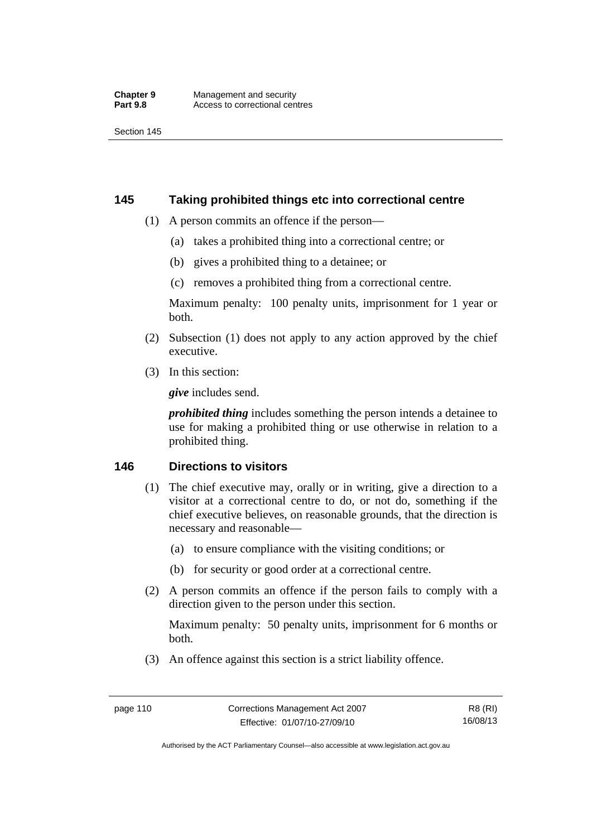## **145 Taking prohibited things etc into correctional centre**

- (1) A person commits an offence if the person—
	- (a) takes a prohibited thing into a correctional centre; or
	- (b) gives a prohibited thing to a detainee; or
	- (c) removes a prohibited thing from a correctional centre.

Maximum penalty: 100 penalty units, imprisonment for 1 year or both.

- (2) Subsection (1) does not apply to any action approved by the chief executive.
- (3) In this section:

*give* includes send.

*prohibited thing* includes something the person intends a detainee to use for making a prohibited thing or use otherwise in relation to a prohibited thing.

## **146 Directions to visitors**

- (1) The chief executive may, orally or in writing, give a direction to a visitor at a correctional centre to do, or not do, something if the chief executive believes, on reasonable grounds, that the direction is necessary and reasonable—
	- (a) to ensure compliance with the visiting conditions; or
	- (b) for security or good order at a correctional centre.
- (2) A person commits an offence if the person fails to comply with a direction given to the person under this section.

Maximum penalty: 50 penalty units, imprisonment for 6 months or both.

(3) An offence against this section is a strict liability offence.

R8 (RI) 16/08/13

Authorised by the ACT Parliamentary Counsel—also accessible at www.legislation.act.gov.au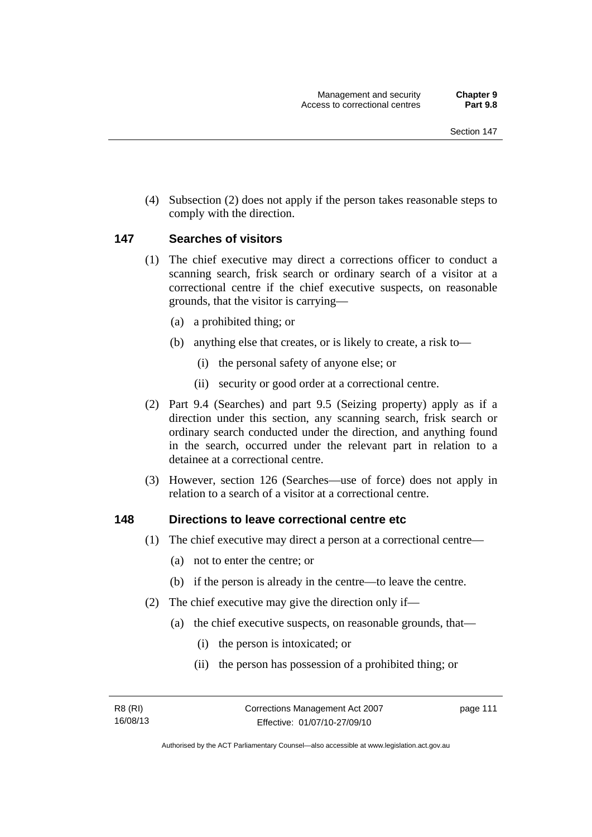(4) Subsection (2) does not apply if the person takes reasonable steps to comply with the direction.

### **147 Searches of visitors**

- (1) The chief executive may direct a corrections officer to conduct a scanning search, frisk search or ordinary search of a visitor at a correctional centre if the chief executive suspects, on reasonable grounds, that the visitor is carrying—
	- (a) a prohibited thing; or
	- (b) anything else that creates, or is likely to create, a risk to—
		- (i) the personal safety of anyone else; or
		- (ii) security or good order at a correctional centre.
- (2) Part 9.4 (Searches) and part 9.5 (Seizing property) apply as if a direction under this section, any scanning search, frisk search or ordinary search conducted under the direction, and anything found in the search, occurred under the relevant part in relation to a detainee at a correctional centre.
- (3) However, section 126 (Searches—use of force) does not apply in relation to a search of a visitor at a correctional centre.

### **148 Directions to leave correctional centre etc**

- (1) The chief executive may direct a person at a correctional centre—
	- (a) not to enter the centre; or
	- (b) if the person is already in the centre—to leave the centre.
- (2) The chief executive may give the direction only if—
	- (a) the chief executive suspects, on reasonable grounds, that—
		- (i) the person is intoxicated; or
		- (ii) the person has possession of a prohibited thing; or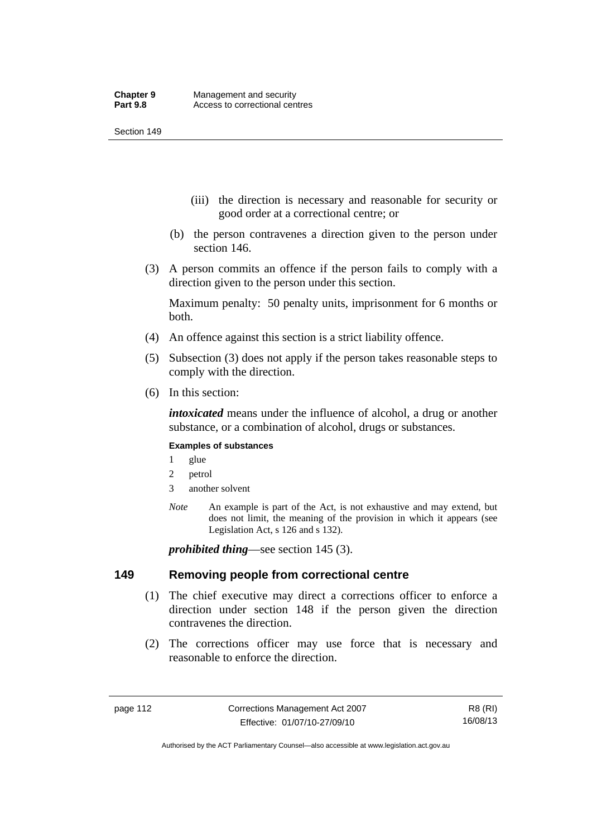- (iii) the direction is necessary and reasonable for security or good order at a correctional centre; or
- (b) the person contravenes a direction given to the person under section 146.
- (3) A person commits an offence if the person fails to comply with a direction given to the person under this section.

Maximum penalty: 50 penalty units, imprisonment for 6 months or both.

- (4) An offence against this section is a strict liability offence.
- (5) Subsection (3) does not apply if the person takes reasonable steps to comply with the direction.
- (6) In this section:

*intoxicated* means under the influence of alcohol, a drug or another substance, or a combination of alcohol, drugs or substances.

#### **Examples of substances**

- 1 glue
- 2 petrol
- 3 another solvent
- *Note* An example is part of the Act, is not exhaustive and may extend, but does not limit, the meaning of the provision in which it appears (see Legislation Act, s 126 and s 132).

*prohibited thing*—see section 145 (3).

### **149 Removing people from correctional centre**

- (1) The chief executive may direct a corrections officer to enforce a direction under section 148 if the person given the direction contravenes the direction.
- (2) The corrections officer may use force that is necessary and reasonable to enforce the direction.

Authorised by the ACT Parliamentary Counsel—also accessible at www.legislation.act.gov.au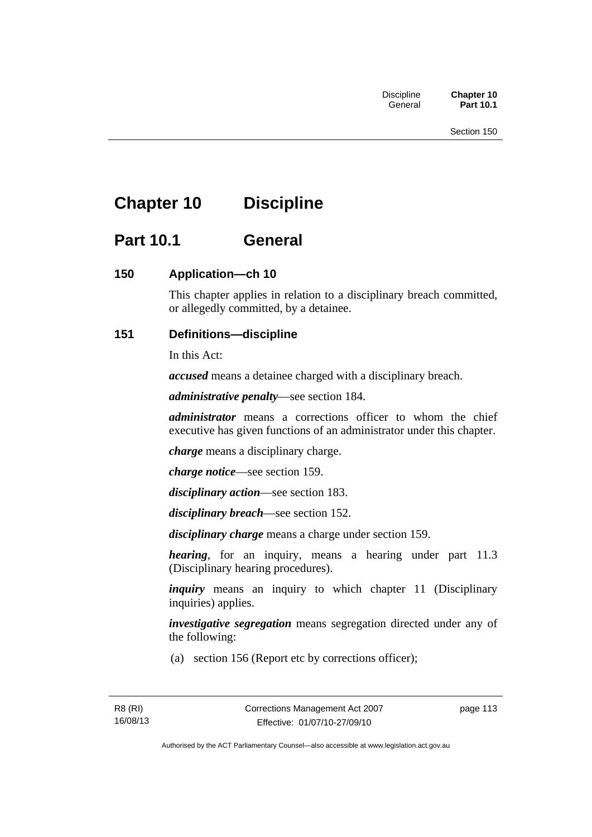# **Chapter 10 Discipline**

## **Part 10.1 General**

## **150 Application—ch 10**

This chapter applies in relation to a disciplinary breach committed, or allegedly committed, by a detainee.

## **151 Definitions—discipline**

In this Act:

*accused* means a detainee charged with a disciplinary breach.

*administrative penalty*—see section 184.

*administrator* means a corrections officer to whom the chief executive has given functions of an administrator under this chapter.

*charge* means a disciplinary charge.

*charge notice*—see section 159.

*disciplinary action*—see section 183.

*disciplinary breach*—see section 152.

*disciplinary charge* means a charge under section 159.

*hearing*, for an inquiry, means a hearing under part 11.3 (Disciplinary hearing procedures).

*inquiry* means an inquiry to which chapter 11 (Disciplinary inquiries) applies.

*investigative segregation* means segregation directed under any of the following:

(a) section 156 (Report etc by corrections officer);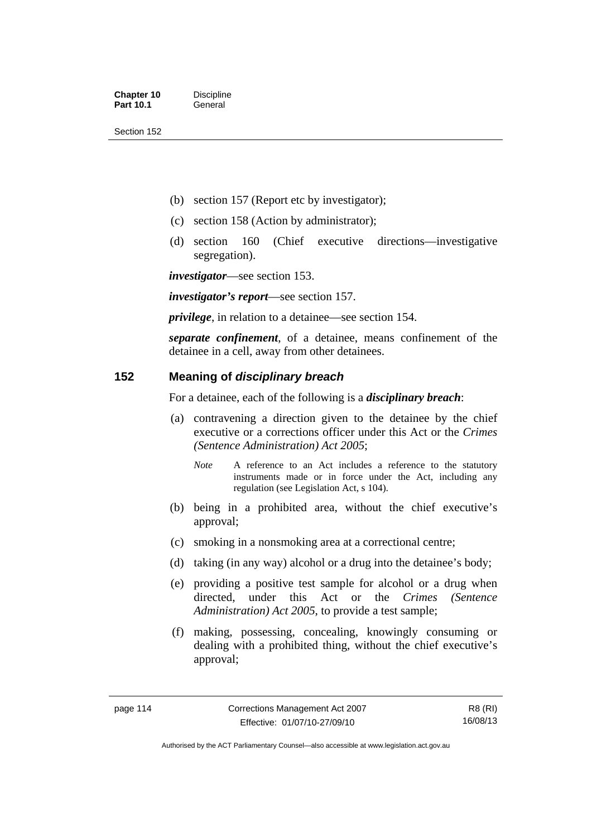- (b) section 157 (Report etc by investigator);
- (c) section 158 (Action by administrator);
- (d) section 160 (Chief executive directions—investigative segregation).

*investigator*—see section 153.

*investigator's report*—see section 157.

*privilege*, in relation to a detainee—see section 154.

*separate confinement*, of a detainee, means confinement of the detainee in a cell, away from other detainees.

## **152 Meaning of** *disciplinary breach*

For a detainee, each of the following is a *disciplinary breach*:

- (a) contravening a direction given to the detainee by the chief executive or a corrections officer under this Act or the *Crimes (Sentence Administration) Act 2005*;
	- *Note* A reference to an Act includes a reference to the statutory instruments made or in force under the Act, including any regulation (see Legislation Act, s 104).
- (b) being in a prohibited area, without the chief executive's approval;
- (c) smoking in a nonsmoking area at a correctional centre;
- (d) taking (in any way) alcohol or a drug into the detainee's body;
- (e) providing a positive test sample for alcohol or a drug when directed, under this Act or the *Crimes (Sentence Administration) Act 2005*, to provide a test sample;
- (f) making, possessing, concealing, knowingly consuming or dealing with a prohibited thing, without the chief executive's approval;

Authorised by the ACT Parliamentary Counsel—also accessible at www.legislation.act.gov.au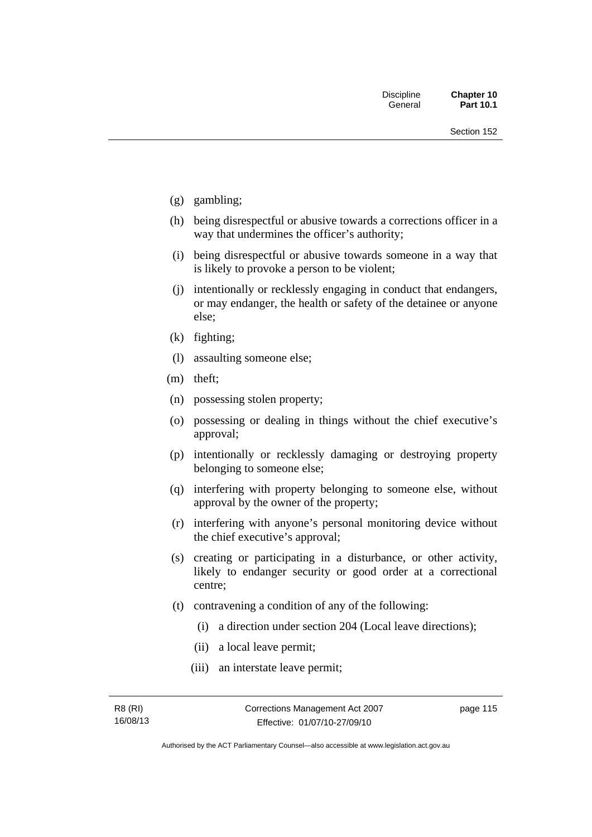- (g) gambling;
- (h) being disrespectful or abusive towards a corrections officer in a way that undermines the officer's authority;
- (i) being disrespectful or abusive towards someone in a way that is likely to provoke a person to be violent;
- (j) intentionally or recklessly engaging in conduct that endangers, or may endanger, the health or safety of the detainee or anyone else;
- (k) fighting;
- (l) assaulting someone else;
- (m) theft;
- (n) possessing stolen property;
- (o) possessing or dealing in things without the chief executive's approval;
- (p) intentionally or recklessly damaging or destroying property belonging to someone else;
- (q) interfering with property belonging to someone else, without approval by the owner of the property;
- (r) interfering with anyone's personal monitoring device without the chief executive's approval;
- (s) creating or participating in a disturbance, or other activity, likely to endanger security or good order at a correctional centre;
- (t) contravening a condition of any of the following:
	- (i) a direction under section 204 (Local leave directions);
	- (ii) a local leave permit;
	- (iii) an interstate leave permit;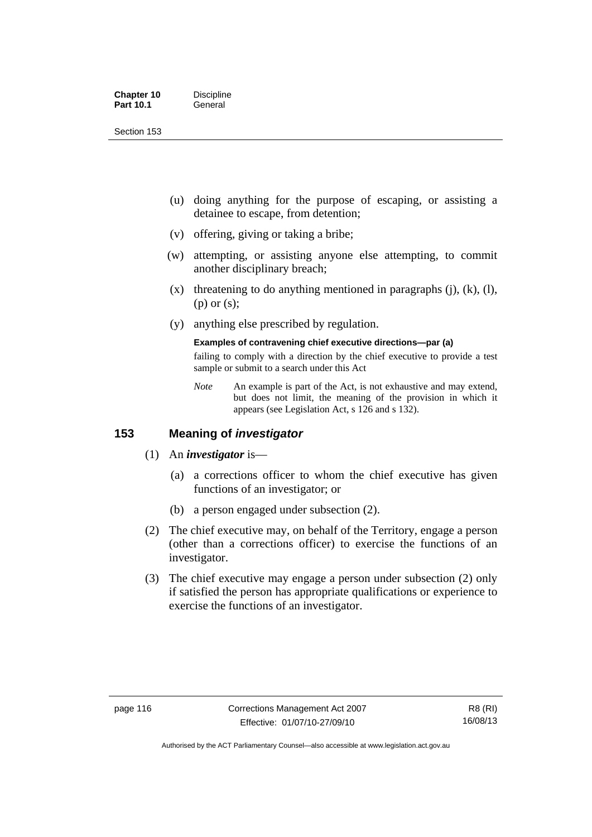| <b>Chapter 10</b> | <b>Discipline</b> |
|-------------------|-------------------|
| <b>Part 10.1</b>  | General           |

- (u) doing anything for the purpose of escaping, or assisting a detainee to escape, from detention;
- (v) offering, giving or taking a bribe;
- (w) attempting, or assisting anyone else attempting, to commit another disciplinary breach;
- $(x)$  threatening to do anything mentioned in paragraphs (j), (k), (l), (p) or (s);
- (y) anything else prescribed by regulation.

#### **Examples of contravening chief executive directions—par (a)**

failing to comply with a direction by the chief executive to provide a test sample or submit to a search under this Act

*Note* An example is part of the Act, is not exhaustive and may extend, but does not limit, the meaning of the provision in which it appears (see Legislation Act, s 126 and s 132).

## **153 Meaning of** *investigator*

- (1) An *investigator* is—
	- (a) a corrections officer to whom the chief executive has given functions of an investigator; or
	- (b) a person engaged under subsection (2).
- (2) The chief executive may, on behalf of the Territory, engage a person (other than a corrections officer) to exercise the functions of an investigator.
- (3) The chief executive may engage a person under subsection (2) only if satisfied the person has appropriate qualifications or experience to exercise the functions of an investigator.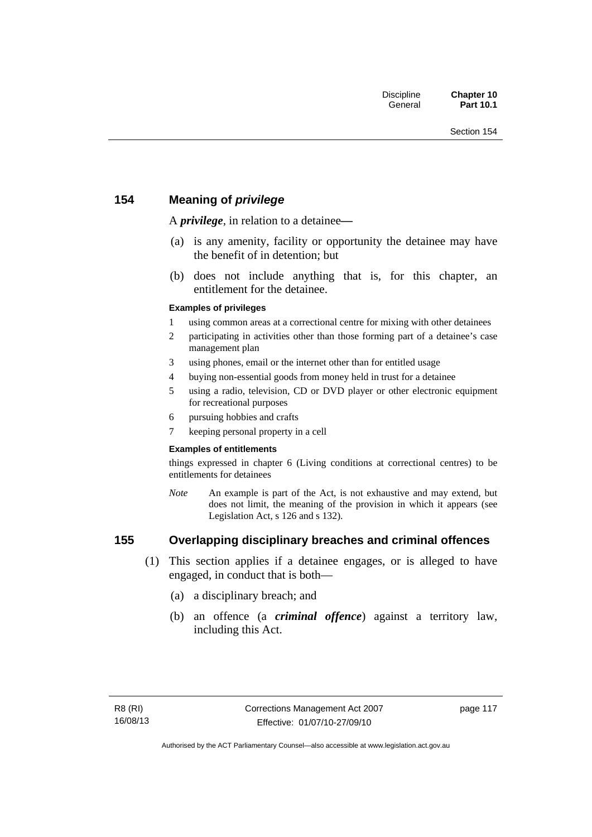## **154 Meaning of** *privilege*

A *privilege*, in relation to a detainee*—*

- (a) is any amenity, facility or opportunity the detainee may have the benefit of in detention; but
- (b) does not include anything that is, for this chapter, an entitlement for the detainee.

### **Examples of privileges**

- 1 using common areas at a correctional centre for mixing with other detainees
- 2 participating in activities other than those forming part of a detainee's case management plan
- 3 using phones, email or the internet other than for entitled usage
- 4 buying non-essential goods from money held in trust for a detainee
- 5 using a radio, television, CD or DVD player or other electronic equipment for recreational purposes
- 6 pursuing hobbies and crafts
- 7 keeping personal property in a cell

#### **Examples of entitlements**

things expressed in chapter 6 (Living conditions at correctional centres) to be entitlements for detainees

*Note* An example is part of the Act, is not exhaustive and may extend, but does not limit, the meaning of the provision in which it appears (see Legislation Act, s 126 and s 132).

## **155 Overlapping disciplinary breaches and criminal offences**

- (1) This section applies if a detainee engages, or is alleged to have engaged, in conduct that is both—
	- (a) a disciplinary breach; and
	- (b) an offence (a *criminal offence*) against a territory law, including this Act.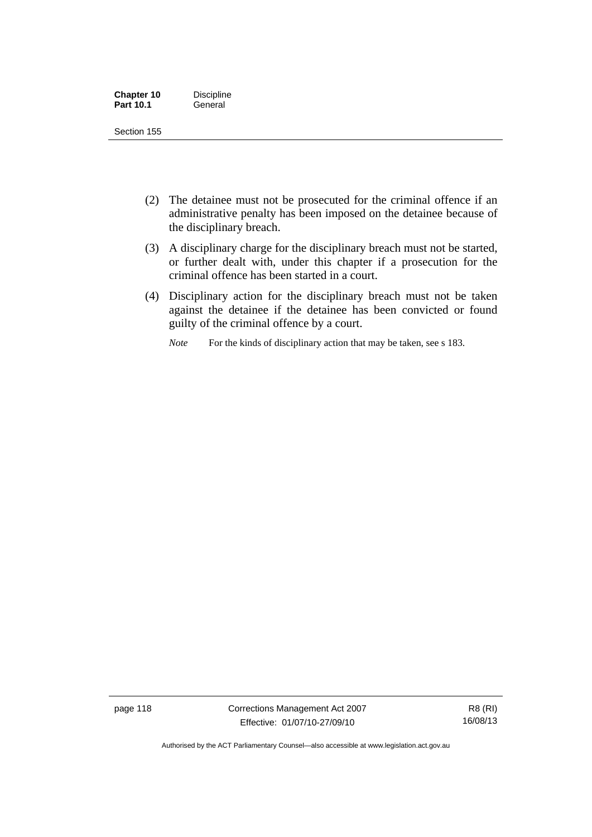| <b>Chapter 10</b> | <b>Discipline</b> |
|-------------------|-------------------|
| <b>Part 10.1</b>  | General           |

- (2) The detainee must not be prosecuted for the criminal offence if an administrative penalty has been imposed on the detainee because of the disciplinary breach.
- (3) A disciplinary charge for the disciplinary breach must not be started, or further dealt with, under this chapter if a prosecution for the criminal offence has been started in a court.
- (4) Disciplinary action for the disciplinary breach must not be taken against the detainee if the detainee has been convicted or found guilty of the criminal offence by a court.

*Note* For the kinds of disciplinary action that may be taken, see s 183.

page 118 Corrections Management Act 2007 Effective: 01/07/10-27/09/10

Authorised by the ACT Parliamentary Counsel—also accessible at www.legislation.act.gov.au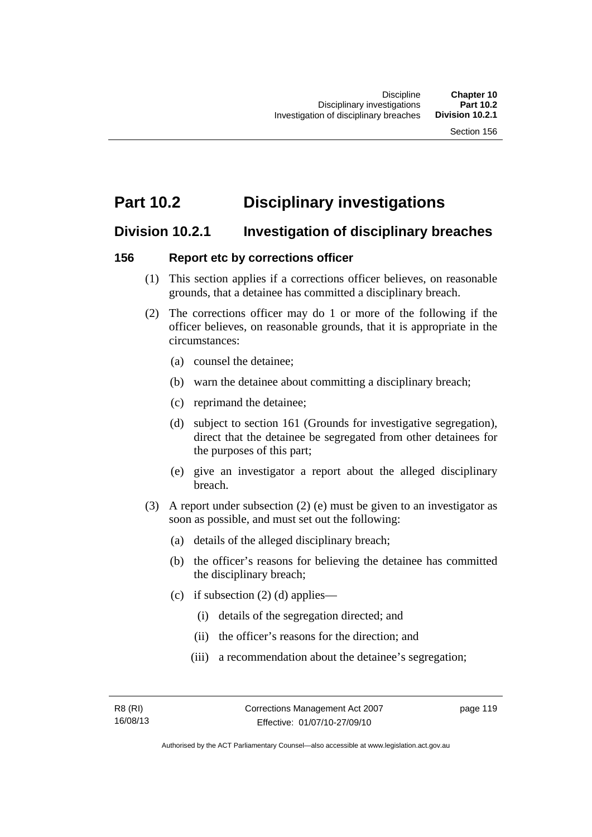## **Part 10.2 Disciplinary investigations**

## **Division 10.2.1 Investigation of disciplinary breaches**

## **156 Report etc by corrections officer**

- (1) This section applies if a corrections officer believes, on reasonable grounds, that a detainee has committed a disciplinary breach.
- (2) The corrections officer may do 1 or more of the following if the officer believes, on reasonable grounds, that it is appropriate in the circumstances:
	- (a) counsel the detainee;
	- (b) warn the detainee about committing a disciplinary breach;
	- (c) reprimand the detainee;
	- (d) subject to section 161 (Grounds for investigative segregation), direct that the detainee be segregated from other detainees for the purposes of this part;
	- (e) give an investigator a report about the alleged disciplinary breach.
- (3) A report under subsection (2) (e) must be given to an investigator as soon as possible, and must set out the following:
	- (a) details of the alleged disciplinary breach;
	- (b) the officer's reasons for believing the detainee has committed the disciplinary breach;
	- (c) if subsection  $(2)$  (d) applies—
		- (i) details of the segregation directed; and
		- (ii) the officer's reasons for the direction; and
		- (iii) a recommendation about the detainee's segregation;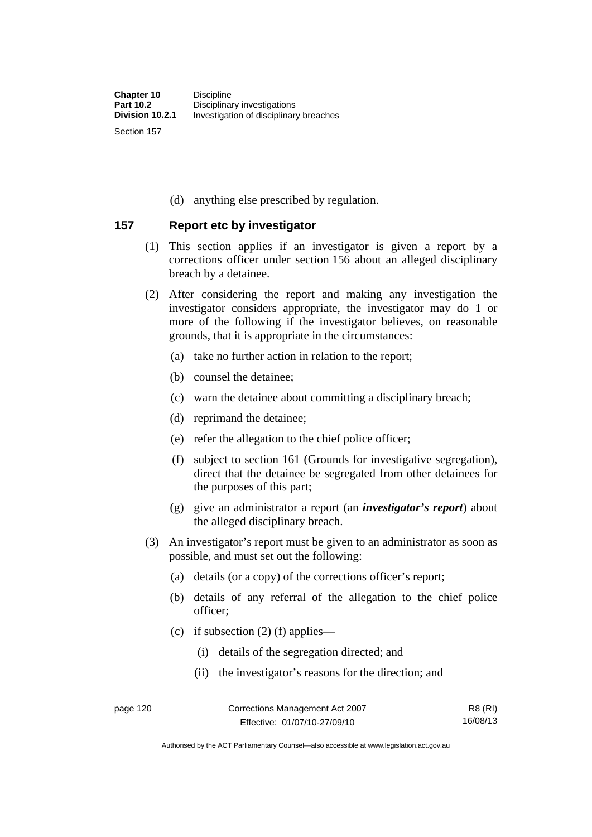(d) anything else prescribed by regulation.

## **157 Report etc by investigator**

- (1) This section applies if an investigator is given a report by a corrections officer under section 156 about an alleged disciplinary breach by a detainee.
- (2) After considering the report and making any investigation the investigator considers appropriate, the investigator may do 1 or more of the following if the investigator believes, on reasonable grounds, that it is appropriate in the circumstances:
	- (a) take no further action in relation to the report;
	- (b) counsel the detainee;
	- (c) warn the detainee about committing a disciplinary breach;
	- (d) reprimand the detainee;
	- (e) refer the allegation to the chief police officer;
	- (f) subject to section 161 (Grounds for investigative segregation), direct that the detainee be segregated from other detainees for the purposes of this part;
	- (g) give an administrator a report (an *investigator's report*) about the alleged disciplinary breach.
- (3) An investigator's report must be given to an administrator as soon as possible, and must set out the following:
	- (a) details (or a copy) of the corrections officer's report;
	- (b) details of any referral of the allegation to the chief police officer;
	- (c) if subsection  $(2)$  (f) applies—
		- (i) details of the segregation directed; and
		- (ii) the investigator's reasons for the direction; and

Authorised by the ACT Parliamentary Counsel—also accessible at www.legislation.act.gov.au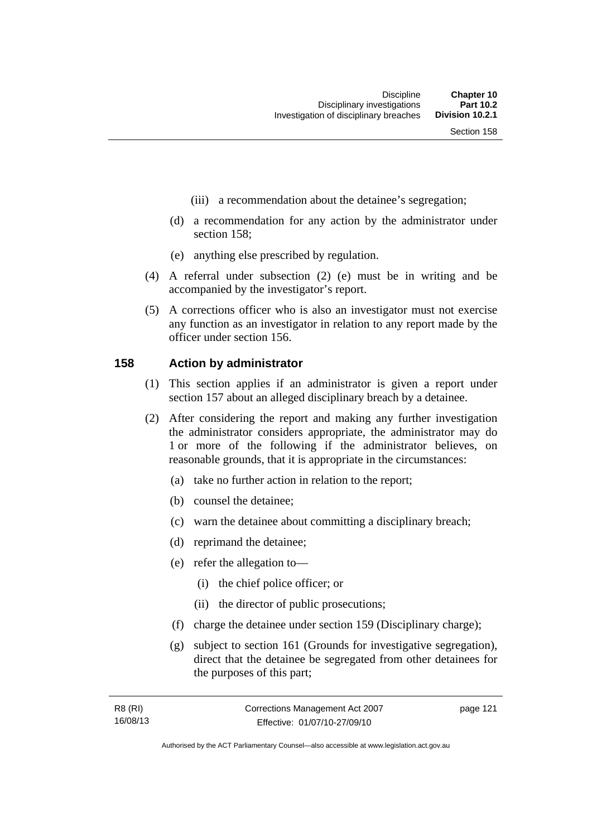- (iii) a recommendation about the detainee's segregation;
- (d) a recommendation for any action by the administrator under section 158;
- (e) anything else prescribed by regulation.
- (4) A referral under subsection (2) (e) must be in writing and be accompanied by the investigator's report.
- (5) A corrections officer who is also an investigator must not exercise any function as an investigator in relation to any report made by the officer under section 156.

### **158 Action by administrator**

- (1) This section applies if an administrator is given a report under section 157 about an alleged disciplinary breach by a detainee.
- (2) After considering the report and making any further investigation the administrator considers appropriate, the administrator may do 1 or more of the following if the administrator believes, on reasonable grounds, that it is appropriate in the circumstances:
	- (a) take no further action in relation to the report;
	- (b) counsel the detainee;
	- (c) warn the detainee about committing a disciplinary breach;
	- (d) reprimand the detainee;
	- (e) refer the allegation to—
		- (i) the chief police officer; or
		- (ii) the director of public prosecutions;
	- (f) charge the detainee under section 159 (Disciplinary charge);
	- (g) subject to section 161 (Grounds for investigative segregation), direct that the detainee be segregated from other detainees for the purposes of this part;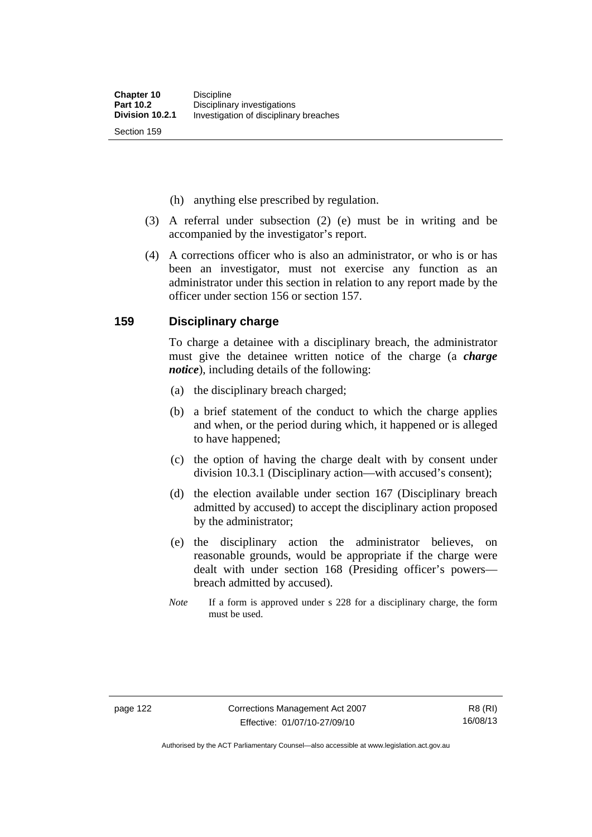(h) anything else prescribed by regulation.

- (3) A referral under subsection (2) (e) must be in writing and be accompanied by the investigator's report.
- (4) A corrections officer who is also an administrator, or who is or has been an investigator, must not exercise any function as an administrator under this section in relation to any report made by the officer under section 156 or section 157.

### **159 Disciplinary charge**

To charge a detainee with a disciplinary breach, the administrator must give the detainee written notice of the charge (a *charge notice*), including details of the following:

- (a) the disciplinary breach charged;
- (b) a brief statement of the conduct to which the charge applies and when, or the period during which, it happened or is alleged to have happened;
- (c) the option of having the charge dealt with by consent under division 10.3.1 (Disciplinary action—with accused's consent);
- (d) the election available under section 167 (Disciplinary breach admitted by accused) to accept the disciplinary action proposed by the administrator;
- (e) the disciplinary action the administrator believes, on reasonable grounds, would be appropriate if the charge were dealt with under section 168 (Presiding officer's powers breach admitted by accused).
- *Note* If a form is approved under s 228 for a disciplinary charge, the form must be used.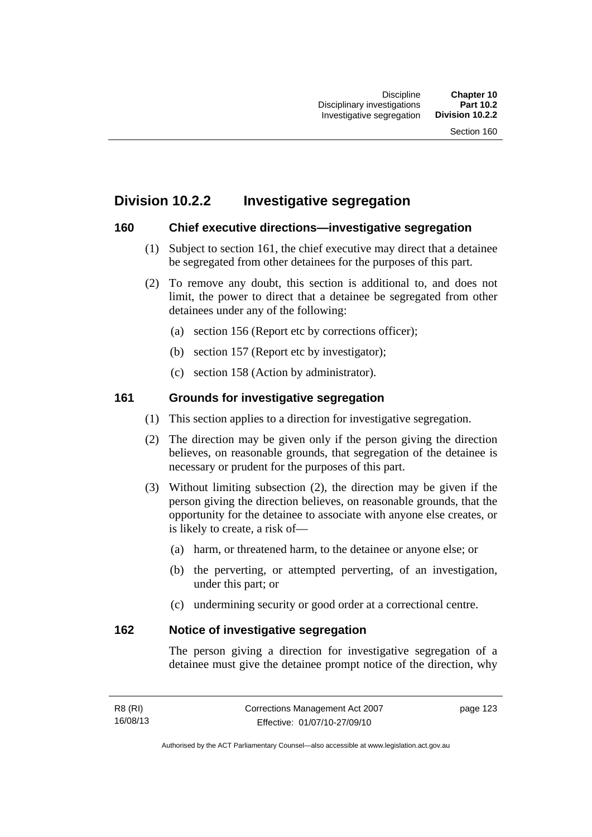## **Division 10.2.2 Investigative segregation**

## **160 Chief executive directions—investigative segregation**

- (1) Subject to section 161, the chief executive may direct that a detainee be segregated from other detainees for the purposes of this part.
- (2) To remove any doubt, this section is additional to, and does not limit, the power to direct that a detainee be segregated from other detainees under any of the following:
	- (a) section 156 (Report etc by corrections officer);
	- (b) section 157 (Report etc by investigator);
	- (c) section 158 (Action by administrator).

## **161 Grounds for investigative segregation**

- (1) This section applies to a direction for investigative segregation.
- (2) The direction may be given only if the person giving the direction believes, on reasonable grounds, that segregation of the detainee is necessary or prudent for the purposes of this part.
- (3) Without limiting subsection (2), the direction may be given if the person giving the direction believes, on reasonable grounds, that the opportunity for the detainee to associate with anyone else creates, or is likely to create, a risk of—
	- (a) harm, or threatened harm, to the detainee or anyone else; or
	- (b) the perverting, or attempted perverting, of an investigation, under this part; or
	- (c) undermining security or good order at a correctional centre.

## **162 Notice of investigative segregation**

The person giving a direction for investigative segregation of a detainee must give the detainee prompt notice of the direction, why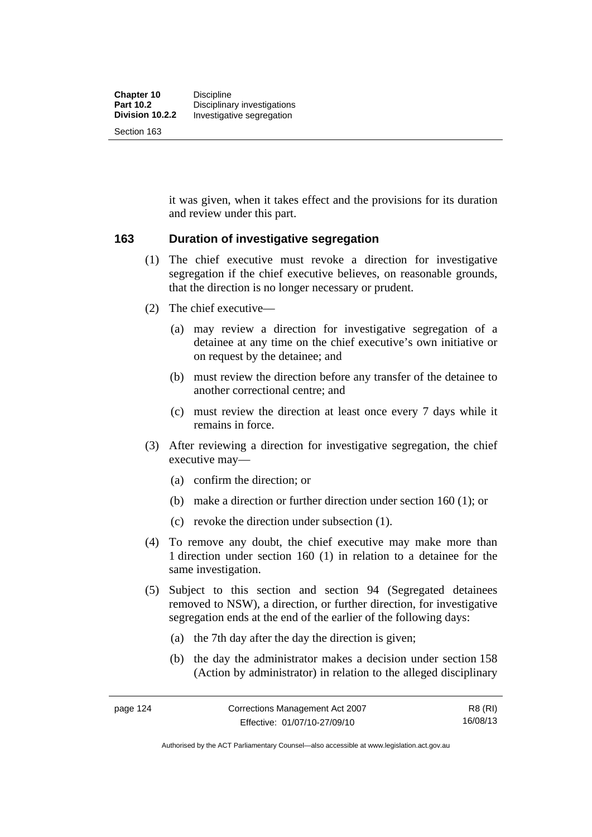it was given, when it takes effect and the provisions for its duration and review under this part.

## **163 Duration of investigative segregation**

- (1) The chief executive must revoke a direction for investigative segregation if the chief executive believes, on reasonable grounds, that the direction is no longer necessary or prudent.
- (2) The chief executive—
	- (a) may review a direction for investigative segregation of a detainee at any time on the chief executive's own initiative or on request by the detainee; and
	- (b) must review the direction before any transfer of the detainee to another correctional centre; and
	- (c) must review the direction at least once every 7 days while it remains in force.
- (3) After reviewing a direction for investigative segregation, the chief executive may—
	- (a) confirm the direction; or
	- (b) make a direction or further direction under section 160 (1); or
	- (c) revoke the direction under subsection (1).
- (4) To remove any doubt, the chief executive may make more than 1 direction under section 160 (1) in relation to a detainee for the same investigation.
- (5) Subject to this section and section 94 (Segregated detainees removed to NSW), a direction, or further direction, for investigative segregation ends at the end of the earlier of the following days:
	- (a) the 7th day after the day the direction is given;
	- (b) the day the administrator makes a decision under section 158 (Action by administrator) in relation to the alleged disciplinary

R8 (RI) 16/08/13

Authorised by the ACT Parliamentary Counsel—also accessible at www.legislation.act.gov.au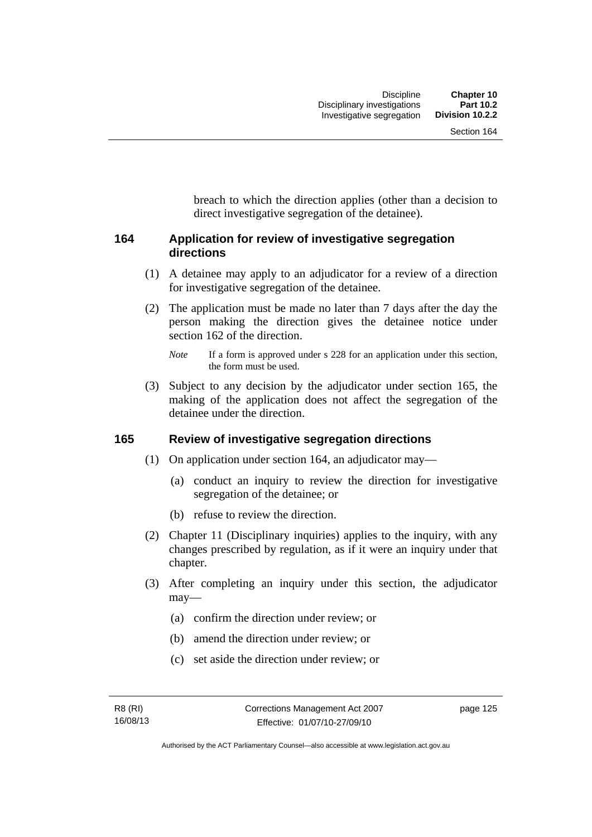breach to which the direction applies (other than a decision to direct investigative segregation of the detainee).

## **164 Application for review of investigative segregation directions**

- (1) A detainee may apply to an adjudicator for a review of a direction for investigative segregation of the detainee.
- (2) The application must be made no later than 7 days after the day the person making the direction gives the detainee notice under section 162 of the direction.

 (3) Subject to any decision by the adjudicator under section 165, the making of the application does not affect the segregation of the detainee under the direction.

## **165 Review of investigative segregation directions**

- (1) On application under section 164, an adjudicator may—
	- (a) conduct an inquiry to review the direction for investigative segregation of the detainee; or
	- (b) refuse to review the direction.
- (2) Chapter 11 (Disciplinary inquiries) applies to the inquiry, with any changes prescribed by regulation, as if it were an inquiry under that chapter.
- (3) After completing an inquiry under this section, the adjudicator may—
	- (a) confirm the direction under review; or
	- (b) amend the direction under review; or
	- (c) set aside the direction under review; or

*Note* If a form is approved under s 228 for an application under this section, the form must be used.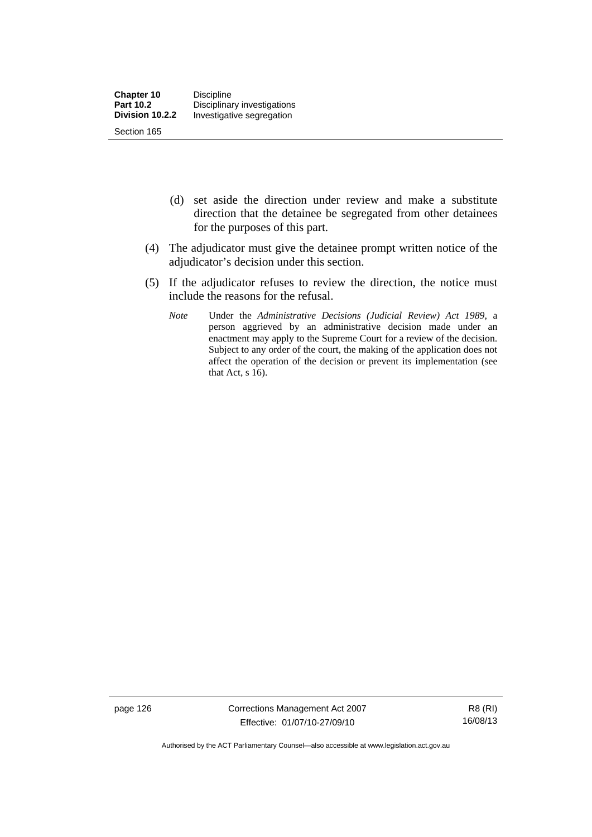- (d) set aside the direction under review and make a substitute direction that the detainee be segregated from other detainees for the purposes of this part.
- (4) The adjudicator must give the detainee prompt written notice of the adjudicator's decision under this section.
- (5) If the adjudicator refuses to review the direction, the notice must include the reasons for the refusal.
	- *Note* Under the *Administrative Decisions (Judicial Review) Act 1989*, a person aggrieved by an administrative decision made under an enactment may apply to the Supreme Court for a review of the decision. Subject to any order of the court, the making of the application does not affect the operation of the decision or prevent its implementation (see that Act,  $s$  16).

page 126 Corrections Management Act 2007 Effective: 01/07/10-27/09/10

R8 (RI) 16/08/13

Authorised by the ACT Parliamentary Counsel—also accessible at www.legislation.act.gov.au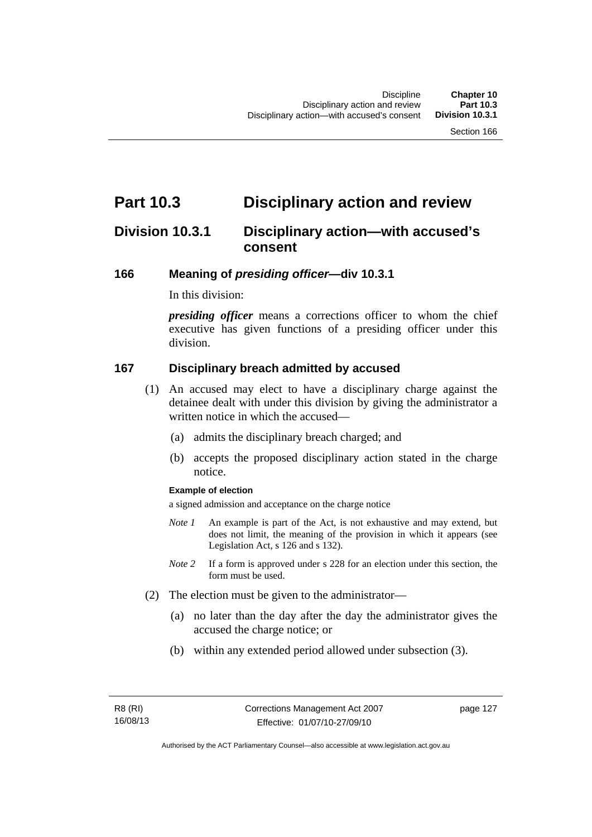## **Part 10.3 Disciplinary action and review**

## **Division 10.3.1 Disciplinary action—with accused's consent**

### **166 Meaning of** *presiding officer***—div 10.3.1**

In this division:

*presiding officer* means a corrections officer to whom the chief executive has given functions of a presiding officer under this division.

### **167 Disciplinary breach admitted by accused**

- (1) An accused may elect to have a disciplinary charge against the detainee dealt with under this division by giving the administrator a written notice in which the accused—
	- (a) admits the disciplinary breach charged; and
	- (b) accepts the proposed disciplinary action stated in the charge notice.

#### **Example of election**

a signed admission and acceptance on the charge notice

- *Note 1* An example is part of the Act, is not exhaustive and may extend, but does not limit, the meaning of the provision in which it appears (see Legislation Act, s 126 and s 132).
- *Note* 2 If a form is approved under s 228 for an election under this section, the form must be used.
- (2) The election must be given to the administrator—
	- (a) no later than the day after the day the administrator gives the accused the charge notice; or
	- (b) within any extended period allowed under subsection (3).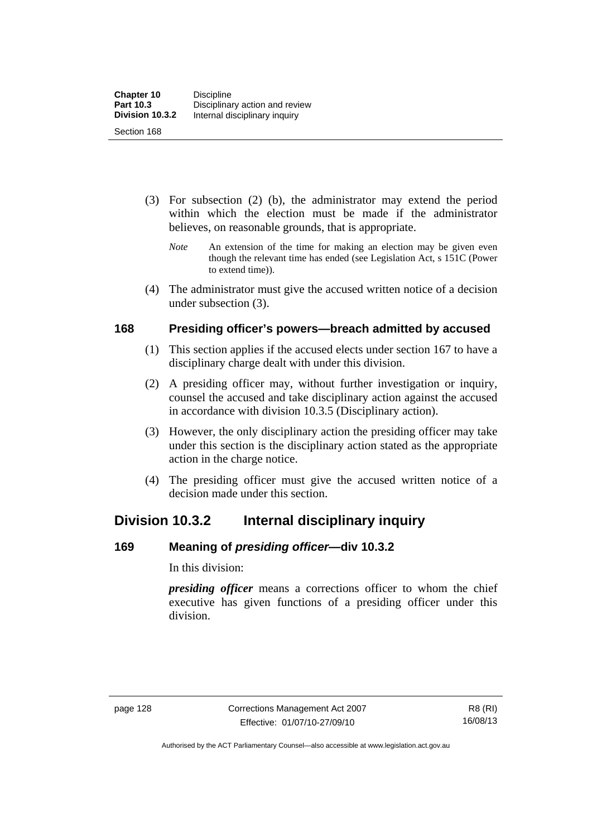- (3) For subsection (2) (b), the administrator may extend the period within which the election must be made if the administrator believes, on reasonable grounds, that is appropriate.
	- *Note* An extension of the time for making an election may be given even though the relevant time has ended (see Legislation Act, s 151C (Power to extend time)).
- (4) The administrator must give the accused written notice of a decision under subsection (3).

## **168 Presiding officer's powers—breach admitted by accused**

- (1) This section applies if the accused elects under section 167 to have a disciplinary charge dealt with under this division.
- (2) A presiding officer may, without further investigation or inquiry, counsel the accused and take disciplinary action against the accused in accordance with division 10.3.5 (Disciplinary action).
- (3) However, the only disciplinary action the presiding officer may take under this section is the disciplinary action stated as the appropriate action in the charge notice.
- (4) The presiding officer must give the accused written notice of a decision made under this section.

## **Division 10.3.2 Internal disciplinary inquiry**

## **169 Meaning of** *presiding officer***—div 10.3.2**

In this division:

*presiding officer* means a corrections officer to whom the chief executive has given functions of a presiding officer under this division.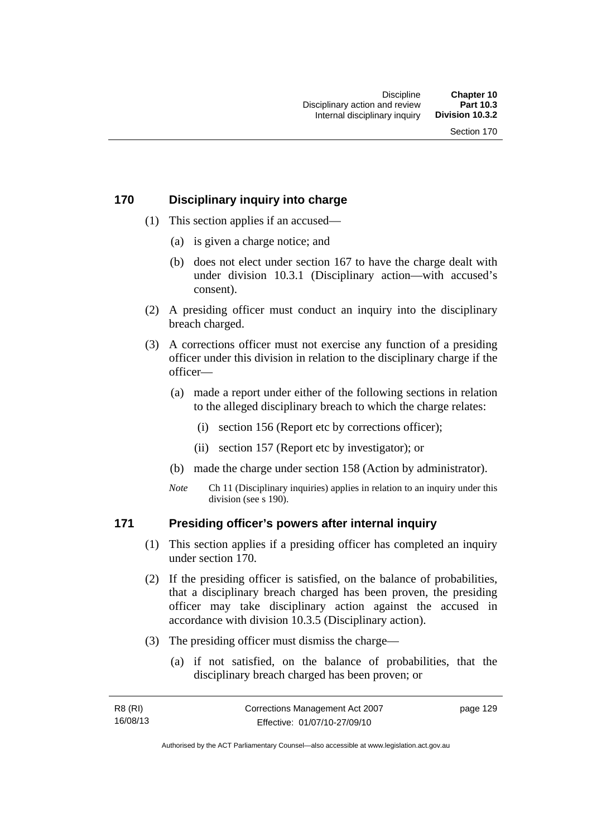## **170 Disciplinary inquiry into charge**

- (1) This section applies if an accused—
	- (a) is given a charge notice; and
	- (b) does not elect under section 167 to have the charge dealt with under division 10.3.1 (Disciplinary action—with accused's consent).
- (2) A presiding officer must conduct an inquiry into the disciplinary breach charged.
- (3) A corrections officer must not exercise any function of a presiding officer under this division in relation to the disciplinary charge if the officer—
	- (a) made a report under either of the following sections in relation to the alleged disciplinary breach to which the charge relates:
		- (i) section 156 (Report etc by corrections officer);
		- (ii) section 157 (Report etc by investigator); or
	- (b) made the charge under section 158 (Action by administrator).
	- *Note* Ch 11 (Disciplinary inquiries) applies in relation to an inquiry under this division (see s 190).

## **171 Presiding officer's powers after internal inquiry**

- (1) This section applies if a presiding officer has completed an inquiry under section 170.
- (2) If the presiding officer is satisfied, on the balance of probabilities, that a disciplinary breach charged has been proven, the presiding officer may take disciplinary action against the accused in accordance with division 10.3.5 (Disciplinary action).
- (3) The presiding officer must dismiss the charge—
	- (a) if not satisfied, on the balance of probabilities, that the disciplinary breach charged has been proven; or

| R8 (RI)  | Corrections Management Act 2007 | page 129 |
|----------|---------------------------------|----------|
| 16/08/13 | Effective: 01/07/10-27/09/10    |          |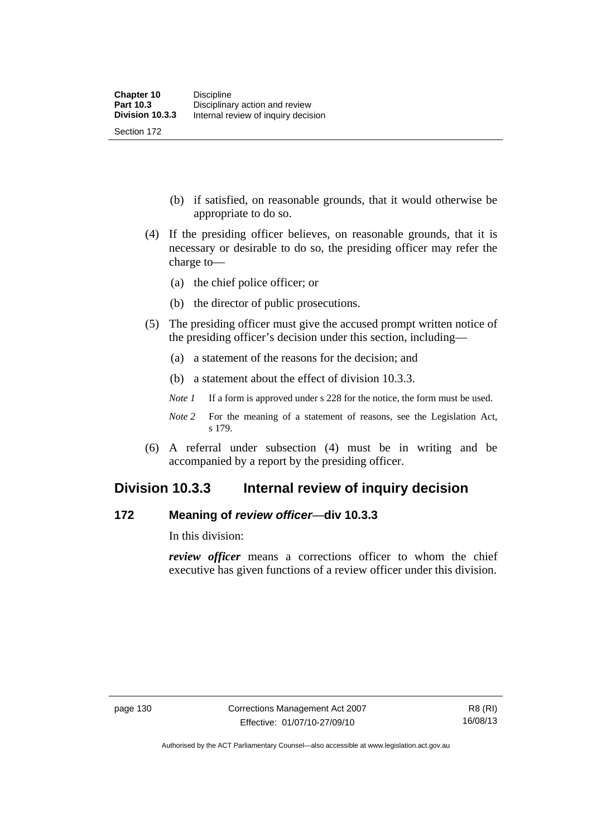(b) if satisfied, on reasonable grounds, that it would otherwise be appropriate to do so.

- (4) If the presiding officer believes, on reasonable grounds, that it is necessary or desirable to do so, the presiding officer may refer the charge to—
	- (a) the chief police officer; or
	- (b) the director of public prosecutions.
- (5) The presiding officer must give the accused prompt written notice of the presiding officer's decision under this section, including—
	- (a) a statement of the reasons for the decision; and
	- (b) a statement about the effect of division 10.3.3.
	- *Note 1* If a form is approved under s 228 for the notice, the form must be used.
	- *Note 2* For the meaning of a statement of reasons, see the Legislation Act, s 179.
- (6) A referral under subsection (4) must be in writing and be accompanied by a report by the presiding officer.

## **Division 10.3.3 Internal review of inquiry decision**

## **172 Meaning of** *review officer*—**div 10.3.3**

In this division:

*review officer* means a corrections officer to whom the chief executive has given functions of a review officer under this division.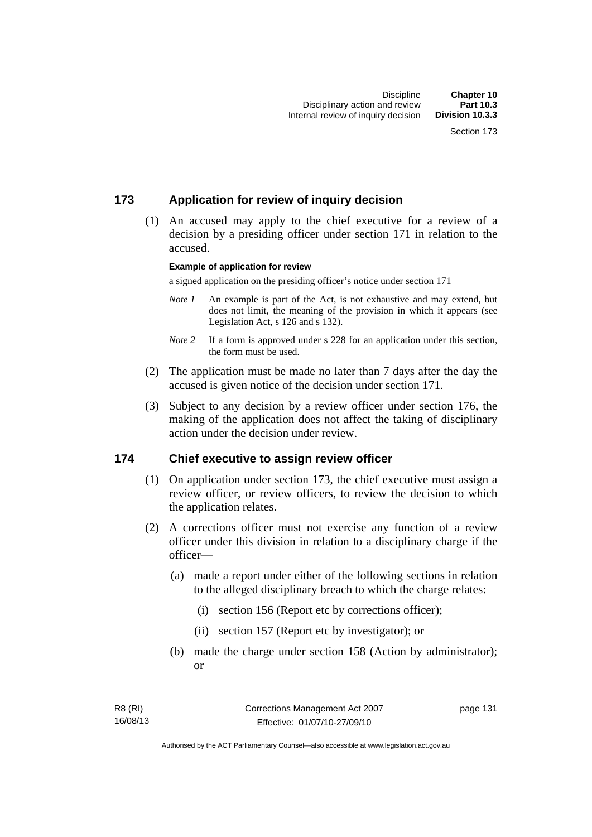# **173 Application for review of inquiry decision**

 (1) An accused may apply to the chief executive for a review of a decision by a presiding officer under section 171 in relation to the accused.

#### **Example of application for review**

a signed application on the presiding officer's notice under section 171

- *Note 1* An example is part of the Act, is not exhaustive and may extend, but does not limit, the meaning of the provision in which it appears (see Legislation Act, s 126 and s 132).
- *Note* 2 If a form is approved under s 228 for an application under this section, the form must be used.
- (2) The application must be made no later than 7 days after the day the accused is given notice of the decision under section 171.
- (3) Subject to any decision by a review officer under section 176, the making of the application does not affect the taking of disciplinary action under the decision under review.

## **174 Chief executive to assign review officer**

- (1) On application under section 173, the chief executive must assign a review officer, or review officers, to review the decision to which the application relates.
- (2) A corrections officer must not exercise any function of a review officer under this division in relation to a disciplinary charge if the officer—
	- (a) made a report under either of the following sections in relation to the alleged disciplinary breach to which the charge relates:
		- (i) section 156 (Report etc by corrections officer);
		- (ii) section 157 (Report etc by investigator); or
	- (b) made the charge under section 158 (Action by administrator); or

page 131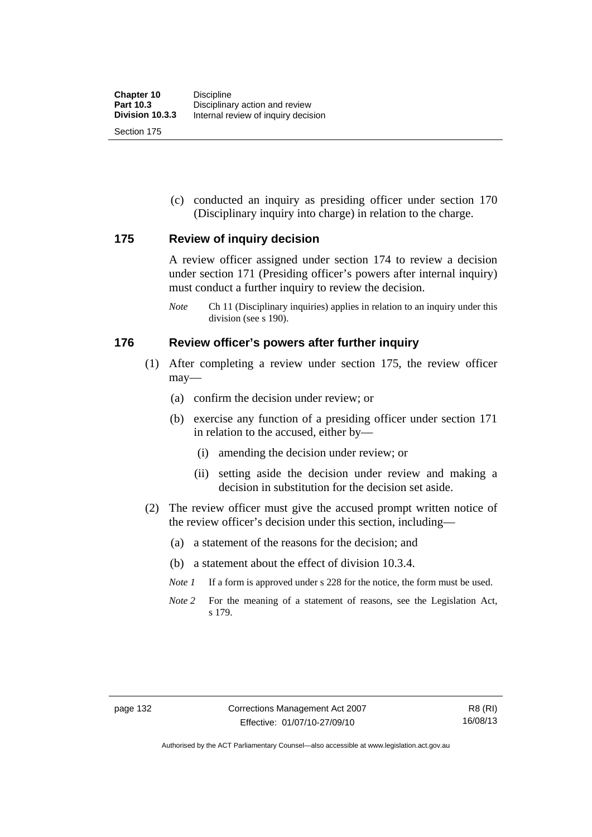Section 175

 (c) conducted an inquiry as presiding officer under section 170 (Disciplinary inquiry into charge) in relation to the charge.

## **175 Review of inquiry decision**

A review officer assigned under section 174 to review a decision under section 171 (Presiding officer's powers after internal inquiry) must conduct a further inquiry to review the decision.

*Note* Ch 11 (Disciplinary inquiries) applies in relation to an inquiry under this division (see s 190).

## **176 Review officer's powers after further inquiry**

- (1) After completing a review under section 175, the review officer may—
	- (a) confirm the decision under review; or
	- (b) exercise any function of a presiding officer under section 171 in relation to the accused, either by—
		- (i) amending the decision under review; or
		- (ii) setting aside the decision under review and making a decision in substitution for the decision set aside.
- (2) The review officer must give the accused prompt written notice of the review officer's decision under this section, including—
	- (a) a statement of the reasons for the decision; and
	- (b) a statement about the effect of division 10.3.4.
	- *Note 1* If a form is approved under s 228 for the notice, the form must be used.
	- *Note 2* For the meaning of a statement of reasons, see the Legislation Act, s 179.

Authorised by the ACT Parliamentary Counsel—also accessible at www.legislation.act.gov.au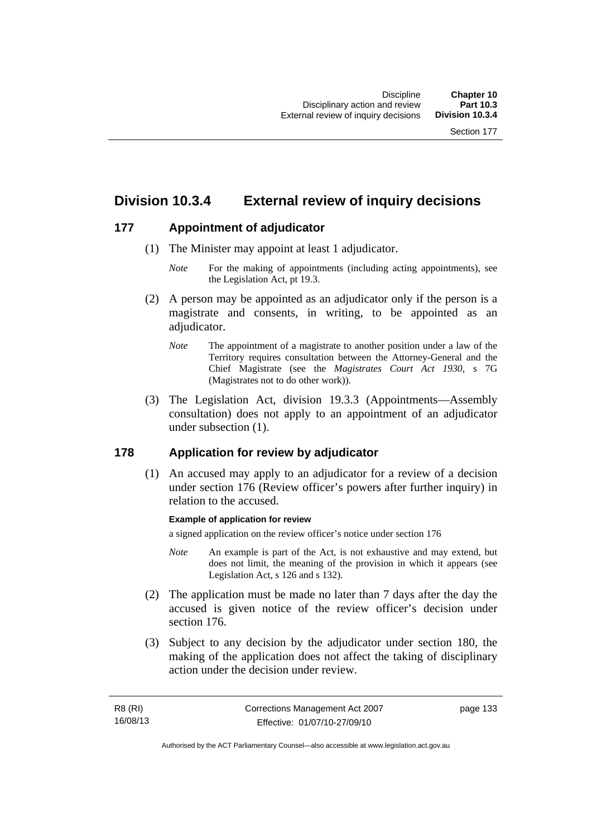# **Division 10.3.4 External review of inquiry decisions**

# **177 Appointment of adjudicator**

- (1) The Minister may appoint at least 1 adjudicator.
	- *Note* For the making of appointments (including acting appointments), see the Legislation Act, pt 19.3.
- (2) A person may be appointed as an adjudicator only if the person is a magistrate and consents, in writing, to be appointed as an adiudicator.
	- *Note* The appointment of a magistrate to another position under a law of the Territory requires consultation between the Attorney-General and the Chief Magistrate (see the *Magistrates Court Act 1930*, s 7G (Magistrates not to do other work)).
- (3) The Legislation Act, division 19.3.3 (Appointments—Assembly consultation) does not apply to an appointment of an adjudicator under subsection (1).

# **178 Application for review by adjudicator**

 (1) An accused may apply to an adjudicator for a review of a decision under section 176 (Review officer's powers after further inquiry) in relation to the accused.

## **Example of application for review**

a signed application on the review officer's notice under section 176

- *Note* An example is part of the Act, is not exhaustive and may extend, but does not limit, the meaning of the provision in which it appears (see Legislation Act, s 126 and s 132).
- (2) The application must be made no later than 7 days after the day the accused is given notice of the review officer's decision under section 176.
- (3) Subject to any decision by the adjudicator under section 180, the making of the application does not affect the taking of disciplinary action under the decision under review.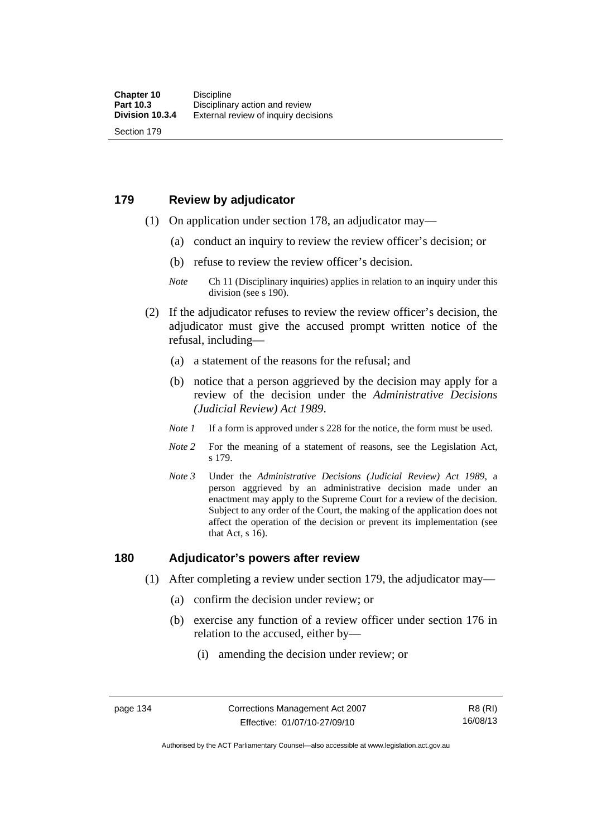# **179 Review by adjudicator**

Section 179

- (1) On application under section 178, an adjudicator may—
	- (a) conduct an inquiry to review the review officer's decision; or
	- (b) refuse to review the review officer's decision.

- (2) If the adjudicator refuses to review the review officer's decision, the adjudicator must give the accused prompt written notice of the refusal, including—
	- (a) a statement of the reasons for the refusal; and
	- (b) notice that a person aggrieved by the decision may apply for a review of the decision under the *Administrative Decisions (Judicial Review) Act 1989*.
	- *Note 1* If a form is approved under s 228 for the notice, the form must be used.
	- *Note 2* For the meaning of a statement of reasons, see the Legislation Act, s 179.
	- *Note 3* Under the *Administrative Decisions (Judicial Review) Act 1989*, a person aggrieved by an administrative decision made under an enactment may apply to the Supreme Court for a review of the decision. Subject to any order of the Court, the making of the application does not affect the operation of the decision or prevent its implementation (see that Act, s 16).

## **180 Adjudicator's powers after review**

- (1) After completing a review under section 179, the adjudicator may—
	- (a) confirm the decision under review; or
	- (b) exercise any function of a review officer under section 176 in relation to the accused, either by—
		- (i) amending the decision under review; or

*Note* Ch 11 (Disciplinary inquiries) applies in relation to an inquiry under this division (see s 190).

Authorised by the ACT Parliamentary Counsel—also accessible at www.legislation.act.gov.au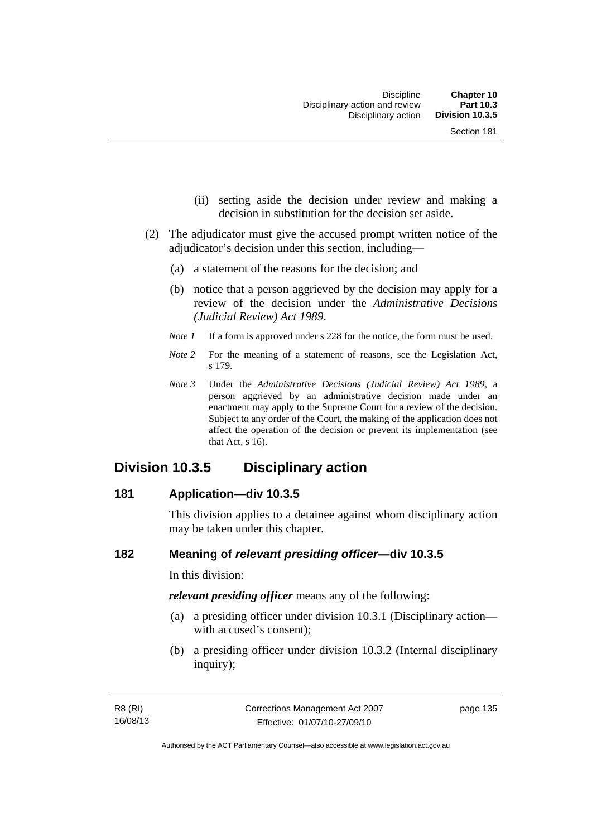- (ii) setting aside the decision under review and making a decision in substitution for the decision set aside.
- (2) The adjudicator must give the accused prompt written notice of the adjudicator's decision under this section, including—
	- (a) a statement of the reasons for the decision; and
	- (b) notice that a person aggrieved by the decision may apply for a review of the decision under the *Administrative Decisions (Judicial Review) Act 1989*.
	- *Note 1* If a form is approved under s 228 for the notice, the form must be used.
	- *Note* 2 For the meaning of a statement of reasons, see the Legislation Act, s 179.
	- *Note 3* Under the *Administrative Decisions (Judicial Review) Act 1989*, a person aggrieved by an administrative decision made under an enactment may apply to the Supreme Court for a review of the decision. Subject to any order of the Court, the making of the application does not affect the operation of the decision or prevent its implementation (see that Act, s 16).

# **Division 10.3.5 Disciplinary action**

#### **181 Application—div 10.3.5**

This division applies to a detainee against whom disciplinary action may be taken under this chapter.

# **182 Meaning of** *relevant presiding officer***—div 10.3.5**

In this division:

*relevant presiding officer* means any of the following:

- (a) a presiding officer under division 10.3.1 (Disciplinary action with accused's consent);
- (b) a presiding officer under division 10.3.2 (Internal disciplinary inquiry);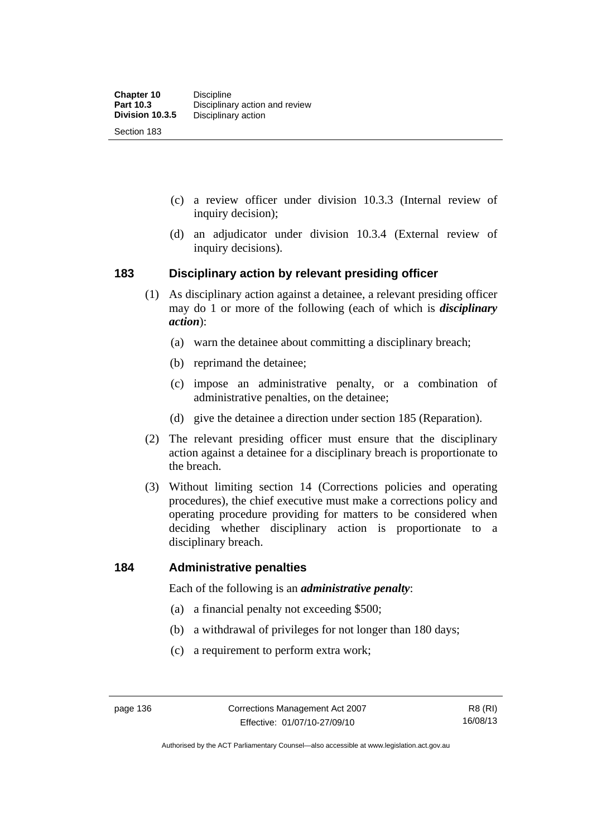- (c) a review officer under division 10.3.3 (Internal review of inquiry decision);
- (d) an adjudicator under division 10.3.4 (External review of inquiry decisions).

# **183 Disciplinary action by relevant presiding officer**

- (1) As disciplinary action against a detainee, a relevant presiding officer may do 1 or more of the following (each of which is *disciplinary action*):
	- (a) warn the detainee about committing a disciplinary breach;
	- (b) reprimand the detainee;
	- (c) impose an administrative penalty, or a combination of administrative penalties, on the detainee;
	- (d) give the detainee a direction under section 185 (Reparation).
- (2) The relevant presiding officer must ensure that the disciplinary action against a detainee for a disciplinary breach is proportionate to the breach.
- (3) Without limiting section 14 (Corrections policies and operating procedures), the chief executive must make a corrections policy and operating procedure providing for matters to be considered when deciding whether disciplinary action is proportionate to a disciplinary breach.

## **184 Administrative penalties**

Each of the following is an *administrative penalty*:

- (a) a financial penalty not exceeding \$500;
- (b) a withdrawal of privileges for not longer than 180 days;
- (c) a requirement to perform extra work;

Authorised by the ACT Parliamentary Counsel—also accessible at www.legislation.act.gov.au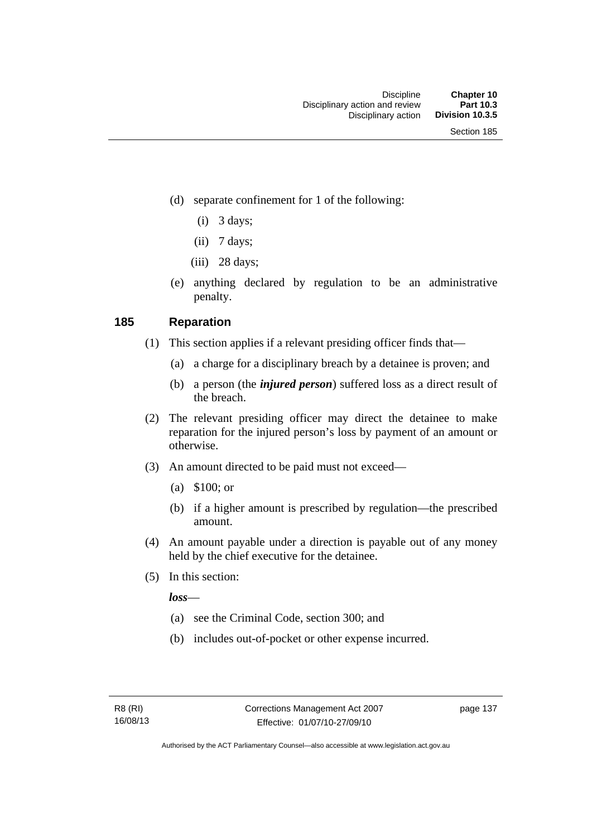- (d) separate confinement for 1 of the following:
	- $(i)$  3 days;
	- $(ii)$  7 days;
	- $(iii)$  28 days;
- (e) anything declared by regulation to be an administrative penalty.

# **185 Reparation**

- (1) This section applies if a relevant presiding officer finds that—
	- (a) a charge for a disciplinary breach by a detainee is proven; and
	- (b) a person (the *injured person*) suffered loss as a direct result of the breach.
- (2) The relevant presiding officer may direct the detainee to make reparation for the injured person's loss by payment of an amount or otherwise.
- (3) An amount directed to be paid must not exceed—
	- (a) \$100; or
	- (b) if a higher amount is prescribed by regulation—the prescribed amount.
- (4) An amount payable under a direction is payable out of any money held by the chief executive for the detainee.
- (5) In this section:

*loss*—

- (a) see the Criminal Code, section 300; and
- (b) includes out-of-pocket or other expense incurred.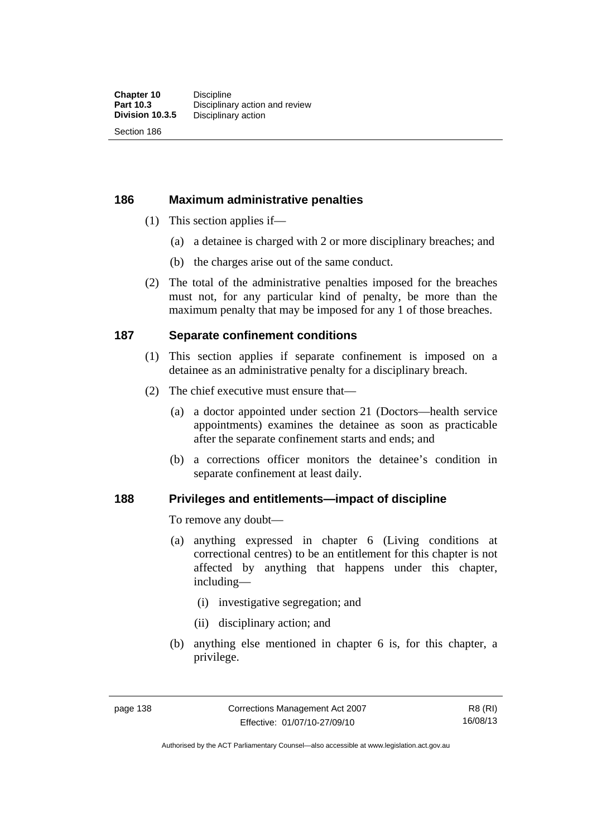Section 186

# **186 Maximum administrative penalties**

- (1) This section applies if—
	- (a) a detainee is charged with 2 or more disciplinary breaches; and
	- (b) the charges arise out of the same conduct.
- (2) The total of the administrative penalties imposed for the breaches must not, for any particular kind of penalty, be more than the maximum penalty that may be imposed for any 1 of those breaches.

# **187 Separate confinement conditions**

- (1) This section applies if separate confinement is imposed on a detainee as an administrative penalty for a disciplinary breach.
- (2) The chief executive must ensure that—
	- (a) a doctor appointed under section 21 (Doctors—health service appointments) examines the detainee as soon as practicable after the separate confinement starts and ends; and
	- (b) a corrections officer monitors the detainee's condition in separate confinement at least daily.

# **188 Privileges and entitlements—impact of discipline**

To remove any doubt—

- (a) anything expressed in chapter 6 (Living conditions at correctional centres) to be an entitlement for this chapter is not affected by anything that happens under this chapter, including—
	- (i) investigative segregation; and
	- (ii) disciplinary action; and
- (b) anything else mentioned in chapter 6 is, for this chapter, a privilege.

R8 (RI) 16/08/13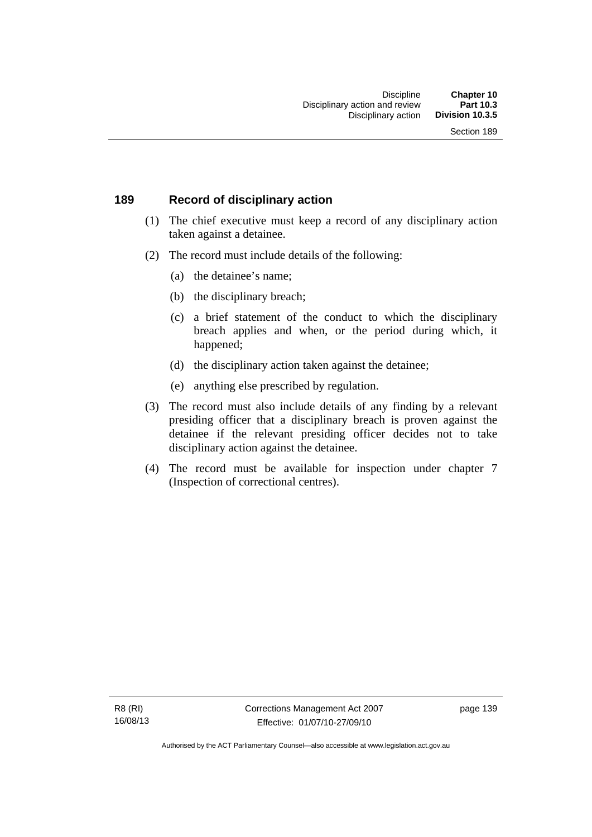# **189 Record of disciplinary action**

- (1) The chief executive must keep a record of any disciplinary action taken against a detainee.
- (2) The record must include details of the following:
	- (a) the detainee's name;
	- (b) the disciplinary breach;
	- (c) a brief statement of the conduct to which the disciplinary breach applies and when, or the period during which, it happened;
	- (d) the disciplinary action taken against the detainee;
	- (e) anything else prescribed by regulation.
- (3) The record must also include details of any finding by a relevant presiding officer that a disciplinary breach is proven against the detainee if the relevant presiding officer decides not to take disciplinary action against the detainee.
- (4) The record must be available for inspection under chapter 7 (Inspection of correctional centres).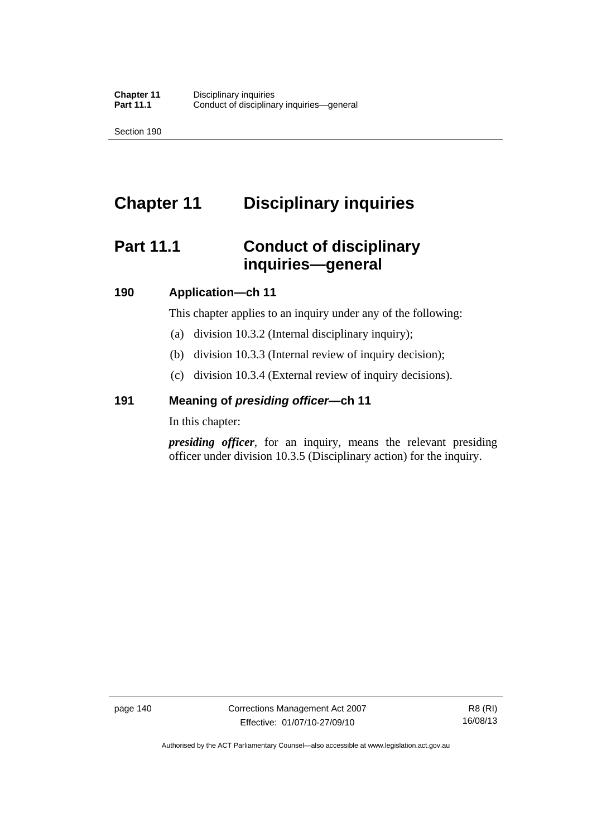Section 190

# **Chapter 11 Disciplinary inquiries**

# **Part 11.1 Conduct of disciplinary inquiries—general**

# **190 Application—ch 11**

This chapter applies to an inquiry under any of the following:

- (a) division 10.3.2 (Internal disciplinary inquiry);
- (b) division 10.3.3 (Internal review of inquiry decision);
- (c) division 10.3.4 (External review of inquiry decisions).

# **191 Meaning of** *presiding officer—***ch 11**

In this chapter:

*presiding officer*, for an inquiry, means the relevant presiding officer under division 10.3.5 (Disciplinary action) for the inquiry.

Authorised by the ACT Parliamentary Counsel—also accessible at www.legislation.act.gov.au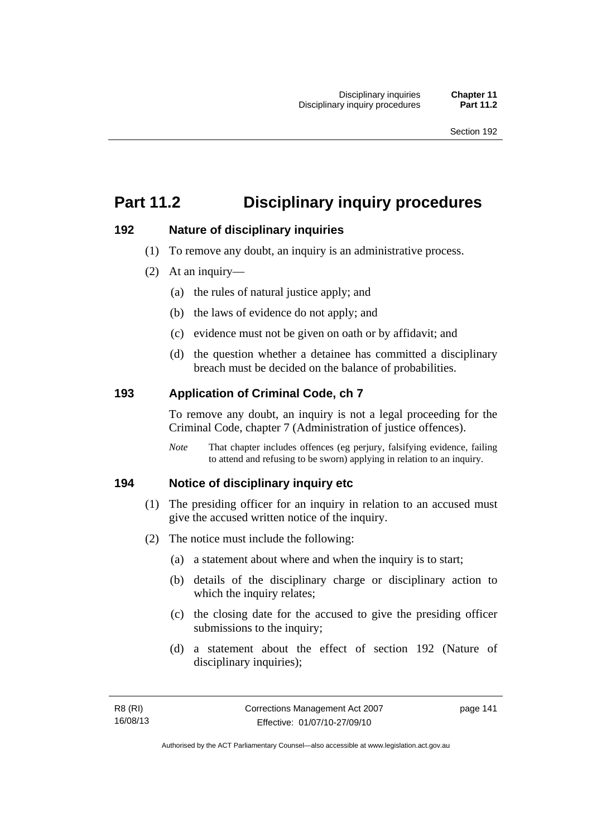# **Part 11.2 Disciplinary inquiry procedures**

# **192 Nature of disciplinary inquiries**

- (1) To remove any doubt, an inquiry is an administrative process.
- (2) At an inquiry—
	- (a) the rules of natural justice apply; and
	- (b) the laws of evidence do not apply; and
	- (c) evidence must not be given on oath or by affidavit; and
	- (d) the question whether a detainee has committed a disciplinary breach must be decided on the balance of probabilities.

# **193 Application of Criminal Code, ch 7**

To remove any doubt, an inquiry is not a legal proceeding for the Criminal Code, chapter 7 (Administration of justice offences).

*Note* That chapter includes offences (eg perjury, falsifying evidence, failing to attend and refusing to be sworn) applying in relation to an inquiry.

# **194 Notice of disciplinary inquiry etc**

- (1) The presiding officer for an inquiry in relation to an accused must give the accused written notice of the inquiry.
- (2) The notice must include the following:
	- (a) a statement about where and when the inquiry is to start;
	- (b) details of the disciplinary charge or disciplinary action to which the inquiry relates;
	- (c) the closing date for the accused to give the presiding officer submissions to the inquiry;
	- (d) a statement about the effect of section 192 (Nature of disciplinary inquiries);

page 141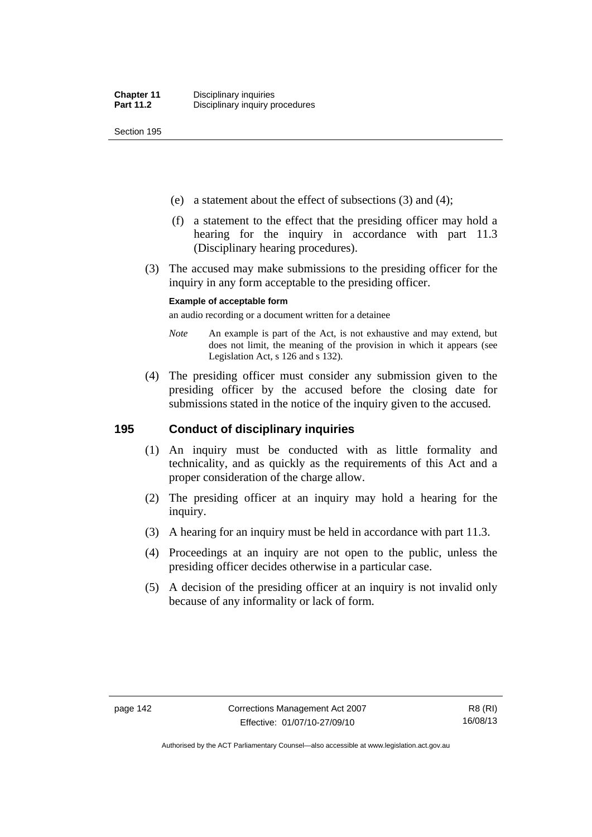Section 195

- (e) a statement about the effect of subsections (3) and (4);
- (f) a statement to the effect that the presiding officer may hold a hearing for the inquiry in accordance with part 11.3 (Disciplinary hearing procedures).
- (3) The accused may make submissions to the presiding officer for the inquiry in any form acceptable to the presiding officer.

#### **Example of acceptable form**

an audio recording or a document written for a detainee

- *Note* An example is part of the Act, is not exhaustive and may extend, but does not limit, the meaning of the provision in which it appears (see Legislation Act, s 126 and s 132).
- (4) The presiding officer must consider any submission given to the presiding officer by the accused before the closing date for submissions stated in the notice of the inquiry given to the accused.

# **195 Conduct of disciplinary inquiries**

- (1) An inquiry must be conducted with as little formality and technicality, and as quickly as the requirements of this Act and a proper consideration of the charge allow.
- (2) The presiding officer at an inquiry may hold a hearing for the inquiry.
- (3) A hearing for an inquiry must be held in accordance with part 11.3.
- (4) Proceedings at an inquiry are not open to the public, unless the presiding officer decides otherwise in a particular case.
- (5) A decision of the presiding officer at an inquiry is not invalid only because of any informality or lack of form.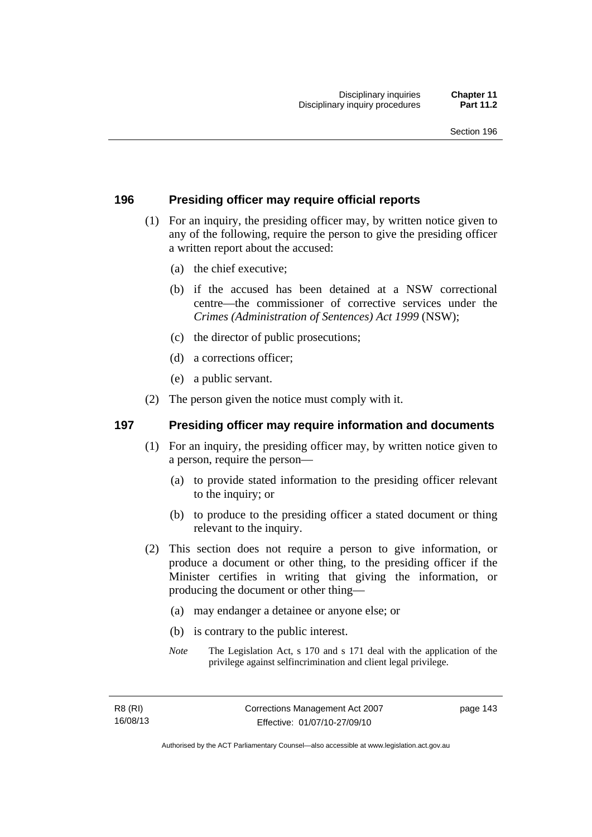# **196 Presiding officer may require official reports**

- (1) For an inquiry, the presiding officer may, by written notice given to any of the following, require the person to give the presiding officer a written report about the accused:
	- (a) the chief executive;
	- (b) if the accused has been detained at a NSW correctional centre—the commissioner of corrective services under the *Crimes (Administration of Sentences) Act 1999* (NSW);
	- (c) the director of public prosecutions;
	- (d) a corrections officer;
	- (e) a public servant.
- (2) The person given the notice must comply with it.

# **197 Presiding officer may require information and documents**

- (1) For an inquiry, the presiding officer may, by written notice given to a person, require the person—
	- (a) to provide stated information to the presiding officer relevant to the inquiry; or
	- (b) to produce to the presiding officer a stated document or thing relevant to the inquiry.
- (2) This section does not require a person to give information, or produce a document or other thing, to the presiding officer if the Minister certifies in writing that giving the information, or producing the document or other thing—
	- (a) may endanger a detainee or anyone else; or
	- (b) is contrary to the public interest.
	- *Note* The Legislation Act, s 170 and s 171 deal with the application of the privilege against selfincrimination and client legal privilege.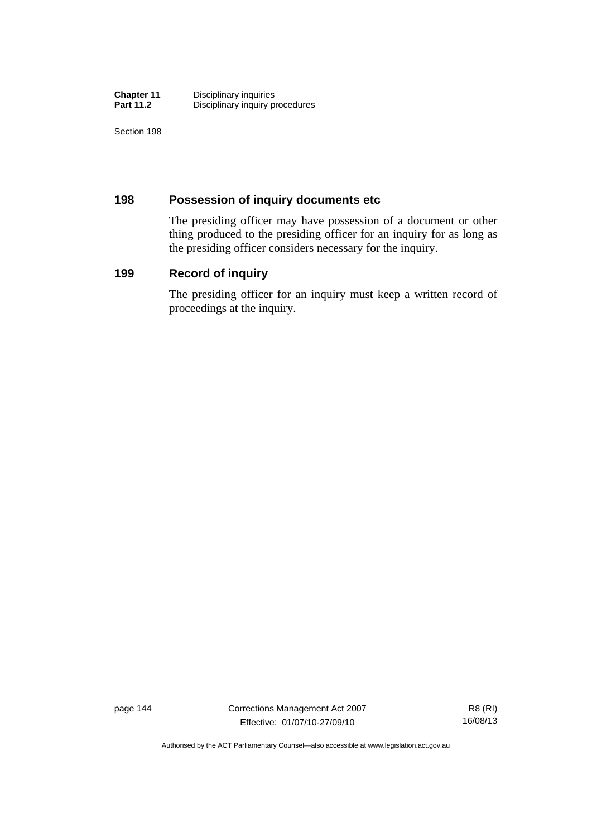| <b>Chapter 11</b> | Disciplinary inquiries          |
|-------------------|---------------------------------|
| <b>Part 11.2</b>  | Disciplinary inquiry procedures |

Section 198

# **198 Possession of inquiry documents etc**

The presiding officer may have possession of a document or other thing produced to the presiding officer for an inquiry for as long as the presiding officer considers necessary for the inquiry.

# **199 Record of inquiry**

The presiding officer for an inquiry must keep a written record of proceedings at the inquiry.

page 144 Corrections Management Act 2007 Effective: 01/07/10-27/09/10

R8 (RI) 16/08/13

Authorised by the ACT Parliamentary Counsel—also accessible at www.legislation.act.gov.au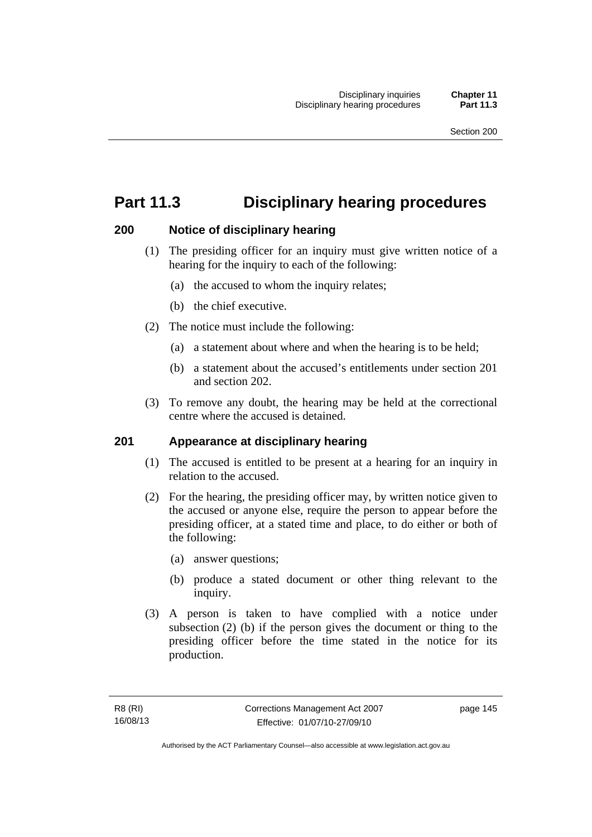# **Part 11.3 Disciplinary hearing procedures**

# **200 Notice of disciplinary hearing**

- (1) The presiding officer for an inquiry must give written notice of a hearing for the inquiry to each of the following:
	- (a) the accused to whom the inquiry relates;
	- (b) the chief executive.
- (2) The notice must include the following:
	- (a) a statement about where and when the hearing is to be held;
	- (b) a statement about the accused's entitlements under section 201 and section 202.
- (3) To remove any doubt, the hearing may be held at the correctional centre where the accused is detained.

# **201 Appearance at disciplinary hearing**

- (1) The accused is entitled to be present at a hearing for an inquiry in relation to the accused.
- (2) For the hearing, the presiding officer may, by written notice given to the accused or anyone else, require the person to appear before the presiding officer, at a stated time and place, to do either or both of the following:
	- (a) answer questions;
	- (b) produce a stated document or other thing relevant to the inquiry.
- (3) A person is taken to have complied with a notice under subsection (2) (b) if the person gives the document or thing to the presiding officer before the time stated in the notice for its production.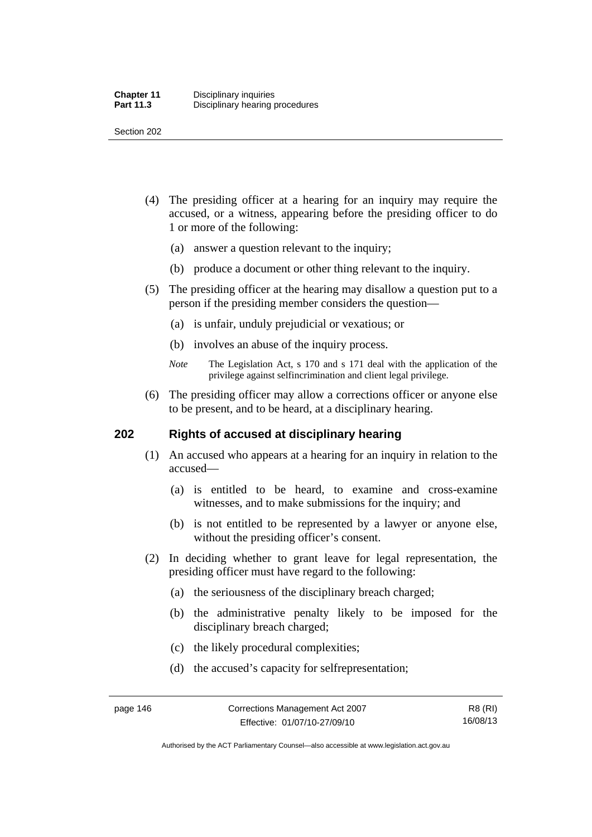Section 202

- (4) The presiding officer at a hearing for an inquiry may require the accused, or a witness, appearing before the presiding officer to do 1 or more of the following:
	- (a) answer a question relevant to the inquiry;
	- (b) produce a document or other thing relevant to the inquiry.
- (5) The presiding officer at the hearing may disallow a question put to a person if the presiding member considers the question—
	- (a) is unfair, unduly prejudicial or vexatious; or
	- (b) involves an abuse of the inquiry process.
	- *Note* The Legislation Act, s 170 and s 171 deal with the application of the privilege against selfincrimination and client legal privilege.
- (6) The presiding officer may allow a corrections officer or anyone else to be present, and to be heard, at a disciplinary hearing.

# **202 Rights of accused at disciplinary hearing**

- (1) An accused who appears at a hearing for an inquiry in relation to the accused—
	- (a) is entitled to be heard, to examine and cross-examine witnesses, and to make submissions for the inquiry; and
	- (b) is not entitled to be represented by a lawyer or anyone else, without the presiding officer's consent.
- (2) In deciding whether to grant leave for legal representation, the presiding officer must have regard to the following:
	- (a) the seriousness of the disciplinary breach charged;
	- (b) the administrative penalty likely to be imposed for the disciplinary breach charged;
	- (c) the likely procedural complexities;
	- (d) the accused's capacity for selfrepresentation;

Authorised by the ACT Parliamentary Counsel—also accessible at www.legislation.act.gov.au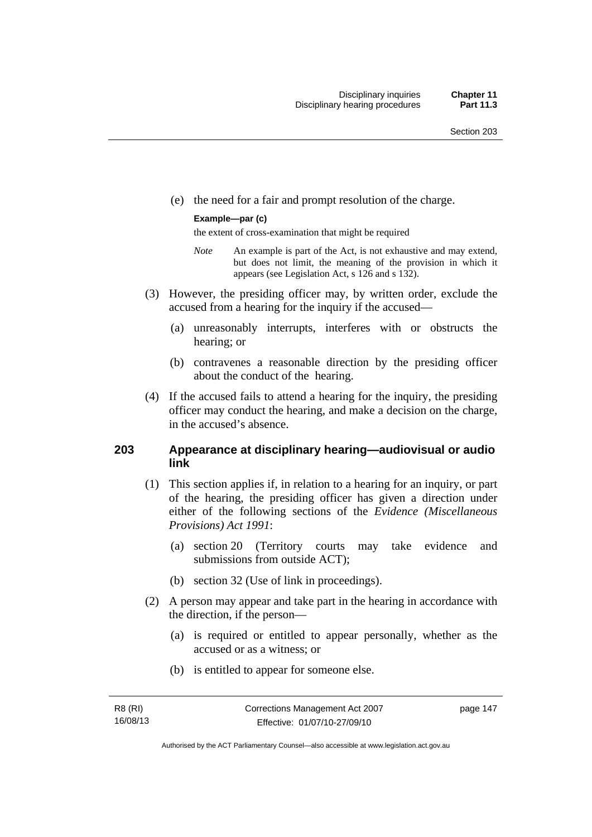(e) the need for a fair and prompt resolution of the charge.

#### **Example—par (c)**

the extent of cross-examination that might be required

- *Note* An example is part of the Act, is not exhaustive and may extend, but does not limit, the meaning of the provision in which it appears (see Legislation Act, s 126 and s 132).
- (3) However, the presiding officer may, by written order, exclude the accused from a hearing for the inquiry if the accused—
	- (a) unreasonably interrupts, interferes with or obstructs the hearing; or
	- (b) contravenes a reasonable direction by the presiding officer about the conduct of the hearing.
- (4) If the accused fails to attend a hearing for the inquiry, the presiding officer may conduct the hearing, and make a decision on the charge, in the accused's absence.

# **203 Appearance at disciplinary hearing—audiovisual or audio link**

- (1) This section applies if, in relation to a hearing for an inquiry, or part of the hearing, the presiding officer has given a direction under either of the following sections of the *Evidence (Miscellaneous Provisions) Act 1991*:
	- (a) section 20 (Territory courts may take evidence and submissions from outside ACT);
	- (b) section 32 (Use of link in proceedings).
- (2) A person may appear and take part in the hearing in accordance with the direction, if the person—
	- (a) is required or entitled to appear personally, whether as the accused or as a witness; or
	- (b) is entitled to appear for someone else.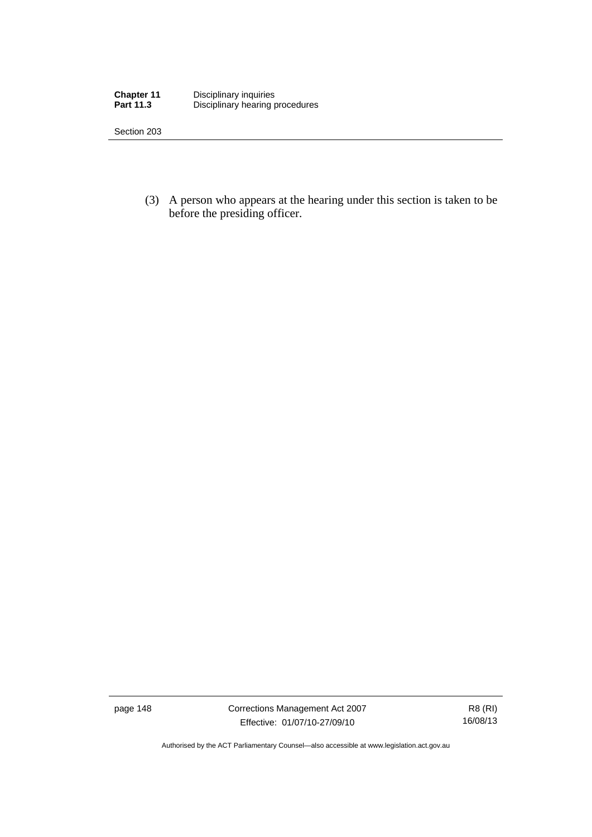| Chapter 11       | Disciplinary inquiries          |
|------------------|---------------------------------|
| <b>Part 11.3</b> | Disciplinary hearing procedures |

Section 203

 (3) A person who appears at the hearing under this section is taken to be before the presiding officer.

page 148 Corrections Management Act 2007 Effective: 01/07/10-27/09/10

R8 (RI) 16/08/13

Authorised by the ACT Parliamentary Counsel—also accessible at www.legislation.act.gov.au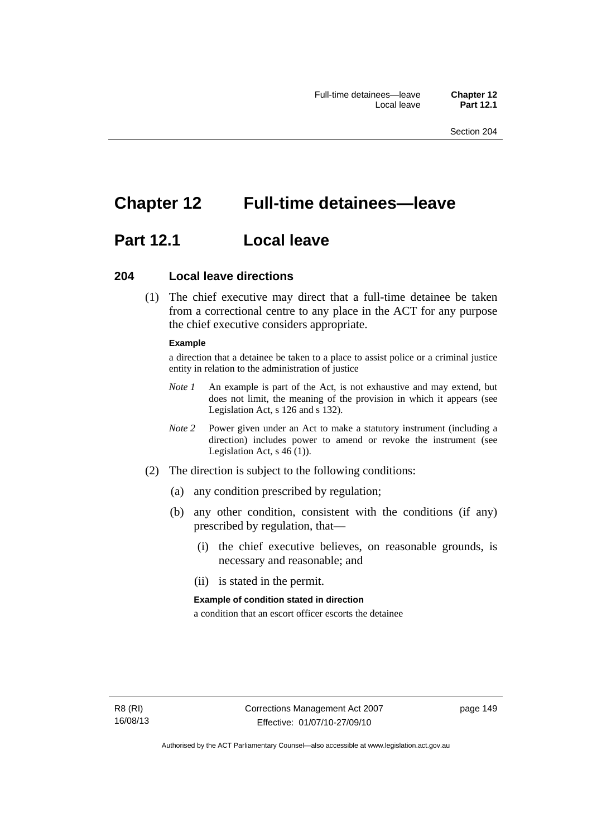# **Chapter 12 Full-time detainees—leave**

# **Part 12.1 Local leave**

## **204 Local leave directions**

 (1) The chief executive may direct that a full-time detainee be taken from a correctional centre to any place in the ACT for any purpose the chief executive considers appropriate.

#### **Example**

a direction that a detainee be taken to a place to assist police or a criminal justice entity in relation to the administration of justice

- *Note 1* An example is part of the Act, is not exhaustive and may extend, but does not limit, the meaning of the provision in which it appears (see Legislation Act, s 126 and s 132).
- *Note 2* Power given under an Act to make a statutory instrument (including a direction) includes power to amend or revoke the instrument (see Legislation Act, s 46 (1)).
- (2) The direction is subject to the following conditions:
	- (a) any condition prescribed by regulation;
	- (b) any other condition, consistent with the conditions (if any) prescribed by regulation, that—
		- (i) the chief executive believes, on reasonable grounds, is necessary and reasonable; and
		- (ii) is stated in the permit.

#### **Example of condition stated in direction**

a condition that an escort officer escorts the detainee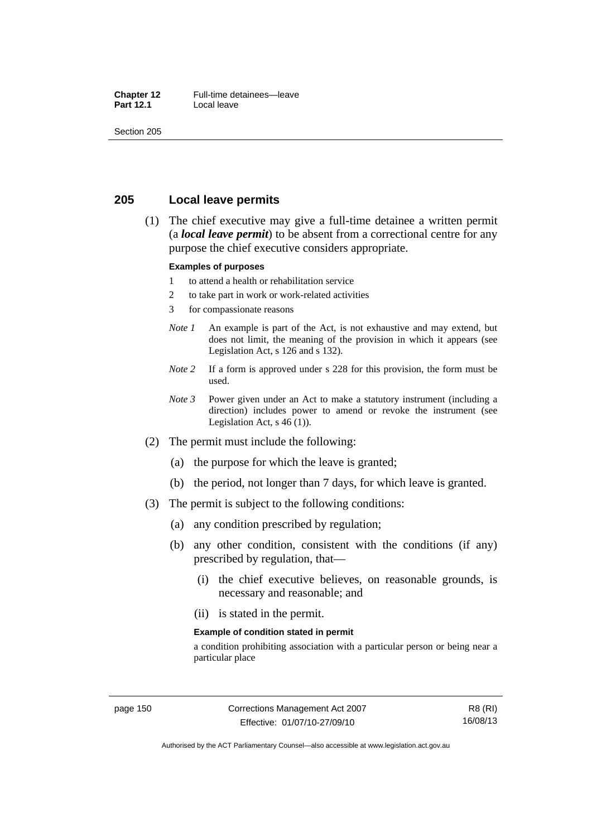#### **Chapter 12** Full-time detainees—leave<br>**Part 12.1** Local leave **Local leave**

Section 205

# **205 Local leave permits**

 (1) The chief executive may give a full-time detainee a written permit (a *local leave permit*) to be absent from a correctional centre for any purpose the chief executive considers appropriate.

#### **Examples of purposes**

- 1 to attend a health or rehabilitation service
- 2 to take part in work or work-related activities
- 3 for compassionate reasons
- *Note 1* An example is part of the Act, is not exhaustive and may extend, but does not limit, the meaning of the provision in which it appears (see Legislation Act, s 126 and s 132).
- *Note* 2 If a form is approved under s 228 for this provision, the form must be used.
- *Note 3* Power given under an Act to make a statutory instrument (including a direction) includes power to amend or revoke the instrument (see Legislation Act,  $s$  46 (1)).
- (2) The permit must include the following:
	- (a) the purpose for which the leave is granted;
	- (b) the period, not longer than 7 days, for which leave is granted.
- (3) The permit is subject to the following conditions:
	- (a) any condition prescribed by regulation;
	- (b) any other condition, consistent with the conditions (if any) prescribed by regulation, that—
		- (i) the chief executive believes, on reasonable grounds, is necessary and reasonable; and
		- (ii) is stated in the permit.

#### **Example of condition stated in permit**

a condition prohibiting association with a particular person or being near a particular place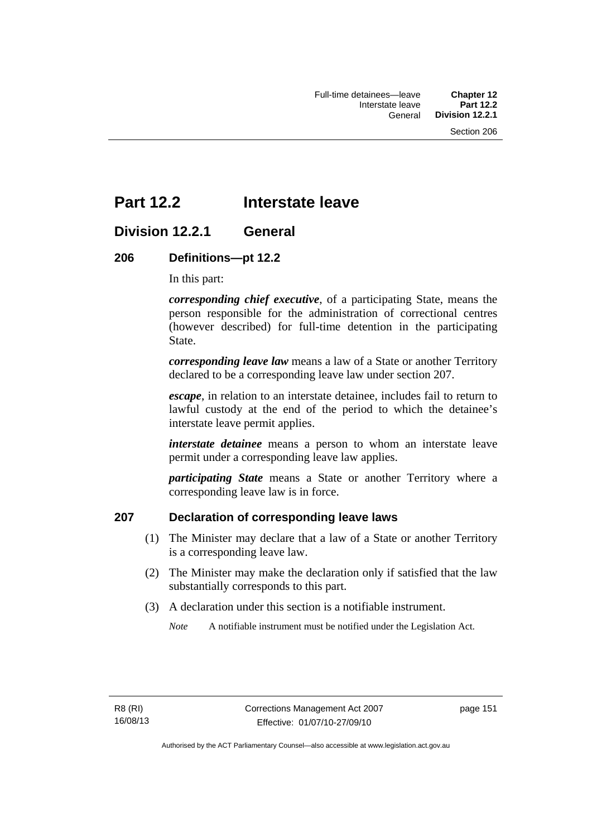# **Part 12.2 Interstate leave**

# **Division 12.2.1 General**

# **206 Definitions—pt 12.2**

In this part:

*corresponding chief executive*, of a participating State, means the person responsible for the administration of correctional centres (however described) for full-time detention in the participating State.

*corresponding leave law* means a law of a State or another Territory declared to be a corresponding leave law under section 207.

*escape*, in relation to an interstate detainee, includes fail to return to lawful custody at the end of the period to which the detainee's interstate leave permit applies.

*interstate detainee* means a person to whom an interstate leave permit under a corresponding leave law applies.

*participating State* means a State or another Territory where a corresponding leave law is in force.

# **207 Declaration of corresponding leave laws**

- (1) The Minister may declare that a law of a State or another Territory is a corresponding leave law.
- (2) The Minister may make the declaration only if satisfied that the law substantially corresponds to this part.
- (3) A declaration under this section is a notifiable instrument.

*Note* A notifiable instrument must be notified under the Legislation Act.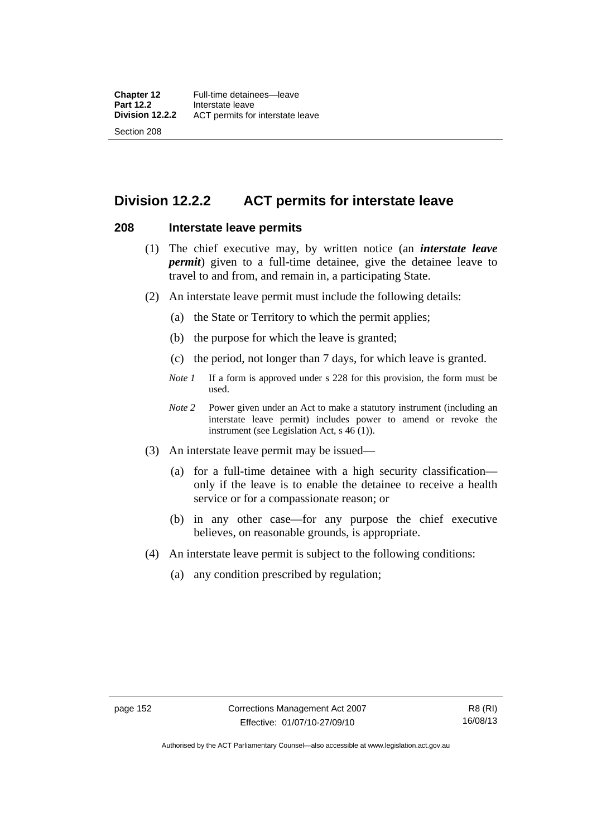# **Division 12.2.2 ACT permits for interstate leave**

## **208 Interstate leave permits**

- (1) The chief executive may, by written notice (an *interstate leave permit*) given to a full-time detainee, give the detainee leave to travel to and from, and remain in, a participating State.
- (2) An interstate leave permit must include the following details:
	- (a) the State or Territory to which the permit applies;
	- (b) the purpose for which the leave is granted;
	- (c) the period, not longer than 7 days, for which leave is granted.
	- *Note 1* If a form is approved under s 228 for this provision, the form must be used.
	- *Note 2* Power given under an Act to make a statutory instrument (including an interstate leave permit) includes power to amend or revoke the instrument (see Legislation Act, s 46 (1)).
- (3) An interstate leave permit may be issued—
	- (a) for a full-time detainee with a high security classification only if the leave is to enable the detainee to receive a health service or for a compassionate reason; or
	- (b) in any other case—for any purpose the chief executive believes, on reasonable grounds, is appropriate.
- (4) An interstate leave permit is subject to the following conditions:
	- (a) any condition prescribed by regulation;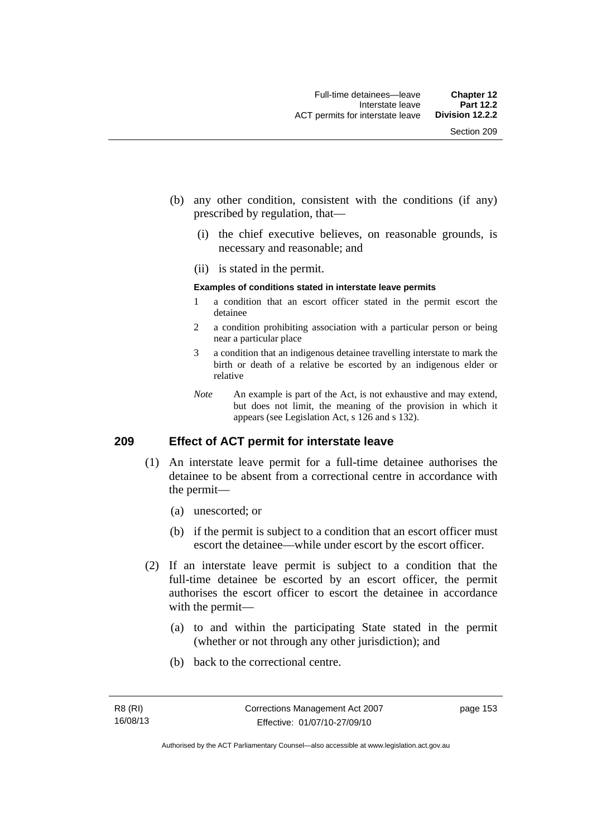- (b) any other condition, consistent with the conditions (if any) prescribed by regulation, that—
	- (i) the chief executive believes, on reasonable grounds, is necessary and reasonable; and
	- (ii) is stated in the permit.

#### **Examples of conditions stated in interstate leave permits**

- 1 a condition that an escort officer stated in the permit escort the detainee
- 2 a condition prohibiting association with a particular person or being near a particular place
- 3 a condition that an indigenous detainee travelling interstate to mark the birth or death of a relative be escorted by an indigenous elder or relative
- *Note* An example is part of the Act, is not exhaustive and may extend, but does not limit, the meaning of the provision in which it appears (see Legislation Act, s 126 and s 132).

# **209 Effect of ACT permit for interstate leave**

- (1) An interstate leave permit for a full-time detainee authorises the detainee to be absent from a correctional centre in accordance with the permit—
	- (a) unescorted; or
	- (b) if the permit is subject to a condition that an escort officer must escort the detainee—while under escort by the escort officer.
- (2) If an interstate leave permit is subject to a condition that the full-time detainee be escorted by an escort officer, the permit authorises the escort officer to escort the detainee in accordance with the permit—
	- (a) to and within the participating State stated in the permit (whether or not through any other jurisdiction); and
	- (b) back to the correctional centre.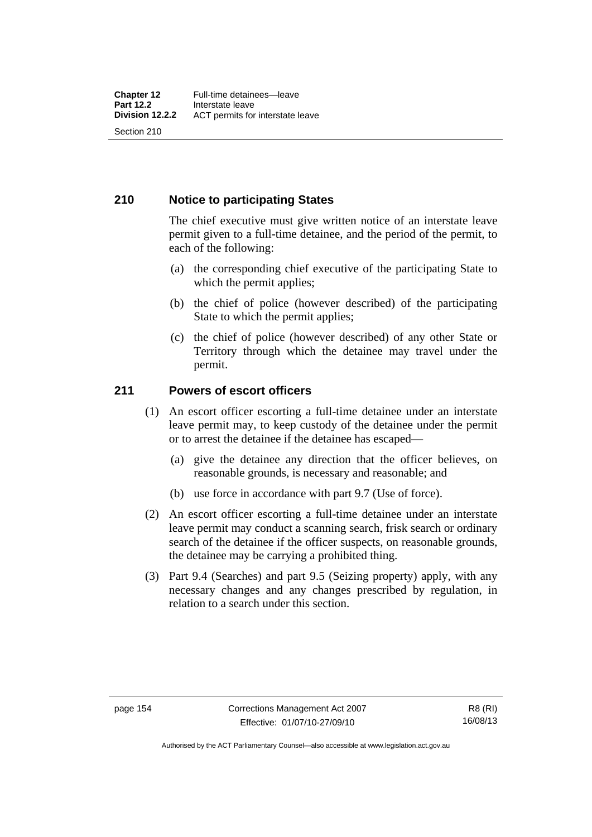# **210 Notice to participating States**

The chief executive must give written notice of an interstate leave permit given to a full-time detainee, and the period of the permit, to each of the following:

- (a) the corresponding chief executive of the participating State to which the permit applies;
- (b) the chief of police (however described) of the participating State to which the permit applies;
- (c) the chief of police (however described) of any other State or Territory through which the detainee may travel under the permit.

# **211 Powers of escort officers**

- (1) An escort officer escorting a full-time detainee under an interstate leave permit may, to keep custody of the detainee under the permit or to arrest the detainee if the detainee has escaped—
	- (a) give the detainee any direction that the officer believes, on reasonable grounds, is necessary and reasonable; and
	- (b) use force in accordance with part 9.7 (Use of force).
- (2) An escort officer escorting a full-time detainee under an interstate leave permit may conduct a scanning search, frisk search or ordinary search of the detainee if the officer suspects, on reasonable grounds, the detainee may be carrying a prohibited thing.
- (3) Part 9.4 (Searches) and part 9.5 (Seizing property) apply, with any necessary changes and any changes prescribed by regulation, in relation to a search under this section.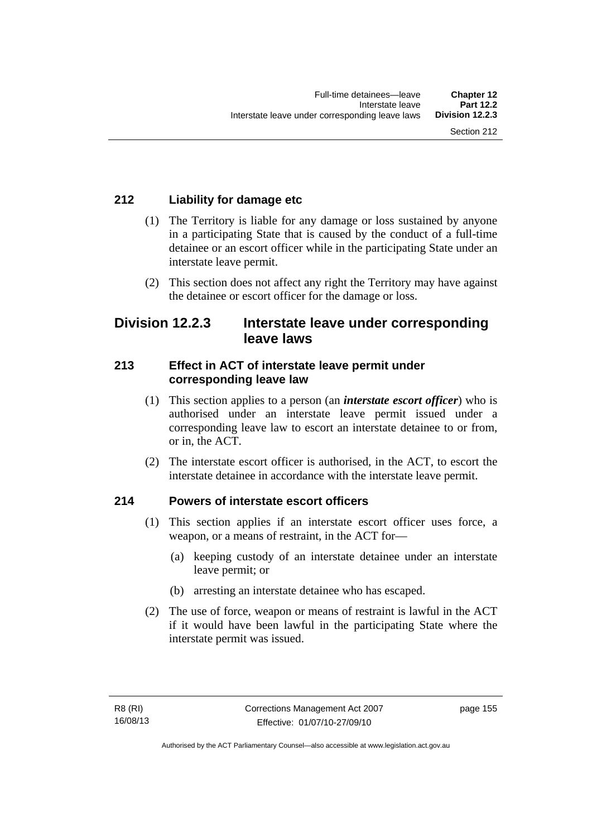# **212 Liability for damage etc**

- (1) The Territory is liable for any damage or loss sustained by anyone in a participating State that is caused by the conduct of a full-time detainee or an escort officer while in the participating State under an interstate leave permit.
- (2) This section does not affect any right the Territory may have against the detainee or escort officer for the damage or loss.

# **Division 12.2.3 Interstate leave under corresponding leave laws**

# **213 Effect in ACT of interstate leave permit under corresponding leave law**

- (1) This section applies to a person (an *interstate escort officer*) who is authorised under an interstate leave permit issued under a corresponding leave law to escort an interstate detainee to or from, or in, the ACT.
- (2) The interstate escort officer is authorised, in the ACT, to escort the interstate detainee in accordance with the interstate leave permit.

# **214 Powers of interstate escort officers**

- (1) This section applies if an interstate escort officer uses force, a weapon, or a means of restraint, in the ACT for—
	- (a) keeping custody of an interstate detainee under an interstate leave permit; or
	- (b) arresting an interstate detainee who has escaped.
- (2) The use of force, weapon or means of restraint is lawful in the ACT if it would have been lawful in the participating State where the interstate permit was issued.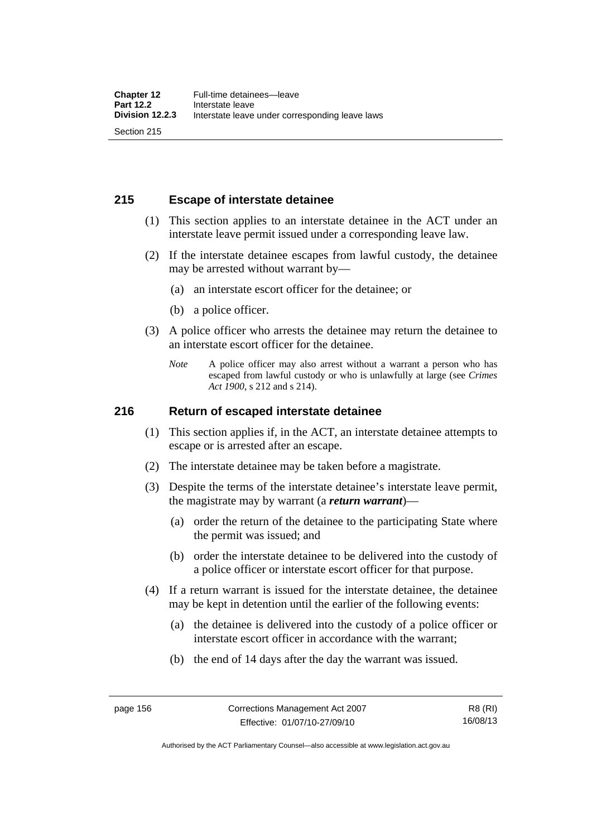# **215 Escape of interstate detainee**

- (1) This section applies to an interstate detainee in the ACT under an interstate leave permit issued under a corresponding leave law.
- (2) If the interstate detainee escapes from lawful custody, the detainee may be arrested without warrant by—
	- (a) an interstate escort officer for the detainee; or
	- (b) a police officer.
- (3) A police officer who arrests the detainee may return the detainee to an interstate escort officer for the detainee.
	- *Note* A police officer may also arrest without a warrant a person who has escaped from lawful custody or who is unlawfully at large (see *Crimes Act 1900*, s 212 and s 214).

## **216 Return of escaped interstate detainee**

- (1) This section applies if, in the ACT, an interstate detainee attempts to escape or is arrested after an escape.
- (2) The interstate detainee may be taken before a magistrate.
- (3) Despite the terms of the interstate detainee's interstate leave permit, the magistrate may by warrant (a *return warrant*)—
	- (a) order the return of the detainee to the participating State where the permit was issued; and
	- (b) order the interstate detainee to be delivered into the custody of a police officer or interstate escort officer for that purpose.
- (4) If a return warrant is issued for the interstate detainee, the detainee may be kept in detention until the earlier of the following events:
	- (a) the detainee is delivered into the custody of a police officer or interstate escort officer in accordance with the warrant;
	- (b) the end of 14 days after the day the warrant was issued.

R8 (RI) 16/08/13

Authorised by the ACT Parliamentary Counsel—also accessible at www.legislation.act.gov.au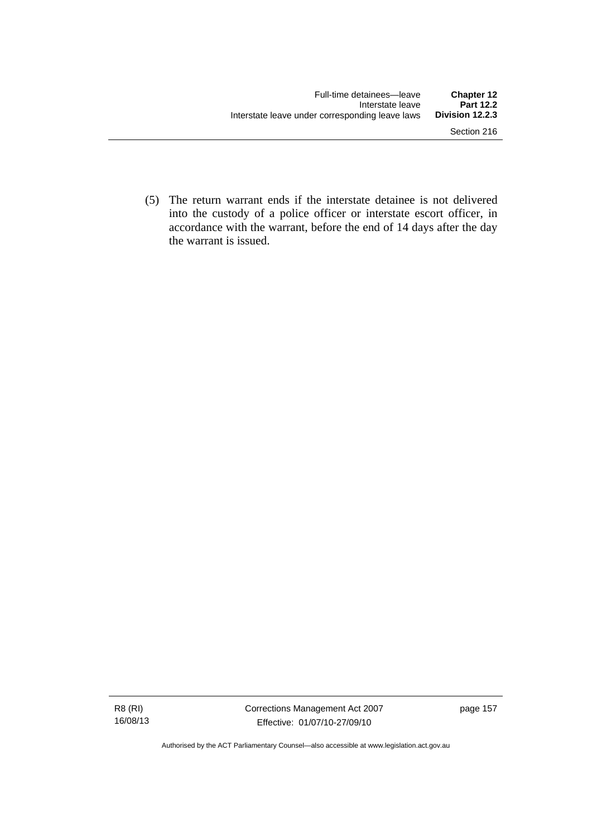(5) The return warrant ends if the interstate detainee is not delivered into the custody of a police officer or interstate escort officer, in accordance with the warrant, before the end of 14 days after the day the warrant is issued.

Authorised by the ACT Parliamentary Counsel—also accessible at www.legislation.act.gov.au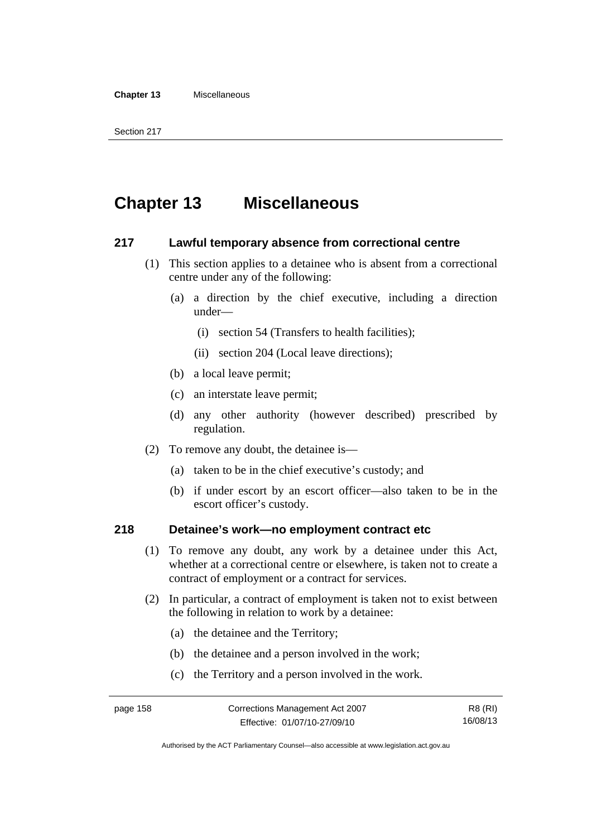#### **Chapter 13** Miscellaneous

# **Chapter 13 Miscellaneous**

## **217 Lawful temporary absence from correctional centre**

- (1) This section applies to a detainee who is absent from a correctional centre under any of the following:
	- (a) a direction by the chief executive, including a direction under—
		- (i) section 54 (Transfers to health facilities);
		- (ii) section 204 (Local leave directions);
	- (b) a local leave permit;
	- (c) an interstate leave permit;
	- (d) any other authority (however described) prescribed by regulation.
- (2) To remove any doubt, the detainee is—
	- (a) taken to be in the chief executive's custody; and
	- (b) if under escort by an escort officer—also taken to be in the escort officer's custody.

# **218 Detainee's work—no employment contract etc**

- (1) To remove any doubt, any work by a detainee under this Act, whether at a correctional centre or elsewhere, is taken not to create a contract of employment or a contract for services.
- (2) In particular, a contract of employment is taken not to exist between the following in relation to work by a detainee:
	- (a) the detainee and the Territory;
	- (b) the detainee and a person involved in the work;
	- (c) the Territory and a person involved in the work.

Authorised by the ACT Parliamentary Counsel—also accessible at www.legislation.act.gov.au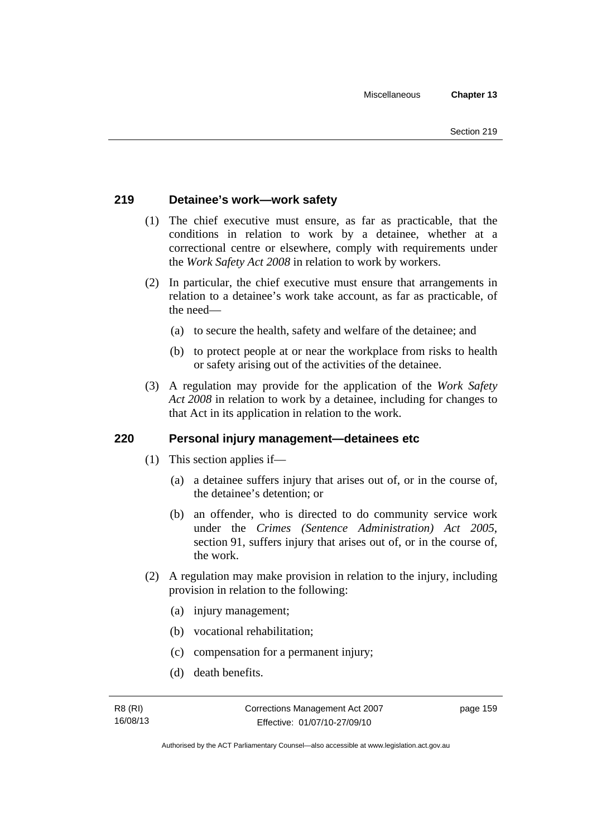# **219 Detainee's work—work safety**

- (1) The chief executive must ensure, as far as practicable, that the conditions in relation to work by a detainee, whether at a correctional centre or elsewhere, comply with requirements under the *Work Safety Act 2008* in relation to work by workers.
- (2) In particular, the chief executive must ensure that arrangements in relation to a detainee's work take account, as far as practicable, of the need—
	- (a) to secure the health, safety and welfare of the detainee; and
	- (b) to protect people at or near the workplace from risks to health or safety arising out of the activities of the detainee.
- (3) A regulation may provide for the application of the *Work Safety Act 2008* in relation to work by a detainee, including for changes to that Act in its application in relation to the work.

# **220 Personal injury management—detainees etc**

- (1) This section applies if—
	- (a) a detainee suffers injury that arises out of, or in the course of, the detainee's detention; or
	- (b) an offender, who is directed to do community service work under the *Crimes (Sentence Administration) Act 2005*, section 91, suffers injury that arises out of, or in the course of, the work.
- (2) A regulation may make provision in relation to the injury, including provision in relation to the following:
	- (a) injury management;
	- (b) vocational rehabilitation;
	- (c) compensation for a permanent injury;
	- (d) death benefits.

page 159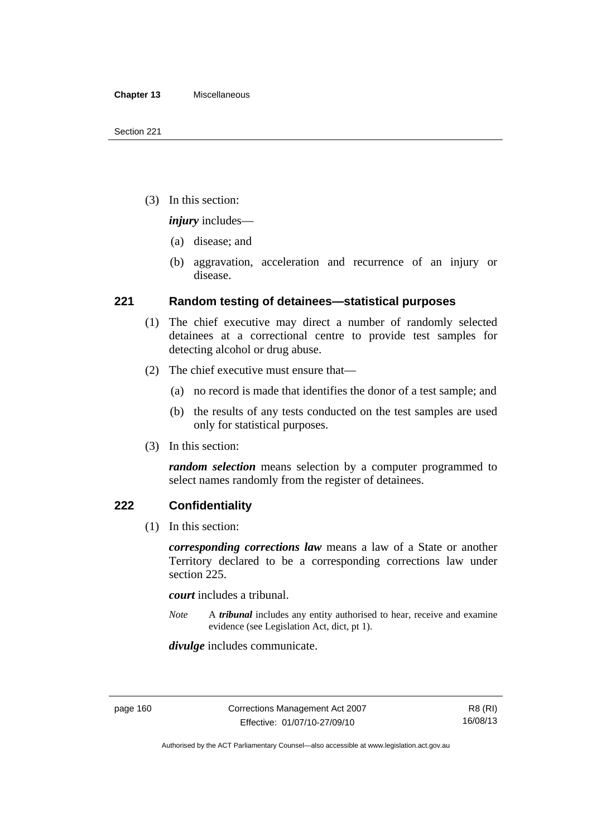(3) In this section:

*injury* includes—

- (a) disease; and
- (b) aggravation, acceleration and recurrence of an injury or disease.

# **221 Random testing of detainees—statistical purposes**

- (1) The chief executive may direct a number of randomly selected detainees at a correctional centre to provide test samples for detecting alcohol or drug abuse.
- (2) The chief executive must ensure that—
	- (a) no record is made that identifies the donor of a test sample; and
	- (b) the results of any tests conducted on the test samples are used only for statistical purposes.
- (3) In this section:

*random selection* means selection by a computer programmed to select names randomly from the register of detainees.

# **222 Confidentiality**

(1) In this section:

*corresponding corrections law* means a law of a State or another Territory declared to be a corresponding corrections law under section 225.

*court* includes a tribunal.

*Note* A *tribunal* includes any entity authorised to hear, receive and examine evidence (see Legislation Act, dict, pt 1).

*divulge* includes communicate.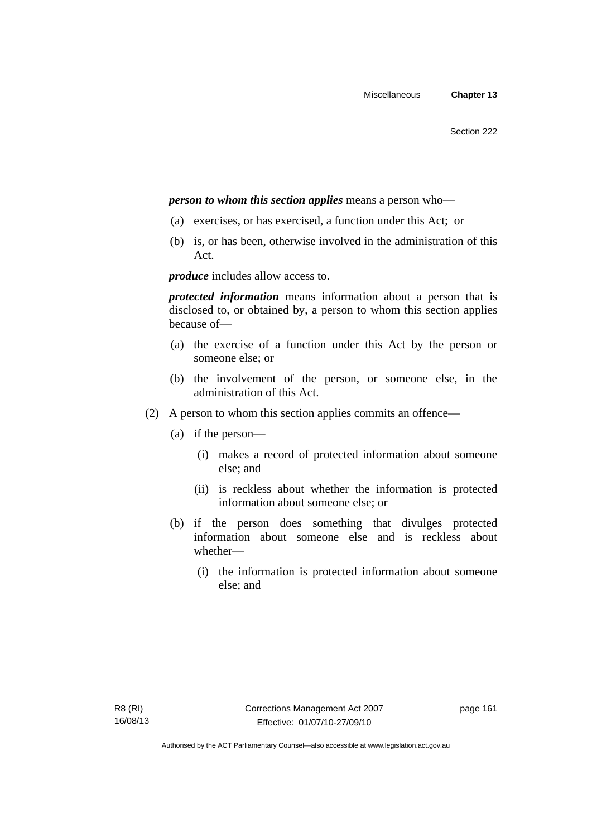## *person to whom this section applies* means a person who—

- (a) exercises, or has exercised, a function under this Act; or
- (b) is, or has been, otherwise involved in the administration of this Act.

*produce* includes allow access to.

*protected information* means information about a person that is disclosed to, or obtained by, a person to whom this section applies because of—

- (a) the exercise of a function under this Act by the person or someone else; or
- (b) the involvement of the person, or someone else, in the administration of this Act.
- (2) A person to whom this section applies commits an offence—
	- (a) if the person—
		- (i) makes a record of protected information about someone else; and
		- (ii) is reckless about whether the information is protected information about someone else; or
	- (b) if the person does something that divulges protected information about someone else and is reckless about whether—
		- (i) the information is protected information about someone else; and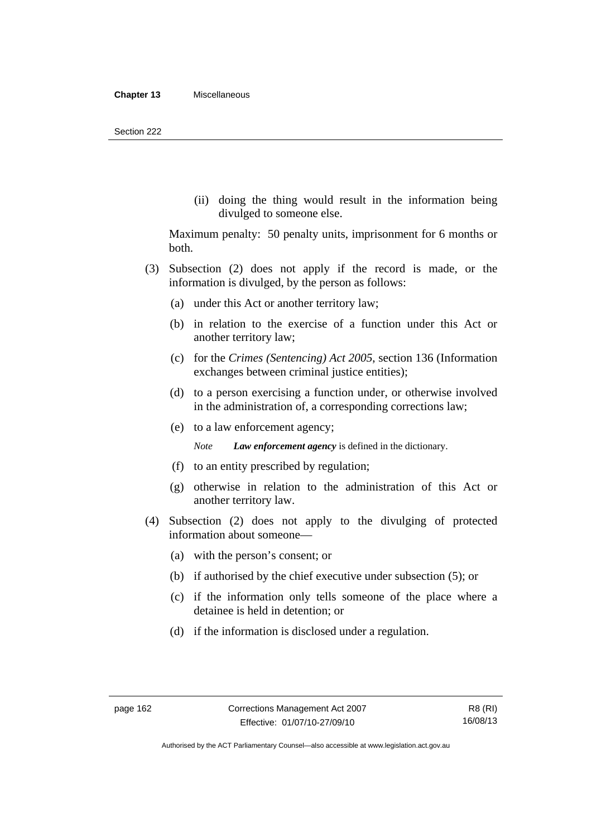(ii) doing the thing would result in the information being divulged to someone else.

Maximum penalty: 50 penalty units, imprisonment for 6 months or both.

- (3) Subsection (2) does not apply if the record is made, or the information is divulged, by the person as follows:
	- (a) under this Act or another territory law;
	- (b) in relation to the exercise of a function under this Act or another territory law;
	- (c) for the *Crimes (Sentencing) Act 2005*, section 136 (Information exchanges between criminal justice entities);
	- (d) to a person exercising a function under, or otherwise involved in the administration of, a corresponding corrections law;
	- (e) to a law enforcement agency;

*Note Law enforcement agency* is defined in the dictionary.

- (f) to an entity prescribed by regulation;
- (g) otherwise in relation to the administration of this Act or another territory law.
- (4) Subsection (2) does not apply to the divulging of protected information about someone—
	- (a) with the person's consent; or
	- (b) if authorised by the chief executive under subsection (5); or
	- (c) if the information only tells someone of the place where a detainee is held in detention; or
	- (d) if the information is disclosed under a regulation.

Authorised by the ACT Parliamentary Counsel—also accessible at www.legislation.act.gov.au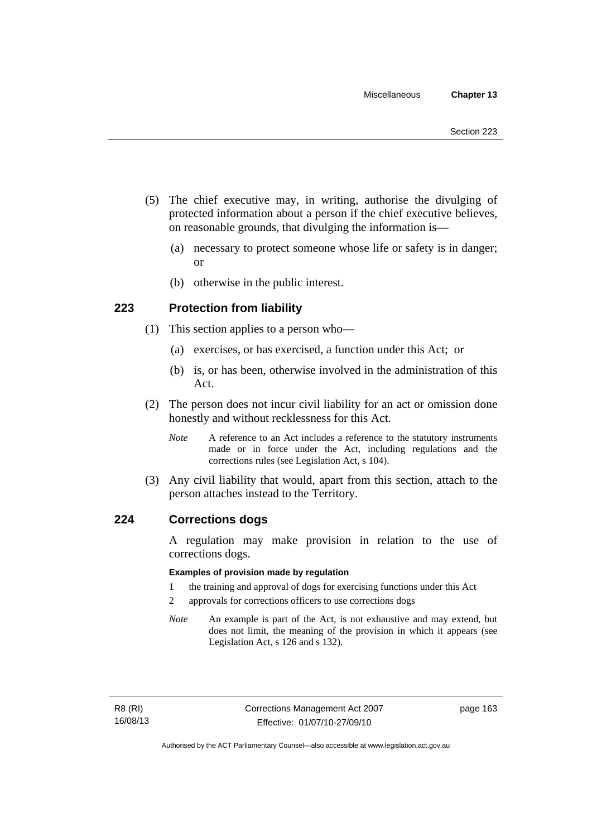- (5) The chief executive may, in writing, authorise the divulging of protected information about a person if the chief executive believes, on reasonable grounds, that divulging the information is—
	- (a) necessary to protect someone whose life or safety is in danger; or
	- (b) otherwise in the public interest.

# **223 Protection from liability**

- (1) This section applies to a person who—
	- (a) exercises, or has exercised, a function under this Act; or
	- (b) is, or has been, otherwise involved in the administration of this Act.
- (2) The person does not incur civil liability for an act or omission done honestly and without recklessness for this Act.
	- *Note* A reference to an Act includes a reference to the statutory instruments made or in force under the Act, including regulations and the corrections rules (see Legislation Act, s 104).
- (3) Any civil liability that would, apart from this section, attach to the person attaches instead to the Territory.

## **224 Corrections dogs**

A regulation may make provision in relation to the use of corrections dogs.

#### **Examples of provision made by regulation**

- 1 the training and approval of dogs for exercising functions under this Act
- 2 approvals for corrections officers to use corrections dogs
- *Note* An example is part of the Act, is not exhaustive and may extend, but does not limit, the meaning of the provision in which it appears (see Legislation Act, s 126 and s 132).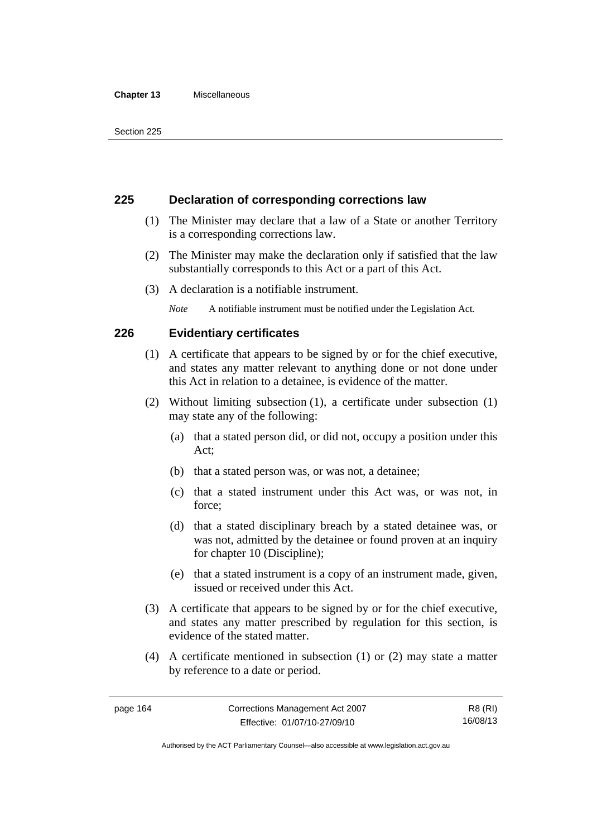#### **Chapter 13** Miscellaneous

# **225 Declaration of corresponding corrections law**

- (1) The Minister may declare that a law of a State or another Territory is a corresponding corrections law.
- (2) The Minister may make the declaration only if satisfied that the law substantially corresponds to this Act or a part of this Act.
- (3) A declaration is a notifiable instrument.

*Note* A notifiable instrument must be notified under the Legislation Act.

# **226 Evidentiary certificates**

- (1) A certificate that appears to be signed by or for the chief executive, and states any matter relevant to anything done or not done under this Act in relation to a detainee, is evidence of the matter.
- (2) Without limiting subsection (1), a certificate under subsection (1) may state any of the following:
	- (a) that a stated person did, or did not, occupy a position under this Act;
	- (b) that a stated person was, or was not, a detainee;
	- (c) that a stated instrument under this Act was, or was not, in force;
	- (d) that a stated disciplinary breach by a stated detainee was, or was not, admitted by the detainee or found proven at an inquiry for chapter 10 (Discipline);
	- (e) that a stated instrument is a copy of an instrument made, given, issued or received under this Act.
- (3) A certificate that appears to be signed by or for the chief executive, and states any matter prescribed by regulation for this section, is evidence of the stated matter.
- (4) A certificate mentioned in subsection (1) or (2) may state a matter by reference to a date or period.

R8 (RI) 16/08/13

Authorised by the ACT Parliamentary Counsel—also accessible at www.legislation.act.gov.au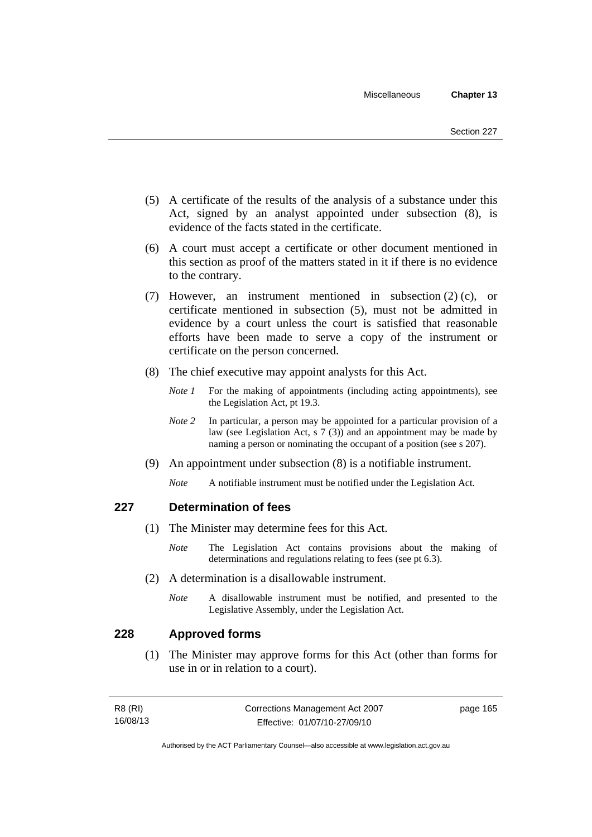- (5) A certificate of the results of the analysis of a substance under this Act, signed by an analyst appointed under subsection (8), is evidence of the facts stated in the certificate.
- (6) A court must accept a certificate or other document mentioned in this section as proof of the matters stated in it if there is no evidence to the contrary.
- (7) However, an instrument mentioned in subsection (2) (c), or certificate mentioned in subsection (5), must not be admitted in evidence by a court unless the court is satisfied that reasonable efforts have been made to serve a copy of the instrument or certificate on the person concerned.
- (8) The chief executive may appoint analysts for this Act.
	- *Note 1* For the making of appointments (including acting appointments), see the Legislation Act, pt 19.3.
	- *Note* 2 In particular, a person may be appointed for a particular provision of a law (see Legislation Act, s 7 (3)) and an appointment may be made by naming a person or nominating the occupant of a position (see s 207).
- (9) An appointment under subsection (8) is a notifiable instrument.
	- *Note* A notifiable instrument must be notified under the Legislation Act.

# **227 Determination of fees**

- (1) The Minister may determine fees for this Act.
	- *Note* The Legislation Act contains provisions about the making of determinations and regulations relating to fees (see pt 6.3).
- (2) A determination is a disallowable instrument.
	- *Note* A disallowable instrument must be notified, and presented to the Legislative Assembly, under the Legislation Act.

# **228 Approved forms**

 (1) The Minister may approve forms for this Act (other than forms for use in or in relation to a court).

| R8 (RI)  | Corrections Management Act 2007 | page 165 |
|----------|---------------------------------|----------|
| 16/08/13 | Effective: 01/07/10-27/09/10    |          |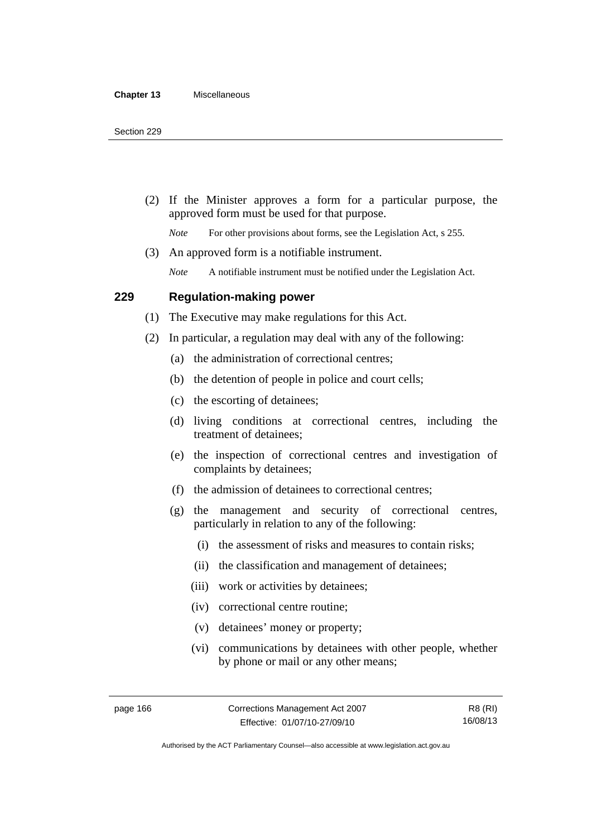(2) If the Minister approves a form for a particular purpose, the approved form must be used for that purpose.

*Note* For other provisions about forms, see the Legislation Act, s 255.

(3) An approved form is a notifiable instrument.

*Note* A notifiable instrument must be notified under the Legislation Act.

## **229 Regulation-making power**

(1) The Executive may make regulations for this Act.

- (2) In particular, a regulation may deal with any of the following:
	- (a) the administration of correctional centres;
	- (b) the detention of people in police and court cells;
	- (c) the escorting of detainees;
	- (d) living conditions at correctional centres, including the treatment of detainees;
	- (e) the inspection of correctional centres and investigation of complaints by detainees;
	- (f) the admission of detainees to correctional centres;
	- (g) the management and security of correctional centres, particularly in relation to any of the following:
		- (i) the assessment of risks and measures to contain risks;
		- (ii) the classification and management of detainees;
		- (iii) work or activities by detainees;
		- (iv) correctional centre routine;
		- (v) detainees' money or property;
		- (vi) communications by detainees with other people, whether by phone or mail or any other means;

R8 (RI) 16/08/13

Authorised by the ACT Parliamentary Counsel—also accessible at www.legislation.act.gov.au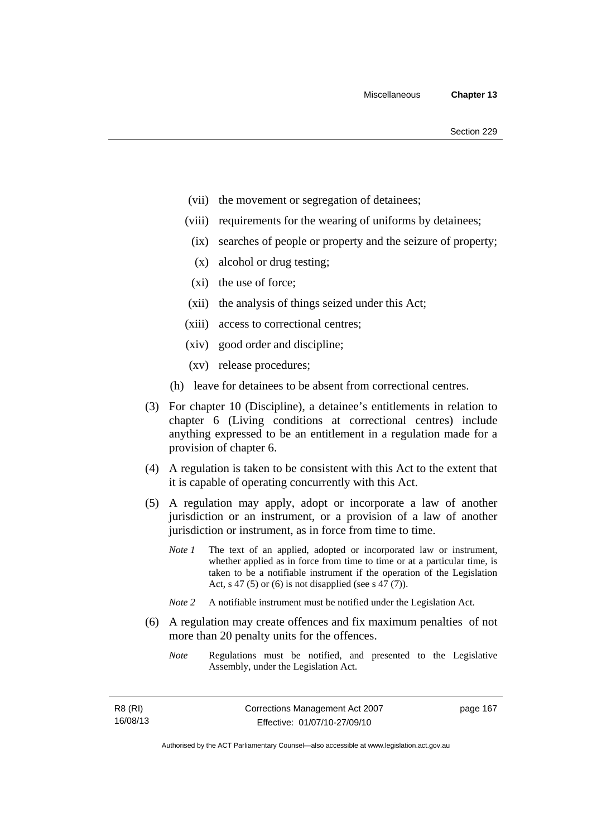- (vii) the movement or segregation of detainees;
- (viii) requirements for the wearing of uniforms by detainees;
	- (ix) searches of people or property and the seizure of property;
	- (x) alcohol or drug testing;
- (xi) the use of force;
- (xii) the analysis of things seized under this Act;
- (xiii) access to correctional centres;
- (xiv) good order and discipline;
- (xv) release procedures;
- (h) leave for detainees to be absent from correctional centres.
- (3) For chapter 10 (Discipline), a detainee's entitlements in relation to chapter 6 (Living conditions at correctional centres) include anything expressed to be an entitlement in a regulation made for a provision of chapter 6.
- (4) A regulation is taken to be consistent with this Act to the extent that it is capable of operating concurrently with this Act.
- (5) A regulation may apply, adopt or incorporate a law of another jurisdiction or an instrument, or a provision of a law of another jurisdiction or instrument, as in force from time to time.
	- *Note 1* The text of an applied, adopted or incorporated law or instrument, whether applied as in force from time to time or at a particular time, is taken to be a notifiable instrument if the operation of the Legislation Act, s 47 (5) or (6) is not disapplied (see s 47 (7)).
	- *Note 2* A notifiable instrument must be notified under the Legislation Act.
- (6) A regulation may create offences and fix maximum penalties of not more than 20 penalty units for the offences.
	- *Note* Regulations must be notified, and presented to the Legislative Assembly, under the Legislation Act.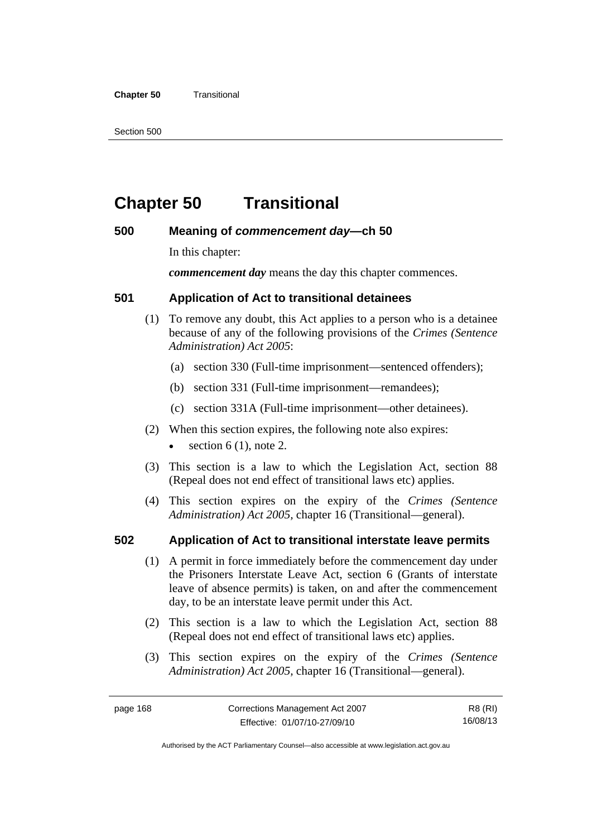#### **Chapter 50 Transitional**

Section 500

# **Chapter 50 Transitional**

# **500 Meaning of** *commencement day***—ch 50**

In this chapter:

*commencement day* means the day this chapter commences.

# **501 Application of Act to transitional detainees**

- (1) To remove any doubt, this Act applies to a person who is a detainee because of any of the following provisions of the *Crimes (Sentence Administration) Act 2005*:
	- (a) section 330 (Full-time imprisonment—sentenced offenders);
	- (b) section 331 (Full-time imprisonment—remandees);
	- (c) section 331A (Full-time imprisonment—other detainees).
- (2) When this section expires, the following note also expires:
	- section  $6(1)$ , note 2.
- (3) This section is a law to which the Legislation Act, section 88 (Repeal does not end effect of transitional laws etc) applies.
- (4) This section expires on the expiry of the *Crimes (Sentence Administration) Act 2005,* chapter 16 (Transitional—general).

# **502 Application of Act to transitional interstate leave permits**

- (1) A permit in force immediately before the commencement day under the Prisoners Interstate Leave Act, section 6 (Grants of interstate leave of absence permits) is taken, on and after the commencement day, to be an interstate leave permit under this Act.
- (2) This section is a law to which the Legislation Act, section 88 (Repeal does not end effect of transitional laws etc) applies.
- (3) This section expires on the expiry of the *Crimes (Sentence Administration) Act 2005,* chapter 16 (Transitional—general).

R8 (RI) 16/08/13

Authorised by the ACT Parliamentary Counsel—also accessible at www.legislation.act.gov.au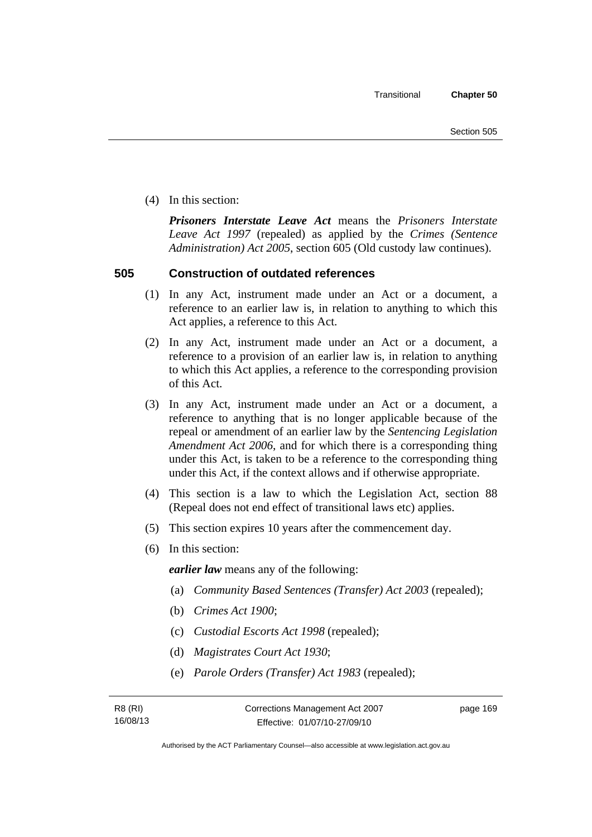(4) In this section:

*Prisoners Interstate Leave Act* means the *Prisoners Interstate Leave Act 1997* (repealed) as applied by the *Crimes (Sentence Administration) Act 2005*, section 605 (Old custody law continues).

# **505 Construction of outdated references**

- (1) In any Act, instrument made under an Act or a document, a reference to an earlier law is, in relation to anything to which this Act applies, a reference to this Act.
- (2) In any Act, instrument made under an Act or a document, a reference to a provision of an earlier law is, in relation to anything to which this Act applies, a reference to the corresponding provision of this Act.
- (3) In any Act, instrument made under an Act or a document, a reference to anything that is no longer applicable because of the repeal or amendment of an earlier law by the *Sentencing Legislation Amendment Act 2006*, and for which there is a corresponding thing under this Act, is taken to be a reference to the corresponding thing under this Act, if the context allows and if otherwise appropriate.
- (4) This section is a law to which the Legislation Act, section 88 (Repeal does not end effect of transitional laws etc) applies.
- (5) This section expires 10 years after the commencement day.
- (6) In this section:

*earlier law* means any of the following:

- (a) *Community Based Sentences (Transfer) Act 2003* (repealed);
- (b) *Crimes Act 1900*;
- (c) *Custodial Escorts Act 1998* (repealed);
- (d) *Magistrates Court Act 1930*;
- (e) *Parole Orders (Transfer) Act 1983* (repealed);

page 169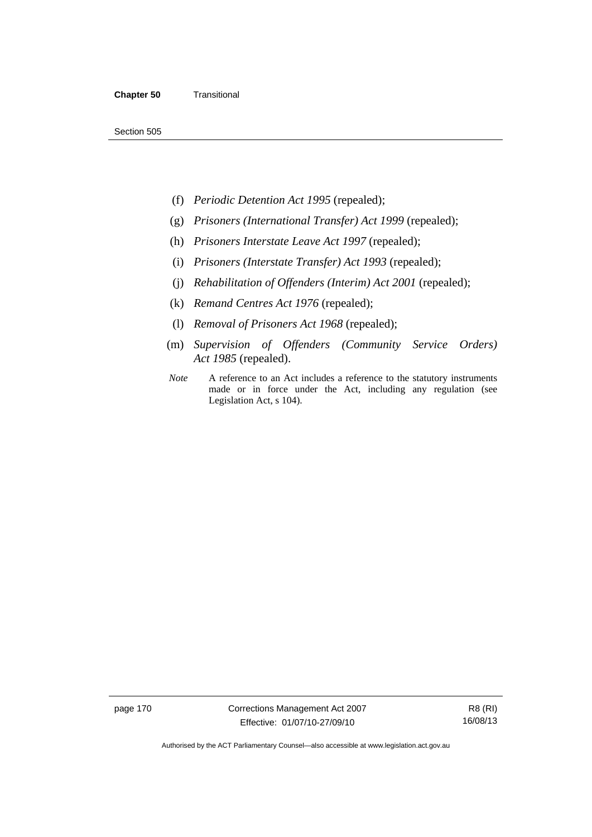Section 505

- (f) *Periodic Detention Act 1995* (repealed);
- (g) *Prisoners (International Transfer) Act 1999* (repealed);
- (h) *Prisoners Interstate Leave Act 1997* (repealed);
- (i) *Prisoners (Interstate Transfer) Act 1993* (repealed);
- (j) *Rehabilitation of Offenders (Interim) Act 2001* (repealed);
- (k) *Remand Centres Act 1976* (repealed);
- (l) *Removal of Prisoners Act 1968* (repealed);
- (m) *Supervision of Offenders (Community Service Orders) Act 1985* (repealed).
- *Note* A reference to an Act includes a reference to the statutory instruments made or in force under the Act, including any regulation (see Legislation Act, s 104).

page 170 Corrections Management Act 2007 Effective: 01/07/10-27/09/10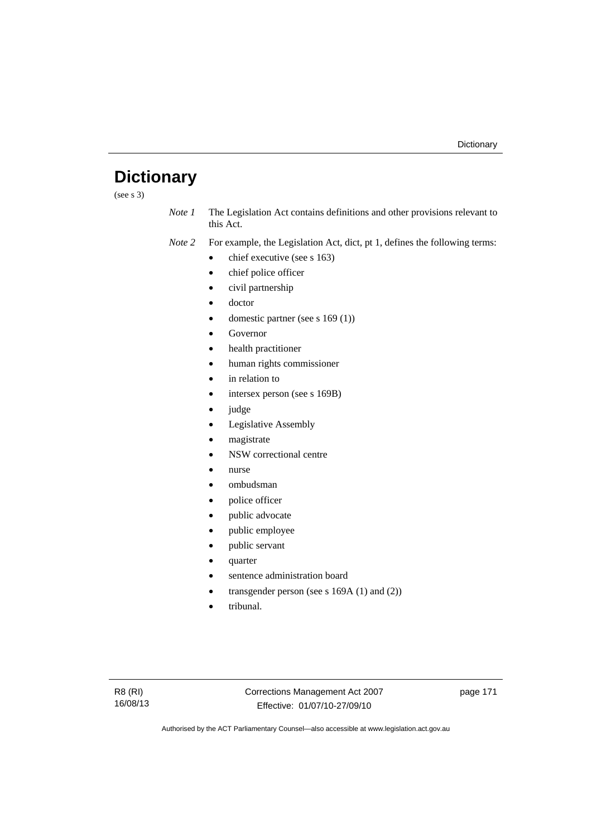# **Dictionary**

(see s 3)

*Note 1* The Legislation Act contains definitions and other provisions relevant to this Act.

*Note 2* For example, the Legislation Act, dict, pt 1, defines the following terms:

- $\bullet$  chief executive (see s 163)
- chief police officer
- civil partnership
- doctor
- domestic partner (see s 169 (1))
- Governor
- health practitioner
- human rights commissioner
- in relation to
- intersex person (see s 169B)
- judge
- Legislative Assembly
- magistrate
- NSW correctional centre
- nurse
- ombudsman
- police officer
- public advocate
- public employee
- public servant
- quarter
- sentence administration board
- transgender person (see s 169A (1) and (2))
- tribunal.

page 171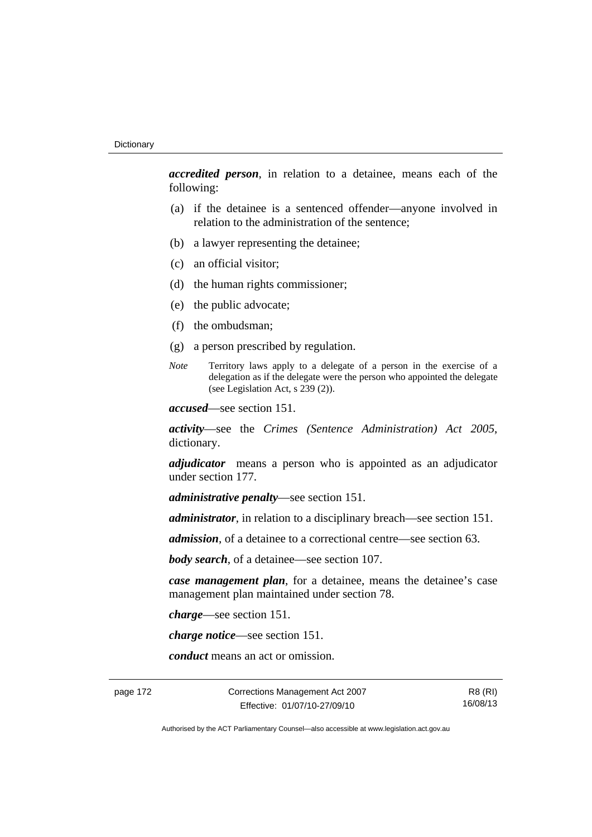*accredited person*, in relation to a detainee, means each of the following:

- (a) if the detainee is a sentenced offender—anyone involved in relation to the administration of the sentence;
- (b) a lawyer representing the detainee;
- (c) an official visitor;
- (d) the human rights commissioner;
- (e) the public advocate;
- (f) the ombudsman;
- (g) a person prescribed by regulation.
- *Note* Territory laws apply to a delegate of a person in the exercise of a delegation as if the delegate were the person who appointed the delegate (see Legislation Act, s 239 (2)).

*accused*—see section 151.

*activity*—see the *Crimes (Sentence Administration) Act 2005*, dictionary.

*adjudicator* means a person who is appointed as an adjudicator under section 177.

*administrative penalty*—see section 151.

*administrator*, in relation to a disciplinary breach—see section 151.

*admission*, of a detainee to a correctional centre—see section 63.

*body search*, of a detainee—see section 107.

*case management plan*, for a detainee, means the detainee's case management plan maintained under section 78.

*charge*—see section 151.

*charge notice*—see section 151.

*conduct* means an act or omission.

page 172 Corrections Management Act 2007 Effective: 01/07/10-27/09/10

R8 (RI) 16/08/13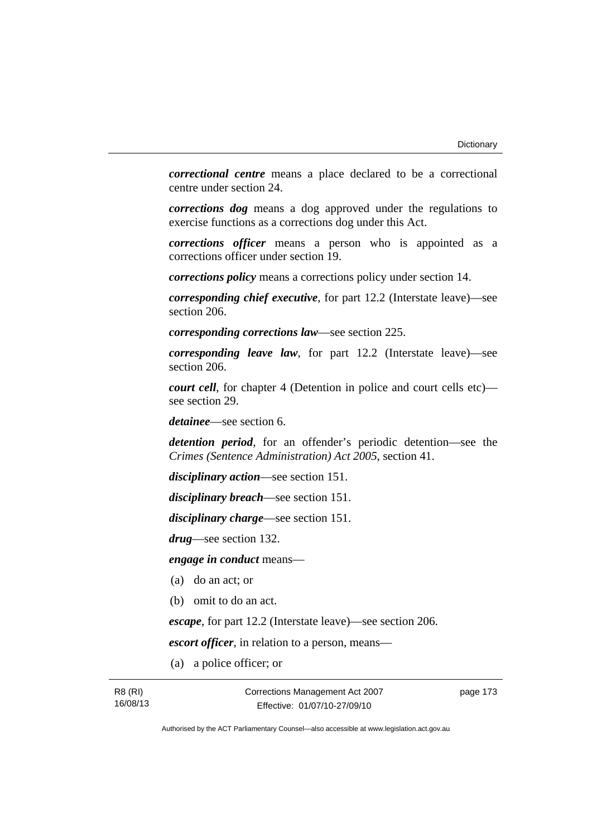*correctional centre* means a place declared to be a correctional centre under section 24.

*corrections dog* means a dog approved under the regulations to exercise functions as a corrections dog under this Act.

*corrections officer* means a person who is appointed as a corrections officer under section 19.

*corrections policy* means a corrections policy under section 14.

*corresponding chief executive*, for part 12.2 (Interstate leave)—see section 206.

*corresponding corrections law*—see section 225.

*corresponding leave law*, for part 12.2 (Interstate leave)—see section 206.

*court cell*, for chapter 4 (Detention in police and court cells etc) see section 29.

*detainee*—see section 6.

*detention period*, for an offender's periodic detention—see the *Crimes (Sentence Administration) Act 2005*, section 41.

*disciplinary action*—see section 151.

*disciplinary breach*—see section 151.

*disciplinary charge*—see section 151.

*drug*—see section 132.

*engage in conduct* means—

- (a) do an act; or
- (b) omit to do an act.

*escape*, for part 12.2 (Interstate leave)—see section 206.

*escort officer*, in relation to a person, means—

(a) a police officer; or

page 173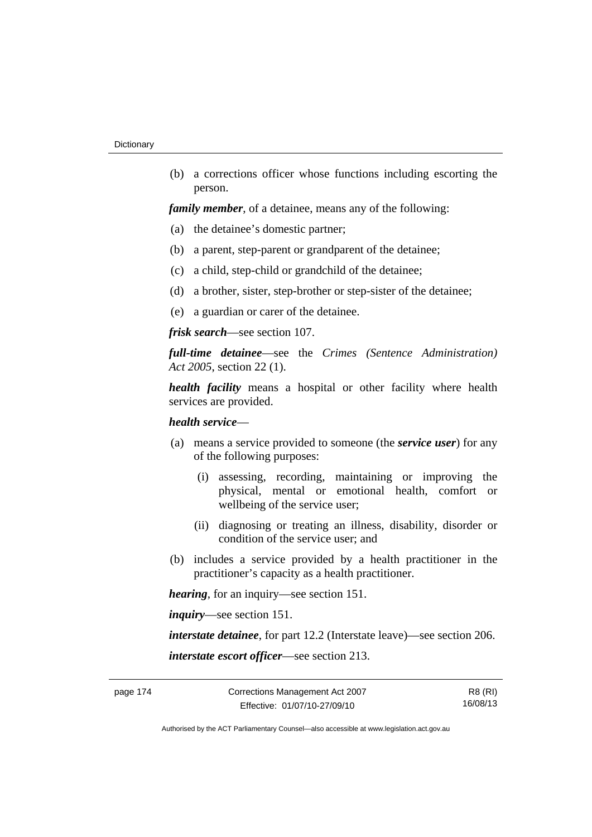(b) a corrections officer whose functions including escorting the person.

*family member*, of a detainee, means any of the following:

- (a) the detainee's domestic partner;
- (b) a parent, step-parent or grandparent of the detainee;
- (c) a child, step-child or grandchild of the detainee;
- (d) a brother, sister, step-brother or step-sister of the detainee;
- (e) a guardian or carer of the detainee.

*frisk search*—see section 107.

*full-time detainee*—see the *Crimes (Sentence Administration) Act 2005*, section 22 (1).

*health facility* means a hospital or other facility where health services are provided.

## *health service*—

- (a) means a service provided to someone (the *service user*) for any of the following purposes:
	- (i) assessing, recording, maintaining or improving the physical, mental or emotional health, comfort or wellbeing of the service user;
	- (ii) diagnosing or treating an illness, disability, disorder or condition of the service user; and
- (b) includes a service provided by a health practitioner in the practitioner's capacity as a health practitioner.

*hearing*, for an inquiry—see section 151.

*inquiry*—see section 151.

*interstate detainee*, for part 12.2 (Interstate leave)—see section 206. *interstate escort officer*—see section 213.

R8 (RI) 16/08/13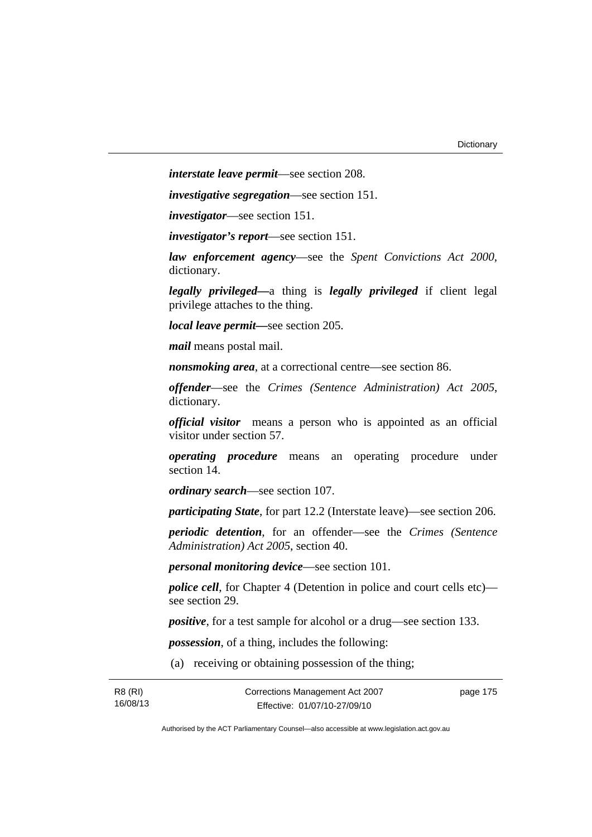*interstate leave permit*—see section 208.

*investigative segregation*—see section 151.

*investigator*—see section 151.

*investigator's report*—see section 151.

*law enforcement agency*—see the *Spent Convictions Act 2000*, dictionary.

*legally privileged—*a thing is *legally privileged* if client legal privilege attaches to the thing.

*local leave permit—*see section 205.

*mail* means postal mail.

*nonsmoking area*, at a correctional centre—see section 86.

*offender*—see the *Crimes (Sentence Administration) Act 2005*, dictionary.

*official visitor* means a person who is appointed as an official visitor under section 57.

*operating procedure* means an operating procedure under section 14.

*ordinary search*—see section 107.

*participating State*, for part 12.2 (Interstate leave)—see section 206.

*periodic detention*, for an offender—see the *Crimes (Sentence Administration) Act 2005*, section 40.

*personal monitoring device*—see section 101.

*police cell*, for Chapter 4 (Detention in police and court cells etc) see section 29.

*positive*, for a test sample for alcohol or a drug—see section 133.

*possession*, of a thing, includes the following:

(a) receiving or obtaining possession of the thing;

| R8 (RI)  | Corrections Management Act 2007 | page 175 |
|----------|---------------------------------|----------|
| 16/08/13 | Effective: 01/07/10-27/09/10    |          |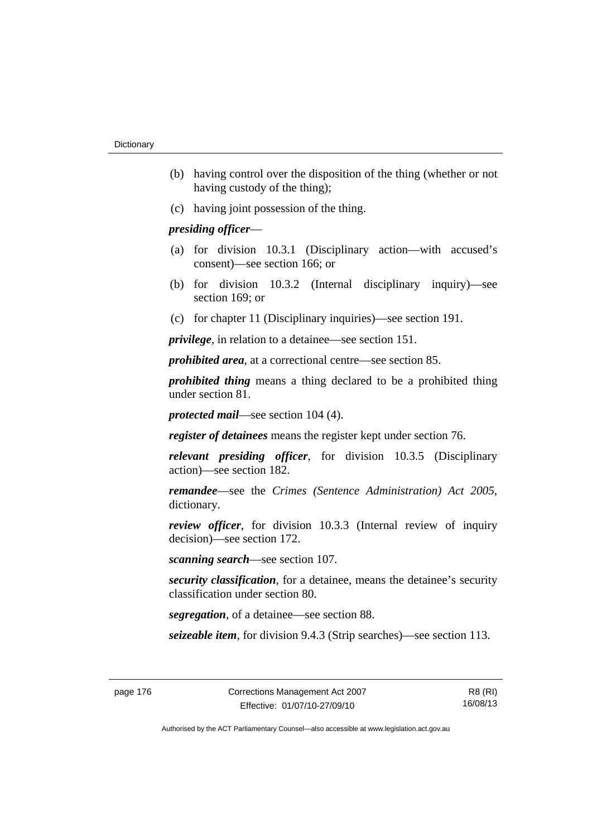- (b) having control over the disposition of the thing (whether or not having custody of the thing);
- (c) having joint possession of the thing.

## *presiding officer*—

- (a) for division 10.3.1 (Disciplinary action—with accused's consent)—see section 166; or
- (b) for division 10.3.2 (Internal disciplinary inquiry)—see section 169; or
- (c) for chapter 11 (Disciplinary inquiries)—see section 191.

*privilege*, in relation to a detainee—see section 151.

*prohibited area*, at a correctional centre—see section 85.

*prohibited thing* means a thing declared to be a prohibited thing under section 81.

*protected mail*—see section 104 (4).

*register of detainees* means the register kept under section 76.

*relevant presiding officer*, for division 10.3.5 (Disciplinary action)—see section 182.

*remandee*—see the *Crimes (Sentence Administration) Act 2005*, dictionary.

*review officer*, for division 10.3.3 (Internal review of inquiry decision)—see section 172.

*scanning search*—see section 107.

*security classification*, for a detainee, means the detainee's security classification under section 80.

*segregation*, of a detainee—see section 88.

*seizeable item*, for division 9.4.3 (Strip searches)—see section 113.

R8 (RI) 16/08/13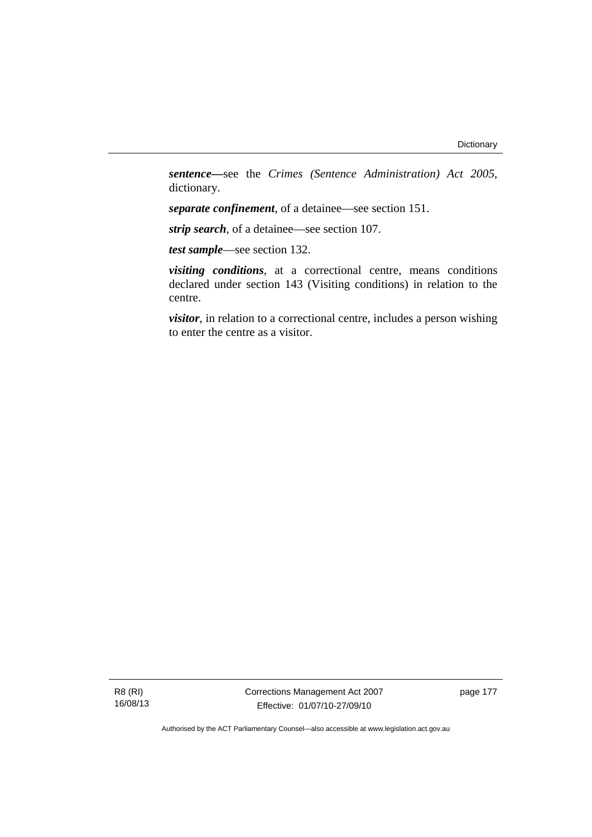*sentence—*see the *Crimes (Sentence Administration) Act 2005*, dictionary.

*separate confinement*, of a detainee—see section 151.

*strip search*, of a detainee—see section 107.

*test sample*—see section 132.

*visiting conditions*, at a correctional centre, means conditions declared under section 143 (Visiting conditions) in relation to the centre.

*visitor*, in relation to a correctional centre, includes a person wishing to enter the centre as a visitor.

R8 (RI) 16/08/13 Corrections Management Act 2007 Effective: 01/07/10-27/09/10

page 177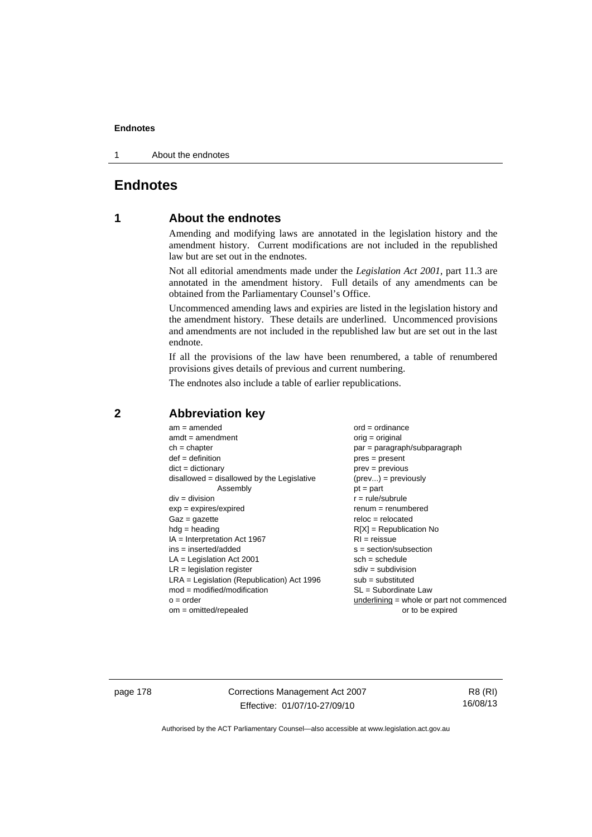1 About the endnotes

# **Endnotes**

# **1 About the endnotes**

Amending and modifying laws are annotated in the legislation history and the amendment history. Current modifications are not included in the republished law but are set out in the endnotes.

Not all editorial amendments made under the *Legislation Act 2001*, part 11.3 are annotated in the amendment history. Full details of any amendments can be obtained from the Parliamentary Counsel's Office.

Uncommenced amending laws and expiries are listed in the legislation history and the amendment history. These details are underlined. Uncommenced provisions and amendments are not included in the republished law but are set out in the last endnote.

If all the provisions of the law have been renumbered, a table of renumbered provisions gives details of previous and current numbering.

The endnotes also include a table of earlier republications.

| $reloc = relocated$<br>$Gaz = gazette$                                                                                                                                                                                                                                                                                                                                                                                                                                                                        |  |
|---------------------------------------------------------------------------------------------------------------------------------------------------------------------------------------------------------------------------------------------------------------------------------------------------------------------------------------------------------------------------------------------------------------------------------------------------------------------------------------------------------------|--|
| $R[X]$ = Republication No<br>$hdg =$ heading<br>$IA = Interpretation Act 1967$<br>$RI = reissue$<br>$ins = inserted/added$<br>$s = section/subsection$<br>$LA =$ Legislation Act 2001<br>$sch = schedule$<br>$LR =$ legislation register<br>$sdiv = subdivision$<br>$LRA =$ Legislation (Republication) Act 1996<br>$sub =$ substituted<br>$mod = modified/modification$<br>SL = Subordinate Law<br>$underlining = whole or part not commenced$<br>$o = order$<br>$om = omitted/repealed$<br>or to be expired |  |

## **2 Abbreviation key**

page 178 Corrections Management Act 2007 Effective: 01/07/10-27/09/10

R8 (RI) 16/08/13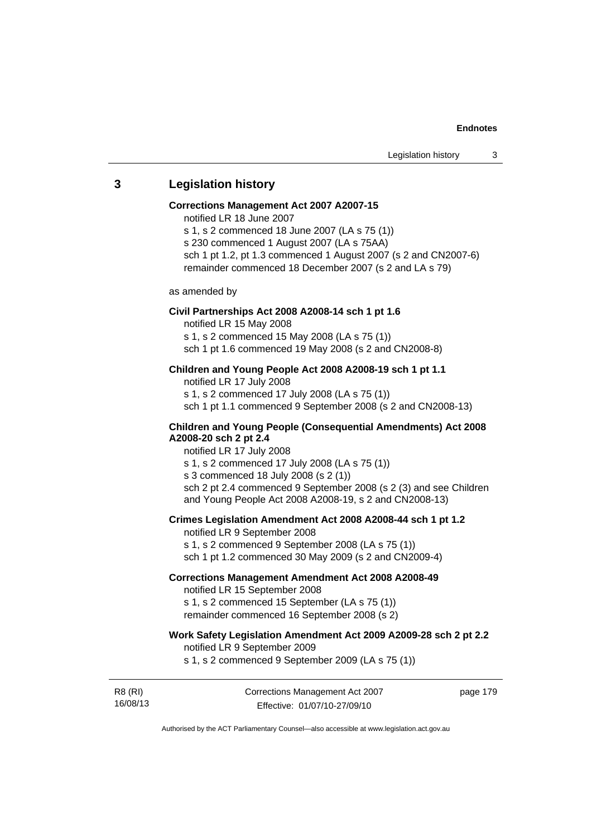## **3 Legislation history**

#### **Corrections Management Act 2007 A2007-15**

notified LR 18 June 2007

s 1, s 2 commenced 18 June 2007 (LA s 75 (1))

s 230 commenced 1 August 2007 (LA s 75AA)

sch 1 pt 1.2, pt 1.3 commenced 1 August 2007 (s 2 and CN2007-6)

remainder commenced 18 December 2007 (s 2 and LA s 79)

as amended by

#### **Civil Partnerships Act 2008 A2008-14 sch 1 pt 1.6**

notified LR 15 May 2008

s 1, s 2 commenced 15 May 2008 (LA s 75 (1))

sch 1 pt 1.6 commenced 19 May 2008 (s 2 and CN2008-8)

## **Children and Young People Act 2008 A2008-19 sch 1 pt 1.1**

notified LR 17 July 2008 s 1, s 2 commenced 17 July 2008 (LA s 75 (1)) sch 1 pt 1.1 commenced 9 September 2008 (s 2 and CN2008-13)

### **Children and Young People (Consequential Amendments) Act 2008 A2008-20 sch 2 pt 2.4**

notified LR 17 July 2008

s 1, s 2 commenced 17 July 2008 (LA s 75 (1))

s 3 commenced 18 July 2008 (s 2 (1))

sch 2 pt 2.4 commenced 9 September 2008 (s 2 (3) and see Children and Young People Act 2008 A2008-19, s 2 and CN2008-13)

#### **Crimes Legislation Amendment Act 2008 A2008-44 sch 1 pt 1.2**

notified LR 9 September 2008

s 1, s 2 commenced 9 September 2008 (LA s 75 (1))

sch 1 pt 1.2 commenced 30 May 2009 (s 2 and CN2009-4)

## **Corrections Management Amendment Act 2008 A2008-49**

notified LR 15 September 2008

s 1, s 2 commenced 15 September (LA s 75 (1)) remainder commenced 16 September 2008 (s 2)

## **Work Safety Legislation Amendment Act 2009 A2009-28 sch 2 pt 2.2**

notified LR 9 September 2009

s 1, s 2 commenced 9 September 2009 (LA s 75 (1))

R8 (RI) 16/08/13 Corrections Management Act 2007 Effective: 01/07/10-27/09/10

page 179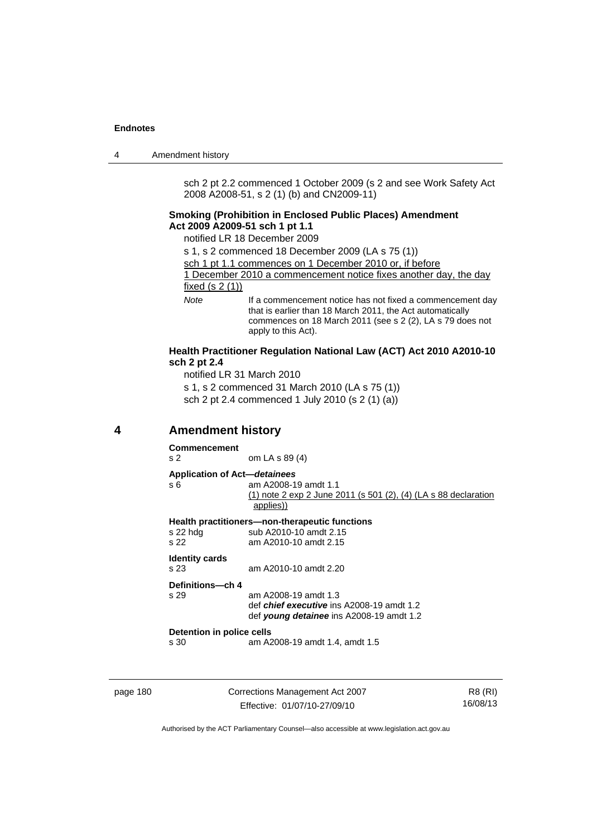| 4 | Amendment history |
|---|-------------------|
|---|-------------------|

sch 2 pt 2.2 commenced 1 October 2009 (s 2 and see Work Safety Act 2008 A2008-51, s 2 (1) (b) and CN2009-11)

### **Smoking (Prohibition in Enclosed Public Places) Amendment Act 2009 A2009-51 sch 1 pt 1.1**

notified LR 18 December 2009

- s 1, s 2 commenced 18 December 2009 (LA s 75 (1))
- sch 1 pt 1.1 commences on 1 December 2010 or, if before

1 December 2010 a commencement notice fixes another day, the day fixed (s 2 (1))

*Note* If a commencement notice has not fixed a commencement day that is earlier than 18 March 2011, the Act automatically commences on 18 March 2011 (see s 2 (2), LA s 79 does not apply to this Act).

#### **Health Practitioner Regulation National Law (ACT) Act 2010 A2010-10 sch 2 pt 2.4**

notified LR 31 March 2010 s 1, s 2 commenced 31 March 2010 (LA s 75 (1)) sch 2 pt 2.4 commenced 1 July 2010 (s 2 (1) (a))

## **4 Amendment history**

**Commencement**  s 2 om LA s 89 (4) **Application of Act—***detainees* s 6 am A2008-19 amdt 1.1 (1) note 2 exp 2 June 2011 (s 501 (2), (4) (LA s 88 declaration applies)) **Health practitioners—non-therapeutic functions**  s 22 hdg sub A2010-10 amdt 2.15<br>s 22 am A2010-10 amdt 2.15 am A2010-10 amdt 2.15 **Identity cards**  s 23 am A2010-10 amdt 2.20 **Definitions—ch 4**  am A2008-19 amdt 1.3 def *chief executive* ins A2008-19 amdt 1.2 def *young detainee* ins A2008-19 amdt 1.2 **Detention in police cells**  s 30 am A2008-19 amdt 1.4, amdt 1.5

page 180 Corrections Management Act 2007 Effective: 01/07/10-27/09/10

R8 (RI) 16/08/13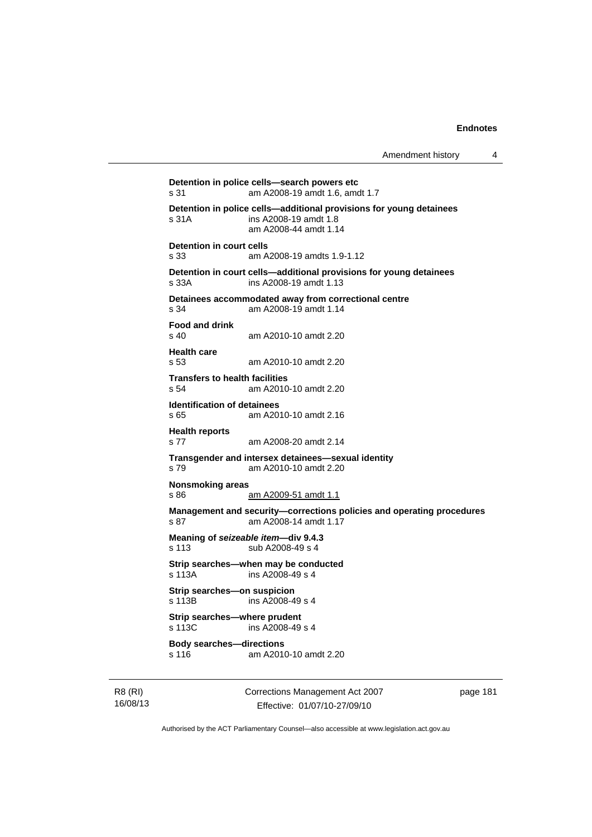```
Detention in police cells—search powers etc 
s 31 am A2008-19 amdt 1.6, amdt 1.7 
Detention in police cells—additional provisions for young detainees 
s 31A ins A2008-19 amdt 1.8 
                am A2008-44 amdt 1.14 
Detention in court cells 
s 33 am A2008-19 amdts 1.9-1.12 
Detention in court cells—additional provisions for young detainees 
s 33A ins A2008-19 amdt 1.13 
Detainees accommodated away from correctional centre 
s 34 am A2008-19 amdt 1.14 
Food and drink 
s 40 am A2010-10 amdt 2.20 
Health care 
s 53 am A2010-10 amdt 2.20 
Transfers to health facilities 
s 54 am A2010-10 amdt 2.20 
Identification of detainees 
s 65 am A2010-10 amdt 2.16 
Health reports 
s 77 am A2008-20 amdt 2.14 
Transgender and intersex detainees—sexual identity 
s 79 am A2010-10 amdt 2.20 
Nonsmoking areas 
s 86 am A2009-51 amdt 1.1
Management and security—corrections policies and operating procedures 
s 87 am A2008-14 amdt 1.17 
Meaning of seizeable item—div 9.4.3 
s 113 sub A2008-49 s 4 
Strip searches—when may be conducted 
s 113A ins A2008-49 s 4 
Strip searches—on suspicion 
s 113B ins A2008-49 s 4 
Strip searches—where prudent 
s 113C ins A2008-49 s 4
Body searches—directions 
s 116 am A2010-10 amdt 2.20
```
R8 (RI) 16/08/13 Corrections Management Act 2007 Effective: 01/07/10-27/09/10

page 181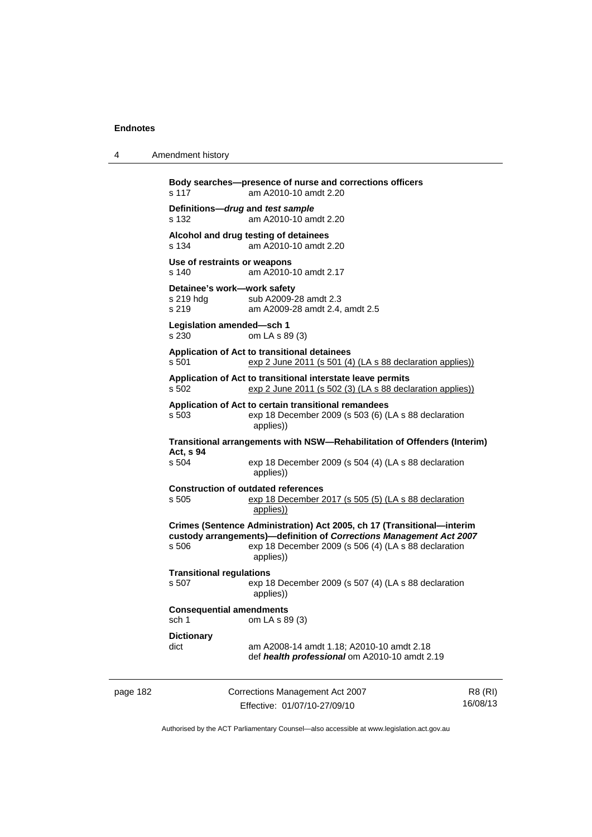4 Amendment history

**Body searches—presence of nurse and corrections officers**  s 117 am A2010-10 amdt 2.20 **Definitions—***drug* **and** *test sample* s 132 am A2010-10 amdt 2.20 **Alcohol and drug testing of detainees**  s 134 am A2010-10 amdt 2.20 **Use of restraints or weapons**  s 140 am A2010-10 amdt 2.17 **Detainee's work—work safety**  s 219 hdg sub A2009-28 amdt 2.3 s 219 am A2009-28 amdt 2.4, amdt 2.5 **Legislation amended—sch 1**  s 230 om LA s 89 (3) **Application of Act to transitional detainees**  s 501 exp 2 June 2011 (s 501 (4) (LA s 88 declaration applies)) **Application of Act to transitional interstate leave permits**  s 502 exp 2 June 2011 (s 502 (3) (LA s 88 declaration applies)) **Application of Act to certain transitional remandees**  s 503 exp 18 December 2009 (s 503 (6) (LA s 88 declaration applies)) **Transitional arrangements with NSW—Rehabilitation of Offenders (Interim) Act, s 94**  s 504 exp 18 December 2009 (s 504 (4) (LA s 88 declaration applies)) **Construction of outdated references**  s 505 exp 18 December 2017 (s 505 (5) (LA s 88 declaration applies)) **Crimes (Sentence Administration) Act 2005, ch 17 (Transitional—interim custody arrangements)—definition of** *Corrections Management Act 2007* s 506 exp 18 December 2009 (s 506 (4) (LA s 88 declaration applies)) **Transitional regulations**  exp 18 December 2009 (s 507 (4) (LA s 88 declaration applies)) **Consequential amendments**  sch 1 om LA s 89 (3) **Dictionary**  dict am A2008-14 amdt 1.18; A2010-10 amdt 2.18 def *health professional* om A2010-10 amdt 2.19

page 182 Corrections Management Act 2007 Effective: 01/07/10-27/09/10

R8 (RI) 16/08/13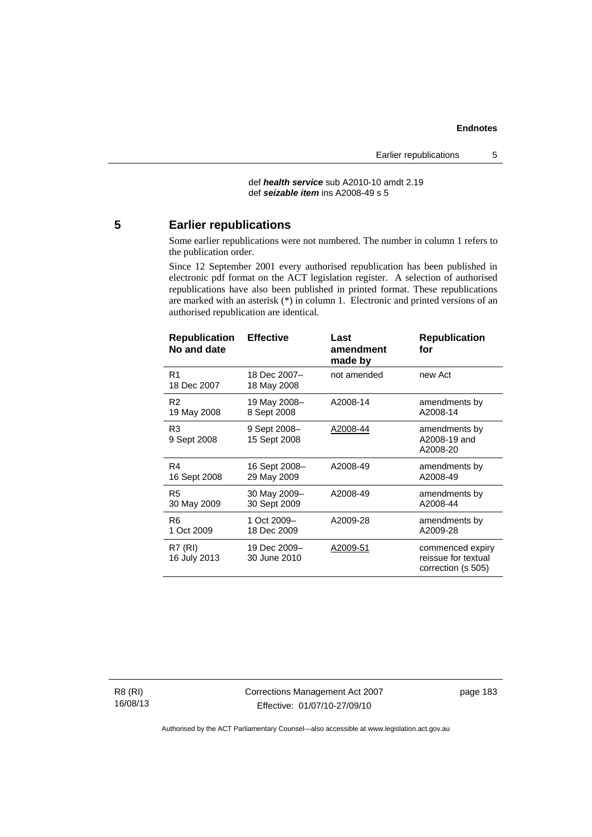def *health service* sub A2010-10 amdt 2.19 def *seizable item* ins A2008-49 s 5

# **5 Earlier republications**

Some earlier republications were not numbered. The number in column 1 refers to the publication order.

Since 12 September 2001 every authorised republication has been published in electronic pdf format on the ACT legislation register. A selection of authorised republications have also been published in printed format. These republications are marked with an asterisk (\*) in column 1. Electronic and printed versions of an authorised republication are identical.

| <b>Republication</b><br>No and date | <b>Effective</b>             | Last<br>amendment<br>made by | <b>Republication</b><br>for                                   |
|-------------------------------------|------------------------------|------------------------------|---------------------------------------------------------------|
| R <sub>1</sub><br>18 Dec 2007       | 18 Dec 2007–<br>18 May 2008  | not amended                  | new Act                                                       |
| R2                                  | 19 May 2008-                 | A2008-14                     | amendments by                                                 |
| 19 May 2008                         | 8 Sept 2008                  |                              | A2008-14                                                      |
| R <sub>3</sub><br>9 Sept 2008       | 9 Sept 2008-<br>15 Sept 2008 | A2008-44                     | amendments by<br>A2008-19 and<br>A2008-20                     |
| R4                                  | 16 Sept 2008-                | A2008-49                     | amendments by                                                 |
| 16 Sept 2008                        | 29 May 2009                  |                              | A2008-49                                                      |
| R5                                  | 30 May 2009-                 | A2008-49                     | amendments by                                                 |
| 30 May 2009                         | 30 Sept 2009                 |                              | A2008-44                                                      |
| R <sub>6</sub>                      | 1 Oct 2009-                  | A2009-28                     | amendments by                                                 |
| 1 Oct 2009                          | 18 Dec 2009                  |                              | A2009-28                                                      |
| R7 (RI)<br>16 July 2013             | 19 Dec 2009–<br>30 June 2010 | A2009-51                     | commenced expiry<br>reissue for textual<br>correction (s 505) |

R8 (RI) 16/08/13 Corrections Management Act 2007 Effective: 01/07/10-27/09/10

page 183